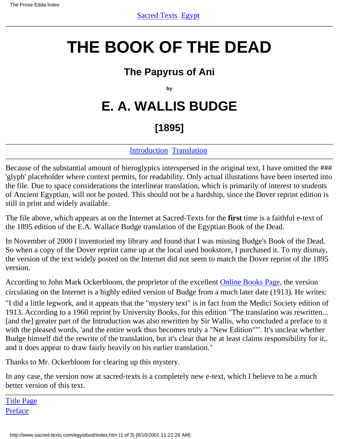# <span id="page-0-0"></span>**THE BOOK OF THE DEAD**

## **The Papyrus of Ani**

**by**

## **E. A. WALLIS BUDGE**

## **[1895]**

[Introduction](#page-1-0) [Translation](#page-1-1)

Because of the substantial amount of hieroglypics interspersed in the original text, I have omitted the ### 'glyph' placeholder where context permits, for readability. Only actual illustations have been inserted into the file. Due to space considerations the interlinear translation, which is primarily of interest to students of Ancient Egyptian, will not be posted. This should not be a hardship, since the Dover reprint edition is still in print and widely available.

The file above, which appears at on the Internet at Sacred-Texts for the **first** time is a faithful e-text of the 1895 edition of the E.A. Wallace Budge translation of the Egyptian Book of the Dead.

In November of 2000 I inventoried my library and found that I was missing Budge's Book of the Dead. So when a copy of the Dover reprint came up at the local used bookstore, I purchased it. To my dismay, the version of the text widely posted on the Internet did not seem to match the Dover reprint of the 1895 version.

According to John Mark Ockerbloom, the proprietor of the excellent Online Books Page, the version circulating on the Internet is a highly edited version of Budge from a much later date (1913). He writes: "I did a little legwork, and it appears that the "mystery text" is in fact from the Medici Society edition of 1913. According to a 1960 reprint by University Books, for this edition "The translation was rewritten... [and the] greater part of the Introduction was also rewritten by Sir Wallis, who concluded a preface to it with the pleased words, 'and the entire work thus becomes truly a "New Edition"'". It's unclear whether Budge himself did the rewrite of the translation, but it's clear that he at least claims responsibility for it,. and it does appear to draw fairly heavily on his earlier translation."

Thanks to Mr. Ockerbloom for clearing up this mystery.

In any case, the version now at sacred-texts is a completely new e-text, which I believe to be a much better version of this text.

[Title Page](#page-3-0) [Preface](#page-4-0)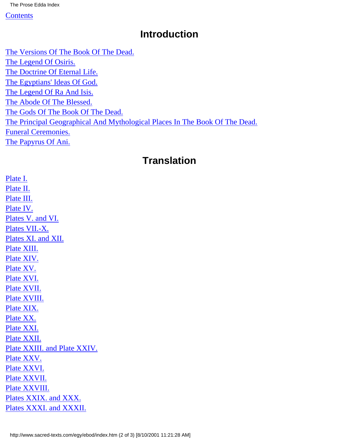The Prose Edda Index

**[Contents](#page-5-0)** 

### **Introduction**

<span id="page-1-0"></span>[The Versions Of The Book Of The Dead.](#page-6-0) [The Legend Of Osiris.](#page-42-0) [The Doctrine Of Eternal Life.](#page-48-0) [The Egyptians' Ideas Of God.](#page-69-0) [The Legend Of Ra And Isis.](#page-76-0) [The Abode Of The Blessed.](#page-86-0) [The Gods Of The Book Of The Dead.](#page-90-0) [The Principal Geographical And Mythological Places In The Book Of The Dead.](#page-109-0) [Funeral Ceremonies.](#page-113-0) [The Papyrus Of Ani.](#page-118-0)

### **Translation**

<span id="page-1-1"></span>[Plate I.](#page-127-0) [Plate II.](#page-133-0) [Plate III.](#page-136-0) [Plate IV.](#page-140-0) [Plates V. and VI.](#page-144-0) [Plates VII.-X.](#page-156-0) [Plates XI. and XII.](#page-170-0) [Plate XIII.](#page-179-0) [Plate XIV.](#page-181-0) [Plate XV.](#page-183-0) [Plate XVI.](#page-189-0) [Plate XVII.](#page-193-0) [Plate XVIII.](#page-196-0) [Plate XIX.](#page-198-0) [Plate XX.](#page-200-0) [Plate XXI.](#page-202-0) [Plate XXII.](#page-204-0) [Plate XXIII. and Plate XXIV.](#page-206-0) [Plate XXV.](#page-208-0) [Plate XXVI.](#page-210-0) [Plate XXVII.](#page-212-0) [Plate XXVIII.](#page-216-0) [Plates XXIX. and XXX.](#page-218-0) [Plates XXXI. and XXXII.](#page-222-0)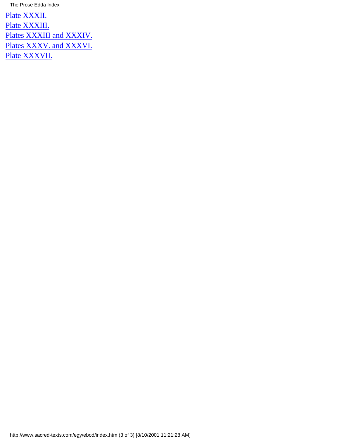The Prose Edda Index

[Plate XXXII.](#page-225-0) [Plate XXXIII.](#page-232-0) [Plates XXXIII and XXXIV.](#page-235-0) [Plates XXXV. and XXXVI.](#page-240-0) [Plate XXXVII.](#page-242-0)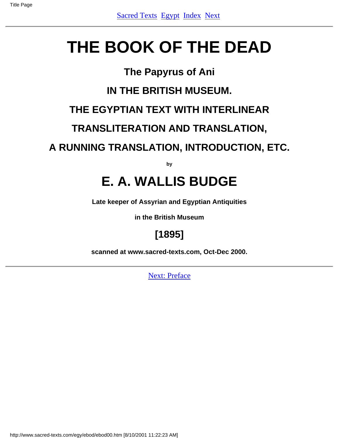# <span id="page-3-0"></span>**THE BOOK OF THE DEAD**

## **The Papyrus of Ani**

## **IN THE BRITISH MUSEUM.**

## **THE EGYPTIAN TEXT WITH INTERLINEAR**

## **TRANSLITERATION AND TRANSLATION,**

## **A RUNNING TRANSLATION, INTRODUCTION, ETC.**

**by**

## **E. A. WALLIS BUDGE**

**Late keeper of Assyrian and Egyptian Antiquities**

**in the British Museum**

## **[1895]**

**scanned at www.sacred-texts.com, Oct-Dec 2000.**

[Next: Preface](#page-4-0)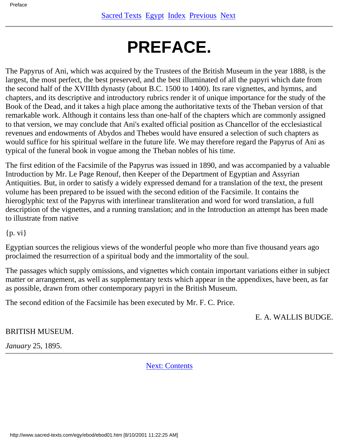# **PREFACE.**

<span id="page-4-0"></span>The Papyrus of Ani, which was acquired by the Trustees of the British Museum in the year 1888, is the largest, the most perfect, the best preserved, and the best illuminated of all the papyri which date from the second half of the XVIIIth dynasty (about B.C. 1500 to 1400). Its rare vignettes, and hymns, and chapters, and its descriptive and introductory rubrics render it of unique importance for the study of the Book of the Dead, and it takes a high place among the authoritative texts of the Theban version of that remarkable work. Although it contains less than one-half of the chapters which are commonly assigned to that version, we may conclude that Ani's exalted official position as Chancellor of the ecclesiastical revenues and endowments of Abydos and Thebes would have ensured a selection of such chapters as would suffice for his spiritual welfare in the future life. We may therefore regard the Papyrus of Ani as typical of the funeral book in vogue among the Theban nobles of his time.

The first edition of the Facsimile of the Papyrus was issued in 1890, and was accompanied by a valuable Introduction by Mr. Le Page Renouf, then Keeper of the Department of Egyptian and Assyrian Antiquities. But, in order to satisfy a widely expressed demand for a translation of the text, the present volume has been prepared to be issued with the second edition of the Facsimile. It contains the hieroglyphic text of the Papyrus with interlinear transliteration and word for word translation, a full description of the vignettes, and a running translation; and in the Introduction an attempt has been made to illustrate from native

{p. vi}

Egyptian sources the religious views of the wonderful people who more than five thousand years ago proclaimed the resurrection of a spiritual body and the immortality of the soul.

The passages which supply omissions, and vignettes which contain important variations either in subject matter or arrangement, as well as supplementary texts which appear in the appendixes, have been, as far as possible, drawn from other contemporary papyri in the British Museum.

The second edition of the Facsimile has been executed by Mr. F. C. Price.

E. A. WALLIS BUDGE.

### BRITISH MUSEUM.

*January* 25, 1895.

[Next: Contents](#page-5-0)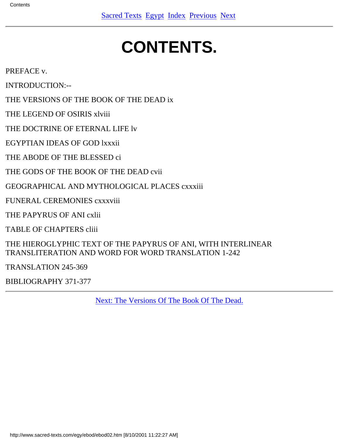# **CONTENTS.**

<span id="page-5-0"></span>PREFACE v.

INTRODUCTION:--

THE VERSIONS OF THE BOOK OF THE DEAD ix

THE LEGEND OF OSIRIS xlviii

THE DOCTRINE OF ETERNAL LIFE lv

EGYPTIAN IDEAS OF GOD lxxxii

THE ABODE OF THE BLESSED ci

THE GODS OF THE BOOK OF THE DEAD cvii

GEOGRAPHICAL AND MYTHOLOGICAL PLACES cxxxiii

FUNERAL CEREMONIES cxxxviii

THE PAPYRUS OF ANI cxlii

TABLE OF CHAPTERS cliii

THE HIEROGLYPHIC TEXT OF THE PAPYRUS OF ANI, WITH INTERLINEAR TRANSLITERATION AND WORD FOR WORD TRANSLATION 1-242

TRANSLATION 245-369

BIBLIOGRAPHY 371-377

[Next: The Versions Of The Book Of The Dead.](#page-6-0)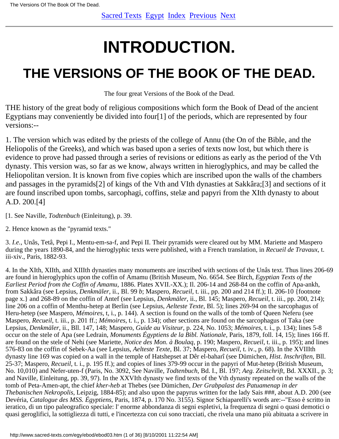# **INTRODUCTION.**

## <span id="page-6-0"></span>**THE VERSIONS OF THE BOOK OF THE DEAD.**

The four great Versions of the Book of the Dead.

THE history of the great body of religious compositions which form the Book of Dead of the ancient Egyptians may conveniently be divided into four[1] of the periods, which are represented by four versions:--

1. The version which was edited by the priests of the college of Annu (the On of the Bible, and the Heliopolis of the Greeks), and which was based upon a series of texts now lost, but which there is evidence to prove had passed through a series of revisions or editions as early as the period of the Vth dynasty. This version was, so far as we know, always written in hieroglyphics, and may be called the Heliopolitan version. It is known from five copies which are inscribed upon the walls of the chambers and passages in the pyramids[2] of kings of the Vth and VIth dynasties at Sakkâra;[3] and sections of it are found inscribed upon tombs, sarcophagi, coffins, stelæ and papyri from the XIth dynasty to about A.D. 200.[4]

[1. See Naville, *Todtenbuch* (Einleitung), p. 39.

2. Hence known as the "pyramid texts."

3. *I.e.*, Unâs, Tetâ, Pepi I., Mentu-em-sa-f, and Pepi II. Their pyramids were cleared out by MM. Mariette and Maspero during the years 1890-84, and the hieroglyphic texts were published, with a French translation, in *Recueil de Travaux*, t. iii-xiv., Paris, 1882-93.

4. In the XIth, XIIth, and XIIIth dynasties many monuments are inscribed with sections of the Unâs text. Thus lines 206-69 are found in hieroglyphics upon the coffin of Amamu (British Museum, No. 6654. See Birch, *Egyptian Texts of the Earliest Period from the Coffin of Amamu*, 1886. Plates XVII.-XX.); Il. 206-14 and 268-84 on the coffin of Apa-ankh, from Sakkâra (see Lepsius, *Denkmäler*, ii., Bl. 99 *b*; Maspero, *Recueil*, t. iii., pp. 200 and 214 ff.); Il. 206-10 {footnote page x.} and 268-89 on the coffin of Antef (see Lepsius, *Denkmäler*, ii., Bl. 145; Maspero, *Recueil*, t. iii., pp. 200, 214); line 206 on a coffin of Menthu-hetep at Berlin (see Lepsius, *Aelteste Texte*, Bl. 5); lines 269-94 on the sarcophagus of Heru-hetep (see Maspero, *Mémoires*, t, i., p. 144). A section is found on the walls of the tomb of Queen Neferu (see Maspero, *Recueil*, t. iii., p. 201 ff.; *Mémoires*, t. i., p. 134); other sections are found on the sarcophagus of Taka (see Lepsius, *Denkmäler*, ii., Bll. 147, 148; Maspero, *Guide au Visiteur*, p. 224, No. 1053; *Mémoires*, t. i., p. 134); lines 5-8 occur on the stele of Apa (see Ledrain, *Monuments Égyptiens de la Bibl. Nationale*, Paris, 1879, foll. 14, 15); lines 166 ff. are found on the stele of Nehi (see Mariette, *Notice des Mon. à Boulaq*, p. 190; Maspero, *Recueil*, t. iii., p. 195); and lines 576-83 on the coffin of Sebek-Aa (see Lepsius, *Aelteste Texte*, Bl. 37; Maspero, *Recueil*, t. iv., p. 68). In the XVIIIth dynasty line 169 was copied on a wall in the temple of Hatshepset at Dêr el-baharî (see Dümichen, *Hist. Inschriften*, Bll. 25-37; Maspero, *Recueil*, t. i., p. 195 ff.); and copies of lines 379-99 occur in the papyri of Mut-hetep (British Museum, No. 10,010) and Nefer-uten-f (Paris, No. 3092, See Naville, *Todtenbuch*, Bd. I., Bl. 197; *Aeg. Zeitschrift*, Bd. XXXII., p. 3; and Naville, Einleitung, pp. 39, 97). In the XXVIth dynasty we find texts of the Vth dynasty repeated on the walls of the tomb of Peta-Amen-apt, the chief *kher-heb* at Thebes (see Dümichen, *Der Grabpalast des Patuamenap in der Thebanischen Nekropolis*, Leipzig, 1884-85); and also upon the papyrus written for the lady Sais ###, about A.D. 200 (see Devéria, *Catalogue des MSS. Égyptiens*, Paris, 1874, p. 170 No. 3155). Signor Schiaparelli's words are:--"Esso è scritto in ieratico, di un tipo paleografico speciale: l' enorme abbondanza di segni espletivi, la frequenza di segni o quasi demotici o quasi geroglifici, la sottigliezza di tutti, e l'incertezza con cui sono tracciati, che rivela una mano più abituata a scrivere in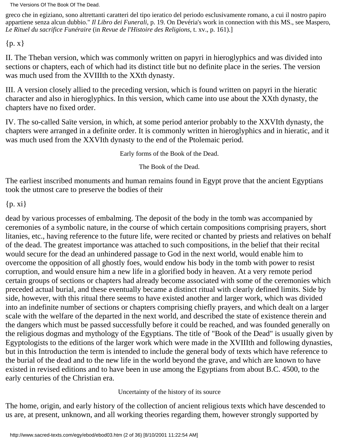greco che in egiziano, sono altrettanti caratteri del tipo ieratico del periodo esclusivamente romano, a cui il nostro papiro appartiene senza alcun dubbio." *Il Libro dei Funerali*, p. 19. On Devéria's work in connection with this MS., see Maspero, *Le Rituel du sacrifice Funéraire* (in *Revue de l'Histoire des Religions*, t. xv., p. 161).]

 ${p.x}$ 

II. The Theban version, which was commonly written on papyri in hieroglyphics and was divided into sections or chapters, each of which had its distinct title but no definite place in the series. The version was much used from the XVIIIth to the XXth dynasty.

III. A version closely allied to the preceding version, which is found written on papyri in the hieratic character and also in hieroglyphics. In this version, which came into use about the XXth dynasty, the chapters have no fixed order.

IV. The so-called Saïte version, in which, at some period anterior probably to the XXVIth dynasty, the chapters were arranged in a definite order. It is commonly written in hieroglyphics and in hieratic, and it was much used from the XXVIth dynasty to the end of the Ptolemaic period.

Early forms of the Book of the Dead.

The Book of the Dead.

The earliest inscribed monuments and human remains found in Egypt prove that the ancient Egyptians took the utmost care to preserve the bodies of their

{p. xi}

dead by various processes of embalming. The deposit of the body in the tomb was accompanied by ceremonies of a symbolic nature, in the course of which certain compositions comprising prayers, short litanies, etc., having reference to the future life, were recited or chanted by priests and relatives on behalf of the dead. The greatest importance was attached to such compositions, in the belief that their recital would secure for the dead an unhindered passage to God in the next world, would enable him to overcome the opposition of all ghostly foes, would endow his body in the tomb with power to resist corruption, and would ensure him a new life in a glorified body in heaven. At a very remote period certain groups of sections or chapters had already become associated with some of the ceremonies which preceded actual burial, and these eventually became a distinct ritual with clearly defined limits. Side by side, however, with this ritual there seems to have existed another and larger work, which was divided into an indefinite number of sections or chapters comprising chiefly prayers, and which dealt on a larger scale with the welfare of the departed in the next world, and described the state of existence therein and the dangers which must be passed successfully before it could be reached, and was founded generally on the religious dogmas and mythology of the Egyptians. The title of "Book of the Dead" is usually given by Egyptologists to the editions of the larger work which were made in the XVIIIth and following dynasties, but in this Introduction the term is intended to include the general body of texts which have reference to the burial of the dead and to the new life in the world beyond the grave, and which are known to have existed in revised editions and to have been in use among the Egyptians from about B.C. 4500, to the early centuries of the Christian era.

### Uncertainty of the history of its source

The home, origin, and early history of the collection of ancient religious texts which have descended to us are, at present, unknown, and all working theories regarding them, however strongly supported by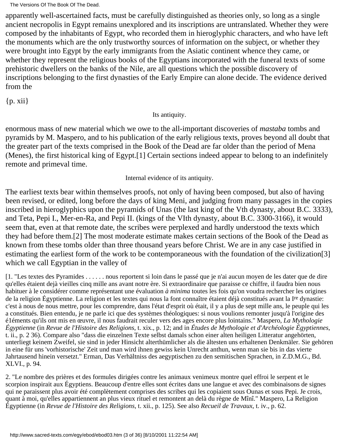apparently well-ascertained facts, must be carefully distinguished as theories only, so long as a single ancient necropolis in Egypt remains unexplored and its inscriptions are untranslated. Whether they were composed by the inhabitants of Egypt, who recorded them in hieroglyphic characters, and who have left the monuments which are the only trustworthy sources of information on the subject, or whether they were brought into Egypt by the early immigrants from the Asiatic continent whence they came, or whether they represent the religious books of the Egyptians incorporated with the funeral texts of some prehistoric dwellers on the banks of the Nile, are all questions which the possible discovery of inscriptions belonging to the first dynasties of the Early Empire can alone decide. The evidence derived from the

 ${p. xii}$ 

#### Its antiquity.

enormous mass of new material which we owe to the all-important discoveries of *mastaba* tombs and pyramids by M. Maspero, and to his publication of the early religious texts, proves beyond all doubt that the greater part of the texts comprised in the Book of the Dead are far older than the period of Mena (Menes), the first historical king of Egypt.[1] Certain sections indeed appear to belong to an indefinitely remote and primeval time.

Internal evidence of its antiquity.

The earliest texts bear within themselves proofs, not only of having been composed, but also of having been revised, or edited, long before the days of king Meni, and judging from many passages in the copies inscribed in hieroglyphics upon the pyramids of Unas (the last king of the Vth dynasty, about B.C. 3333), and Teta, Pepi I., Mer-en-Ra, and Pepi II. (kings of the VIth dynasty, about B.C. 3300-3166), it would seem that, even at that remote date, the scribes were perplexed and hardly understood the texts which they had before them.[2] The most moderate estimate makes certain sections of the Book of the Dead as known from these tombs older than three thousand years before Christ. We are in any case justified in estimating the earliest form of the work to be contemporaneous with the foundation of the civilization[3] which we call Egyptian in the valley of

[1. "Les textes des Pyramides . . . . . . nous reportent si loin dans le passé que je n'ai aucun moyen de les dater que de dire qu'elles étaient dejà vieilles cinq mille ans avant notre ère. Si extraordinaire que paraisse ce chiffre, il faudra bien nous habituer à le considérer comme représentant une évaluation *à minima* toutes les fois qu'on voudra rechercher les origines de la religion Égyptienne. La religion et les textes qui nous la font connaître étaient déjà constitués avant la Ire dynastie: c'est à nous de nous mettre, pour les comprendre, dans l'état d'esprit où était, il y a plus de sept mille ans, le peuple qui les a constitués. Bien entendu, je ne parle ici que des systèmes théologiques: si nous voulions remonter jusqu'à l'origine des é1éments qu'ils ont mis en œuvre, il nous faudrait reculer vers des ages encore plus lointains." Maspero, *La Mythologie Égyptienne* (in *Revue de l'Histoire des Religions*, t. xix., p. 12; and in *Études de Mythologie et d'Archéologie Égyptiennes*, t. ii., p. 2 36). Compare also "dass die einzelnen Texte selbst damals schon einer alten heiligen Litteratur angehörten, unterliegt keinem Zweifel, sie sind in jeder Hinsicht alterthümlicher als die ältesten uns erhaltenen Denkmäler. Sie gehören in eine für uns 'vorhistorische' Zeit und man wird ihnen gewiss kein Unrecht anthun, wenn man sie bis in das vierte Jahrtausend hinein versetzt." Erman, Das Verhältniss des aegyptischen zu den semitischen Sprachen, in Z.D.M.G., Bd. XLVI., p. 94.

2. "Le nombre des prières et des formules dirigées contre les animaux venimeux montre quel effroi le serpent et le scorpion inspirait aux Égyptiens. Beaucoup d'entre elles sont écrites dans une langue et avec des combinaisons de signes qui ne paraissent plus avoir été complètement comprises des scribes qui les copiaient sous Ounas et sous Pepi. Je crois, quant à moi, qu'elles appartiennent an plus vieux rituel et remontent an delà du règne de Mînî." Maspero, La Religion Égyptienne (in *Revue de l'Histoire des Religions*, t. xii., p. 125). See also *Recueil de Travaux*, t. iv., p. 62.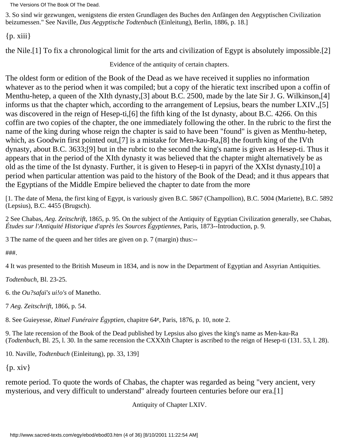3. So sind wir gezwungen, wenigstens die ersten Grundlagen des Buches den Anfängen den Aegyptischen Civilization beizumessen." See Naville, *Das Aegyptische Todtenbuch* (Einleitung), Berlin, 1886, p. 18.]

 ${p. xiii}$ 

the Nile.[1] To fix a chronological limit for the arts and civilization of Egypt is absolutely impossible.[2]

Evidence of the antiquity of certain chapters.

The oldest form or edition of the Book of the Dead as we have received it supplies no information whatever as to the period when it was compiled; but a copy of the hieratic text inscribed upon a coffin of Menthu-hetep, a queen of the XIth dynasty,[3] about B.C. 2500, made by the late Sir J. G. Wilkinson,[4] informs us that the chapter which, according to the arrangement of Lepsius, bears the number LXIV.,[5] was discovered in the reign of Hesep-ti,[6] the fifth king of the Ist dynasty, about B.C. 4266. On this coffin are two copies of the chapter, the one immediately following the other. In the rubric to the first the name of the king during whose reign the chapter is said to have been "found" is given as Menthu-hetep, which, as Goodwin first pointed out,[7] is a mistake for Men-kau-Ra,[8] the fourth king of the IVth dynasty, about B.C. 3633;[9] but in the rubric to the second the king's name is given as Hesep-ti. Thus it appears that in the period of the XIth dynasty it was believed that the chapter might alternatively be as old as the time of the Ist dynasty. Further, it is given to Hesep-ti in papyri of the XXIst dynasty,[10] a period when particular attention was paid to the history of the Book of the Dead; and it thus appears that the Egyptians of the Middle Empire believed the chapter to date from the more

[1. The date of Mena, the first king of Egypt, is variously given B.C. 5867 (Champollion), B.C. 5004 (Mariette), B.C. 5892 (Lepsius), B.C. 4455 (Brugsch).

2 See Chabas, *Aeg. Zeitschrift*, 1865, p. 95. On the subject of the Antiquity of Egyptian Civilization generally, see Chabas, *Études sur l'Antiquité Historique d'après les Sources Égyptiennes*, Paris, 1873--Introduction, p. 9.

3 The name of the queen and her titles are given on p. 7 (margin) thus:--

###.

4 It was presented to the British Museum in 1834, and is now in the Department of Egyptian and Assyrian Antiquities.

*Todtenbuch*, Bl. 23-25.

6. the *Ou?safaï's ui!o's* of Manetho.

7 *Aeg. Zeitschrift*, 1866, p. 54.

8. See Guieyesse, *Rituel Funéraire Égyptien*, chapitre 64e, Paris, 1876, p. 10, note 2.

9. The late recension of the Book of the Dead published by Lepsius also gives the king's name as Men-kau-Ra (*Todtenbuch*, Bl. 25, l. 30. In the same recension the CXXXth Chapter is ascribed to the reign of Hesep-ti (131. 53, l. 28).

10. Naville, *Todtenbuch* (Einleitung), pp. 33, 139]

 ${p. xiv}$ 

remote period. To quote the words of Chabas, the chapter was regarded as being "very ancient, very mysterious, and very difficult to understand" already fourteen centuries before our era.[1]

Antiquity of Chapter LXIV.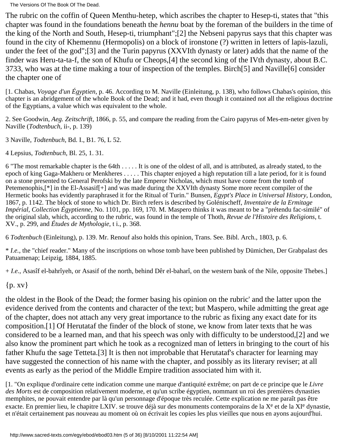The rubric on the coffin of Queen Menthu-hetep, which ascribes the chapter to Hesep-ti, states that "this chapter was found in the foundations beneath the *hennu* boat by the foreman of the builders in the time of the king of the North and South, Hesep-ti, triumphant";[2] the Nebseni papyrus says that this chapter was found in the city of Khemennu (Hermopolis) on a block of ironstone (?) written in letters of lapis-lazuli, under the feet of the god";[3] and the Turin papyrus (XXVIth dynasty or later) adds that the name of the finder was Heru-ta-ta-f, the son of Khufu or Cheops,[4] the second king of the IVth dynasty, about B.C. 3733, who was at the time making a tour of inspection of the temples. Birch[5] and Naville[6] consider the chapter one of

[1. Chabas, *Voyage d'un Égyptien*, p. 46. According to M. Naville (Einleitung, p. 138), who follows Chabas's opinion, this chapter is an abridgement of the whole Book of the Dead; and it had, even though it contained not all the religious doctrine of the Egyptians, a value which was equivalent to the whole.

2. See Goodwin, *Aeg. Zeitschrift*, 1866, p. 55, and compare the reading from the Cairo papyrus of Mes-em-neter given by Naville (*Todtenbuch*, ii-, p. 139)

3 Naville, *Todtenbuch*, Bd. I., B1. 76, L 52.

4 Lepsius, *Todtenbuch*, Bl. 25, 1. 31.

6 "The most remarkable chapter is the 64th . . . . . It is one of the oldest of all, and is attributed, as already stated, to the epoch of king Gaga-Makheru or Menkheres . . . . . This chapter enjoyed a high reputation till a late period, for it is found on a stone presented to General Perofski by the late Emperor Nicholas, which must have come from the tomb of Petemenophis,[\*] in the El-Assasif[+] and was made during the XXVIth dynasty Some more recent compiler of the Hermetic books has evidently paraphrased it for the Ritual of Turin." Bunsen, *Egypt's Place in Universal History*, London, 1867, p. 1142. The block of stone to which Dr. Birch refers is described by Golénischeff, *Inventaire de la Ermitage Impérial, Collection Égyptienne*, No. 1101, pp. 169, 170. M. Maspero thinks it was meant to be a "prétendu fac-similé" of the original slab, which, according to the rubric, was found in the temple of Thoth, *Revue de l'Histoire des Religions*, t. XV., p. 299, and *Études de Mythologie*, t i., p. 368.

6 *Todtenbuch* (Einleitung), p. 139. Mr. Renouf also holds this opinion, Trans. See. Bibl. Arch., 1803, p. 6.

\* *I.e.*, the "chief reader." Many of the inscriptions on whose tomb have been published by Dümichen, Der Grabpalast des Patuamenap; Leipzig, 1884, 1885.

+ *I.e.*, Asasîf el-bahrîyeh, or Asasif of the north, behind Dêr el-baharî, on the western bank of the Nile, opposite Thebes.]

 ${p. xv}$ 

the oldest in the Book of the Dead; the former basing his opinion on the rubric' and the latter upon the evidence derived from the contents and character of the text; but Maspero, while admitting the great age of the chapter, does not attach any very great importance to the rubric as fixing any exact date for its composition.[1] Of Herutataf the finder of the block of stone, we know from later texts that he was considered to be a learned man, and that his speech was only with difficulty to be understood,[2] and we also know the prominent part which he took as a recognized man of letters in bringing to the court of his father Khufu the sage Tetteta.[3] It is then not improbable that Herutataf's character for learning may have suggested the connection of his name with the chapter, and possibly as its literary reviser; at all events as early as the period of the Middle Empire tradition associated him with it.

[1. "On explique d'ordinaire cette indication comme une marque d'antiquité extrême; on part de ce principe que le *Livre des Morts* est de composition relativement moderne, et qu'un scribe égyptien, nommant un roi des premières dynasties memphites, ne pouvait entendre par là qu'un personnage d'époque très reculée. Cette explication ne me paraît pas être exacte. En premier lieu, le chapitre LXIV, se trouve déjà sur des monuments contemporains de la X<sup>e</sup> et de la XI<sup>e</sup> dynastie, et n'était certainement pas nouveau au moment où on écrivait les copies les plus vieilles que nous en ayons aujourd'hui.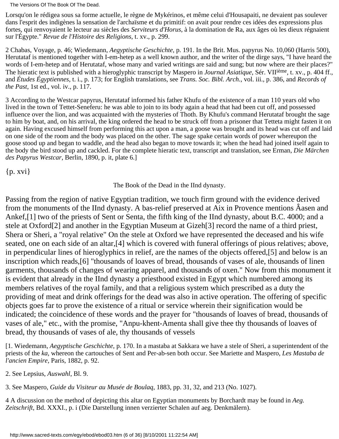Lorsqu'on le rédigea sous sa forme actuelle, le règne de Mykérinos, et même celui d'Housapaiti, ne devaient pas soulever dans l'esprit des indigènes la sensation de l'archaïsme et du primitif: on avait pour rendre ces idées des expressions plus fortes, qui renvoyaient le lecteur au siècles des *Serviteurs d'Horus*, à la domination de Ra, aux âges où les dieux régnaient sur l'Égypte." *Revue de l'Histoire des Religions*, t. xv., p. 299.

2 Chabas, Voyage, p. 46; Wiedemann, *Aegyptische Geschichte*, p. 191. In the Brit. Mus. papyrus No. 10,060 (Harris 500), Herutataf is mentioned together with I-em-hetep as a well known author, and the writer of the dirge says, "I have heard the words of I-em-hetep and of Herutataf, whose many and varied writings are said and sung; but now where are their places?" The hieratic text is published with a hieroglyphic transcript by Maspero in *Journal Asiatique*, Sér. VIIième, t. xv., p. 404 ff., and *Études Égyptiennes*, t. i., p. 173; for English translations, see *Trans. Soc. Bibl. Arch.*, vol. iii., p. 386, and *Records of the Past*, 1st ed., vol. iv., p. 117.

3 According to the Westcar papyrus, Herutataf informed his father Khufu of the existence of a man 110 years old who lived in the town of Tettet-Seneferu: he was able to join to its body again a head that had been cut off, and possessed influence over the lion, and was acquainted with the mysteries of Thoth. By Khufu's command Herutataf brought the sage to him by boat, and, on his arrival, the king ordered the head to be struck off from a prisoner that Tetteta might fasten it on again. Having excused himself from performing this act upon a man, a goose was brought and its head was cut off and laid on one side of the room and the body was placed on the other. The sage spake certain words of power whereupon the goose stood up and began to waddle, and the head also began to move towards it; when the head had joined itself again to the body the bird stood up and cackled. For the complete hieratic text, transcript and translation, see Erman, *Die Märchen des Papyrus Westcar*, Berlin, 1890, p. it, plate 6.]

 ${p. xvi}$ 

The Book of the Dead in the IInd dynasty.

Passing from the region of native Egyptian tradition, we touch firm ground with the evidence derived from the monuments of the IInd dynasty. A bas-relief preserved at Aix in Provence mentions Âasen and Ankef,[1] two of the priests of Sent or Senta, the fifth king of the IInd dynasty, about B.C. 4000; and a stele at Oxford[2] and another in the Egyptian Museum at Gizeh[3] record the name of a third priest, Shera or Sheri, a "royal relative" On the stele at Oxford we have represented the deceased and his wife seated, one on each side of an altar,[4] which is covered with funeral offerings of pious relatives; above, in perpendicular lines of hieroglyphics in relief, are the names of the objects offered,[5] and below is an inscription which reads,[6] "thousands of loaves of bread, thousands of vases of ale, thousands of linen garments, thousands of changes of wearing apparel, and thousands of oxen." Now from this monument it is evident that already in the IInd dynasty a priesthood existed in Egypt which numbered among its members relatives of the royal family, and that a religious system which prescribed as a duty the providing of meat and drink offerings for the dead was also in active operation. The offering of specific objects goes far to prove the existence of a ritual or service wherein their signification would be indicated; the coincidence of these words and the prayer for "thousands of loaves of bread, thousands of vases of ale," etc., with the promise, "Anpu-khent-Amenta shall give thee thy thousands of loaves of bread, thy thousands of vases of ale, thy thousands of vessels

[1. Wiedemann, *Aegyptische Geschichte*, p. 170. In a mastaba at Sakkara we have a stele of Sheri, a superintendent of the priests of the *ka*, whereon the cartouches of Sent and Per-ab-sen both occur. See Mariette and Maspero, *Les Mastaba de l'ancien Empire*, Paris, 1882, p. 92.

2. See Lepsius, *Auswahl*, Bl. 9.

3. See Maspero, *Guide du Visiteur au Musée de Boulaq*, 1883, pp. 31, 32, and 213 (No. 1027).

4 A discussion on the method of depicting this altar on Egyptian monuments by Borchardt may be found in *Aeg. Zeitschrift*, Bd. XXXI., p. i (Die Darstellung innen verzierter Schalen auf aeg. Denkmälern).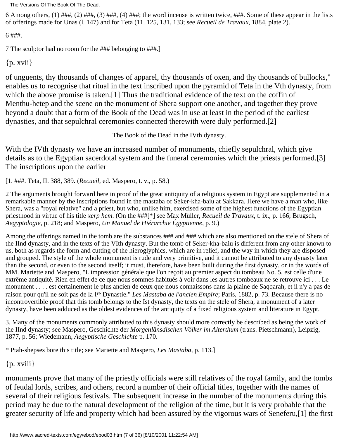6 Among others, (1) ###, (2) ###, (3) ###, (4) ###; the word incense is written twice, ###. Some of these appear in the lists of offerings made for Unas (l. 147) and for Teta (11. 125, 131, 133; see *Recueil de Travaux*, 1884, plate 2).

6 ###.

7 The sculptor had no room for the ### belonging to ###.]

 ${p. xvii}$ 

of unguents, thy thousands of changes of apparel, thy thousands of oxen, and thy thousands of bullocks," enables us to recognise that ritual in the text inscribed upon the pyramid of Teta in the Vth dynasty, from which the above promise is taken.[1] Thus the traditional evidence of the text on the coffin of Menthu-hetep and the scene on the monument of Shera support one another, and together they prove beyond a doubt that a form of the Book of the Dead was in use at least in the period of the earliest dynasties, and that sepulchral ceremonies connected therewith were duly performed.[2]

The Book of the Dead in the IVth dynasty.

With the IVth dynasty we have an increased number of monuments, chiefly sepulchral, which give details as to the Egyptian sacerdotal system and the funeral ceremonies which the priests performed.[3] The inscriptions upon the earlier

[1. ###. Teta, II. 388, 389. (*Recueil*, ed. Maspero, t. v., p. 58.)

2 The arguments brought forward here in proof of the great antiquity of a religious system in Egypt are supplemented in a remarkable manner by the inscriptions found in the mastaba of Seker-kha-baiu at Sakkara. Here we have a man who, like Shera, was a "royal relative" and a priest, but who, unlike him, exercised some of the highest functions of the Egyptian priesthood in virtue of his title *xerp hem*. (On the ###[\*] see Max Müller, *Recueil de Travaux*, t. ix., p. 166; Brugsch, *Aegyptologie*, p. 218; and Maspero, *Un Manuel de Hiérarchie Égyptienne*, p. 9.)

Among the offerings named in the tomb are the substances ### and ### which are also mentioned on the stele of Shera of the IInd dynasty, and in the texts of the VIth dynasty. But the tomb of Seker-kha-baiu is different from any other known to us, both as regards the form and cutting of the hieroglyphics, which are in relief, and the way in which they are disposed and grouped. The style of the whole monument is rude and very primitive, and it cannot be attributed to any dynasty later than the second, or even to the second itself; it must, therefore, have been built during the first dynasty, or in the words of MM. Mariette and Maspero, "L'impression générale que l'on reçoit au premier aspect du tombeau No. 5, est celle d'une extrême antiquité. Rien en effet de ce que nous sommes habitués à voir dans les autres tombeaux ne se retrouve ici . . . Le monument . . . . est certainement le plus ancien de ceux que nous connaissons dans la plaine de Saqqarah, et il n'y a pas de raison pour qu'il ne soit pas de la Ire Dynastie." *Les Mastaba de l'ancien Empire*; Paris, 1882, p. 73. Because there is no incontrovertible proof that this tomb belongs to the Ist dynasty, the texts on the stele of Shera, a monument of a later dynasty, have been adduced as the oldest evidences of the antiquity of a fixed religious system and literature in Egypt.

3. Many of the monuments commonly attributed to this dynasty should more correctly be described as being the work of the IInd dynasty; see Maspero, Geschichte der *Morgenlänsdischen Völker im Alterthum* (trans. Pietschmann), Leipzig, 1877, p. 56; Wiedemann, *Aegyptische Geschichte* p. 170.

\* Ptah-shepses bore this title; see Mariette and Maspero, *Les Mastaba*, p. 113.]

 ${p. xviii}$ 

monuments prove that many of the priestly officials were still relatives of the royal family, and the tombs of feudal lords, scribes, and others, record a number of their official titles, together with the names of several of their religious festivals. The subsequent increase in the number of the monuments during this period may be due to the natural development of the religion of the time, but it is very probable that the greater security of life and property which had been assured by the vigorous wars of Seneferu,[1] the first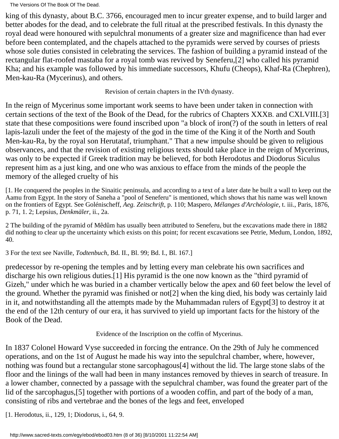king of this dynasty, about B.C. 3766, encouraged men to incur greater expense, and to build larger and better abodes for the dead, and to celebrate the full ritual at the prescribed festivals. In this dynasty the royal dead were honoured with sepulchral monuments of a greater size and magnificence than had ever before been contemplated, and the chapels attached to the pyramids were served by courses of priests whose sole duties consisted in celebrating the services. The fashion of building a pyramid instead of the rectangular flat-roofed mastaba for a royal tomb was revived by Seneferu,[2] who called his pyramid Kha; and his example was followed by his immediate successors, Khufu (Cheops), Khaf-Ra (Chephren), Men-kau-Ra (Mycerinus), and others.

Revision of certain chapters in the IVth dynasty.

In the reign of Mycerinus some important work seems to have been under taken in connection with certain sections of the text of the Book of the Dead, for the rubrics of Chapters XXXB. and CXLVIII.[3] state that these compositions were found inscribed upon "a block of iron(?) of the south in letters of real lapis-lazuli under the feet of the majesty of the god in the time of the King it of the North and South Men-kau-Ra, by the royal son Herutataf, triumphant." That a new impulse should be given to religious observances, and that the revision of existing religious texts should take place in the reign of Mycerinus, was only to be expected if Greek tradition may be believed, for both Herodotus and Diodorus Siculus represent him as a just king, and one who was anxious to efface from the minds of the people the memory of the alleged cruelty of his

[1. He conquered the peoples in the Sinaitic peninsula, and according to a text of a later date he built a wall to keep out the Aamu from Egypt. In the story of Saneha a "pool of Seneferu" is mentioned, which shows that his name was well known on the frontiers of Egypt. See Golénischeff, *Aeg. Zeitschrift*, p. 110; Maspero, *Mélanges d'Archéologie*, t. iii., Paris, 1876, p. 71, 1. 2; Lepsius, *Denkmäler*, ii., 2a.

2 The building of the pyramid of Mêdûm has usually been attributed to Seneferu, but the excavations made there in 1882 did nothing to clear up the uncertainty which exists on this point; for recent excavations see Petrie, Medum, London, 1892, 40.

3 For the text see Naville, *Todtenbuch*, Bd. II., Bl. 99; Bd. I., Bl. 167.]

predecessor by re-opening the temples and by letting every man celebrate his own sacrifices and discharge his own religious duties.[1] His pyramid is the one now known as the "third pyramid of Gizeh," under which he was buried in a chamber vertically below the apex and 60 feet below the level of the ground. Whether the pyramid was finished or not[2] when the king died, his body was certainly laid in it, and notwithstanding all the attempts made by the Muhammadan rulers of Egypt[3] to destroy it at the end of the 12th century of our era, it has survived to yield up important facts for the history of the Book of the Dead.

Evidence of the Inscription on the coffin of Mycerinus.

In 1837 Colonel Howard Vyse succeeded in forcing the entrance. On the 29th of July he commenced operations, and on the 1st of August he made his way into the sepulchral chamber, where, however, nothing was found but a rectangular stone sarcophagous[4] without the lid. The large stone slabs of the floor and the linings of the wall had been in many instances removed by thieves in search of treasure. In a lower chamber, connected by a passage with the sepulchral chamber, was found the greater part of the lid of the sarcophagus, [5] together with portions of a wooden coffin, and part of the body of a man, consisting of ribs and vertebrae and the bones of the legs and feet, enveloped

[1. Herodotus, ii., 129, 1; Diodorus, i., 64, 9.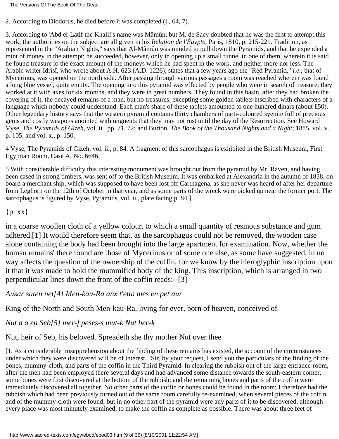2. According to Diodorus, he died before it was completed (i., 64, 7).

3. According to 'Abd el-Latif the Khalif's name was Mâmûn, but M. de Sacy doubted that he was the first to attempt this work; the authorities on the subject are all given in his *Relation de l'Égypte*, Paris, 1810, p. 215-221. Tradition, as represented in the "Arabian Nights," says that Al-Mâmûn was minded to pull down the Pyramids, and that he expended a mint of money in the attempt; he succeeded, however, only in opening up a small tunnel in one of them, wherein it is said he found treasure to the exact amount of the moneys which he had spent in the work, and neither more nor less. The Arabic writer Idrîsî, who wrote about A.H. 623 (A.D. 1226), states that a few years ago the "Red Pyramid," *i.e.*, that of Mycerinus, was opened on the north side. After passing through various passages a room was reached wherein was found a long blue vessel, quite empty. The opening into this pyramid was effected by people who were in search of treasure; they worked at it with axes for six months, and they were in great numbers. They found in this basin, after they had broken the covering of it, the decayed remains of a man, but no treasures, excepting some golden tablets inscribed with characters of a language which nobody could understand. Each man's share of these tablets amounted to one hundred dinars (about £50). Other legendary history says that the western pyramid contains thirty chambers of parti-coloured syenite full of precious gems and costly weapons anointed with unguents that they may not rust until the day of the Resurrection. See Howard Vyse, *The Pyramids of Gizeh*, vol. ii., pp. 71, 72; and Burton, *The Book of the Thousand Nights and a Night*; 1885, vol. v., p. 105, and vol. x., p. 150.

4 Vyse, The Pyramids of Gizeh, vol. ii., p. 84. A fragment of this sarcophagus is exhibited in the British Museum, First Egyptian Room, Case A, No. 6646.

5 With considerable difficulty this interesting monument was brought out from the pyramid by Mr. Raven, and having been cased in strong timbers, was sent off to the British Museum. It was embarked at Alexandria in the autumn of 1838, on board a merchant ship, which was supposed to have been lost off Carthagena, as she never was heard of after her departure from Leghorn on the 12th of October in that year, and as some parts of the wreck were picked up near the former port. The sarcophagus is figured by Vyse, Pyramids, vol. ii., plate facing p. 84.]

 ${p. xx}$ 

in a coarse woollen cloth of a yellow colour, to which a small quantity of resinous substance and gum adhered.[1] It would therefore seem that, as the sarcophagus could not be removed, the wooden case alone containing the body had been brought into the large apartment for examination. Now, whether the human remains' there found are those of Mycerinus or of some one else, as some have suggested, in no way affects the question of the ownership of the coffin, for we know by the hieroglyphic inscription upon it that it was made to hold the mummified body of the king. This inscription, which is arranged in two perpendicular lines down the front of the coffin reads:--[3]

*Ausar suten net[4] Men-kau-Ra anx t'etta mes en pet aur*

King of the North and South Men-kau-Ra, living for ever, born of heaven, conceived of

*Nut a a en Seb[5] mer-f peses-s mut-k Nut her-k*

Nut, heir of Seb, his beloved. Spreadeth she thy mother Nut over thee

[1. As a considerable misapprehension about the finding of these remains has existed, the account of the circumstances under which they were discovered will be of interest. "Sir, by your request, I send you the particulars of the finding of the bones, mummy-cloth, and parts of the coffin in the Third Pyramid. In clearing the rubbish out of the large entrance-room, after the men had been employed there several days and had advanced some distance towards the south-eastern corner, some bones were first discovered at the bottom of the rubbish; and the remaining bones and parts of the coffin were immediately discovered all together. No other parts of the coffin or bones could be found in the room; I therefore had the rubbish which had been previously turned out of the same room carefully re-examined, when several pieces of the coffin and of the mummy-cloth were found; but in no other part of the pyramid were any parts of it to be discovered, although every place was most minutely examined, to make the coffin as complete as possible. There was about three feet of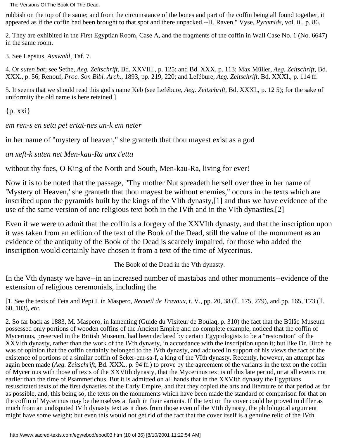rubbish on the top of the same; and from the circumstance of the bones and part of the coffin being all found together, it appeared as if the coffin had been brought to that spot and there unpacked.--H. Raven." Vyse, *Pyramids*, vol. ii., p. 86.

2. They are exhibited in the First Egyptian Room, Case A, and the fragments of the coffin in Wall Case No. 1 (No. 6647) in the same room.

3. See Lepsius, *Auswahl*, Taf. 7.

4. Or *suten bat*; see Sethe, *Aeg. Zeitschrift*, Bd. XXVIII., p. 125; and Bd. XXX, p. 113; Max Müller, *Aeg. Zeitschrift*, Bd. XXX., p. 56; Renouf, *Proc. Son Bibl. Arch.*, 1893, pp. 219, 220; and Lefébure, *Aeg. Zeitschrift*, Bd. XXXI., p. 114 ff.

5. It seems that we should read this god's name Keb (see Lefébure, *Aeg. Zeitschrift*, Bd. XXXI., p. 12 5); for the sake of uniformity the old name is here retained.]

 ${p. xxi}$ 

*em ren-s en seta pet ertat-nes un-k em neter*

in her name of "mystery of heaven," she granteth that thou mayest exist as a god

*an xeft-k suten net Men-kau-Ra anx t'etta*

without thy foes, O King of the North and South, Men-kau-Ra, living for ever!

Now it is to be noted that the passage, "Thy mother Nut spreadeth herself over thee in her name of 'Mystery of Heaven,' she granteth that thou mayest be without enemies," occurs in the texts which are inscribed upon the pyramids built by the kings of the VIth dynasty,[1] and thus we have evidence of the use of the same version of one religious text both in the IVth and in the VIth dynasties.[2]

Even if we were to admit that the coffin is a forgery of the XXVIth dynasty, and that the inscription upon it was taken from an edition of the text of the Book of the Dead, still the value of the monument as an evidence of the antiquity of the Book of the Dead is scarcely impaired, for those who added the inscription would certainly have chosen it from a text of the time of Mycerinus.

The Book of the Dead in the Vth dynasty.

In the Vth dynasty we have--in an increased number of mastabas and other monuments--evidence of the extension of religious ceremonials, including the

[1. See the texts of Teta and Pepi I. in Maspero, *Recueil de Travaux*, t. V., pp. 20, 38 (ll. 175, 279), and pp. 165, T73 (ll. 60, 103), *etc.*

2. So far back as 1883, M. Maspero, in lamenting (Guide du Visiteur de Boulaq, p. 310) the fact that the Bûlâq Museum possessed only portions of wooden coffins of the Ancient Empire and no complete example, noticed that the coffin of Mycerinus, preserved in the British Museum, had been declared by certain Egyptologists to be a "restoration" of the XXVIth dynasty, rather than the work of the IVth dynasty, in accordance with the inscription upon it; but like Dr. Birch he was of opinion that the coffin certainly belonged to the IVth dynasty, and adduced in support of his views the fact of the existence of portions of a similar coffin of Seker-em-sa-f, a king of the VIth dynasty. Recently, however, an attempt has again been made (*Aeg. Zeitschrift*, Bd. XXX., p. 94 ff.) to prove by the agreement of the variants in the text on the coffin of Mycerinus with those of texts of the XXVIth dynasty, that the Mycerinus text is of this late period, or at all events not earlier than the time of Psammetichus. But it is admitted on all hands that in the XXVIth dynasty the Egyptians resuscitated texts of the first dynasties of the Early Empire, and that they copied the arts and literature of that period as far as possible, and, this being so, the texts on the monuments which have been made the standard of comparison for that on the coffin of Mycerinus may be themselves at fault in their variants. If the text on the cover could be proved to differ as much from an undisputed IVth dynasty text as it does from those even of the VIth dynasty, the philological argument might have some weight; but even this would not get rid of the fact that the cover itself is a genuine relic of the IVth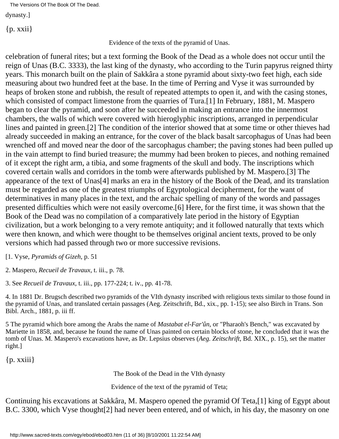dynasty.]

{p. xxii}

Evidence of the texts of the pyramid of Unas.

celebration of funeral rites; but a text forming the Book of the Dead as a whole does not occur until the reign of Unas (B.C. 3333), the last king of the dynasty, who according to the Turin papyrus reigned thirty years. This monarch built on the plain of Sakkâra a stone pyramid about sixty-two feet high, each side measuring about two hundred feet at the base. In the time of Perring and Vyse it was surrounded by heaps of broken stone and rubbish, the result of repeated attempts to open it, and with the casing stones, which consisted of compact limestone from the quarries of Tura.[1] In February, 1881, M. Maspero began to clear the pyramid, and soon after he succeeded in making an entrance into the innermost chambers, the walls of which were covered with hieroglyphic inscriptions, arranged in perpendicular lines and painted in green.[2] The condition of the interior showed that at some time or other thieves had already succeeded in making an entrance, for the cover of the black basalt sarcophagus of Unas had been wrenched off and moved near the door of the sarcophagus chamber; the paving stones had been pulled up in the vain attempt to find buried treasure; the mummy had been broken to pieces, and nothing remained of it except the right arm, a tibia, and some fragments of the skull and body. The inscriptions which covered certain walls and corridors in the tomb were afterwards published by M. Maspero.[3] The appearance of the text of Unas[4] marks an era in the history of the Book of the Dead, and its translation must be regarded as one of the greatest triumphs of Egyptological decipherment, for the want of determinatives in many places in the text, and the archaic spelling of many of the words and passages presented difficulties which were not easily overcome.[6] Here, for the first time, it was shown that the Book of the Dead was no compilation of a comparatively late period in the history of Egyptian civilization, but a work belonging to a very remote antiquity; and it followed naturally that texts which were then known, and which were thought to be themselves original ancient texts, proved to be only versions which had passed through two or more successive revisions.

[1. Vyse, *Pyramids of Gizeh*, p. 51

2. Maspero, *Recueil de Travaux*, t. iii., p. 78.

3. See *Recueil de Travaux*, t. iii., pp. 177-224; t. iv., pp. 41-78.

4. In 1881 Dr. Brugsch described two pyramids of the VIth dynasty inscribed with religious texts similar to those found in the pyramid of Unas, and translated certain passages (Aeg. Zeitschrift, Bd., xix., pp. 1-15); see also Birch in Trans. Son Bibl. Arch., 1881, p. iii ff.

5 The pyramid which bore among the Arabs the name of *Mastabat el-Far'ûn*, or "Pharaoh's Bench," was excavated by Mariette in 1858, and, because he found the name of Unas painted on certain blocks of stone, he concluded that it was the tomb of Unas. M. Maspero's excavations have, as Dr. Lepsius observes (*Aeg. Zeitschrift*, Bd. XIX., p. 15), set the matter right.]

 ${p. xxiii}$ 

The Book of the Dead in the VIth dynasty

Evidence of the text of the pyramid of Teta;

Continuing his excavations at Sakkâra, M. Maspero opened the pyramid Of Teta,[1] king of Egypt about B.C. 3300, which Vyse thought[2] had never been entered, and of which, in his day, the masonry on one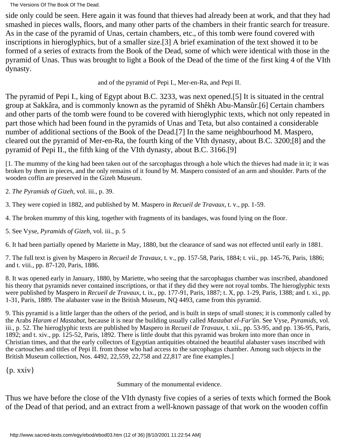side only could be seen. Here again it was found that thieves had already been at work, and that they had smashed in pieces walls, floors, and many other parts of the chambers in their frantic search for treasure. As in the case of the pyramid of Unas, certain chambers, etc., of this tomb were found covered with inscriptions in hieroglyphics, but of a smaller size.[3] A brief examination of the text showed it to be formed of a series of extracts from the Book of the Dead, some of which were identical with those in the pyramid of Unas. Thus was brought to light a Book of the Dead of the time of the first king 4 of the VIth dynasty.

and of the pyramid of Pepi I., Mer-en-Ra, and Pepi II.

The pyramid of Pepi I., king of Egypt about B.C. 3233, was next opened.[5] It is situated in the central group at Sakkâra, and is commonly known as the pyramid of Shêkh Abu-Mansûr.[6] Certain chambers and other parts of the tomb were found to be covered with hieroglyphic texts, which not only repeated in part those which had been found in the pyramids of Unas and Teta, but also contained a considerable number of additional sections of the Book of the Dead.[7] In the same neighbourhood M. Maspero, cleared out the pyramid of Mer-en-Ra, the fourth king of the VIth dynasty, about B.C. 3200;[8] and the pyramid of Pepi II., the fifth king of the VIth dynasty, about B.C. 3166.[9]

[1. The mummy of the king had been taken out of the sarcophagus through a hole which the thieves had made in it; it was broken by them in pieces, and the only remains of it found by M. Maspero consisted of an arm and shoulder. Parts of the wooden coffin are preserved in the Gizeh Museum.

2. *The Pyramids of Gizeh*, vol. iii., p. 39.

3. They were copied in 1882, and published by M. Maspero in *Recueil de Travaux*, t. v., pp. 1-59.

4. The broken mummy of this king, together with fragments of its bandages, was found lying on the floor.

5. See Vyse, *Pyramids of Gizeh*, vol. iii., p. 5

6. It had been partially opened by Mariette in May, 1880, but the clearance of sand was not effected until early in 1881.

7. The full text is given by Maspero in *Recueil de Travaux*, t. v., pp. 157-58, Paris, 1884; t. vii., pp. 145-76, Paris, 1886; and t. viii., pp. 87-120, Paris, 1886.

8. It was opened early in January, 1880, by Mariette, who seeing that the sarcophagus chamber was inscribed, abandoned his theory that pyramids never contained inscriptions, or that if they did they were not royal tombs. The hieroglyphic texts were published by Maspero in *Recueil de Travaux*, t. ix., pp. 177-91, Paris, 1887; t. X, pp. 1-29, Paris, 1388; and t. xi., pp. 1-31, Paris, 1889. The alabaster vase in the British Museum, NQ 4493, came from this pyramid.

9. This pyramid is a little larger than the others of the period, and is built in steps of small stones; it is commonly called by the Arabs *Haram el Mastabat*, because it is near the building usually called *Mastabat el-Far'ûn*. See Vyse, *Pyramids*, vol. iii., p. 52. The hieroglyphic texts are published by Maspero in *Recueil de Travaux*, t. xii., pp. 53-95, and pp. 136-95, Paris, 1892; and t. xiv., pp. 125-52, Paris, 1892. There is little doubt that this pyramid was broken into more than once in Christian times, and that the early collectors of Egyptian antiquities obtained the beautiful alabaster vases inscribed with the cartouches and titles of Pepi II. from those who had access to the sarcophagus chamber. Among such objects in the British Museum collection, Nos. 4492, 22,559, 22,758 and 22,817 are fine examples.]

 ${p. xxiv}$ 

Summary of the monumental evidence.

Thus we have before the close of the VIth dynasty five copies of a series of texts which formed the Book of the Dead of that period, and an extract from a well-known passage of that work on the wooden coffin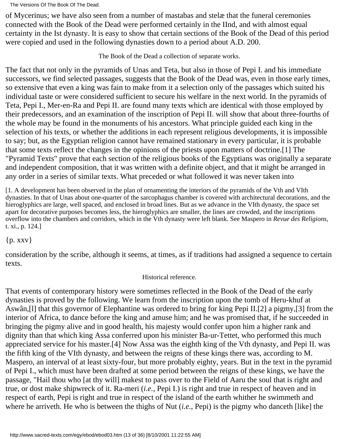of Mycerinus; we have also seen from a number of mastabas and stelæ that the funeral ceremonies connected with the Book of the Dead were performed certainly in the IInd, and with almost equal certainty in the Ist dynasty. It is easy to show that certain sections of the Book of the Dead of this period were copied and used in the following dynasties down to a period about A.D. 200.

The Book of the Dead a collection of separate works.

The fact that not only in the pyramids of Unas and Teta, but also in those of Pepi I. and his immediate successors, we find selected passages, suggests that the Book of the Dead was, even in those early times, so extensive that even a king was fain to make from it a selection only of the passages which suited his individual taste or were considered sufficient to secure his welfare in the next world. In the pyramids of Teta, Pepi I., Mer-en-Ra and Pepi II. are found many texts which are identical with those employed by their predecessors, and an examination of the inscription of Pepi II. will show that about three-fourths of the whole may be found in the monuments of his ancestors. What principle guided each king in the selection of his texts, or whether the additions in each represent religious developments, it is impossible to say; but, as the Egyptian religion cannot have remained stationary in every particular, it is probable that some texts reflect the changes in the opinions of the priests upon matters of doctrine.[1] The "Pyramid Texts" prove that each section of the religious books of the Egyptians was originally a separate and independent composition, that it was written with a definite object, and that it might be arranged in any order in a series of similar texts. What preceded or what followed it was never taken into

[1. A development has been observed in the plan of ornamenting the interiors of the pyramids of the Vth and VIth dynasties. In that of Unas about one-quarter of the sarcophagus chamber is covered with architectural decorations, and the hieroglyphics are large, well spaced, and enclosed in broad lines. But as we advance in the VIth dynasty, the space set apart for decorative purposes becomes less, the hieroglyphics are smaller, the lines are crowded, and the inscriptions overflow into the chambers and corridors, which in the Vth dynasty were left blank. See Maspero in *Revue des Religions*, t. xi., p. 124.]

 ${p. xxv}$ 

consideration by the scribe, although it seems, at times, as if traditions had assigned a sequence to certain texts.

Historical reference.

That events of contemporary history were sometimes reflected in the Book of the Dead of the early dynasties is proved by the following. We learn from the inscription upon the tomb of Heru-khuf at Aswân,[l] that this governor of Elephantine was ordered to bring for king Pepi II.[2] a pigmy,[3] from the interior of Africa, to dance before the king and amuse him; and he was promised that, if he succeeded in bringing the pigmy alive and in good health, his majesty would confer upon him a higher rank and dignity than that which king Assa conferred upon his minister Ba-ur-Tettet, who performed this much appreciated service for his master.[4] Now Assa was the eighth king of the Vth dynasty, and Pepi II. was the fifth king of the VIth dynasty, and between the reigns of these kings there was, according to M. Maspero, an interval of at least sixty-four, but more probably eighty, years. But in the text in the pyramid of Pepi I., which must have been drafted at some period between the reigns of these kings, we have the passage, "Hail thou who [at thy will] makest to pass over to the Field of Aaru the soul that is right and true, or dost make shipwreck of it. Ra-meri (*i.e.*, Pepi I.) is right and true in respect of heaven and in respect of earth, Pepi is right and true in respect of the island of the earth whither he swimmeth and where he arriveth. He who is between the thighs of Nut (*i.e.*, Pepi) is the pigmy who danceth [like] the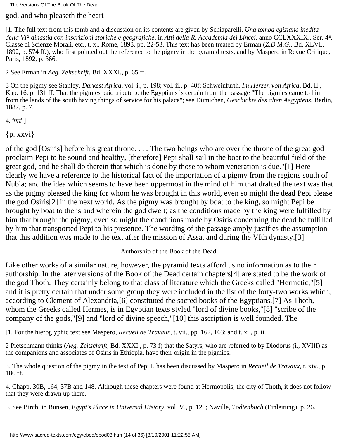god, and who pleaseth the heart

[1. The full text from this tomb and a discussion on its contents are given by Schiaparelli, *Una tomba egiziana inedita della VIa dinastia con inscrizioni storiche e geografiche*, in *Atti della R. Accademia dei Lincei*, anno CCLXXXIX., Ser. 4a, Classe di Scienze Morali, etc., t. x., Rome, 1893, pp. 22-53. This text has been treated by Erman (*Z.D.M.G.*, Bd. XLVI., 1892, p. 574 ff.), who first pointed out the reference to the pigmy in the pyramid texts, and by Maspero in Revue Critique, Paris, 1892, p. 366.

2 See Erman in *Aeg. Zeitschrift*, Bd. XXXI., p. 65 ff.

3 On the pigmy see Stanley, *Darkest Africa*, vol. i., p. 198; vol. ii., p. 40f; Schweinfurth, *Im Herzen von Africa*, Bd. II., Kap. 16, p. 131 ff. That the pigmies paid tribute to the Egyptians is certain from the passage "The pigmies came to him from the lands of the south having things of service for his palace"; see Dümichen, *Geschichte des alten Aegyptens*, Berlin, 1887, p. 7.

4. ###.]

{p. xxvi}

of the god [Osiris] before his great throne. . . . The two beings who are over the throne of the great god proclaim Pepi to be sound and healthy, [therefore] Pepi shall sail in the boat to the beautiful field of the great god, and he shall do therein that which is done by those to whom veneration is due."[1] Here clearly we have a reference to the historical fact of the importation of a pigmy from the regions south of Nubia; and the idea which seems to have been uppermost in the mind of him that drafted the text was that as the pigmy pleased the king for whom he was brought in this world, even so might the dead Pepi please the god Osiris[2] in the next world. As the pigmy was brought by boat to the king, so might Pepi be brought by boat to the island wherein the god dwelt; as the conditions made by the king were fulfilled by him that brought the pigmy, even so might the conditions made by Osiris concerning the dead be fulfilled by him that transported Pepi to his presence. The wording of the passage amply justifies the assumption that this addition was made to the text after the mission of Assa, and during the VIth dynasty.[3]

Authorship of the Book of the Dead.

Like other works of a similar nature, however, the pyramid texts afford us no information as to their authorship. In the later versions of the Book of the Dead certain chapters[4] are stated to be the work of the god Thoth. They certainly belong to that class of literature which the Greeks called "Hermetic,"[5] and it is pretty certain that under some group they were included in the list of the forty-two works which, according to Clement of Alexandria,[6] constituted the sacred books of the Egyptians.[7] As Thoth, whom the Greeks called Hermes, is in Egyptian texts styled "lord of divine books,"[8] "scribe of the company of the gods,"[9] and "lord of divine speech,"[10] this ascription is well founded. The

[1. For the hieroglyphic text see Maspero, *Recueil de Travaux*, t. vii., pp. 162, 163; and t. xi., p. ii.

2 Pietschmann thinks (*Aeg. Zeitschrift*, Bd. XXXI., p. 73 f) that the Satyrs, who are referred to by Diodorus (i., XVIII) as the companions and associates of Osiris in Ethiopia, have their origin in the pigmies.

3. The whole question of the pigmy in the text of Pepi I. has been discussed by Maspero in *Recueil de Travaux*, t. xiv., p. 186 ff.

4. Chapp. 30B, 164, 37B and 148. Although these chapters were found at Hermopolis, the city of Thoth, it does not follow that they were drawn up there.

5. See Birch, in Bunsen, *Egypt's Place in Universal History*, vol. V., p. 125; Naville, *Todtenbuch* (Einleitung), p. 26.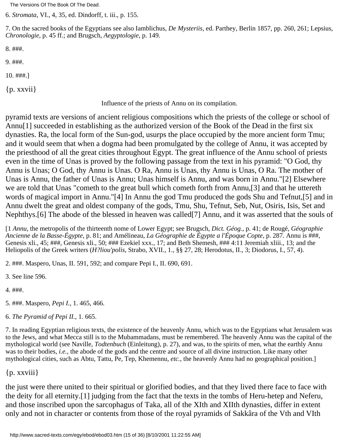6. *Stromata*, VI., 4, 35, ed. Dindorff, t. iii., p. 155.

7. On the sacred books of the Egyptians see also Iamblichus, *De Mysteriis*, ed. Parthey, Berlin 1857, pp. 260, 261; Lepsius, *Chronologie*, p. 45 ff.; and Brugsch, *Aegyptologie*, p. 149.

8. ###.

9. ###.

10. ###.]

{p. xxvii}

#### Influence of the priests of Annu on its compilation.

pyramid texts are versions of ancient religious compositions which the priests of the college or school of Annu[1] succeeded in establishing as the authorized version of the Book of the Dead in the first six dynasties. Ra, the local form of the Sun-god, usurps the place occupied by the more ancient form Tmu; and it would seem that when a dogma had been promulgated by the college of Annu, it was accepted by the priesthood of all the great cities throughout Egypt. The great influence of the Annu school of priests even in the time of Unas is proved by the following passage from the text in his pyramid: "O God, thy Annu is Unas; O God, thy Annu is Unas. O Ra, Annu is Unas, thy Annu is Unas, O Ra. The mother of Unas is Annu, the father of Unas is Annu; Unas himself is Annu, and was born in Annu."[2] Elsewhere we are told that Unas "cometh to the great bull which cometh forth from Annu,[3] and that he uttereth words of magical import in Annu."[4] In Annu the god Tmu produced the gods Shu and Tefnut,[5] and in Annu dwelt the great and oldest company of the gods, Tmu, Shu, Tefnut, Seb, Nut, Osiris, Isis, Set and Nephthys.[6] The abode of the blessed in heaven was called[7] Annu, and it was asserted that the souls of

[1 *Annu*, the metropolis of the thirteenth nome of Lower Egypt; see Brugsch, *Dict. Géog.*, p. 41; de Rougé, *Géographie Ancienne de la Basse-Égypte*, p. 81; and Amélineau, *La Géographie de Égypte a l'Époque Copte*, p. 287. Annu is ###, Genesis xli., 45; ###, Genesis xli., 50; ### Ezekiel xxx., 17; and Beth Shemesh, ### 4:11 Jeremiah xliii., 13; and the Heliopolis of the Greek writers (*H?liou'polis*, Strabo, XVII., 1., §§ 27, 28; Herodotus, II., 3; Diodorus, I., 57, 4).

2. ###. Maspero, Unas, II. 591, 592; and compare Pepi I., II. 690, 691.

3. See line 596.

4. ###.

- 5. ###. Maspero, *Pepi I.*, 1. 465, 466.
- 6. *The Pyramid of Pepi II.*, 1. 665.

7. In reading Egyptian religious texts, the existence of the heavenly Annu, which was to the Egyptians what Jerusalem was to the Jews, and what Mecca still is to the Mubammadans, must be remembered. The heavenly Annu was the capital of the mythological world (see Naville, *Todtenbuch* (Einleitung), p. 27), and was, to the spirits of men, what the earthly Annu was to their bodies, *i.e.*, the abode of the gods and the centre and source of all divine instruction. Like many other mythological cities, such as Abtu, Tattu, Pe, Tep, Khemennu, *etc.*, the heavenly Annu had no geographical position.]

{p. xxviii}

the just were there united to their spiritual or glorified bodies, and that they lived there face to face with the deity for all eternity.[1] judging from the fact that the texts in the tombs of Heru-hetep and Neferu, and those inscribed upon the sarcophagus of Taka, all of the XIth and XIIth dynasties, differ in extent only and not in character or contents from those of the royal pyramids of Sakkâra of the Vth and VIth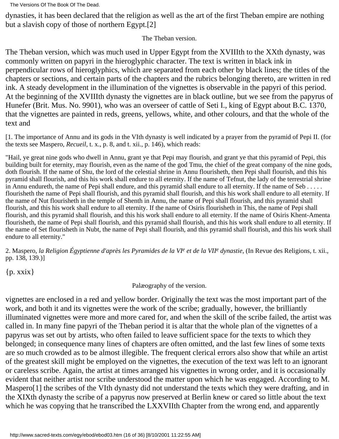dynasties, it has been declared that the religion as well as the art of the first Theban empire are nothing but a slavish copy of those of northern Egypt.[2]

The Theban version.

The Theban version, which was much used in Upper Egypt from the XVIIIth to the XXth dynasty, was commonly written on papyri in the hieroglyphic character. The text is written in black ink in perpendicular rows of hieroglyphics, which are separated from each other by black lines; the titles of the chapters or sections, and certain parts of the chapters and the rubrics belonging thereto, are written in red ink. A steady development in the illumination of the vignettes is observable in the papyri of this period. At the beginning of the XVIIIth dynasty the vignettes are in black outline, but we see from the papyrus of Hunefer (Brit. Mus. No. 9901), who was an overseer of cattle of Seti I., king of Egypt about B.C. 1370, that the vignettes are painted in reds, greens, yellows, white, and other colours, and that the whole of the text and

[1. The importance of Annu and its gods in the VIth dynasty is well indicated by a prayer from the pyramid of Pepi II. (for the texts see Maspero, *Recueil*, t. x., p. 8, and t. xii., p. 146), which reads:

"Hail, ye great nine gods who dwell in Annu, grant ye that Pepi may flourish, and grant ye that this pyramid of Pepi, this building built for eternity, may flourish, even as the name of the god Tmu, the chief of the great company of the nine gods, doth flourish. If the name of Shu, the lord of the celestial shrine in Annu flourisheth, then Pepi shall flourish, and this his pyramid shall flourish, and this his work shall endure to all eternity. If the name of Tefnut, the lady of the terrestrial shrine in Annu endureth, the name of Pepi shall endure, and this pyramid shall endure to all eternity. If the name of Seb . . . . . flourisheth the name of Pepi shall flourish, and this pyramid shall flourish, and this his work shall endure to all eternity. If the name of Nut flourisheth in the temple of Shenth in Annu, the name of Pepi shall flourish, and this pyramid shall flourish, and this his work shall endure to all eternity. If the name of Osiris flourisheth in This, the name of Pepi shall flourish, and this pyramid shall flourish, and this his work shall endure to all eternity. If the name of Osiris Khent-Amenta flourisheth, the name of Pepi shall flourish, and this pyramid shall flourish, and this his work shall endure to all eternity. If the name of Set flourisheth in Nubt, the name of Pepi shall flourish, and this pyramid shall flourish, and this his work shall endure to all eternity."

2. Maspero, *la Religion Égyptienne d'après les Pyramides de la VIe et de la VIIe dynastie*, (In Revue des Religions, t. xii., pp. 138, 139.)]

 ${p. xxix}$ 

Palæography of the version.

vignettes are enclosed in a red and yellow border. Originally the text was the most important part of the work, and both it and its vignettes were the work of the scribe; gradually, however, the brilliantly illuminated vignettes were more and more cared for, and when the skill of the scribe failed, the artist was called in. In many fine papyri of the Theban period it is altar that the whole plan of the vignettes of a papyrus was set out by artists, who often failed to leave sufficient space for the texts to which they belonged; in consequence many lines of chapters are often omitted, and the last few lines of some texts are so much crowded as to be almost illegible. The frequent clerical errors also show that while an artist of the greatest skill might be employed on the vignettes, the execution of the text was left to an ignorant or careless scribe. Again, the artist at times arranged his vignettes in wrong order, and it is occasionally evident that neither artist nor scribe understood the matter upon which he was engaged. According to M. Maspero[1] the scribes of the VIth dynasty did not understand the texts which they were drafting, and in the XIXth dynasty the scribe of a papyrus now preserved at Berlin knew or cared so little about the text which he was copying that he transcribed the LXXVIIth Chapter from the wrong end, and apparently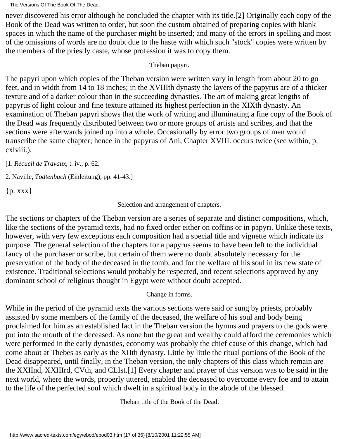never discovered his error although he concluded the chapter with its title.[2] Originally each copy of the Book of the Dead was written to order, but soon the custom obtained of preparing copies with blank spaces in which the name of the purchaser might be inserted; and many of the errors in spelling and most of the omissions of words are no doubt due to the haste with which such "stock" copies were written by the members of the priestly caste, whose profession it was to copy them.

#### Theban papyri.

The papyri upon which copies of the Theban version were written vary in length from about 20 to go feet, and in width from 14 to 18 inches; in the XVIIIth dynasty the layers of the papyrus are of a thicker texture and of a darker colour than in the succeeding dynasties. The art of making great lengths of papyrus of light colour and fine texture attained its highest perfection in the XIXth dynasty. An examination of Theban papyri shows that the work of writing and illuminating a fine copy of the Book of the Dead was frequently distributed between two or more groups of artists and scribes, and that the sections were afterwards joined up into a whole. Occasionally by error two groups of men would transcribe the same chapter; hence in the papyrus of Ani, Chapter XVIII. occurs twice (see within, p. cxlviii.).

[1. *Recueil de Travaux*, t. iv., p. 62.

2. Naville, *Todtenbuch* (Einleitung), pp. 41-43.]

 ${p. XXX}$ 

Selection and arrangement of chapters.

The sections or chapters of the Theban version are a series of separate and distinct compositions, which, like the sections of the pyramid texts, had no fixed order either on coffins or in papyri. Unlike these texts, however, with very few exceptions each composition had a special title and vignette which indicate its purpose. The general selection of the chapters for a papyrus seems to have been left to the individual fancy of the purchaser or scribe, but certain of them were no doubt absolutely necessary for the preservation of the body of the deceased in the tomb, and for the welfare of his soul in its new state of existence. Traditional selections would probably be respected, and recent selections approved by any dominant school of religious thought in Egypt were without doubt accepted.

Change in forms.

While in the period of the pyramid texts the various sections were said or sung by priests, probably assisted by some members of the family of the deceased, the welfare of his soul and body being proclaimed for him as an established fact in the Theban version the hymns and prayers to the gods were put into the mouth of the deceased. As none but the great and wealthy could afford the ceremonies which were performed in the early dynasties, economy was probably the chief cause of this change, which had come about at Thebes as early as the XIIth dynasty. Little by little the ritual portions of the Book of the Dead disappeared, until finally, in the Theban version, the only chapters of this class which remain are the XXIInd, XXIIIrd, CVth, and CLIst.[1] Every chapter and prayer of this version was to be said in the next world, where the words, properly uttered, enabled the deceased to overcome every foe and to attain to the life of the perfected soul which dwelt in a spiritual body in the abode of the blessed.

Theban title of the Book of the Dead.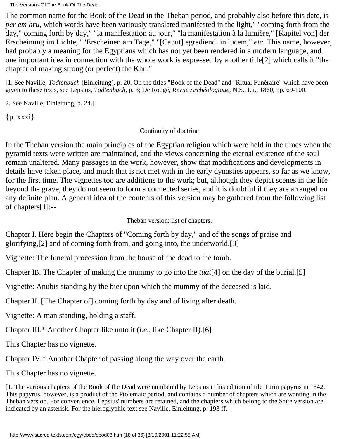The common name for the Book of the Dead in the Theban period, and probably also before this date, is *per em hru*, which words have been variously translated manifested in the light," "coming forth from the day," coming forth by day," "la manifestation au jour," "la manifestation à la lumière," [Kapitel von] der Erscheinung im Lichte," "Erscheinen am Tage," "[Caput] egrediendi in lucem," *etc.* This name, however, had probably a meaning for the Egyptians which has not yet been rendered in a modern language, and one important idea in connection with the whole work is expressed by another title[2] which calls it "the chapter of making strong (or perfect) the Khu."

[1. See Naville, *Todtenbuch* (Einleitung), p. 20. On the titles "Book of the Dead" and "Ritual Funéraire" which have been given to these texts, see Lepsius, *Todtenbuch*, p. 3; De Rougé, *Revue Archéologique*, N.S., t. i., 1860, pp. 69-100.

2. See Naville, Einleitung, p. 24.]

 ${p. xxxi}$ 

Continuity of doctrine

In the Theban version the main principles of the Egyptian religion which were held in the times when the pyramid texts were written are maintained, and the views concerning the eternal existence of the soul remain unaltered. Many passages in the work, however, show that modifications and developments in details have taken place, and much that is not met with in the early dynasties appears, so far as we know, for the first time. The vignettes too are additions to the work; but, although they depict scenes in the life beyond the grave, they do not seem to form a connected series, and it is doubtful if they are arranged on any definite plan. A general idea of the contents of this version may be gathered from the following list of chapters[1]:--

Theban version: list of chapters.

Chapter I. Here begin the Chapters of "Coming forth by day," and of the songs of praise and glorifying,[2] and of coming forth from, and going into, the underworld.[3]

Vignette: The funeral procession from the house of the dead to the tomb.

Chapter IB. The Chapter of making the mummy to go into the *tuat*[4] on the day of the burial.[5]

Vignette: Anubis standing by the bier upon which the mummy of the deceased is laid.

Chapter II. [The Chapter of] coming forth by day and of living after death.

Vignette: A man standing, holding a staff.

Chapter III.\* Another Chapter like unto it (*i.e.*, like Chapter II).[6]

This Chapter has no vignette.

Chapter IV.\* Another Chapter of passing along the way over the earth.

This Chapter has no vignette.

[1. The various chapters of the Book of the Dead were numbered by Lepsius in his edition of tile Turin papyrus in 1842. This papyrus, however, is a product of the Ptolemaic period, and contains a number of chapters which are wanting in the Theban version. For convenience, Lepsius' numbers are retained, and the chapters which belong to the Saïte version are indicated by an asterisk. For the hieroglyphic text see Naville, Einleitung, p. 193 ff.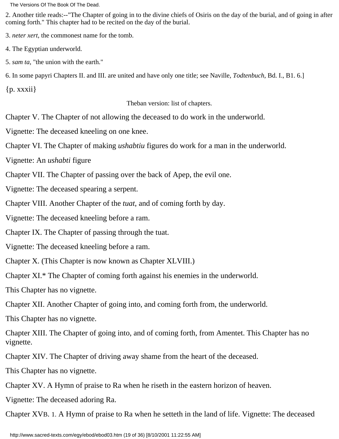2. Another title reads:--"The Chapter of going in to the divine chiefs of Osiris on the day of the burial, and of going in after coming forth." This chapter had to be recited on the day of the burial.

3. *neter xert*, the commonest name for the tomb.

- 4. The Egyptian underworld.
- 5. *sam ta*, "the union with the earth."
- 6. In some papyri Chapters II. and III. are united and have only one title; see Naville, *Todtenbuch*, Bd. I., B1. 6.]  ${p. xxxii}$

Theban version: list of chapters.

Chapter V. The Chapter of not allowing the deceased to do work in the underworld.

Vignette: The deceased kneeling on one knee.

Chapter VI. The Chapter of making *ushabtiu* figures do work for a man in the underworld.

Vignette: An *ushabti* figure

Chapter VII. The Chapter of passing over the back of Apep, the evil one.

Vignette: The deceased spearing a serpent.

Chapter VIII. Another Chapter of the *tuat*, and of coming forth by day.

Vignette: The deceased kneeling before a ram.

Chapter IX. The Chapter of passing through the tuat.

Vignette: The deceased kneeling before a ram.

Chapter X. (This Chapter is now known as Chapter XLVIII.)

Chapter XI.\* The Chapter of coming forth against his enemies in the underworld.

This Chapter has no vignette.

Chapter XII. Another Chapter of going into, and coming forth from, the underworld.

This Chapter has no vignette.

Chapter XIII. The Chapter of going into, and of coming forth, from Amentet. This Chapter has no vignette.

Chapter XIV. The Chapter of driving away shame from the heart of the deceased.

This Chapter has no vignette.

Chapter XV. A Hymn of praise to Ra when he riseth in the eastern horizon of heaven.

Vignette: The deceased adoring Ra.

Chapter XVB. 1. A Hymn of praise to Ra when he setteth in the land of life. Vignette: The deceased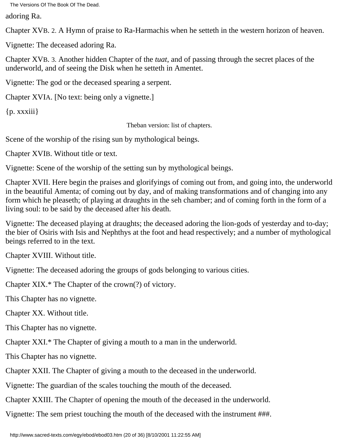adoring Ra.

Chapter XVB. 2. A Hymn of praise to Ra-Harmachis when he setteth in the western horizon of heaven.

Vignette: The deceased adoring Ra.

Chapter XVB. 3. Another hidden Chapter of the *tuat*, and of passing through the secret places of the underworld, and of seeing the Disk when he setteth in Amentet.

Vignette: The god or the deceased spearing a serpent.

Chapter XVIA. [No text: being only a vignette.]

 ${p. xxxiii}$ 

Theban version: list of chapters.

Scene of the worship of the rising sun by mythological beings.

Chapter XVIB. Without title or text.

Vignette: Scene of the worship of the setting sun by mythological beings.

Chapter XVII. Here begin the praises and glorifyings of coming out from, and going into, the underworld in the beautiful Amenta; of coming out by day, and of making transformations and of changing into any form which he pleaseth; of playing at draughts in the seh chamber; and of coming forth in the form of a living soul: to be said by the deceased after his death.

Vignette: The deceased playing at draughts; the deceased adoring the lion-gods of yesterday and to-day; the bier of Osiris with Isis and Nephthys at the foot and head respectively; and a number of mythological beings referred to in the text.

Chapter XVIII. Without title.

Vignette: The deceased adoring the groups of gods belonging to various cities.

Chapter XIX.\* The Chapter of the crown(?) of victory.

This Chapter has no vignette.

Chapter XX. Without title.

This Chapter has no vignette.

Chapter XXI.\* The Chapter of giving a mouth to a man in the underworld.

This Chapter has no vignette.

Chapter XXII. The Chapter of giving a mouth to the deceased in the underworld.

Vignette: The guardian of the scales touching the mouth of the deceased.

Chapter XXIII. The Chapter of opening the mouth of the deceased in the underworld.

Vignette: The sem priest touching the mouth of the deceased with the instrument ###.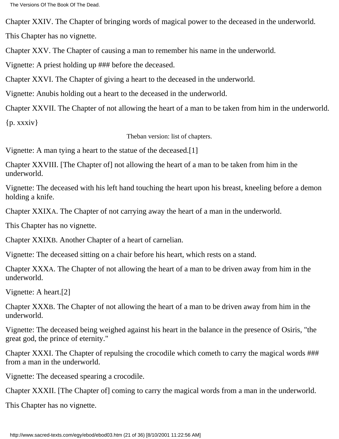Chapter XXIV. The Chapter of bringing words of magical power to the deceased in the underworld. This Chapter has no vignette.

Chapter XXV. The Chapter of causing a man to remember his name in the underworld.

Vignette: A priest holding up ### before the deceased.

Chapter XXVI. The Chapter of giving a heart to the deceased in the underworld.

Vignette: Anubis holding out a heart to the deceased in the underworld.

Chapter XXVII. The Chapter of not allowing the heart of a man to be taken from him in the underworld.

 ${p. xxxiv}$ 

Theban version: list of chapters.

Vignette: A man tying a heart to the statue of the deceased.[1]

Chapter XXVIII. [The Chapter of] not allowing the heart of a man to be taken from him in the underworld.

Vignette: The deceased with his left hand touching the heart upon his breast, kneeling before a demon holding a knife.

Chapter XXIXA. The Chapter of not carrying away the heart of a man in the underworld.

This Chapter has no vignette.

Chapter XXIXB. Another Chapter of a heart of carnelian.

Vignette: The deceased sitting on a chair before his heart, which rests on a stand.

Chapter XXXA. The Chapter of not allowing the heart of a man to be driven away from him in the underworld.

Vignette: A heart.[2]

Chapter XXXB. The Chapter of not allowing the heart of a man to be driven away from him in the underworld.

Vignette: The deceased being weighed against his heart in the balance in the presence of Osiris, "the great god, the prince of eternity."

Chapter XXXI. The Chapter of repulsing the crocodile which cometh to carry the magical words ### from a man in the underworld.

Vignette: The deceased spearing a crocodile.

Chapter XXXII. [The Chapter of] coming to carry the magical words from a man in the underworld.

This Chapter has no vignette.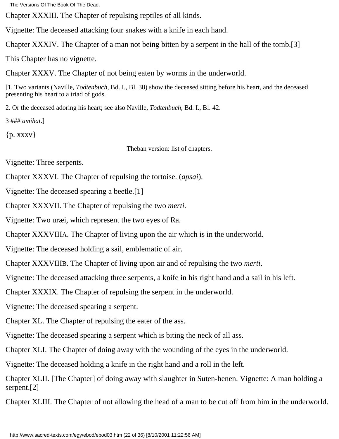Chapter XXXIII. The Chapter of repulsing reptiles of all kinds.

Vignette: The deceased attacking four snakes with a knife in each hand.

Chapter XXXIV. The Chapter of a man not being bitten by a serpent in the hall of the tomb.[3]

This Chapter has no vignette.

Chapter XXXV. The Chapter of not being eaten by worms in the underworld.

[1. Two variants (Naville, *Todtenbuch*, Bd. I., Bl. 38) show the deceased sitting before his heart, and the deceased presenting his heart to a triad of gods.

2. Or the deceased adoring his heart; see also Naville, *Todtenbuch*, Bd. I., Bl. 42.

3 ### *amihat*.]

 ${p. XXXV}$ 

Theban version: list of chapters.

Vignette: Three serpents.

Chapter XXXVI. The Chapter of repulsing the tortoise. (*apsai*).

Vignette: The deceased spearing a beetle.[1]

Chapter XXXVII. The Chapter of repulsing the two *merti*.

Vignette: Two uræi, which represent the two eyes of Ra.

Chapter XXXVIIIA. The Chapter of living upon the air which is in the underworld.

Vignette: The deceased holding a sail, emblematic of air.

Chapter XXXVIIIB. The Chapter of living upon air and of repulsing the two *merti*.

Vignette: The deceased attacking three serpents, a knife in his right hand and a sail in his left.

Chapter XXXIX. The Chapter of repulsing the serpent in the underworld.

Vignette: The deceased spearing a serpent.

Chapter XL. The Chapter of repulsing the eater of the ass.

Vignette: The deceased spearing a serpent which is biting the neck of all ass.

Chapter XLI. The Chapter of doing away with the wounding of the eyes in the underworld.

Vignette: The deceased holding a knife in the right hand and a roll in the left.

Chapter XLII. [The Chapter] of doing away with slaughter in Suten-henen. Vignette: A man holding a serpent.[2]

Chapter XLIII. The Chapter of not allowing the head of a man to be cut off from him in the underworld.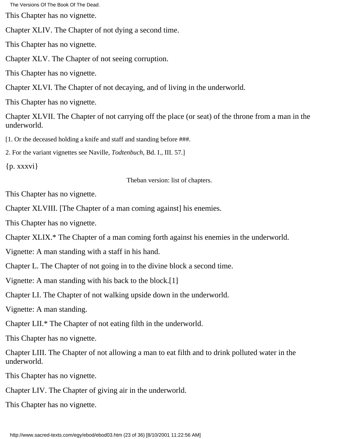This Chapter has no vignette.

Chapter XLIV. The Chapter of not dying a second time.

This Chapter has no vignette.

Chapter XLV. The Chapter of not seeing corruption.

This Chapter has no vignette.

Chapter XLVI. The Chapter of not decaying, and of living in the underworld.

This Chapter has no vignette.

Chapter XLVII. The Chapter of not carrying off the place (or seat) of the throne from a man in the underworld.

[1. Or the deceased holding a knife and staff and standing before ###.

2. For the variant vignettes see Naville, *Todtenbuch*, Bd. I., III. 57.]

 ${p. xxxvi}$ 

Theban version: list of chapters.

This Chapter has no vignette.

Chapter XLVIII. [The Chapter of a man coming against] his enemies.

This Chapter has no vignette.

Chapter XLIX.\* The Chapter of a man coming forth against his enemies in the underworld.

Vignette: A man standing with a staff in his hand.

Chapter L. The Chapter of not going in to the divine block a second time.

Vignette: A man standing with his back to the block.[1]

Chapter LI. The Chapter of not walking upside down in the underworld.

Vignette: A man standing.

Chapter LII.\* The Chapter of not eating filth in the underworld.

This Chapter has no vignette.

Chapter LIII. The Chapter of not allowing a man to eat filth and to drink polluted water in the underworld.

This Chapter has no vignette.

Chapter LIV. The Chapter of giving air in the underworld.

This Chapter has no vignette.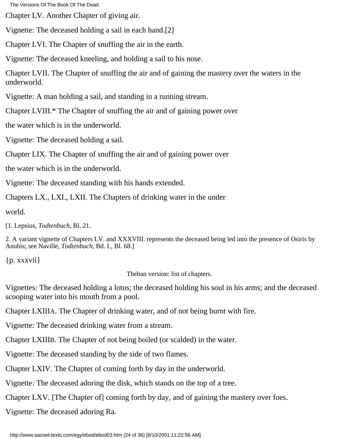Chapter LV. Another Chapter of giving air.

Vignette: The deceased holding a sail in each hand.[2]

Chapter LVI. The Chapter of snuffing the air in the earth.

Vignette: The deceased kneeling, and holding a sail to his nose.

Chapter LVII. The Chapter of snuffing the air and of gaining the mastery over the waters in the underworld.

Vignette: A man holding a sail, and standing in a running stream.

Chapter LVIII.\* The Chapter of snuffing the air and of gaining power over

the water which is in the underworld.

Vignette: The deceased holding a sail.

Chapter LIX. The Chapter of snuffing the air and of gaining power over

the water which is in the underworld.

Vignette: The deceased standing with his hands extended.

Chapters LX., LXI., LXII. The Chapters of drinking water in the under

world.

[1. Lepsius, *Todtenbuch*, Bl. 21.

2. A variant vignette of Chapters LV. and XXXVIII. represents the deceased being led into the presence of Osiris by Anubis; see Naville, *Todtenbuch*, Bd. I., Bl. 68.]

{p. xxxvii}

Theban version: list of chapters.

Vignettes: The deceased holding a lotus; the deceased holding his soul in his arms; and the deceased scooping water into his mouth from a pool.

Chapter LXIIIA. The Chapter of drinking water, and of not being burnt with fire.

Vignette: The deceased drinking water from a stream.

Chapter LXIIIB. The Chapter of not being boiled (or scalded) in the water.

Vignette: The deceased standing by the side of two flames.

Chapter LXIV. The Chapter of coming forth by day in the underworld.

Vignette: The deceased adoring the disk, which stands on the top of a tree.

Chapter LXV. [The Chapter of] coming forth by day, and of gaining the mastery over foes.

Vignette: The deceased adoring Ra.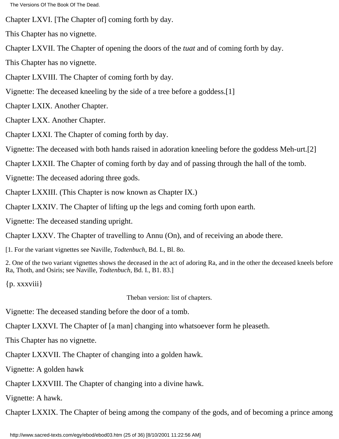Chapter LXVI. [The Chapter of] coming forth by day.

This Chapter has no vignette.

Chapter LXVII. The Chapter of opening the doors of the *tuat* and of coming forth by day.

This Chapter has no vignette.

Chapter LXVIII. The Chapter of coming forth by day.

Vignette: The deceased kneeling by the side of a tree before a goddess.[1]

Chapter LXIX. Another Chapter.

Chapter LXX. Another Chapter.

Chapter LXXI. The Chapter of coming forth by day.

Vignette: The deceased with both hands raised in adoration kneeling before the goddess Meh-urt.[2]

Chapter LXXII. The Chapter of coming forth by day and of passing through the hall of the tomb.

Vignette: The deceased adoring three gods.

Chapter LXXIII. (This Chapter is now known as Chapter IX.)

Chapter LXXIV. The Chapter of lifting up the legs and coming forth upon earth.

Vignette: The deceased standing upright.

Chapter LXXV. The Chapter of travelling to Annu (On), and of receiving an abode there.

[1. For the variant vignettes see Naville, *Todtenbuch*, Bd. L, Bl. 8o.

2. One of the two variant vignettes shows the deceased in the act of adoring Ra, and in the other the deceased kneels before Ra, Thoth, and Osiris; see Naville, *Todtenbuch*, Bd. I., B1. 83.]

 ${p. xxxviii}$ 

Theban version: list of chapters.

Vignette: The deceased standing before the door of a tomb.

Chapter LXXVI. The Chapter of [a man] changing into whatsoever form he pleaseth.

This Chapter has no vignette.

Chapter LXXVII. The Chapter of changing into a golden hawk.

Vignette: A golden hawk

Chapter LXXVIII. The Chapter of changing into a divine hawk.

Vignette: A hawk.

Chapter LXXIX. The Chapter of being among the company of the gods, and of becoming a prince among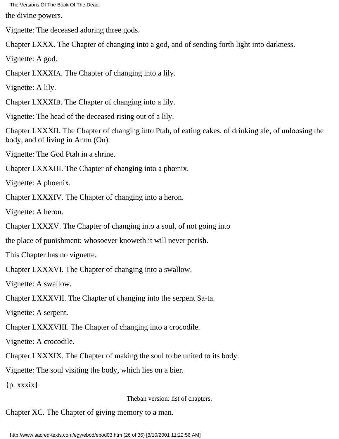the divine powers.

Vignette: The deceased adoring three gods.

Chapter LXXX. The Chapter of changing into a god, and of sending forth light into darkness.

Vignette: A god.

Chapter LXXXIA. The Chapter of changing into a lily.

Vignette: A lily.

Chapter LXXXIB. The Chapter of changing into a lily.

Vignette: The head of the deceased rising out of a lily.

Chapter LXXXII. The Chapter of changing into Ptah, of eating cakes, of drinking ale, of unloosing the body, and of living in Annu (On).

Vignette: The God Ptah in a shrine.

Chapter LXXXIII. The Chapter of changing into a phœnix.

Vignette: A phoenix.

Chapter LXXXIV. The Chapter of changing into a heron.

Vignette: A heron.

Chapter LXXXV. The Chapter of changing into a soul, of not going into

the place of punishment: whosoever knoweth it will never perish.

This Chapter has no vignette.

Chapter LXXXVI. The Chapter of changing into a swallow.

Vignette: A swallow.

Chapter LXXXVII. The Chapter of changing into the serpent Sa-ta.

Vignette: A serpent.

Chapter LXXXVIII. The Chapter of changing into a crocodile.

Vignette: A crocodile.

Chapter LXXXIX. The Chapter of making the soul to be united to its body.

Vignette: The soul visiting the body, which lies on a bier.

 ${p. xxxix}$ 

Theban version: list of chapters.

Chapter XC. The Chapter of giving memory to a man.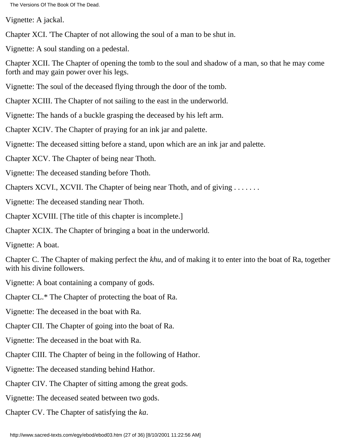Vignette: A jackal.

Chapter XCI. 'The Chapter of not allowing the soul of a man to be shut in.

Vignette: A soul standing on a pedestal.

Chapter XCII. The Chapter of opening the tomb to the soul and shadow of a man, so that he may come forth and may gain power over his legs.

Vignette: The soul of the deceased flying through the door of the tomb.

Chapter XCIII. The Chapter of not sailing to the east in the underworld.

Vignette: The hands of a buckle grasping the deceased by his left arm.

Chapter XCIV. The Chapter of praying for an ink jar and palette.

Vignette: The deceased sitting before a stand, upon which are an ink jar and palette.

Chapter XCV. The Chapter of being near Thoth.

Vignette: The deceased standing before Thoth.

Chapters XCVI., XCVII. The Chapter of being near Thoth, and of giving . . . . . . .

Vignette: The deceased standing near Thoth.

Chapter XCVIII. [The title of this chapter is incomplete.]

Chapter XCIX. The Chapter of bringing a boat in the underworld.

Vignette: A boat.

Chapter C. The Chapter of making perfect the *khu*, and of making it to enter into the boat of Ra, together with his divine followers.

Vignette: A boat containing a company of gods.

Chapter CL.\* The Chapter of protecting the boat of Ra.

Vignette: The deceased in the boat with Ra.

Chapter CII. The Chapter of going into the boat of Ra.

Vignette: The deceased in the boat with Ra.

Chapter CIII. The Chapter of being in the following of Hathor.

Vignette: The deceased standing behind Hathor.

Chapter CIV. The Chapter of sitting among the great gods.

Vignette: The deceased seated between two gods.

Chapter CV. The Chapter of satisfying the *ka*.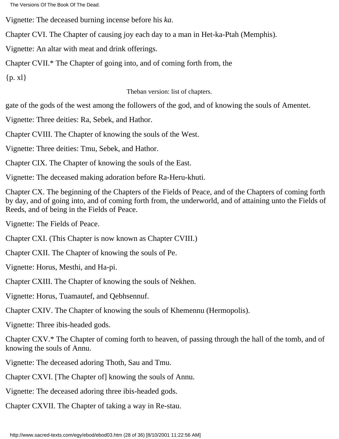Vignette: The deceased burning incense before his *ka*.

Chapter CVI. The Chapter of causing joy each day to a man in Het-ka-Ptah (Memphis).

Vignette: An altar with meat and drink offerings.

Chapter CVII.\* The Chapter of going into, and of coming forth from, the

{p. xl}

Theban version: list of chapters.

gate of the gods of the west among the followers of the god, and of knowing the souls of Amentet.

Vignette: Three deities: Ra, Sebek, and Hathor.

Chapter CVIII. The Chapter of knowing the souls of the West.

Vignette: Three deities: Tmu, Sebek, and Hathor.

Chapter CIX. The Chapter of knowing the souls of the East.

Vignette: The deceased making adoration before Ra-Heru-khuti.

Chapter CX. The beginning of the Chapters of the Fields of Peace, and of the Chapters of coming forth by day, and of going into, and of coming forth from, the underworld, and of attaining unto the Fields of Reeds, and of being in the Fields of Peace.

Vignette: The Fields of Peace.

Chapter CXI. (This Chapter is now known as Chapter CVIII.)

Chapter CXII. The Chapter of knowing the souls of Pe.

Vignette: Horus, Mesthi, and Ha-pi.

Chapter CXIII. The Chapter of knowing the souls of Nekhen.

Vignette: Horus, Tuamautef, and Qebhsennuf.

Chapter CXIV. The Chapter of knowing the souls of Khemennu (Hermopolis).

Vignette: Three ibis-headed gods.

Chapter CXV.\* The Chapter of coming forth to heaven, of passing through the hall of the tomb, and of knowing the souls of Annu.

Vignette: The deceased adoring Thoth, Sau and Tmu.

Chapter CXVI. [The Chapter of] knowing the souls of Annu.

Vignette: The deceased adoring three ibis-headed gods.

Chapter CXVII. The Chapter of taking a way in Re-stau.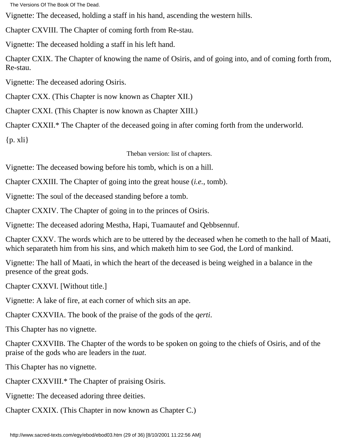Vignette: The deceased, holding a staff in his hand, ascending the western hills.

Chapter CXVIII. The Chapter of coming forth from Re-stau.

Vignette: The deceased holding a staff in his left hand.

Chapter CXIX. The Chapter of knowing the name of Osiris, and of going into, and of coming forth from, Re-stau.

Vignette: The deceased adoring Osiris.

Chapter CXX. (This Chapter is now known as Chapter XII.)

Chapter CXXI. (This Chapter is now known as Chapter XIII.)

Chapter CXXII.\* The Chapter of the deceased going in after coming forth from the underworld.

 ${p. xli}$ 

Theban version: list of chapters.

Vignette: The deceased bowing before his tomb, which is on a hill.

Chapter CXXIII. The Chapter of going into the great house (*i.e.*, tomb).

Vignette: The soul of the deceased standing before a tomb.

Chapter CXXIV. The Chapter of going in to the princes of Osiris.

Vignette: The deceased adoring Mestha, Hapi, Tuamautef and Qebbsennuf.

Chapter CXXV. The words which are to be uttered by the deceased when he cometh to the hall of Maati, which separateth him from his sins, and which maketh him to see God, the Lord of mankind.

Vignette: The hall of Maati, in which the heart of the deceased is being weighed in a balance in the presence of the great gods.

Chapter CXXVI. [Without title.]

Vignette: A lake of fire, at each corner of which sits an ape.

Chapter CXXVIIA. The book of the praise of the gods of the *qerti*.

This Chapter has no vignette.

Chapter CXXVIIB. The Chapter of the words to be spoken on going to the chiefs of Osiris, and of the praise of the gods who are leaders in the *tuat*.

This Chapter has no vignette.

Chapter CXXVIII.\* The Chapter of praising Osiris.

Vignette: The deceased adoring three deities.

Chapter CXXIX. (This Chapter in now known as Chapter C.)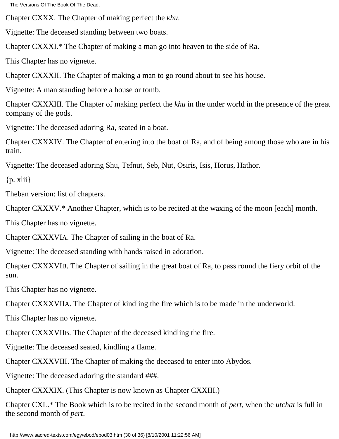Chapter CXXX. The Chapter of making perfect the *khu*.

Vignette: The deceased standing between two boats.

Chapter CXXXI.\* The Chapter of making a man go into heaven to the side of Ra.

This Chapter has no vignette.

Chapter CXXXII. The Chapter of making a man to go round about to see his house.

Vignette: A man standing before a house or tomb.

Chapter CXXXIII. The Chapter of making perfect the *khu* in the under world in the presence of the great company of the gods.

Vignette: The deceased adoring Ra, seated in a boat.

Chapter CXXXIV. The Chapter of entering into the boat of Ra, and of being among those who are in his train.

Vignette: The deceased adoring Shu, Tefnut, Seb, Nut, Osiris, Isis, Horus, Hathor.

 ${p. xlii}$ 

Theban version: list of chapters.

Chapter CXXXV.\* Another Chapter, which is to be recited at the waxing of the moon [each] month.

This Chapter has no vignette.

Chapter CXXXVIA. The Chapter of sailing in the boat of Ra.

Vignette: The deceased standing with hands raised in adoration.

Chapter CXXXVIB. The Chapter of sailing in the great boat of Ra, to pass round the fiery orbit of the sun.

This Chapter has no vignette.

Chapter CXXXVIIA. The Chapter of kindling the fire which is to be made in the underworld.

This Chapter has no vignette.

Chapter CXXXVIIB. The Chapter of the deceased kindling the fire.

Vignette: The deceased seated, kindling a flame.

Chapter CXXXVIII. The Chapter of making the deceased to enter into Abydos.

Vignette: The deceased adoring the standard ###.

Chapter CXXXIX. (This Chapter is now known as Chapter CXXIII.)

Chapter CXL.\* The Book which is to be recited in the second month of *pert*, when the *utchat* is full in the second month of *pert*.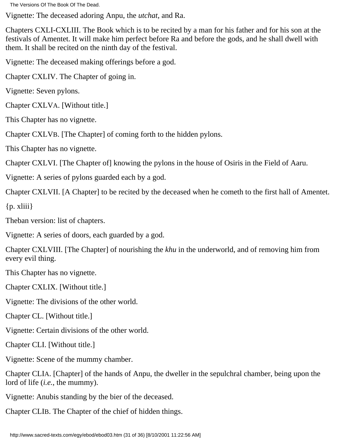Vignette: The deceased adoring Anpu, the *utchat*, and Ra.

Chapters CXLI-CXLIII. The Book which is to be recited by a man for his father and for his son at the festivals of Amentet. It will make him perfect before Ra and before the gods, and he shall dwell with them. It shall be recited on the ninth day of the festival.

Vignette: The deceased making offerings before a god.

Chapter CXLIV. The Chapter of going in.

Vignette: Seven pylons.

Chapter CXLVA. [Without title.]

This Chapter has no vignette.

Chapter CXLVB. [The Chapter] of coming forth to the hidden pylons.

This Chapter has no vignette.

Chapter CXLVI. [The Chapter of] knowing the pylons in the house of Osiris in the Field of Aaru.

Vignette: A series of pylons guarded each by a god.

Chapter CXLVII. [A Chapter] to be recited by the deceased when he cometh to the first hall of Amentet.

 ${p. xliii}$ 

Theban version: list of chapters.

Vignette: A series of doors, each guarded by a god.

Chapter CXLVIII. [The Chapter] of nourishing the *khu* in the underworld, and of removing him from every evil thing.

This Chapter has no vignette.

Chapter CXLIX. [Without title.]

Vignette: The divisions of the other world.

Chapter CL. [Without title.]

Vignette: Certain divisions of the other world.

Chapter CLI. [Without title.]

Vignette: Scene of the mummy chamber.

Chapter CLIA. [Chapter] of the hands of Anpu, the dweller in the sepulchral chamber, being upon the lord of life (*i.e.*, the mummy).

Vignette: Anubis standing by the bier of the deceased.

Chapter CLIB. The Chapter of the chief of hidden things.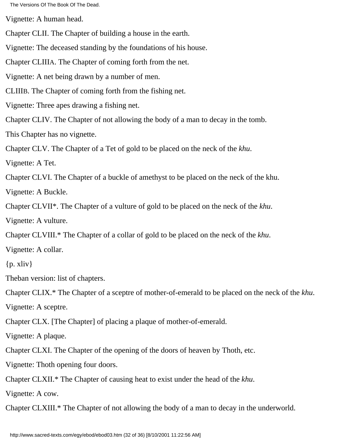Vignette: A human head.

Chapter CLII. The Chapter of building a house in the earth.

Vignette: The deceased standing by the foundations of his house.

Chapter CLIIIA. The Chapter of coming forth from the net.

Vignette: A net being drawn by a number of men.

CLIIIB. The Chapter of coming forth from the fishing net.

Vignette: Three apes drawing a fishing net.

Chapter CLIV. The Chapter of not allowing the body of a man to decay in the tomb.

This Chapter has no vignette.

Chapter CLV. The Chapter of a Tet of gold to be placed on the neck of the *khu*.

Vignette: A Tet.

Chapter CLVI. The Chapter of a buckle of amethyst to be placed on the neck of the khu. Vignette: A Buckle.

Chapter CLVII\*. The Chapter of a vulture of gold to be placed on the neck of the *khu*.

Vignette: A vulture.

Chapter CLVIII.\* The Chapter of a collar of gold to be placed on the neck of the *khu*.

Vignette: A collar.

 ${p. xliv}$ 

Theban version: list of chapters.

Chapter CLIX.\* The Chapter of a sceptre of mother-of-emerald to be placed on the neck of the *khu*. Vignette: A sceptre.

Chapter CLX. [The Chapter] of placing a plaque of mother-of-emerald.

Vignette: A plaque.

Chapter CLXI. The Chapter of the opening of the doors of heaven by Thoth, etc.

Vignette: Thoth opening four doors.

Chapter CLXII.\* The Chapter of causing heat to exist under the head of the *khu*.

Vignette: A cow.

Chapter CLXIII.\* The Chapter of not allowing the body of a man to decay in the underworld.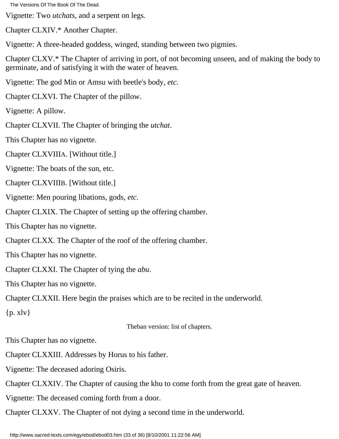Vignette: Two *utchats*, and a serpent on legs.

Chapter CLXIV.\* Another Chapter.

Vignette: A three-headed goddess, winged, standing between two pigmies.

Chapter CLXV.\* The Chapter of arriving in port, of not becoming unseen, and of making the body to germinate, and of satisfying it with the water of heaven.

Vignette: The god Min or Amsu with beetle's body, *etc.*

Chapter CLXVI. The Chapter of the pillow.

Vignette: A pillow.

Chapter CLXVII. The Chapter of bringing the *utchat*.

This Chapter has no vignette.

Chapter CLXVIIIA. [Without title.]

Vignette: The boats of the sun, etc.

Chapter CLXVIIIB. [Without title.]

Vignette: Men pouring libations, gods, *etc.*

Chapter CLXIX. The Chapter of setting up the offering chamber.

This Chapter has no vignette.

Chapter CLXX. The Chapter of the roof of the offering chamber.

This Chapter has no vignette.

Chapter CLXXI. The Chapter of tying the *abu*.

This Chapter has no vignette.

Chapter CLXXII. Here begin the praises which are to be recited in the underworld.

 ${p. xlv}$ 

Theban version: list of chapters.

This Chapter has no vignette.

Chapter CLXXIII. Addresses by Horus to his father.

Vignette: The deceased adoring Osiris.

Chapter CLXXIV. The Chapter of causing the khu to come forth from the great gate of heaven.

Vignette: The deceased coming forth from a door.

Chapter CLXXV. The Chapter of not dying a second time in the underworld.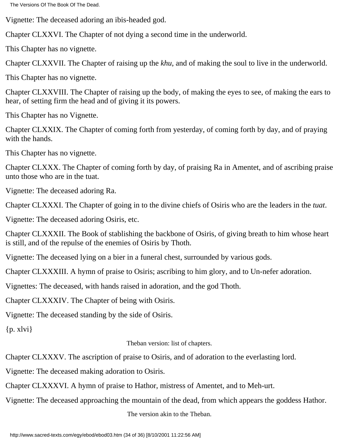Vignette: The deceased adoring an ibis-headed god.

Chapter CLXXVI. The Chapter of not dying a second time in the underworld.

This Chapter has no vignette.

Chapter CLXXVII. The Chapter of raising up the *khu*, and of making the soul to live in the underworld.

This Chapter has no vignette.

Chapter CLXXVIII. The Chapter of raising up the body, of making the eyes to see, of making the ears to hear, of setting firm the head and of giving it its powers.

This Chapter has no Vignette.

Chapter CLXXIX. The Chapter of coming forth from yesterday, of coming forth by day, and of praying with the hands.

This Chapter has no vignette.

Chapter CLXXX. The Chapter of coming forth by day, of praising Ra in Amentet, and of ascribing praise unto those who are in the tuat.

Vignette: The deceased adoring Ra.

Chapter CLXXXI. The Chapter of going in to the divine chiefs of Osiris who are the leaders in the *tuat*.

Vignette: The deceased adoring Osiris, etc.

Chapter CLXXXII. The Book of stablishing the backbone of Osiris, of giving breath to him whose heart is still, and of the repulse of the enemies of Osiris by Thoth.

Vignette: The deceased lying on a bier in a funeral chest, surrounded by various gods.

Chapter CLXXXIII. A hymn of praise to Osiris; ascribing to him glory, and to Un-nefer adoration.

Vignettes: The deceased, with hands raised in adoration, and the god Thoth.

Chapter CLXXXIV. The Chapter of being with Osiris.

Vignette: The deceased standing by the side of Osiris.

 ${p. x}$ lvi $}$ 

Theban version: list of chapters.

Chapter CLXXXV. The ascription of praise to Osiris, and of adoration to the everlasting lord.

Vignette: The deceased making adoration to Osiris.

Chapter CLXXXVI. A hymn of praise to Hathor, mistress of Amentet, and to Meh-urt.

Vignette: The deceased approaching the mountain of the dead, from which appears the goddess Hathor.

The version akin to the Theban.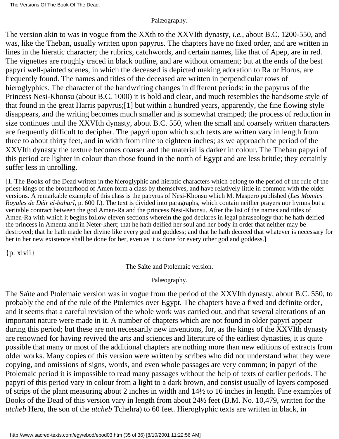### Palæography.

The version akin to was in vogue from the XXth to the XXVIth dynasty, *i.e.*, about B.C. 1200-550, and was, like the Theban, usually written upon papyrus. The chapters have no fixed order, and are written in lines in the hieratic character; the rubrics, catchwords, and certain names, like that of Apep, are in red. The vignettes are roughly traced in black outline, and are without ornament; but at the ends of the best papyri well-painted scenes, in which the deceased is depicted making adoration to Ra or Horus, are frequently found. The names and titles of the deceased are written in perpendicular rows of hieroglyphics. The character of the handwriting changes in different periods: in the papyrus of the Princess Nesi-Khonsu (about B.C. 1000) it is bold and clear, and much resembles the handsome style of that found in the great Harris papyrus;[1] but within a hundred years, apparently, the fine flowing style disappears, and the writing becomes much smaller and is somewhat cramped; the process of reduction in size continues until the XXVIth dynasty, about B.C. 550, when the small and coarsely written characters are frequently difficult to decipher. The papyri upon which such texts are written vary in length from three to about thirty feet, and in width from nine to eighteen inches; as we approach the period of the XXVIth dynasty the texture becomes coarser and the material is darker in colour. The Theban papyri of this period are lighter in colour than those found in the north of Egypt and are less brittle; they certainly suffer less in unrolling.

[1. The Books of the Dead written in the hieroglyphic and hieratic characters which belong to the period of the rule of the priest-kings of the brotherhood of Amen form a class by themselves, and have relatively little in common with the older versions. A remarkable example of this class is the papyrus of Nesi-Khonsu which M. Maspero published (*Les Momies Royales de Déir el-baharî*, p. 600 f.). The text is divided into paragraphs, which contain neither prayers nor hymns but a veritable contract between the god Amen-Ra and the princess Nesi-Khonsu. After the list of the names and titles of Amen-Ra with which it begins follow eleven sections wherein the god declares in legal phraseology that he hath deified the princess in Amenta and in Neter-khert; that he hath deified her soul and her body in order that neither may be destroyed; that he hath made her divine like every god and goddess; and that he hath decreed that whatever is necessary for her in her new existence shall be done for her, even as it is done for every other god and goddess.]

{p. xlvii}

The Saïte and Ptolemaic version.

Palæography.

The Saïte and Ptolemaic version was in vogue from the period of the XXVIth dynasty, about B.C. 550, to probably the end of the rule of the Ptolemies over Egypt. The chapters have a fixed and definite order, and it seems that a careful revision of the whole work was carried out, and that several alterations of an important nature were made in it. A number of chapters which are not found in older papyri appear during this period; but these are not necessarily new inventions, for, as the kings of the XXVIth dynasty are renowned for having revived the arts and sciences and literature of the earliest dynasties, it is quite possible that many or most of the additional chapters are nothing more than new editions of extracts from older works. Many copies of this version were written by scribes who did not understand what they were copying, and omissions of signs, words, and even whole passages are very common; in papyri of the Ptolemaic period it is impossible to read many passages without the help of texts of earlier periods. The papyri of this period vary in colour from a light to a dark brown, and consist usually of layers composed of strips of the plant measuring about 2 inches in width and 14½ to 16 inches in length. Fine examples of Books of the Dead of this version vary in length from about 24½ feet (B.M. No. 10,479, written for the *utcheb* Heru, the son of the *utcheb* Tchehra) to 60 feet. Hieroglyphic texts are written in black, in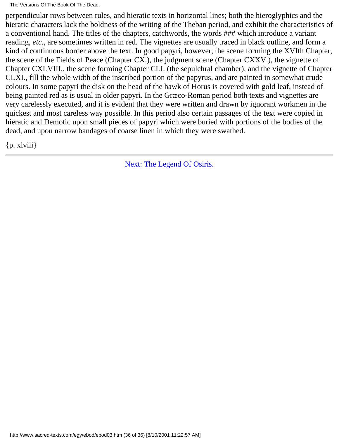perpendicular rows between rules, and hieratic texts in horizontal lines; both the hieroglyphics and the hieratic characters lack the boldness of the writing of the Theban period, and exhibit the characteristics of a conventional hand. The titles of the chapters, catchwords, the words ### which introduce a variant reading, *etc.*, are sometimes written in red. The vignettes are usually traced in black outline, and form a kind of continuous border above the text. In good papyri, however, the scene forming the XVIth Chapter, the scene of the Fields of Peace (Chapter CX.), the judgment scene (Chapter CXXV.), the vignette of Chapter CXLVIII., the scene forming Chapter CLI. (the sepulchral chamber), and the vignette of Chapter CLXI., fill the whole width of the inscribed portion of the papyrus, and are painted in somewhat crude colours. In some papyri the disk on the head of the hawk of Horus is covered with gold leaf, instead of being painted red as is usual in older papyri. In the Græco-Roman period both texts and vignettes are very carelessly executed, and it is evident that they were written and drawn by ignorant workmen in the quickest and most careless way possible. In this period also certain passages of the text were copied in hieratic and Demotic upon small pieces of papyri which were buried with portions of the bodies of the dead, and upon narrow bandages of coarse linen in which they were swathed.

{p. xlviii}

[Next: The Legend Of Osiris.](#page-42-0)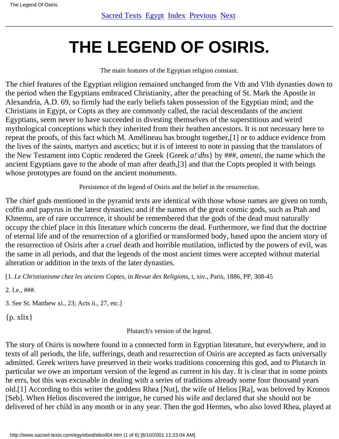# <span id="page-42-0"></span>**THE LEGEND OF OSIRIS.**

The main features of the Egyptian religion constant.

The chief features of the Egyptian religion remained unchanged from the Vth and VIth dynasties down to the period when the Egyptians embraced Christianity, after the preaching of St. Mark the Apostle in Alexandria, A.D. 69, so firmly had the early beliefs taken possession of the Egyptian mind; and the Christians in Egypt, or Copts as they are commonly called, the racial descendants of the ancient Egyptians, seem never to have succeeded in divesting themselves of the superstitious and weird mythological conceptions which they inherited from their heathen ancestors. It is not necessary here to repeat the proofs, of this fact which M. Amélineau has brought together,[1] or to adduce evidence from the lives of the saints, martyrs and ascetics; but it is of interest to note in passing that the translators of the New Testament into Coptic rendered the Greek {Greek *a!'dhs*} by ###, *amenti*, the name which the ancient Egyptians gave to the abode of man after death,[3] and that the Copts peopled it with beings whose prototypes are found on the ancient monuments.

Persistence of the legend of Osiris and the belief in the resurrection.

The chief gods mentioned in the pyramid texts are identical with those whose names are given on tomb, coffin and papyrus in the latest dynasties; and if the names of the great cosmic gods, such as Ptah and Khnemu, are of rare occurrence, it should be remembered that the gods of the dead must naturally occupy the chief place in this literature which concerns the dead. Furthermore, we find that the doctrine of eternal life and of the resurrection of a glorified or transformed body, based upon the ancient story of the resurrection of Osiris after a cruel death and horrible mutilation, inflicted by the powers of evil, was the same in all periods, and that the legends of the most ancient times were accepted without material alteration or addition in the texts of the later dynasties.

[1. *Le Christianisme chez les anciens Coptes*, in *Revue des Religions*, t, xiv., Paris, 1886, PP, 308-45

2. I.e., ###.

3. See St. Matthew xi., 23; Acts ii., 27, etc.]

 ${p. xlix}$ 

Plutarch's version of the legend.

The story of Osiris is nowhere found in a connected form in Egyptian literature, but everywhere, and in texts of all periods, the life, sufferings, death and resurrection of Osiris are accepted as facts universally admitted. Greek writers have preserved in their works traditions concerning this god, and to Plutarch in particular we owe an important version of the legend as current in his day. It is clear that in some points he errs, but this was excusable in dealing with a series of traditions already some four thousand years old.[1] According to this writer the goddess Rhea [Nut], the wife of Helios [Ra], was beloved by Kronos [Seb]. When Helios discovered the intrigue, he cursed his wife and declared that she should not be delivered of her child in any month or in any year. Then the god Hermes, who also loved Rhea, played at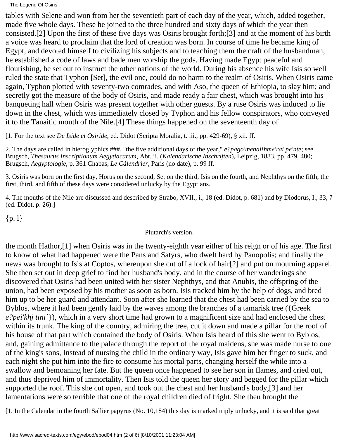tables with Selene and won from her the seventieth part of each day of the year, which, added together, made five whole days. These he joined to the three hundred and sixty days of which the year then consisted.[2] Upon the first of these five days was Osiris brought forth;[3] and at the moment of his birth a voice was heard to proclaim that the lord of creation was born. In course of time he became king of Egypt, and devoted himself to civilizing his subjects and to teaching them the craft of the husbandman; he established a code of laws and bade men worship the gods. Having made Egypt peaceful and flourishing, he set out to instruct the other nations of the world. During his absence his wife Isis so well ruled the state that Typhon [Set], the evil one, could do no harm to the realm of Osiris. When Osiris came again, Typhon plotted with seventy-two comrades, and with Aso, the queen of Ethiopia, to slay him; and secretly got the measure of the body of Osiris, and made ready a fair chest, which was brought into his banqueting hall when Osiris was present together with other guests. By a ruse Osiris was induced to lie down in the chest, which was immediately closed by Typhon and his fellow conspirators, who conveyed it to the Tanaitic mouth of the Nile.[4] These things happened on the seventeenth day of

[1. For the text see *De Iside et Osiride*, ed. Didot (Scripta Moralia, t. iii., pp. 429-69), § xii. ff.

2. The days are called in hieroglyphics ###, "the five additional days of the year," *e?pago'menai!hme'rai pe'nte*; see Brugsch, *Thesaurus Inscriptionum Aegytiacarum*, Abt. ii. (*Kalendarische Inschriften*), Leipzig, 1883, pp. 479, 480; Brugsch, *Aegyptologie*, p. 361 Chabas, *Le Cálendrier*, Paris (no date), p. 99 ff.

3. Osiris was born on the first day, Horus on the second, Set on the third, Isis on the fourth, and Nephthys on the fifth; the first, third, and fifth of these days were considered unlucky by the Egyptians.

4. The mouths of the Nile are discussed and described by Strabo, XVII., i., 18 (ed. Didot, p. 681) and by Diodorus, I., 33, 7 (ed. Didot, p. 26).]

 ${p. 1}$ 

## Plutarch's version.

the month Hathor,[1] when Osiris was in the twenty-eighth year either of his reign or of his age. The first to know of what had happened were the Pans and Satyrs, who dwelt hard by Panopolis; and finally the news was brought to Isis at Coptos, whereupon she cut off a lock of hair[2] and put on mourning apparel. She then set out in deep grief to find her husband's body, and in the course of her wanderings she discovered that Osiris had been united with her sister Nephthys, and that Anubis, the offspring of the union, had been exposed by his mother as soon as born. Isis tracked him by the help of dogs, and bred him up to be her guard and attendant. Soon after she learned that the chest had been carried by the sea to Byblos, where it had been gently laid by the waves among the branches of a tamarisk tree ({Greek *e?pei'khj tini`*}), which in a very short time had grown to a magnificent size and had enclosed the chest within its trunk. The king of the country, admiring the tree, cut it down and made a pillar for the roof of his house of that part which contained the body of Osiris. When Isis heard of this she went to Byblos, and, gaining admittance to the palace through the report of the royal maidens, she was made nurse to one of the king's sons, Instead of nursing the child in the ordinary way, Isis gave him her finger to suck, and each night she put him into the fire to consume his mortal parts, changing herself the while into a swallow and bemoaning her fate. But the queen once happened to see her son in flames, and cried out, and thus deprived him of immortality. Then Isis told the queen her story and begged for the pillar which supported the roof. This she cut open, and took out the chest and her husband's body,[3] and her lamentations were so terrible that one of the royal children died of fright. She then brought the

[1. In the Calendar in the fourth Sallier papyrus (No. 10,184) this day is marked triply unlucky, and it is said that great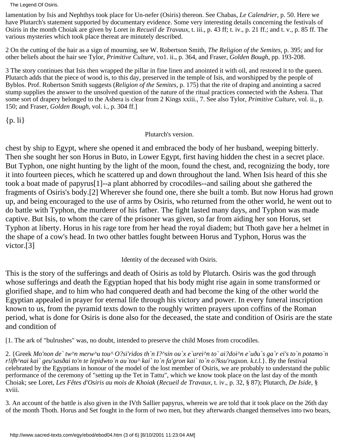lamentation by Isis and Nephthys took place for Un-nefer (Osiris) thereon. See Chabas, *Le Calendrier*, p. 50. Here we have Plutarch's statement supported by documentary evidence. Some very interesting details concerning the festivals of Osiris in the month Choiak are given by Loret in *Recueil de Travaux*, t. iii., p. 43 ff; t. iv., p. 21 ff.; and t. v., p. 85 ff. The various mysteries which took place thereat are minutely described.

2 On the cutting of the hair as a sign of mourning, see W. Robertson Smith, *The Religion of the Semites*, p. 395; and for other beliefs about the hair see Tylor, *Primitive Culture*, vo1. ii., p. 364, and Fraser, *Golden Bough*, pp. 193-208.

3 The story continues that Isis then wrapped the pillar in fine linen and anointed it with oil, and restored it to the queen. Plutarch adds that the piece of wood is, to this day, preserved in the temple of Isis, and worshipped by the people of Byblos. Prof. Robertson Smith suggests (*Religion of the Semites*, p. 175) that the rite of draping and anointing a sacred stump supplies the answer to the unsolved question of the nature of the ritual practices connected with the Ashera. That some sort of drapery belonged to the Ashera is clear from 2 Kings xxiii., 7. See also Tylor, *Primitive Culture*, vol. ii., p. 150; and Fraser, *Golden Bough*, vol. i., p. 304 ff.]

{p. li}

Plutarch's version.

chest by ship to Egypt, where she opened it and embraced the body of her husband, weeping bitterly. Then she sought her son Horus in Buto, in Lower Egypt, first having hidden the chest in a secret place. But Typhon, one night hunting by the light of the moon, found the chest, and, recognizing the body, tore it into fourteen pieces, which he scattered up and down throughout the land. When Isis heard of this she took a boat made of papyrus[1]--a plant abhorred by crocodiles--and sailing about she gathered the fragments of Osiris's body.[2] Wherever she found one, there she built a tomb. But now Horus had grown up, and being encouraged to the use of arms by Osiris, who returned from the other world, he went out to do battle with Typhon, the murderer of his father. The fight lasted many days, and Typhon was made captive. But Isis, to whom the care of the prisoner was given, so far from aiding her son Horus, set Typhon at liberty. Horus in his rage tore from her head the royal diadem; but Thoth gave her a helmet in the shape of a cow's head. In two other battles fought between Horus and Typhon, Horus was the victor.[3]

Identity of the deceased with Osiris.

This is the story of the sufferings and death of Osiris as told by Plutarch. Osiris was the god through whose sufferings and death the Egyptian hoped that his body might rise again in some transformed or glorified shape, and to him who had conquered death and had become the king of the other world the Egyptian appealed in prayer for eternal life through his victory and power. In every funeral inscription known to us, from the pyramid texts down to the roughly written prayers upon coffins of the Roman period, what is done for Osiris is done also for the deceased, the state and condition of Osiris are the state and condition of

[1. The ark of "bulrushes" was, no doubt, intended to preserve the child Moses from crocodiles.

2. {Greek *Mo'non de` tw^n merw^u tou^ O?si'ridos th`n I?^sin ou`x e`urei^n to` ai?doi^n e`uðu`s ga`r ei's to`n potamo`n r!ifh^nai kai` geu'sasðai to'n te lepidwto`n au`tou^ kai` to`n fa'gron kai` to`n o?ksu'rugxon. k.t.l.*}. By the festival celebrated by the Egyptians in honour of the model of the lost member of Osiris, we are probably to understand the public performance of the ceremony of "setting up the Tet in Tattu", which we know took place on the last day of the month Choiak; see Loret, *Les Fêtes d'Osiris au mois de Khoiak* (*Recueil de Travaux*, t. iv., p. 32, § 87); Plutarch, *De Iside*, § xviii.

3. An account of the battle is also given in the IVth Sallier papyrus, wherein we are told that it took place on the 26th day of the month Thoth. Horus and Set fought in the form of two men, but they afterwards changed themselves into two bears,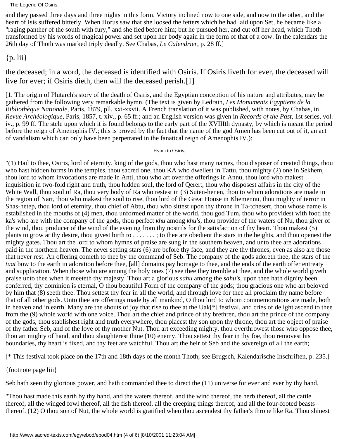and they passed three days and three nights in this form. Victory inclined now to one side, and now to the other, and the heart of Isis suffered bitterly. When Horus saw that she loosed the fetters which he had laid upon Set, he became like a "raging panther of the south with fury," and she fled before him; but he pursued her, and cut off her head, which Thoth transformed by his words of magical power and set upon her body again in the form of that of a cow. In the calendars the 26th day of Thoth was marked triply deadly. See Chabas, *Le Calendrier*, p. 28 ff.]

## ${p.}$ lii $}$

the deceased; in a word, the deceased is identified with Osiris. If Osiris liveth for ever, the deceased will live for ever; if Osiris dieth, then will the deceased perish.[1]

[1. The origin of Plutarch's story of the death of Osiris, and the Egyptian conception of his nature and attributes, may be gathered from the following very remarkable hymn. (The text is given by Ledrain, *Les Monuments Égyptiens de la Bibliothèque Nationale*, Paris, 1879, pll. xxi-xxvii. A French translation of it was published, with notes, by Chabas, in *Revue Archéologique*, Paris, 1857, t. xiv., p. 65 ff.; and an English version was given in *Records of the Past*, 1st series, vol. iv., p. 99 ff. The stele upon which it is found belongs to the early part of the XVIIIth dynasty, by which is meant the period before the reign of Amenophis IV.; this is proved by the fact that the name of the god Amen has been cut out of it, an act of vandalism which can only have been perpetrated in the fanatical reign of Amenophis IV.):

### Hymn to Osiris.

"(1) Hail to thee, Osiris, lord of eternity, king of the gods, thou who hast many names, thou disposer of created things, thou who hast hidden forms in the temples, thou sacred one, thou KA who dwellest in Tattu, thou mighty (2) one in Sekhem, thou lord to whom invocations are made in Anti, thou who art over the offerings in Annu, thou lord who makest inquisition in two-fold right and truth, thou hidden soul, the lord of Qerert, thou who disposest affairs in the city of the White Wall, thou soul of Ra, thou very body of Ra who restest in (3) Suten-henen, thou to whom adorations are made in the region of Nart, thou who makest the soul to rise, thou lord of the Great House in Khemennu, thou mighty of terror in Shas-hetep, thou lord of eternity, thou chief of Abtu, thou who sittest upon thy throne in Ta-tchesert, thou whose name is established in the mouths of (4) men, thou unformed matter of the world, thou god Tum, thou who providest with food the ka's who are with the company of the gods, thou perfect *khu* among *khu's*, thou provider of the waters of Nu, thou giver of the wind, thou producer of the wind of the evening from thy nostrils for the satisfaction of thy heart. Thou makest (5) plants to grow at thy desire, thou givest birth to . . . . . . . ; to thee are obedient the stars in the heights, and thou openest the mighty gates. Thou art the lord to whom hymns of praise are sung in the southern heaven, and unto thee are adorations paid in the northern heaven. The never setting stars (6) are before thy face, and they are thy thrones, even as also are those that never rest. An offering cometh to thee by the command of Seb. The company of the gods adoreth thee, the stars of the *tuat* bow to the earth in adoration before thee, [all] domains pay homage to thee, and the ends of the earth offer entreaty and supplication. When those who are among the holy ones (7) see thee they tremble at thee, and the whole world giveth praise unto thee when it meeteth thy majesty. Thou art a glorious *sahu* among the *sahu's*, upon thee hath dignity been conferred, thy dominion is eternal, O thou beautiful Form of the company of the gods; thou gracious one who art beloved by him that (8) seeth thee. Thou settest thy fear in all the world, and through love for thee all proclaim thy name before that of all other gods. Unto thee are offerings made by all mankind, O thou lord to whom commemorations are made, both in heaven and in earth. Many are the shouts of joy that rise to thee at the Uak[\*] festival, and cries of delight ascend to thee from the (9) whole world with one voice. Thou art the chief and prince of thy brethren, thou art the prince of the company of the gods, thou stablishest right and truth everywhere, thou placest thy son upon thy throne, thou art the object of praise of thy father Seb, and of the love of thy mother Nut. Thou art exceeding mighty, thou overthrowest those who oppose thee, thou art mighty of hand, and thou slaughterest thine (10) enemy. Thou settest thy fear in thy foe, thou removest his boundaries, thy heart is fixed, and thy feet are watchful. Thou art the heir of Seb and the sovereign of all the earth;

[\* This festival took place on the 17th and 18th days of the month Thoth; see Brugsch, Kalendarische Inschriften, p. 235.]

{footnote page liii}

Seb hath seen thy glorious power, and hath commanded thee to direct the  $(11)$  universe for ever and ever by thy hand.

"Thou hast made this earth by thy hand, and the waters thereof, and the wind thereof, the herb thereof, all the cattle thereof, all the winged fowl thereof, all the fish thereof, all the creeping things thereof, and all the four-footed beasts thereof. (12) O thou son of Nut, the whole world is gratified when thou ascendest thy father's throne like Ra. Thou shinest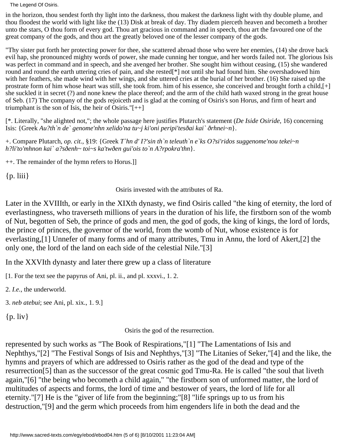in the horizon, thou sendest forth thy light into the darkness, thou makest the darkness light with thy double plume, and thou floodest the world with light like the (13) Disk at break of day. Thy diadem pierceth heaven and becometh a brother unto the stars, O thou form of every god. Thou art gracious in command and in speech, thou art the favoured one of the great company of the gods, and thou art the greatly beloved one of the lesser company of the gods.

"Thy sister put forth her protecting power for thee, she scattered abroad those who were her enemies, (14) she drove back evil hap, she pronounced mighty words of power, she made cunning her tongue, and her words failed not. The glorious Isis was perfect in command and in speech, and she avenged her brother. She sought him without ceasing, (15) she wandered round and round the earth uttering cries of pain, and she rested[\*] not until she had found him. She overshadowed him with her feathers, she made wind with her wings, and she uttered cries at the burial of her brother. (16) She raised up the prostrate form of him whose heart was still, she took from. him of his essence, she conceived and brought forth a child,[+] she suckled it in secret (?) and none knew the place thereof; and the arm of the child hath waxed strong in the great house of Seb. (17) The company of the gods rejoiceth and is glad at the coming of Osiris's son Horus, and firm of heart and triumphant is the son of Isis, the heir of Osiris." $[++]$ 

[\*. Literally, "she alighted not,"; the whole passage here justifies Plutarch's statement (*De Iside Osiride*, 16) concerning Isis: {Greek *Au?th`n de` genome'nhn xelido'na tu~j ki'oni peripi'tesðai kai` ðrhnei~n*}.

+. Compare Plutarch, *op. cit.*, §19: {Greek *T`hn d' I?'sin th`n teleuth`n e`ks O?si'ridos suggenome'nou tekei~n h?li'to'mhnon kai` a?sðenh~ toi~s ka'twðen gui'ois to`n A?rpokra'thn*}.

++. The remainder of the hymn refers to Horus.]]

 ${p.}$  liii $}$ 

Osiris invested with the attributes of Ra.

Later in the XVIIIth, or early in the XIXth dynasty, we find Osiris called "the king of eternity, the lord of everlastingness, who traverseth millions of years in the duration of his life, the firstborn son of the womb of Nut, begotten of Seb, the prince of gods and men, the god of gods, the king of kings, the lord of lords, the prince of princes, the governor of the world, from the womb of Nut, whose existence is for everlasting,[1] Unnefer of many forms and of many attributes, Tmu in Annu, the lord of Akert,[2] the only one, the lord of the land on each side of the celestial Nile."[3]

In the XXVIth dynasty and later there grew up a class of literature

[1. For the text see the papyrus of Ani, pl. ii., and pl. xxxvi., 1. 2.

2. *I.e.*, the underworld.

3. *neb atebui*; see Ani, pl. xix., 1. 9.]

{p. liv}

Osiris the god of the resurrection.

represented by such works as "The Book of Respirations,"[1] "The Lamentations of Isis and Nephthys,"[2] "The Festival Songs of Isis and Nephthys,"[3] "The Litanies of Seker,"[4] and the like, the hymns and prayers of which are addressed to Osiris rather as the god of the dead and type of the resurrection[5] than as the successor of the great cosmic god Tmu-Ra. He is called "the soul that liveth again,"[6] "the being who becometh a child again," "the firstborn son of unformed matter, the lord of multitudes of aspects and forms, the lord of time and bestower of years, the lord of life for all eternity."[7] He is the "giver of life from the beginning;"[8] "life springs up to us from his destruction,"[9] and the germ which proceeds from him engenders life in both the dead and the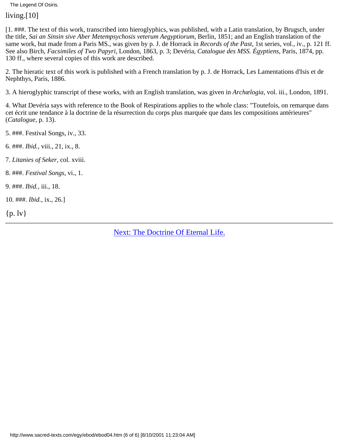living. $[10]$ 

[1. ###. The text of this work, transcribed into hieroglyphics, was published, with a Latin translation, by Brugsch, under the title, *Sai an Sinsin sive Aber Metempsychosis veterum Aegyptiorum*, Berlin, 1851; and an English translation of the same work, but made from a Paris MS., was given by p. J. de Horrack in *Records of the Past*, 1st series, vol., iv., p. 121 ff. See also Birch, *Facsimiles of Two Papyri*, London, 1863, p. 3; Devéria, *Catalogue des MSS. Égyptiens*, Paris, 1874, pp. 130 ff., where several copies of this work are described.

2. The hieratic text of this work is published with a French translation by p. J. de Horrack, Les Lamentations d'Isis et de Nephthys, Paris, 1886.

3. A hieroglyphic transcript of these works, with an English translation, was given in *Archælogia*, vol. iii., London, 1891.

4. What Devéria says with reference to the Book of Respirations applies to the whole class: "Toutefois, on remarque dans cet écrit une tendance à la doctrine de la résurrection du corps plus marquée que dans les compositions antérieures" (*Catalogue*, p. 13).

5. ###. Festival Songs, iv., 33.

6. ###. *Ibid.*, viii., 21, ix., 8.

7. *Litanies of Seker*, col. xviii.

8. ###. *Festival Songs*, vi., 1.

9. ###. *Ibid.*, iii., 18.

10. ###. *Ibid.*, ix., 26.]

 ${p.}$  lv }

[Next: The Doctrine Of Eternal Life.](#page-48-0)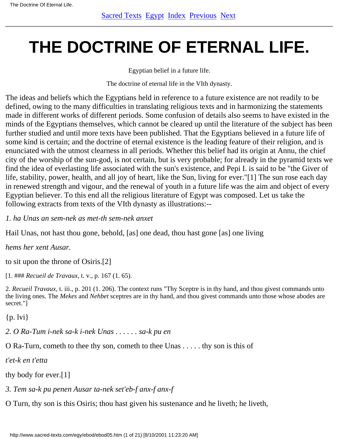# <span id="page-48-0"></span>**THE DOCTRINE OF ETERNAL LIFE.**

Egyptian belief in a future life.

The doctrine of eternal life in the VIth dynasty.

The ideas and beliefs which the Egyptians held in reference to a future existence are not readily to be defined, owing to the many difficulties in translating religious texts and in harmonizing the statements made in different works of different periods. Some confusion of details also seems to have existed in the minds of the Egyptians themselves, which cannot be cleared up until the literature of the subject has been further studied and until more texts have been published. That the Egyptians believed in a future life of some kind is certain; and the doctrine of eternal existence is the leading feature of their religion, and is enunciated with the utmost clearness in all periods. Whether this belief had its origin at Annu, the chief city of the worship of the sun-god, is not certain, but is very probable; for already in the pyramid texts we find the idea of everlasting life associated with the sun's existence, and Pepi I. is said to be "the Giver of life, stability, power, health, and all joy of heart, like the Sun, living for ever."[1] The sun rose each day in renewed strength and vigour, and the renewal of youth in a future life was the aim and object of every Egyptian believer. To this end all the religious literature of Egypt was composed. Let us take the following extracts from texts of the VIth dynasty as illustrations:--

*1. ha Unas an sem-nek as met-th sem-nek anxet*

Hail Unas, not hast thou gone, behold, [as] one dead, thou hast gone [as] one living

*hems her xent Ausar.*

to sit upon the throne of Osiris.[2]

[1. ### *Recueil de Travaux*, t. v., p. 167 (1. 65).

2. *Recueil Travaux*, t. iii., p. 201 (1. 206). The context runs "Thy Sceptre is in thy hand, and thou givest commands unto the living ones. The *Mekes* and *Nehbet* sceptres are in thy hand, and thou givest commands unto those whose abodes are secret."]

 ${p.}$  lvi }

*2. O Ra-Tum i-nek sa-k i-nek Unas . . . . . . sa-k pu en*

O Ra-Turn, cometh to thee thy son, cometh to thee Unas . . . . . thy son is this of

*t'et-k en t'etta*

thy body for ever.[1]

*3. Tem sa-k pu penen Ausar ta-nek set'eb-f anx-f anx-f*

O Turn, thy son is this Osiris; thou hast given his sustenance and he liveth; he liveth,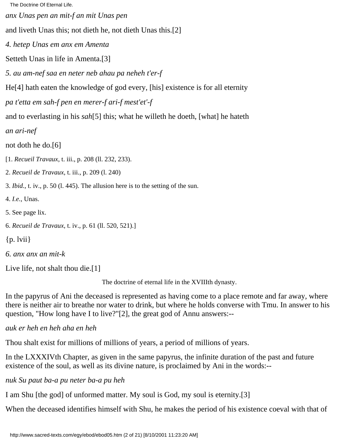*anx Unas pen an mit-f an mit Unas pen*

and liveth Unas this; not dieth he, not dieth Unas this.[2]

*4. hetep Unas em anx em Amenta*

Setteth Unas in life in Amenta.[3]

*5. au am-nef saa en neter neb ahau pa neheh t'er-f*

He[4] hath eaten the knowledge of god every, [his] existence is for all eternity

*pa t'etta em sah-f pen en merer-f ari-f mest'et'-f*

and to everlasting in his *sah*[5] this; what he willeth he doeth, [what] he hateth

*an ari-nef*

not doth he do.[6]

- [1. *Recueil Travaux*, t. iii., p. 208 (ll. 232, 233).
- 2. *Recueil de Travaux*, t. iii., p. 209 (l. 240)
- 3. *Ibid.*, t. iv., p. 50 (l. 445). The allusion here is to the setting of the sun.
- 4. *I.e.*, Unas.
- 5. See page lix.
- 6. *Recueil de Travaux*, t. iv., p. 61 (ll. 520, 521).]

 ${p. 1}$ vii $}$ 

```
6. anx anx an mit-k
```
Live life, not shalt thou die.<sup>[1]</sup>

The doctrine of eternal life in the XVIIIth dynasty.

In the papyrus of Ani the deceased is represented as having come to a place remote and far away, where there is neither air to breathe nor water to drink, but where he holds converse with Tmu. In answer to his question, "How long have I to live?"[2], the great god of Annu answers:--

*auk er heh en heh aha en heh*

Thou shalt exist for millions of millions of years, a period of millions of years.

In the LXXXIVth Chapter, as given in the same papyrus, the infinite duration of the past and future existence of the soul, as well as its divine nature, is proclaimed by Ani in the words:--

*nuk Su paut ba-a pu neter ba-a pu heh*

I am Shu [the god] of unformed matter. My soul is God, my soul is eternity.[3]

When the deceased identifies himself with Shu, he makes the period of his existence coeval with that of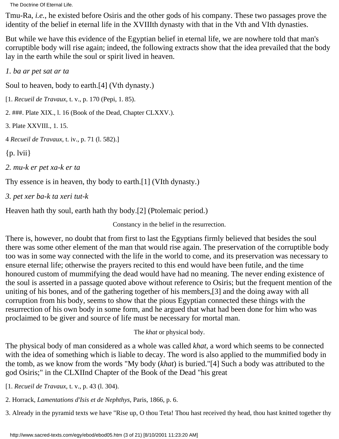Tmu-Ra, *i.e.*, he existed before Osiris and the other gods of his company. These two passages prove the identity of the belief in eternal life in the XVIIIth dynasty with that in the Vth and VIth dynasties.

But while we have this evidence of the Egyptian belief in eternal life, we are nowhere told that man's corruptible body will rise again; indeed, the following extracts show that the idea prevailed that the body lay in the earth while the soul or spirit lived in heaven.

*1. ba ar pet sat ar ta* Soul to heaven, body to earth.[4] (Vth dynasty.) [1. *Recueil de Travaux*, t. v., p. 170 (Pepi, 1. 85). 2. ###. Plate XIX., l. 16 (Book of the Dead, Chapter CLXXV.). 3. Plate XXVIII., 1. 15. 4 *Recueil de Travaux*, t. iv., p. 71 (l. 582).]  ${p. 1\text{vii}}$ *2. mu-k er pet xa-k er ta* Thy essence is in heaven, thy body to earth.[1] (VIth dynasty.) *3. pet xer ba-k ta xeri tut-k* Heaven hath thy soul, earth hath thy body.[2] (Ptolemaic period.)

Constancy in the belief in the resurrection.

There is, however, no doubt that from first to last the Egyptians firmly believed that besides the soul there was some other element of the man that would rise again. The preservation of the corruptible body too was in some way connected with the life in the world to come, and its preservation was necessary to ensure eternal life; otherwise the prayers recited to this end would have been futile, and the time honoured custom of mummifying the dead would have had no meaning. The never ending existence of the soul is asserted in a passage quoted above without reference to Osiris; but the frequent mention of the uniting of his bones, and of the gathering together of his members,[3] and the doing away with all corruption from his body, seems to show that the pious Egyptian connected these things with the resurrection of his own body in some form, and he argued that what had been done for him who was proclaimed to be giver and source of life must be necessary for mortal man.

The *khat* or physical body.

The physical body of man considered as a whole was called *khat*, a word which seems to be connected with the idea of something which is liable to decay. The word is also applied to the mummified body in the tomb, as we know from the words "My body (*khat*) is buried."[4] Such a body was attributed to the god Osiris;" in the CLXIInd Chapter of the Book of the Dead "his great

[1. *Recueil de Travaux*, t. v., p. 43 (l. 304).

2. Horrack, *Lamentations d'Isis et de Nephthys*, Paris, 1866, p. 6.

3. Already in the pyramid texts we have "Rise up, O thou Teta! Thou hast received thy head, thou hast knitted together thy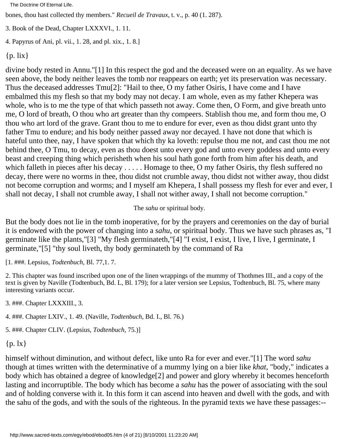bones, thou hast collected thy members." *Recueil de Travaux*, t. v., p. 40 (1. 287).

3. Book of the Dead, Chapter LXXXVI., 1. 11.

4. Papyrus of Ani, pl. vii., 1. 28, and pl. xix., 1. 8.]

 ${p. lix}$ 

divine body rested in Annu."[1] In this respect the god and the deceased were on an equality. As we have seen above, the body neither leaves the tomb nor reappears on earth; yet its preservation was necessary. Thus the deceased addresses Tmu[2]: "Hail to thee, O my father Osiris, I have come and I have embalmed this my flesh so that my body may not decay. I am whole, even as my father Khepera was whole, who is to me the type of that which passeth not away. Come then, O Form, and give breath unto me, O lord of breath, O thou who art greater than thy compeers. Stablish thou me, and form thou me, O thou who art lord of the grave. Grant thou to me to endure for ever, even as thou didst grant unto thy father Tmu to endure; and his body neither passed away nor decayed. I have not done that which is hateful unto thee, nay, I have spoken that which thy ka loveth: repulse thou me not, and cast thou me not behind thee, O Tmu, to decay, even as thou doest unto every god and unto every goddess and unto every beast and creeping thing which perisheth when his soul hath gone forth from him after his death, and which falleth in pieces after his decay . . . . . Homage to thee, O my father Osiris, thy flesh suffered no decay, there were no worms in thee, thou didst not crumble away, thou didst not wither away, thou didst not become corruption and worms; and I myself am Khepera, I shall possess my flesh for ever and ever, I shall not decay, I shall not crumble away, I shall not wither away, I shall not become corruption."

The *sahu* or spiritual body.

But the body does not lie in the tomb inoperative, for by the prayers and ceremonies on the day of burial it is endowed with the power of changing into a *sahu*, or spiritual body. Thus we have such phrases as, "I germinate like the plants,"[3] "My flesh germinateth,"[4] "I exist, I exist, I live, I live, I germinate, I germinate,"[5] "thy soul liveth, thy body germinateth by the command of Ra

[1. ###. Lepsius, *Todtenbuch*, Bl. 77,1. 7.

2. This chapter was found inscribed upon one of the linen wrappings of the mummy of Thothmes III., and a copy of the text is given by Naville (Todtenbuch, Bd. L, Bl. 179); for a later version see Lepsius, Todtenbuch, Bl. 75, where many interesting variants occur.

3. ###. Chapter LXXXIII., 3.

4. ###. Chapter LXIV., 1. 49. (Naville, *Todtenbuch*, Bd. I., Bl. 76.)

5. ###. Chapter CLIV. (Lepsius, *Todtenbuch*, 75.)]

 ${p.}$  $l x}$ 

himself without diminution, and without defect, like unto Ra for ever and ever."[1] The word *sahu* though at times written with the determinative of a mummy lying on a bier like *khat*, "body," indicates a body which has obtained a degree of knowledge[2] and power and glory whereby it becomes henceforth lasting and incorruptible. The body which has become a *sahu* has the power of associating with the soul and of holding converse with it. In this form it can ascend into heaven and dwell with the gods, and with the sahu of the gods, and with the souls of the righteous. In the pyramid texts we have these passages:--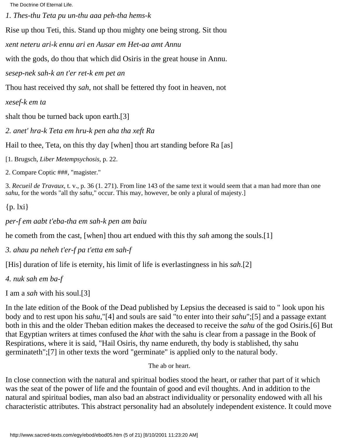*1. Thes-thu Teta pu un-thu aaa peh-tha hems-k*

Rise up thou Teti, this. Stand up thou mighty one being strong. Sit thou

*xent neteru ari-k ennu ari en Ausar em Het-aa amt Annu*

with the gods, do thou that which did Osiris in the great house in Annu.

*sesep-nek sah-k an t'er ret-k em pet an*

Thou hast received thy *sah*, not shall be fettered thy foot in heaven, not

*xesef-k em ta*

shalt thou be turned back upon earth.[3]

*2. anet' hra-k Teta em hru-k pen aha tha xeft Ra*

Hail to thee, Teta, on this thy day [when] thou art standing before Ra [as]

[1. Brugsch, *Liber Metempsychosis*, p. 22.

2. Compare Coptic ###, "magister."

3. *Recueil de Travaux*, t. v., p. 36 (1. 271). From line 143 of the same text it would seem that a man had more than one *sahu*, for the words "all thy *sahu*," occur. This may, however, be only a plural of majesty.]

 ${p.}$  lxi $}$ 

*per-f em aabt t'eba-tha em sah-k pen am baiu*

he cometh from the cast, [when] thou art endued with this thy *sah* among the souls.[1]

*3. ahau pa neheh t'er-f pa t'etta em sah-f*

[His] duration of life is eternity, his limit of life is everlastingness in his *sah*.[2]

*4. nuk sah em ba-f*

I am a *sah* with his soul.[3]

In the late edition of the Book of the Dead published by Lepsius the deceased is said to " look upon his body and to rest upon his *sahu*,"[4] and souls are said "to enter into their *sahu*";[5] and a passage extant both in this and the older Theban edition makes the deceased to receive the *sahu* of the god Osiris.[6] But that Egyptian writers at times confused the *khat* with the sahu is clear from a passage in the Book of Respirations, where it is said, "Hail Osiris, thy name endureth, thy body is stablished, thy sahu germinateth";[7] in other texts the word "germinate" is applied only to the natural body.

The ab or heart.

In close connection with the natural and spiritual bodies stood the heart, or rather that part of it which was the seat of the power of life and the fountain of good and evil thoughts. And in addition to the natural and spiritual bodies, man also bad an abstract individuality or personality endowed with all his characteristic attributes. This abstract personality had an absolutely independent existence. It could move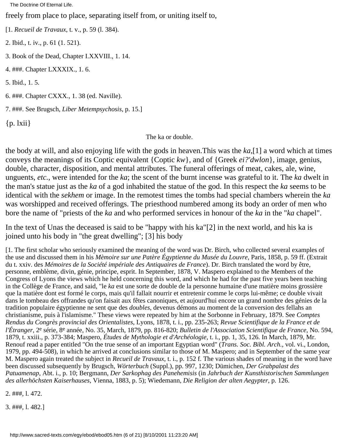freely from place to place, separating itself from, or uniting itself to,

[1. *Recueil de Travaux*, t. v., p. 59 (l. 384).

2. Ibid., t. iv., p. 61 (1. 521).

3. Book of the Dead, Chapter I.XXVIII., 1. 14.

4. ###. Chapter LXXXIX., 1. 6.

5. Ibid., 1. 5.

6. ###. Chapter CXXX., 1. 38 (ed. Naville).

7. ###. See Brugsch, *Liber Metempsychosis*, p. 15.]

 ${p. }lxii\}$ 

The ka or double.

the body at will, and also enjoying life with the gods in heaven.This was the *ka*,[1] a word which at times conveys the meanings of its Coptic equivalent {Coptic *kw*}, and of {Greek *ei?'dwlon*}, image, genius, double, character, disposition, and mental attributes. The funeral offerings of meat, cakes, ale, wine, unguents, *etc.*, were intended for the *ka*; the scent of the burnt incense was grateful to it. The *ka* dwelt in the man's statue just as the *ka* of a god inhabited the statue of the god. In this respect the *ka* seems to be identical with the *sekhem* or image. In the remotest times the tombs had special chambers wherein the *ka* was worshipped and received offerings. The priesthood numbered among its body an order of men who bore the name of "priests of the *ka* and who performed services in honour of the *ka* in the "*ka* chapel".

In the text of Unas the deceased is said to be "happy with his ka"[2] in the next world, and his ka is joined unto his body in "the great dwelling"; [3] his body

[1. The first scholar who seriously examined the meaning of the word was Dr. Birch, who collected several examples of the use and discussed them in his *Mèmoire sur une Patère Égyptienne du Musée du Louvre*, Paris, 1858, p. 59 ff. (Extrait du t. xxiv. des *Mémoires de la Société impériale des Antiquaires de France*). Dr. Birch translated the word by être, personne, emblème, divin, génie, principe, esprit. In September, 1878, V. Maspero explained to the Members of the Congress of Lyons the views which he held concerning this word, and which he had for the past five years been teaching in the Collège de France, and said, "le *ka* est une sorte de double de la personne humaine d'une matière moins grossière que la matière dont est formé le corps, mais qu'il fallait nourrir et entretenir comme le corps lui-même; ce double vivait dans le tombeau des offrandes qu'on faisait aux fêtes canoniques, et aujourd'hui encore un grand nombre des génies de la tradition populaire égyptienne ne sent que des *doubles*, devenus démons au moment de la conversion des fellahs an christianisme, puis à l'islamisme." These views were repeated by him at the Sorbonne in February, 1879. See *Comptes Rendus du Congrès provincial des Orientalistes*, Lyons, 1878, t. i., pp. 235-263; *Revue Scientifique de la France et de l'Étranger*, 2e série, 8e année, No. 35, March, 1879, pp. 816-820; *Bulletin de l'Association Scientifique de France*, No. 594, 1879, t. xxiii., p. 373-384; Maspero, *Études de Mythologie et d'Archéologie*, t. i., pp. 1, 35, 126. In March, 1879, Mr. Renouf read a paper entitled "On the true sense of an important Egyptian word" (*Trans. Soc. Bibl. Arch.*, vol. vi., London, 1979, pp. 494-508), in which he arrived at conclusions similar to those of M. Maspero; and in September of the same year M. Maspero again treated the subject in *Recueil de Travaux*, t. i., p. 152 f. The various shades of meaning in the word have been discussed subsequently by Brugsch, *Wörterbuch* (Suppl.), pp. 997, 1230; Dümichen, *Der Grabpalast des Patuamenap*, Abt. i., p. 10; Bergmann, *Der Sarkophag des Panehemisis* (in *Jahrbuch der Kunsthistorischen Sammlungen des allerhöchsten Kaiserhauses*, Vienna, 1883, p. 5); Wiedemann, *Die Religion der alten Aegypter*, p. 126.

2. ###, l. 472.

3. ###, l. 482.]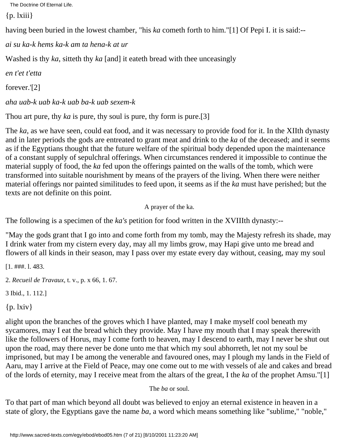$\{p. \}$ lxiii $\}$ 

having been buried in the lowest chamber, "his *ka* cometh forth to him."[1] Of Pepi I. it is said:--

*ai su ka-k hems ka-k am ta hena-k at ur*

Washed is thy *ka*, sitteth thy *ka* [and] it eateth bread with thee unceasingly

*en t'et t'etta*

forever.'[2]

*aha uab-k uab ka-k uab ba-k uab sexem-k*

Thou art pure, thy *ka* is pure, thy soul is pure, thy form is pure.[3]

The *ka*, as we have seen, could eat food, and it was necessary to provide food for it. In the XIIth dynasty and in later periods the gods are entreated to grant meat and drink to the *ka* of the deceased; and it seems as if the Egyptians thought that the future welfare of the spiritual body depended upon the maintenance of a constant supply of sepulchral offerings. When circumstances rendered it impossible to continue the material supply of food, the *ka* fed upon the offerings painted on the walls of the tomb, which were transformed into suitable nourishment by means of the prayers of the living. When there were neither material offerings nor painted similitudes to feed upon, it seems as if the *ka* must have perished; but the texts are not definite on this point.

A prayer of the ka.

The following is a specimen of the *ka's* petition for food written in the XVIIIth dynasty:--

"May the gods grant that I go into and come forth from my tomb, may the Majesty refresh its shade, may I drink water from my cistern every day, may all my limbs grow, may Hapi give unto me bread and flowers of all kinds in their season, may I pass over my estate every day without, ceasing, may my soul

[1. ###. l. 483.

2. *Recueil de Travaux*, t. v., p. x 66, 1. 67.

3 Ibid., 1. 112.]

 ${p.}$  lxiv $}$ 

alight upon the branches of the groves which I have planted, may I make myself cool beneath my sycamores, may I eat the bread which they provide. May I have my mouth that I may speak therewith like the followers of Horus, may I come forth to heaven, may I descend to earth, may I never be shut out upon the road, may there never be done unto me that which my soul abhorreth, let not my soul be imprisoned, but may I be among the venerable and favoured ones, may I plough my lands in the Field of Aaru, may I arrive at the Field of Peace, may one come out to me with vessels of ale and cakes and bread of the lords of eternity, may I receive meat from the altars of the great, I the *ka* of the prophet Amsu."[1]

The *ba* or soul.

To that part of man which beyond all doubt was believed to enjoy an eternal existence in heaven in a state of glory, the Egyptians gave the name *ba*, a word which means something like "sublime," "noble,"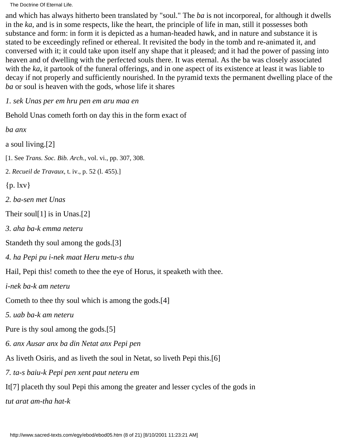and which has always hitherto been translated by "soul." The *ba* is not incorporeal, for although it dwells in the *ka*, and is in some respects, like the heart, the principle of life in man, still it possesses both substance and form: in form it is depicted as a human-headed hawk, and in nature and substance it is stated to be exceedingly refined or ethereal. It revisited the body in the tomb and re-animated it, and conversed with it; it could take upon itself any shape that it pleased; and it had the power of passing into heaven and of dwelling with the perfected souls there. It was eternal. As the ba was closely associated with the *ka*, it partook of the funeral offerings, and in one aspect of its existence at least it was liable to decay if not properly and sufficiently nourished. In the pyramid texts the permanent dwelling place of the *ba* or soul is heaven with the gods, whose life it shares

*1. sek Unas per em hru pen em aru maa en*

Behold Unas cometh forth on day this in the form exact of

*ba anx* a soul living.[2] [1. See *Trans. Soc. Bib. Arch.*, vol. vi., pp. 307, 308. 2. *Recueil de Travaux*, t. iv., p. 52 (l. 455).]  ${p.}$  lxv $}$ *2. ba-sen met Unas* Their soul[1] is in Unas.[2] *3. aha ba-k emma neteru* Standeth thy soul among the gods.[3] *4. ha Pepi pu i-nek maat Heru metu-s thu* Hail, Pepi this! cometh to thee the eye of Horus, it speaketh with thee. *i-nek ba-k am neteru* Cometh to thee thy soul which is among the gods.[4] *5. uab ba-k am neteru* Pure is thy soul among the gods.[5] *6. anx Ausar anx ba din Netat anx Pepi pen* As liveth Osiris, and as liveth the soul in Netat, so liveth Pepi this.[6] *7. ta-s baiu-k Pepi pen xent paut neteru em* It[7] placeth thy soul Pepi this among the greater and lesser cycles of the gods in *tut arat am-tha hat-k*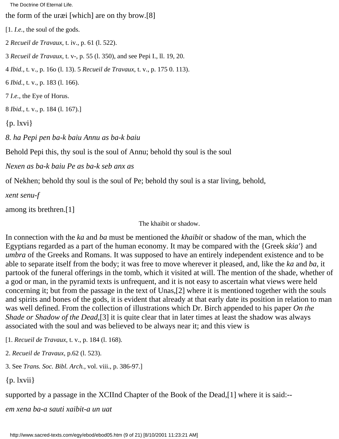the form of the uræi [which] are on thy brow.[8]

[1. *I.e.*, the soul of the gods.

2 *Recueil de Travaux*, t. iv., p. 61 (l. 522).

3 *Recueil de Travaux*, t. v-, p. 55 (l. 350), and see Pepi I., ll. 19, 20.

4 *Ibid.*, t. v., p. 16o (l. 13). 5 *Recueil de Travaux*, t. v., p. 175 0. 113).

6 *Ibid.*, t. v., p. 183 (l. 166).

7 *I.e.*, the Eye of Horus.

8 *Ibid.*, t. v., p. 184 (l. 167).]

 ${p.}$  lxvi }

*8. ha Pepi pen ba-k baiu Annu as ba-k baiu*

Behold Pepi this, thy soul is the soul of Annu; behold thy soul is the soul

*Nexen as ba-k baiu Pe as ba-k seb anx as*

of Nekhen; behold thy soul is the soul of Pe; behold thy soul is a star living, behold,

*xent senu-f*

among its brethren.[1]

The khaibit or shadow.

In connection with the *ka* and *ba* must be mentioned the *khaibit* or shadow of the man, which the Egyptians regarded as a part of the human economy. It may be compared with the {Greek *skia'*} and *umbra* of the Greeks and Romans. It was supposed to have an entirely independent existence and to be able to separate itself from the body; it was free to move wherever it pleased, and, like the *ka* and *ba*, it partook of the funeral offerings in the tomb, which it visited at will. The mention of the shade, whether of a god or man, in the pyramid texts is unfrequent, and it is not easy to ascertain what views were held concerning it; but from the passage in the text of Unas,[2] where it is mentioned together with the souls and spirits and bones of the gods, it is evident that already at that early date its position in relation to man was well defined. From the collection of illustrations which Dr. Birch appended to his paper *On the Shade or Shadow of the Dead*,[3] it is quite clear that in later times at least the shadow was always associated with the soul and was believed to be always near it; and this view is

[1. *Recueil de Travaux*, t. v., p. 184 (l. 168).

2. *Recueil de Travaux*, p.62 (l. 523).

3. See *Trans. Soc. Bibl. Arch.*, vol. viii., p. 386-97.]

 ${p.}$  lxvii $}$ 

supported by a passage in the XCIInd Chapter of the Book of the Dead,[1] where it is said:--

*em xena ba-a sauti xaibit-a un uat*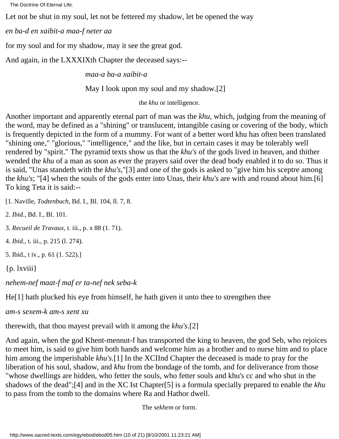Let not be shut in my soul, let not be fettered my shadow, let be opened the way

*en ba-d en xaibit-a maa-f neter aa*

for my soul and for my shadow, may it see the great god.

And again, in the LXXXIXth Chapter the deceased says:--

*maa-a ba-a xaibit-a*

May I look upon my soul and my shadow.[2]

the *khu* or intelligence.

Another important and apparently eternal part of man was the *khu*, which, judging from the meaning of the word, may be defined as a "shining" or translucent, intangible casing or covering of the body, which is frequently depicted in the form of a mummy. For want of a better word khu has often been translated "shining one," "glorious," "intelligence," and the like, but in certain cases it may be tolerably well rendered by "spirit." The pyramid texts show us that the *khu's* of the gods lived in heaven, and thither wended the *khu* of a man as soon as ever the prayers said over the dead body enabled it to do so. Thus it is said, "Unas standeth with the *khu's*,"[3] and one of the gods is asked to "give him his sceptre among the *khu's*; "[4] when the souls of the gods enter into Unas, their *khu's* are with and round about him.[6] To king Teta it is said:--

[1. Naville, *Todtenbuch*, Bd. I., Bl. 104, ll. 7, 8.

2. *Ibid.*, Bd. I., Bl. 101.

3. *Recueil de Travaux*, t. iii., p. x 88 (1. 71).

4. *Ibid.*, t. iii., p. 215 (l. 274).

5. Ibid., t iv., p. 61 (1. 522).]

{p. lxviii}

*nehem-nef maat-f maf er ta-nef nek seba-k*

He[1] hath plucked his eye from himself, he hath given it unto thee to strengthen thee

*am-s sexem-k am-s xent xu*

therewith, that thou mayest prevail with it among the *khu's*.[2]

And again, when the god Khent-mennut-f has transported the king to heaven, the god Seb, who rejoices to meet him, is said to give him both hands and welcome him as a brother and to nurse him and to place him among the imperishable *khu's*.[1] In the XCIInd Chapter the deceased is made to pray for the liberation of his soul, shadow, and *khu* from the bondage of the tomb, and for deliverance from those "whose dwellings are hidden, who fetter the souls, who fetter souls and khu's cc and who shut in the shadows of the dead";[4] and in the XC Ist Chapter[5] is a formula specially prepared to enable the *khu* to pass from the tomb to the domains where Ra and Hathor dwell.

The *sekhem* or form.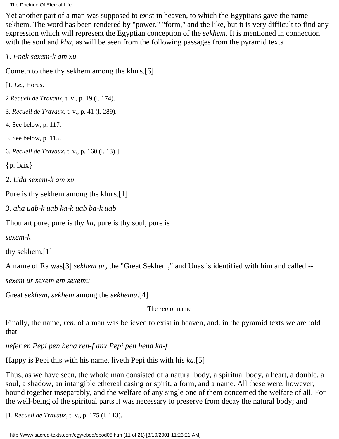Yet another part of a man was supposed to exist in heaven, to which the Egyptians gave the name sekhem. The word has been rendered by "power," "form," and the like, but it is very difficult to find any expression which will represent the Egyptian conception of the *sekhem*. It is mentioned in connection with the soul and *khu*, as will be seen from the following passages from the pyramid texts

*1. i-nek sexem-k am xu* Cometh to thee thy sekhem among the khu's.[6] [1. *I.e.*, Horus. 2 *Recueil de Travaux*, t. v., p. 19 (l. 174). 3. *Recueil de Travaux*, t. v., p. 41 (l. 289). 4. See below, p. 117. 5. See below, p. 115. 6. *Recueil de Travaux*, t. v., p. 160 (l. 13).]  ${p.}$  lxix } *2. Uda sexem-k am xu* Pure is thy sekhem among the khu's.[1] *3. aha uab-k uab ka-k uab ba-k uab* Thou art pure, pure is thy *ka*, pure is thy soul, pure is *sexem-k* thy sekhem.[1] A name of Ra was[3] *sekhem ur*, the "Great Sekhem," and Unas is identified with him and called:- *sexem ur sexem em sexemu* Great *sekhem*, *sekhem* among the *sekhemu*.[4]

The *ren* or name

Finally, the name, *ren*, of a man was believed to exist in heaven, and. in the pyramid texts we are told that

*nefer en Pepi pen hena ren-f anx Pepi pen hena ka-f*

Happy is Pepi this with his name, liveth Pepi this with his *ka*.[5]

Thus, as we have seen, the whole man consisted of a natural body, a spiritual body, a heart, a double, a soul, a shadow, an intangible ethereal casing or spirit, a form, and a name. All these were, however, bound together inseparably, and the welfare of any single one of them concerned the welfare of all. For the well-being of the spiritual parts it was necessary to preserve from decay the natural body; and

[1. *Recueil de Travaux*, t. v., p. 175 (l. 113).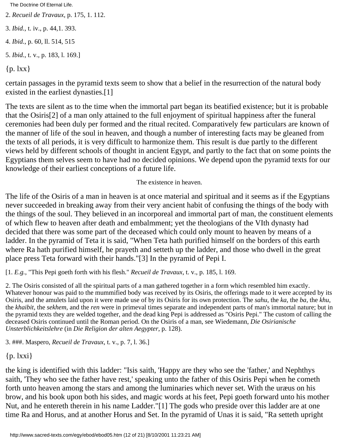- 2. *Recueil de Travaux*, p. 175, 1. 112.
- 3. *Ibid.*, t. iv., p. 44,1. 393.
- 4. *Ibid.*, p. 60, ll. 514, 515
- 5. *Ibid.*, t. v., p. 183, l. 169.]

 ${p.}$  lxx }

certain passages in the pyramid texts seem to show that a belief in the resurrection of the natural body existed in the earliest dynasties.[1]

The texts are silent as to the time when the immortal part began its beatified existence; but it is probable that the Osiris[2] of a man only attained to the full enjoyment of spiritual happiness after the funeral ceremonies had been duly per formed and the ritual recited. Comparatively few particulars are known of the manner of life of the soul in heaven, and though a number of interesting facts may be gleaned from the texts of all periods, it is very difficult to harmonize them. This result is due partly to the different views held by different schools of thought in ancient Egypt, and partly to the fact that on some points the Egyptians them selves seem to have had no decided opinions. We depend upon the pyramid texts for our knowledge of their earliest conceptions of a future life.

## The existence in heaven.

The life of the Osiris of a man in heaven is at once material and spiritual and it seems as if the Egyptians never succeeded in breaking away from their very ancient habit of confusing the things of the body with the things of the soul. They believed in an incorporeal and immortal part of man, the constituent elements of which flew to heaven after death and embalmment; yet the theologians of the VIth dynasty had decided that there was some part of the deceased which could only mount to heaven by means of a ladder. In the pyramid of Teta it is said, "When Teta hath purified himself on the borders of this earth where Ra hath purified himself, he prayeth and setteth up the ladder, and those who dwell in the great place press Teta forward with their hands."[3] In the pyramid of Pepi I.

[1. *E.g.*, "This Pepi goeth forth with his flesh." *Recueil de Travaux*, t. v., p. 185, l. 169.

2. The Osiris consisted of all the spiritual parts of a man gathered together in a form which resembled him exactly. Whatever honour was paid to the mummified body was received by its Osiris, the offerings made to it were accepted by its Osiris, and the amulets laid upon it were made use of by its Osiris for its own protection. The *sahu*, the *ka*, the *ba*, the *khu*, the *khaibit*, the *sekhem*, and the *ren* were in primeval times separate and independent parts of man's immortal nature; but in the pyramid texts they are welded together, and the dead king Pepi is addressed as "Osiris Pepi." The custom of calling the deceased Osiris continued until the Roman period. On the Osiris of a man, see Wiedemann, *Die Osirianische Unsterblichkeitslehre* (in *Die Religion der alten Aegypter*, p. 128).

3. ###. Maspero, *Recueil de Travaux*, t. v., p. 7, l. 36.]

# ${p.}$  lxxi}

the king is identified with this ladder: "Isis saith, 'Happy are they who see the 'father,' and Nephthys saith, 'They who see the father have rest,' speaking unto the father of this Osiris Pepi when he cometh forth unto heaven among the stars and among the luminaries which never set. With the uræus on his brow, and his book upon both his sides, and magic words at his feet, Pepi goeth forward unto his mother Nut, and he entereth therein in his name Ladder."[1] The gods who preside over this ladder are at one time Ra and Horus, and at another Horus and Set. In the pyramid of Unas it is said, "Ra setteth upright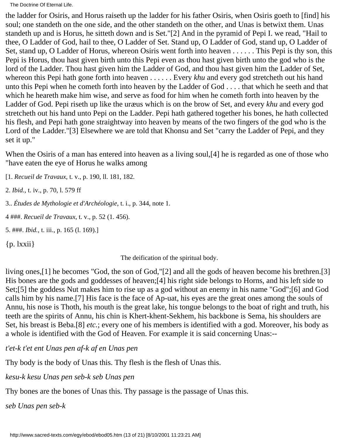the ladder for Osiris, and Horus raiseth up the ladder for his father Osiris, when Osiris goeth to [find] his soul; one standeth on the one side, and the other standeth on the other, and Unas is betwixt them. Unas standeth up and is Horus, he sitteth down and is Set."[2] And in the pyramid of Pepi I. we read, "Hail to thee, O Ladder of God, hail to thee, O Ladder of Set. Stand up, O Ladder of God, stand up, O Ladder of Set, stand up, O Ladder of Horus, whereon Osiris went forth into heaven . . . . . . This Pepi is thy son, this Pepi is Horus, thou hast given birth unto this Pepi even as thou hast given birth unto the god who is the lord of the Ladder. Thou hast given him the Ladder of God, and thou hast given him the Ladder of Set, whereon this Pepi hath gone forth into heaven . . . . . . Every *khu* and every god stretcheth out his hand unto this Pepi when he cometh forth into heaven by the Ladder of God . . . . that which he seeth and that which he heareth make him wise, and serve as food for him when he cometh forth into heaven by the Ladder of God. Pepi riseth up like the uræus which is on the brow of Set, and every *khu* and every god stretcheth out his hand unto Pepi on the Ladder. Pepi hath gathered together his bones, he hath collected his flesh, and Pepi hath gone straightway into heaven by means of the two fingers of the god who is the Lord of the Ladder."[3] Elsewhere we are told that Khonsu and Set "carry the Ladder of Pepi, and they set it up."

When the Osiris of a man has entered into heaven as a living soul,[4] he is regarded as one of those who "have eaten the eye of Horus he walks among

[1. *Recueil de Travaux*, t. v., p. 190, ll. 181, 182.

2. *Ibid.*, t. iv., p. 70, l. 579 ff

3.. *Études de Mythologie et d'Archéologie*, t. i., p. 344, note 1.

4 ###. *Recueil de Travaux*, t. v., p. 52 (1. 456).

5. ###. *Ibid.*, t. iii., p. 165 (l. 169).]

 ${p.}$  lxxii $}$ 

The deification of the spiritual body.

living ones,[1] he becomes "God, the son of God,"[2] and all the gods of heaven become his brethren.[3] His bones are the gods and goddesses of heaven;[4] his right side belongs to Horns, and his left side to Set;[5] the goddess Nut makes him to rise up as a god without an enemy in his name "God";[6] and God calls him by his name.[7] His face is the face of Ap-uat, his eyes are the great ones among the souls of Annu, his nose is Thoth, his mouth is the great lake, his tongue belongs to the boat of right and truth, his teeth are the spirits of Annu, his chin is Khert-khent-Sekhem, his backbone is Sema, his shoulders are Set, his breast is Beba.[8] *etc.*; every one of his members is identified with a god. Moreover, his body as a whole is identified with the God of Heaven. For example it is said concerning Unas:--

*t'et-k t'et ent Unas pen af-k af en Unas pen*

Thy body is the body of Unas this. Thy flesh is the flesh of Unas this.

*kesu-k kesu Unas pen seb-k seb Unas pen*

Thy bones are the bones of Unas this. Thy passage is the passage of Unas this.

*seb Unas pen seb-k*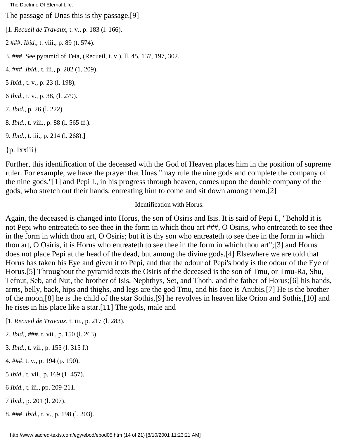The passage of Unas this is thy passage.[9] [1. *Recueil de Travaux*, t. v., p. 183 (l. 166). 2 ###. *Ibid.*, t. viii., p. 89 (t. 574). 3. ###. See pyramid of Teta, (Recueil, t. v.), ll. 45, 137, 197, 302. 4. ###. *Ibid.*, t. iii., p. 202 (1. 209). 5 *Ibid.*, t. v., p. 23 (l. 198), 6 *Ibid.*, t. v., p. 38, (l. 279). 7. *Ibid.*, p. 26 (l. 222) 8. *Ibid.*, t. viii., p. 88 (l. 565 ff.). 9. *Ibid.*, t. iii., p. 214 (l. 268).]

 ${p.}$  lxxiii $}$ 

Further, this identification of the deceased with the God of Heaven places him in the position of supreme ruler. For example, we have the prayer that Unas "may rule the nine gods and complete the company of the nine gods,"[1] and Pepi I., in his progress through heaven, comes upon the double company of the gods, who stretch out their hands, entreating him to come and sit down among them.[2]

Identification with Horus.

Again, the deceased is changed into Horus, the son of Osiris and Isis. It is said of Pepi I., "Behold it is not Pepi who entreateth to see thee in the form in which thou art ###, O Osiris, who entreateth to see thee in the form in which thou art, O Osiris; but it is thy son who entreateth to see thee in the form in which thou art, O Osiris, it is Horus who entreateth to see thee in the form in which thou art";[3] and Horus does not place Pepi at the head of the dead, but among the divine gods.[4] Elsewhere we are told that Horus has taken his Eye and given it to Pepi, and that the odour of Pepi's body is the odour of the Eye of Horus.[5] Throughout the pyramid texts the Osiris of the deceased is the son of Tmu, or Tmu-Ra, Shu, Tefnut, Seb, and Nut, the brother of Isis, Nephthys, Set, and Thoth, and the father of Horus;[6] his hands, arms, belly, back, hips and thighs, and legs are the god Tmu, and his face is Anubis.[7] He is the brother of the moon,[8] he is the child of the star Sothis,[9] he revolves in heaven like Orion and Sothis,[10] and he rises in his place like a star.[11] The gods, male and

[1. *Recueil de Travaux*, t. iii., p. 217 (l. 283).

2. *Ibid.*, ###. t. vii., p. 150 (l. 263).

3. *Ibid.*, t. vii., p. 155 (l. 315 f.)

4. ###. t. v., p. 194 (p. 190).

5 *Ibid.*, t. vii., p. 169 (1. 457).

6 *Ibid.*, t. iii., pp. 209-211.

7 *Ibid.*, p. 201 (l. 207).

8. ###. *Ibid.*, t. v., p. 198 (l. 203).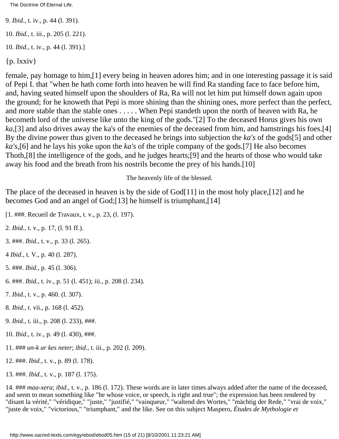```
The Doctrine Of Eternal Life.
```

```
9. Ibid., t. iv., p. 44 (l. 391).
10. Ibid., t. iii., p. 205 (l. 221).
10. Ibid., t. iv., p. 44 (l. 391).]
{p.} lxxiv}
```
female, pay homage to him,[1] every being in heaven adores him; and in one interesting passage it is said of Pepi I. that "when he hath come forth into heaven he will find Ra standing face to face before him, and, having seated himself upon the shoulders of Ra, Ra will not let him put himself down again upon the ground; for he knoweth that Pepi is more shining than the shining ones, more perfect than the perfect, and more stable than the stable ones . . . . . When Pepi standeth upon the north of heaven with Ra, he becometh lord of the universe like unto the king of the gods."[2] To the deceased Horus gives his own *ka*,[3] and also drives away the ka's of the enemies of the deceased from him, and hamstrings his foes.[4] By the divine power thus given to the deceased he brings into subjection the *ka's* of the gods[5] and other *ka's*,[6] and he lays his yoke upon the *ka's* of the triple company of the gods.[7] He also becomes Thoth,[8] the intelligence of the gods, and he judges hearts;[9] and the hearts of those who would take away his food and the breath from his nostrils become the prey of his hands.[10]

The heavenly life of the blessed.

The place of the deceased in heaven is by the side of God[11] in the most holy place,[12] and he becomes God and an angel of God;[13] he himself is triumphant,[14]

- [1. ###. Recueil de Travaux, t. v., p. 23, (l. 197).
- 2. *Ibid.*, t. v., p. 17, (l. 91 ff.).
- 3. ###. *Ibid.*, t. v., p. 33 (l. 265).
- 4 *Ibid.*, t. V., p. 40 (l. 287).
- 5. ###. *Ibid.*, p. 45 (l. 306).
- 6. ###. *Ibid.*, t. iv., p. 51 (l. 451); iii., p. 208 (l. 234).
- 7. *Ibid.*, t. v., p. 460. (l. 307).
- 8. *Ibid.*, t. vii., p. 168 (l. 452).
- 9. *Ibid.*, t. iii., p. 208 (l. 233), ###.
- 10. *Ibid.*, t. iv., p. 49 (l. 430), ###.
- 11. ### *un-k ar kes neter*; *ibid.*, t. iii., p. 202 (l. 209).
- 12. ###. *Ibid.*, t. v., p. 89 (l. 178).
- 13. ###. *Ibid.*, t. v., p. 187 (l. 175).

14. ### *maa-xeru*; *ibid.*, t. v., p. 186 (l. 172). These words are in later times always added after the name of the deceased, and seem to mean something like "he whose voice, or speech, is right and true"; the expression has been rendered by "disant la vérité," "véridique," "juste," "justifié," "vainqueur," "waltend des Wortes," "mächtig der Rede," "vrai de voix," "juste de voix," "victorious," "triumphant," and the like. See on this subject Maspero, *Études de Mythologie et*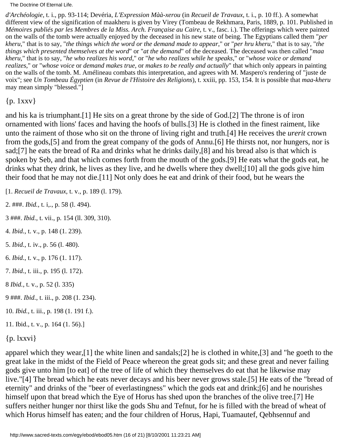*d'Archéologie*, t. i., pp. 93-114; Devéria, *L'Expression Màà-xerou* (in *Recueil de Travaux*, t. i., p. 10 ff.). A somewhat different view of the signification of maakheru is given by Virey (Tombeau de Rekhmara, Paris, 1889, p. 101. Published in *Mémoires publiés par les Membres de la Miss. Arch. Française au Caire*, t. v., fasc. i.). The offerings which were painted on the walls of the tomb were actually enjoyed by the deceased in his new state of being. The Egyptians called them "*per kheru*," that is to say, "*the things which the word or the demand made to appear*," or "*per hru kheru*," that is to say, "*the things which presented themselves at the word*" or "*at the demand*" of the deceased. The deceased was then called "*maa kheru*," that is to say, "*he who realizes his word*," or "*he who realizes while he speaks*," or "*whose voice or demand realizes*," or "*whose voice* or *demand makes true,* or *makes to be really and actually*" that which only appears in painting on the walls of the tomb. M. Amélineau combats this interpretation, and agrees with M. Maspero's rendering of "juste de voix"; see *Un Tombeau Égyptien* (in *Revue de l'Histoire des Religions*), t. xxiii, pp. 153, 154. It is possible that *maa-kheru* may mean simply "blessed."]

# {p. 1xxv}

and his ka is triumphant.[1] He sits on a great throne by the side of God.[2] The throne is of iron ornamented with lions' faces and having the hoofs of bulls.[3] He is clothed in the finest raiment, like unto the raiment of those who sit on the throne of living right and truth.[4] He receives the *urerit* crown from the gods,[5] and from the great company of the gods of Annu.[6] He thirsts not, nor hungers, nor is sad;[7] he eats the bread of Ra and drinks what he drinks daily,[8] and his bread also is that which is spoken by Seb, and that which comes forth from the mouth of the gods.[9] He eats what the gods eat, he drinks what they drink, he lives as they live, and he dwells where they dwell;[10] all the gods give him their food that he may not die.[11] Not only does he eat and drink of their food, but he wears the

[1. *Recueil de Travaux*, t. v., p. 189 (l. 179).

- 2. ###. *Ibid.*, t. i,., p. 58 (l. 494).
- 3 ###. *Ibid.*, t. vii., p. 154 (ll. 309, 310).
- 4. *Ibid.*, t. v., p. 148 (1. 239).
- 5. *Ibid.*, t. iv., p. 56 (l. 480).
- 6. *Ibid.*, t. v., p. 176 (1. 117).
- 7. *Ibid.*, t. iii., p. 195 (l. 172).
- 8 *Ibid.*, t. v., p. 52 (l. 335)
- 9 ###. *Ibid.*, t. iii., p. 208 (1. 234).
- 10. *Ibid.*, t. iii., p. 198 (1. 191 f.).
- 11. Ibid., t. v., p. 164 (1. 56).]

 ${p.}$ lxxvi}

apparel which they wear,[1] the white linen and sandals;[2] he is clothed in white,[3] and "he goeth to the great lake in the midst of the Field of Peace whereon the great gods sit; and these great and never failing gods give unto him [to eat] of the tree of life of which they themselves do eat that he likewise may live."[4] The bread which he eats never decays and his beer never grows stale.[5] He eats of the "bread of eternity" and drinks of the "beer of everlastingness" which the gods eat and drink;[6] and he nourishes himself upon that bread which the Eye of Horus has shed upon the branches of the olive tree.[7] He suffers neither hunger nor thirst like the gods Shu and Tefnut, for he is filled with the bread of wheat of which Horus himself has eaten; and the four children of Horus, Hapi, Tuamautef, Qebhsennuf and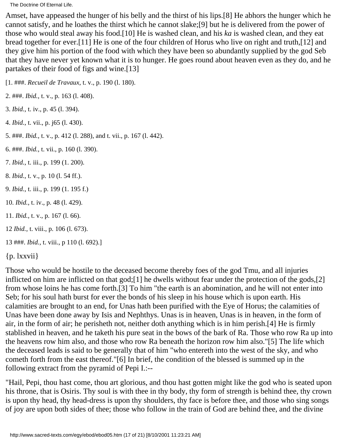Amset, have appeased the hunger of his belly and the thirst of his lips.[8] He abhors the hunger which he cannot satisfy, and he loathes the thirst which he cannot slake;[9] but he is delivered from the power of those who would steal away his food.[10] He is washed clean, and his *ka* is washed clean, and they eat bread together for ever.[11] He is one of the four children of Horus who live on right and truth,[12] and they give him his portion of the food with which they have been so abundantly supplied by the god Seb that they have never yet known what it is to hunger. He goes round about heaven even as they do, and he partakes of their food of figs and wine.[13]

- [1. ###. *Recueil de Travaux*, t. v., p. 190 (l. 180).
- 2. ###. *Ibid.*, t. v., p. 163 (l. 408).
- 3. *Ibid.*, t. iv., p. 45 (l. 394).
- 4. *Ibid.*, t. vii., p. j65 (l. 430).
- 5. ###. *Ibid.*, t. v., p. 412 (l. 288), and t. vii., p. 167 (l. 442).
- 6. ###. *Ibid.*, t. vii., p. 160 (l. 390).
- 7. *Ibid.*, t. iii., p. 199 (1. 200).
- 8. *Ibid.*, t. v., p. 10 (l. 54 ff.).
- 9. *Ibid.*, t. iii., p. 199 (1. 195 f.)
- 10. *Ibid.*, t. iv., p. 48 (l. 429).
- 11. *Ibid.*, t. v., p. 167 (l. 66).
- 12 *Ibid.*, t. viii., p. 106 (l. 673).
- 13 ###. *Ibid.*, t. viii., p 110 (l. 692).]

{p. lxxvii}

Those who would be hostile to the deceased become thereby foes of the god Tmu, and all injuries inflicted on him are inflicted on that god;[1] he dwells without fear under the protection of the gods,[2] from whose loins he has come forth.[3] To him "the earth is an abomination, and he will not enter into Seb; for his soul hath burst for ever the bonds of his sleep in his house which is upon earth. His calamities are brought to an end, for Unas hath been purified with the Eye of Horus; the calamities of Unas have been done away by Isis and Nephthys. Unas is in heaven, Unas is in heaven, in the form of air, in the form of air; he perisheth not, neither doth anything which is in him perish.[4] He is firmly stablished in heaven, and he taketh his pure seat in the bows of the bark of Ra. Those who row Ra up into the heavens row him also, and those who row Ra beneath the horizon row him also."[5] The life which the deceased leads is said to be generally that of him "who entereth into the west of the sky, and who cometh forth from the east thereof."[6] In brief, the condition of the blessed is summed up in the following extract from the pyramid of Pepi I.:--

"Hail, Pepi, thou hast come, thou art glorious, and thou hast gotten might like the god who is seated upon his throne, that is Osiris. Thy soul is with thee in thy body, thy form of strength is behind thee, thy crown is upon thy head, thy head-dress is upon thy shoulders, thy face is before thee, and those who sing songs of joy are upon both sides of thee; those who follow in the train of God are behind thee, and the divine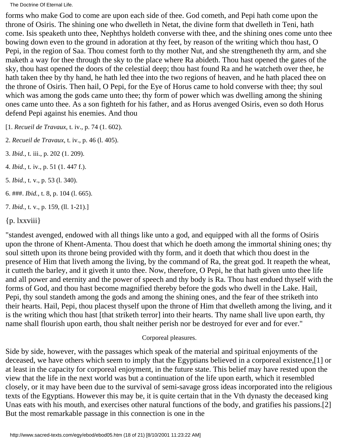forms who make God to come are upon each side of thee. God cometh, and Pepi hath come upon the throne of Osiris. The shining one who dwelleth in Netat, the divine form that dwelleth in Teni, hath come. Isis speaketh unto thee, Nephthys holdeth converse with thee, and the shining ones come unto thee bowing down even to the ground in adoration at thy feet, by reason of the writing which thou hast, O Pepi, in the region of Saa. Thou comest forth to thy mother Nut, and she strengtheneth thy arm, and she maketh a way for thee through the sky to the place where Ra abideth. Thou hast opened the gates of the sky, thou hast opened the doors of the celestial deep; thou hast found Ra and he watcheth over thee, he hath taken thee by thy hand, he hath led thee into the two regions of heaven, and he hath placed thee on the throne of Osiris. Then hail, O Pepi, for the Eye of Horus came to hold converse with thee; thy soul which was among the gods came unto thee; thy form of power which was dwelling among the shining ones came unto thee. As a son fighteth for his father, and as Horus avenged Osiris, even so doth Horus defend Pepi against his enemies. And thou

[1. *Recueil de Travaux*, t. iv., p. 74 (1. 602).

2. *Recueil de Travaux*, t. iv., p. 46 (l. 405).

- 3. *Ibid.*, t. iii., p. 202 (1. 209).
- 4. *Ibid.*, t. iv., p. 51 (1. 447 f.).
- 5. *Ibid.*, t. v., p. 53 (l. 340).
- 6. ###. *Ibid.*, t. 8, p. 104 (l. 665).
- 7. *Ibid.*, t. v., p. 159, (ll. 1-21).]
- {p. lxxviii}

"standest avenged, endowed with all things like unto a god, and equipped with all the forms of Osiris upon the throne of Khent-Amenta. Thou doest that which he doeth among the immortal shining ones; thy soul sitteth upon its throne being provided with thy form, and it doeth that which thou doest in the presence of Him that liveth among the living, by the command of Ra, the great god. It reapeth the wheat, it cutteth the barley, and it giveth it unto thee. Now, therefore, O Pepi, he that hath given unto thee life and all power and eternity and the power of speech and thy body is Ra. Thou hast endued thyself with the forms of God, and thou hast become magnified thereby before the gods who dwell in the Lake. Hail, Pepi, thy soul standeth among the gods and among the shining ones, and the fear of thee striketh into their hearts. Hail, Pepi, thou placest thyself upon the throne of Him that dwelleth among the living, and it is the writing which thou hast [that striketh terror] into their hearts. Thy name shall live upon earth, thy name shall flourish upon earth, thou shalt neither perish nor be destroyed for ever and for ever."

### Corporeal pleasures.

Side by side, however, with the passages which speak of the material and spiritual enjoyments of the deceased, we have others which seem to imply that the Egyptians believed in a corporeal existence,[1] or at least in the capacity for corporeal enjoyment, in the future state. This belief may have rested upon the view that the life in the next world was but a continuation of the life upon earth, which it resembled closely, or it may have been due to the survival of semi-savage gross ideas incorporated into the religious texts of the Egyptians. However this may be, it is quite certain that in the Vth dynasty the deceased king Unas eats with his mouth, and exercises other natural functions of the body, and gratifies his passions.[2] But the most remarkable passage in this connection is one in the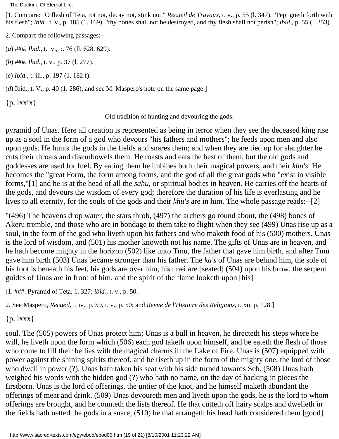[1. Compare: "O flesh of Teta, rot not, decay not, stink not." *Recueil de Travaux*, t. v., p. 55 (l. 347). "Pepi goeth forth with his flesh"; *ibid.*, t. v., p. 185 (1. 169). "thy bones shall not be destroyed, and thy flesh shall not perish"; *ibid.*, p. 55 (l. 353).

2. Compare the following passages:--

(*a*) ###. *Ibid.*, t. iv., p. 76 (ll. 628, 629).

(*b*) ###. *Ibid.*, t. v., p. 37 (l. 277).

(*c*) *Ibid.*, t. iii., p. 197 (1. 182 f).

(*d*) Ibid., t. V., p. 40 (1. 286), and see M. Maspero's note on the same page.]

 ${p.}$  lxxix $}$ 

Old tradition of hunting and devouring the gods.

pyramid of Unas. Here all creation is represented as being in terror when they see the deceased king rise up as a soul in the form of a god who devours "his fathers and mothers"; he feeds upon men and also upon gods. He hunts the gods in the fields and snares them; and when they are tied up for slaughter he cuts their throats and disembowels them. He roasts and eats the best of them, but the old gods and goddesses are used for fuel. By eating them he imbibes both their magical powers, and their *khu's*. He becomes the "great Form, the form among forms, and the god of all the great gods who "exist in visible forms,"[1] and he is at the head of all the *sahu*, or spiritual bodies in heaven. He carries off the hearts of the gods, and devours the wisdom of every god; therefore the duration of his life is everlasting and he lives to all eternity, for the souls of the gods and their *khu's* are in him. The whole passage reads:--[2]

"(496) The heavens drop water, the stars throb, (497) the archers go round about, the (498) bones of Akeru tremble, and those who are in bondage to them take to flight when they see (499) Unas rise up as a soul, in the form of the god who liveth upon his fathers and who maketh food of his (500) mothers. Unas is the lord of wisdom, and (501) his mother knoweth not his name. The gifts of Unas are in heaven, and he hath become mighty in the horizon (502) like unto Tmu, the father that gave him birth, and after Tmu gave him birth (503) Unas became stronger than his father. The *ka's* of Unas are behind him, the sole of his foot is beneath his feet, his gods are over him, his uræi are [seated] (504) upon his brow, the serpent guides of Unas are in front of him, and the spirit of the flame looketh upon [his]

[1. ###. Pyramid of Teta, 1. 327; *ibid.*, t. v., p. 50.

2. See Maspero, *Recueil*, t. iv., p. 59, t. v., p. 50; and *Revue de l'Histoire des Religions*, t. xii, p. 128.]

 ${p. lxxx}$ 

soul. The (505) powers of Unas protect him; Unas is a bull in heaven, he directeth his steps where he will, he liveth upon the form which (506) each god taketh upon himself, and be eateth the flesh of those who come to fill their bellies with the magical charms ill the Lake of Fire. Unas is (507) equipped with power against the shining spirits thereof, and he riseth up in the form of the mighty one, the lord of those who dwell in power (?). Unas hath taken his seat with his side turned towards Seb. (508) Unas hath weighed his words with the hidden god (?) who hath no name, on the day of hacking in pieces the firstborn. Unas is the lord of offerings, the untier of the knot, and he himself maketh abundant the offerings of meat and drink. (509) Unas devoureth men and liveth upon the gods, he is the lord to whom offerings are brought, and he counteth the lists thereof. He that cutteth off hairy scalps and dwelleth in the fields hath netted the gods in a snare; (510) he that arrangeth his head hath considered them [good]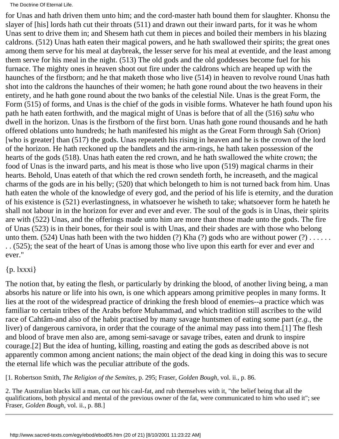for Unas and hath driven them unto him; and the cord-master hath bound them for slaughter. Khonsu the slayer of [his] lords hath cut their throats (511) and drawn out their inward parts, for it was he whom Unas sent to drive them in; and Shesem hath cut them in pieces and boiled their members in his blazing caldrons. (512) Unas hath eaten their magical powers, and he hath swallowed their spirits; the great ones among them serve for his meal at daybreak, the lesser serve for his meal at eventide, and the least among them serve for his meal in the night. (513) The old gods and the old goddesses become fuel for his furnace. The mighty ones in heaven shoot out fire under the caldrons which are heaped up with the haunches of the firstborn; and he that maketh those who live (514) in heaven to revolve round Unas hath shot into the caldrons the haunches of their women; he hath gone round about the two heavens in their entirety, and he hath gone round about the two banks of the celestial Nile. Unas is the great Form, the Form (515) of forms, and Unas is the chief of the gods in visible forms. Whatever he hath found upon his path he hath eaten forthwith, and the magical might of Unas is before that of all the (516) *sahu* who dwell in the horizon. Unas is the firstborn of the first born. Unas hath gone round thousands and he hath offered oblations unto hundreds; he hath manifested his might as the Great Form through Sah (Orion) [who is greater] than (517) the gods. Unas repeateth his rising in heaven and he is the crown of the lord of the horizon. He hath reckoned up the bandlets and the arm-rings, he hath taken possession of the hearts of the gods (518). Unas hath eaten the red crown, and he hath swallowed the white crown; the food of Unas is the inward parts, and his meat is those who live upon (519) magical charms in their hearts. Behold, Unas eateth of that which the red crown sendeth forth, he increaseth, and the magical charms of the gods are in his belly; (520) that which belongeth to him is not turned back from him. Unas hath eaten the whole of the knowledge of every god, and the period of his life is eternity, and the duration of his existence is (521) everlastingness, in whatsoever he wisheth to take; whatsoever form he hateth he shall not labour in in the horizon for ever and ever and ever. The soul of the gods is in Unas, their spirits are with (522) Unas, and the offerings made unto him are more than those made unto the gods. The fire of Unas (523) is in their bones, for their soul is with Unas, and their shades are with those who belong unto them. (524) Unas hath been with the two hidden (?) Kha (?) gods who are without power (?) . . . . . . . . (525); the seat of the heart of Unas is among those who live upon this earth for ever and ever and ever."

# {p. lxxxi}

The notion that, by eating the flesh, or particularly by drinking the blood, of another living being, a man absorbs his nature or life into his own, is one which appears among primitive peoples in many forms. It lies at the root of the widespread practice of drinking the fresh blood of enemies--a practice which was familiar to certain tribes of the Arabs before Muhammad, and which tradition still ascribes to the wild race of Cahtâm-and also of the habit practised by many savage huntsmen of eating some part (*e.g.*, the liver) of dangerous carnivora, in order that the courage of the animal may pass into them.[1] The flesh and blood of brave men also are, among semi-savage or savage tribes, eaten and drunk to inspire courage.[2] But the idea of hunting, killing, roasting and eating the gods as described above is not apparently common among ancient nations; the main object of the dead king in doing this was to secure the eternal life which was the peculiar attribute of the gods.

[1. Robertson Smith, *The Religion of the Semites*, p. 295; Fraser, *Golden Bough*, vol. ii., p. 86.

2. The Australian blacks kill a man, cut out his caul-fat, and rub themselves with it, "the belief being that all the qualifications, both physical and mental of the previous owner of the fat, were communicated to him who used it"; see Fraser, *Golden Bough*, vol. ii., p. 88.]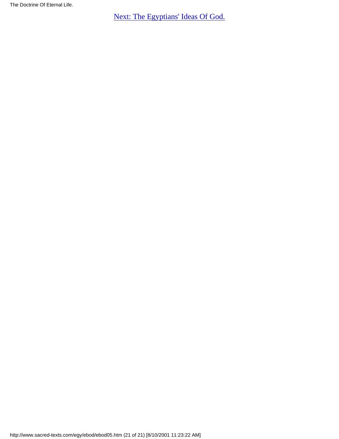[Next: The Egyptians' Ideas Of God.](#page-69-0)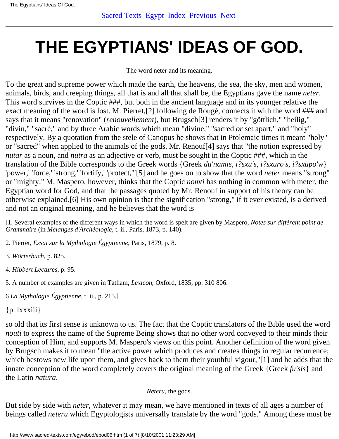# <span id="page-69-0"></span>**THE EGYPTIANS' IDEAS OF GOD.**

The word neter and its meaning.

To the great and supreme power which made the earth, the heavens, the sea, the sky, men and women, animals, birds, and creeping things, all that is and all that shall be, the Egyptians gave the name *neter*. This word survives in the Coptic ###, but both in the ancient language and in its younger relative the exact meaning of the word is lost. M. Pierret,[2] following de Rougé, connects it with the word ### and says that it means "renovation" (*renouvellement*), but Brugsch[3] renders it by "göttlich," "heilig," "divin," "sacré," and by three Arabic words which mean "divine," "sacred *or* set apart," and "holy" respectively. By a quotation from the stele of Canopus he shows that in Ptolemaic times it meant "holy" or "sacred" when applied to the animals of the gods. Mr. Renouf[4] says that "the notion expressed by *nutar* as a noun, and *nutra* as an adjective or verb, must be sought in the Coptic ###, which in the translation of the Bible corresponds to the Greek words {Greek *du'namis*, *i?sxu's*, *i?sxuro's*, *i?sxupo'w*} 'power,' 'force,' 'strong,' 'fortify,' 'protect,'"[5] and he goes on to show that the word *neter* means "strong" or "mighty." M. Maspero, however, thinks that the Coptic *nomti* has nothing in common with meter, the Egyptian word for God, and that the passages quoted by Mr. Renouf in support of his theory can be otherwise explained.[6] His own opinion is that the signification "strong," if it ever existed, is a derived and not an original meaning, and he believes that the word is

[1. Several examples of the different ways in which the word is spelt are given by Maspero, *Notes sur différent point de Grammaire* (in *Mélanges d'Archéologie*, t. ii., Paris, 1873, p. 140).

2. Pierret, *Essai sur la Mythologie Égyptienne*, Paris, 1879, p. 8.

3. *Wörterbuch*, p. 825.

4. *Hibbert Lectures*, p. 95.

5. A number of examples are given in Tatham, *Lexicon*, Oxford, 1835, pp. 310 806.

6 *La Mythologie Égyptienne*, t. ii., p. 215.]

{p. lxxxiii}

so old that its first sense is unknown to us. The fact that the Coptic translators of the Bible used the word *nouti* to express the name of the Supreme Being shows that no other word conveyed to their minds their conception of Him, and supports M. Maspero's views on this point. Another definition of the word given by Brugsch makes it to mean "the active power which produces and creates things in regular recurrence; which bestows new life upon them, and gives back to them their youthful vigour,"[1] and he adds that the innate conception of the word completely covers the original meaning of the Greek {Greek *fu'sis*} and the Latin *natura*.

*Neteru*, the gods.

But side by side with *neter*, whatever it may mean, we have mentioned in texts of all ages a number of beings called *neteru* which Egyptologists universally translate by the word "gods." Among these must be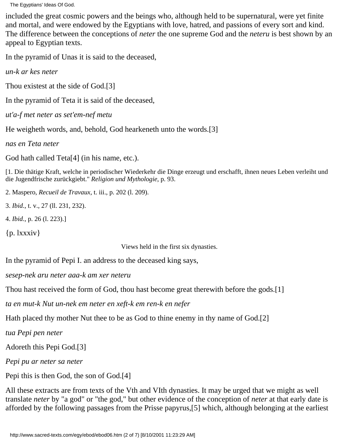The Egyptians' Ideas Of God.

included the great cosmic powers and the beings who, although held to be supernatural, were yet finite and mortal, and were endowed by the Egyptians with love, hatred, and passions of every sort and kind. The difference between the conceptions of *neter* the one supreme God and the *neteru* is best shown by an appeal to Egyptian texts.

In the pyramid of Unas it is said to the deceased,

*un-k ar kes neter*

Thou existest at the side of God.[3]

In the pyramid of Teta it is said of the deceased,

*ut'a-f met neter as set'em-nef metu*

He weigheth words, and, behold, God hearkeneth unto the words.[3]

*nas en Teta neter*

God hath called Teta[4] (in his name, etc.).

[1. Die thätige Kraft, welche in periodischer Wiederkehr die Dinge erzeugt und erschafft, ihnen neues Leben verleiht und die Jugendfrische zurückgiebt." *Religion und Mythologie*, p. 93.

2. Maspero, *Recueil de Travaux*, t. iii., p. 202 (l. 209).

3. *Ibid.*, t. v., 27 (ll. 231, 232).

4. *Ibid.*, p. 26 (l. 223).]

 ${p.}$  lxxxiv }

Views held in the first six dynasties.

In the pyramid of Pepi I. an address to the deceased king says,

*sesep-nek aru neter aaa-k am xer neteru*

Thou hast received the form of God, thou hast become great therewith before the gods.[1]

*ta en mut-k Nut un-nek em neter en xeft-k em ren-k en nefer*

Hath placed thy mother Nut thee to be as God to thine enemy in thy name of God.[2]

*tua Pepi pen neter*

Adoreth this Pepi God.[3]

*Pepi pu ar neter sa neter*

Pepi this is then God, the son of God.[4]

All these extracts are from texts of the Vth and VIth dynasties. It may be urged that we might as well translate *neter* by "a god" or "the god," but other evidence of the conception of *neter* at that early date is afforded by the following passages from the Prisse papyrus,[5] which, although belonging at the earliest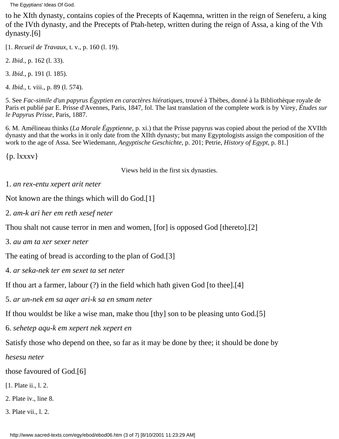The Egyptians' Ideas Of God.

to he XIth dynasty, contains copies of the Precepts of Kaqemna, written in the reign of Seneferu, a king of the IVth dynasty, and the Precepts of Ptah-hetep, written during the reign of Assa, a king of the Vth dynasty.[6]

[1. *Recueil de Travaux*, t. v., p. 160 (l. 19).

2. *Ibid.*, p. 162 (l. 33).

3. *Ibid.*, p. 191 (l. 185).

4. *Ibid.*, t. viii., p. 89 (l. 574).

5. See *Fac-simile d'un papyrus Égyptien en caractères hiératiques*, trouvé à Thèbes, donné à la Bibliothèque royale de Paris et publié par E. Prisse d'Avennes, Paris, 1847, fol. The last translation of the complete work is by Virey, *Études sur le Papyrus Prisse*, Paris, 1887.

6. M. Amélineau thinks (*La Morale Égyptienne*, p. xi.) that the Prisse papyrus was copied about the period of the XVIIth dynasty and that the works in it only date from the XIIth dynasty; but many Egyptologists assign the composition of the work to the age of Assa. See Wiedemann, *Aegyptische Geschichte*, p. 201; Petrie, *History of Egypt*, p. 81.]

{p. lxxxv}

Views held in the first six dynasties.

1. *an rex-entu xepert arit neter*

Not known are the things which will do God.[1]

2. *am-k ari her em reth xesef neter*

Thou shalt not cause terror in men and women, [for] is opposed God [thereto].[2]

3. *au am ta xer sexer neter*

The eating of bread is according to the plan of God.[3]

4. *ar seka-nek ter em sexet ta set neter*

If thou art a farmer, labour (?) in the field which hath given God [to thee].[4]

5. *ar un-nek em sa aqer ari-k sa en smam neter*

If thou wouldst be like a wise man, make thou [thy] son to be pleasing unto God.[5]

6. *sehetep aqu-k em xepert nek xepert en*

Satisfy those who depend on thee, so far as it may be done by thee; it should be done by

*hesesu neter*

those favoured of God.[6]

[1. Plate ii., l. 2.

2. Plate iv., line 8.

3. Plate vii., l. 2.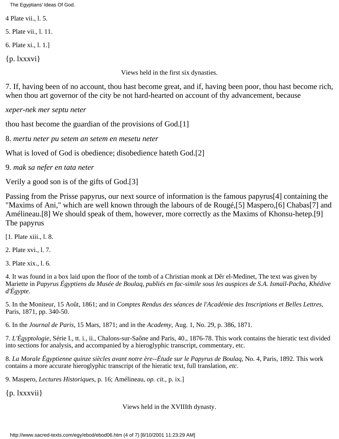4 Plate vii., l. 5.

5. Plate vii., l. 11.

6. Plate xi., l. 1.]

 ${p.}$ lxxxvi $}$ 

Views held in the first six dynasties.

7. If, having been of no account, thou hast become great, and if, having been poor, thou hast become rich, when thou art governor of the city be not hard-hearted on account of thy advancement, because

*xeper-nek mer septu neter*

thou hast become the guardian of the provisions of God.[1]

8. *mertu neter pu setem an setem en mesetu neter*

What is loved of God is obedience; disobedience hateth God.[2]

9. *mak sa nefer en tata neter*

Verily a good son is of the gifts of God.[3]

Passing from the Prisse papyrus, our next source of information is the famous papyrus[4] containing the "Maxims of Ani," which are well known through the labours of de Rougé,[5] Maspero,[6] Chabas[7] and Amélineau.[8] We should speak of them, however, more correctly as the Maxims of Khonsu-hetep.[9] The papyrus

[1. Plate xiii., l. 8.

2. Plate xvi., l. 7.

3. Plate xix., l. 6.

4. It was found in a box laid upon the floor of the tomb of a Christian monk at Dêr el-Medinet, The text was given by Mariette in *Papyrus Égyptiens du Musée de Boulaq, publiés en fac-simile sous les auspices de S.A. Ismaïl-Pacha, Khédive d'Égypte*.

5. In the Moniteur, 15 Août, 1861; and in *Comptes Rendus des séances de l'Académie des Inscriptions et Belles Lettres*, Paris, 1871, pp. 340-50.

6. In the *Journal de Paris*, 15 Mars, 1871; and in the *Academy*, Aug. 1, No. 29, p. 386, 1871.

7. *L'Égyptologie*, Série I., tt. i., ii., Chalons-sur-Saône and Paris, 40., 1876-78. This work contains the hieratic text divided into sections for analysis, and accompanied by a hieroglyphic transcript, commentary, etc.

8. *La Morale Égyptienne quinze siècles avant notre ère--Étude sur le Papyrus de Boulaq*, No. 4, Paris, 1892. This work contains a more accurate hieroglyphic transcript of the hieratic text, full translation, *etc*.

9. Maspero, *Lectures Historiques*, p. 16; Amélineau, *op. cit.*, p. ix.]

{p. lxxxvii}

Views held in the XVIIIth dynasty.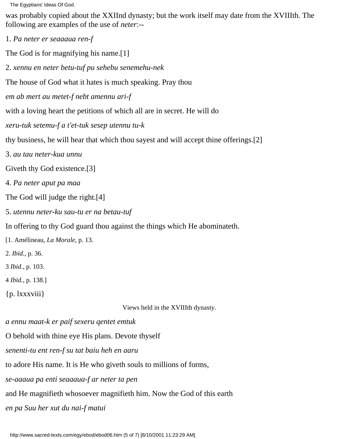was probably copied about the XXIInd dynasty; but the work itself may date from the XVIIIth. The following are examples of the use of *neter*:--

1. *Pa neter er seaaaua ren-f*

The God is for magnifying his name.[1]

2. *xennu en neter betu-tuf pu sehebu senemehu-nek*

The house of God what it hates is much speaking. Pray thou

*em ab mert au metet-f nebt amennu ari-f*

with a loving heart the petitions of which all are in secret. He will do

*xeru-tuk setemu-f a t'et-tuk sesep utennu tu-k*

thy business, he will hear that which thou sayest and will accept thine offerings.[2]

3. *au tau neter-kua unnu*

Giveth thy God existence.[3]

4. *Pa neter aput pa maa*

The God will judge the right.[4]

5. *utennu neter-ku sau-tu er na betau-tuf*

In offering to thy God guard thou against the things which He abominateth.

[1. Amélineau, *La Morale*, p. 13.

2. *Ibid.*, p. 36.

3 *Ibid.*, p. 103.

4 *Ibid.*, p. 138.]

{p. lxxxviii}

Views held in the XVIIIth dynasty.

*a ennu maat-k er paif sexeru qentet emtuk*

O behold with thine eye His plans. Devote thyself

*senenti-tu ent ren-f su tat baiu heh en aaru*

to adore His name. It is He who giveth souls to millions of forms,

*se-aaaua pa enti seaaaua-f ar neter ta pen*

and He magnifieth whosoever magnifieth him. Now the God of this earth

*en pa Suu her xut du nai-f matui*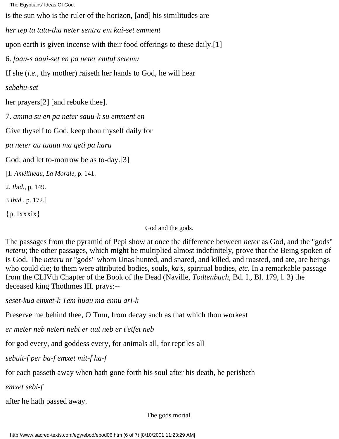is the sun who is the ruler of the horizon, [and] his similitudes are *her tep ta tata-tha neter sentra em kai-set emment* upon earth is given incense with their food offerings to these daily.[1] 6. *faau-s aaui-set en pa neter emtuf setemu* If she (*i.e.*, thy mother) raiseth her hands to God, he will hear *sebehu-set* her prayers[2] [and rebuke thee]. 7. *amma su en pa neter sauu-k su emment en* Give thyself to God, keep thou thyself daily for *pa neter au tuauu ma qeti pa haru* God; and let to-morrow be as to-day.[3] [1. *Amélineau, La Morale*, p. 141. 2. *Ibid.*, p. 149. 3 *Ibid.*, p. 172.]  ${p.}$  lxxxix $}$ 

God and the gods.

The passages from the pyramid of Pepi show at once the difference between *neter* as God, and the "gods" *neteru*; the other passages, which might be multiplied almost indefinitely, prove that the Being spoken of is God. The *neteru* or "gods" whom Unas hunted, and snared, and killed, and roasted, and ate, are beings who could die; to them were attributed bodies, souls, *ka's*, spiritual bodies, *etc*. In a remarkable passage from the CLIVth Chapter of the Book of the Dead (Naville, *Todtenbuch*, Bd. I., Bl. 179, l. 3) the deceased king Thothmes III. prays:--

*seset-kua emxet-k Tem huau ma ennu ari-k*

Preserve me behind thee, O Tmu, from decay such as that which thou workest

*er meter neb netert nebt er aut neb er t'etfet neb*

for god every, and goddess every, for animals all, for reptiles all

*sebuit-f per ba-f emxet mit-f ha-f*

for each passeth away when hath gone forth his soul after his death, he perisheth

*emxet sebi-f*

after he hath passed away.

The gods mortal.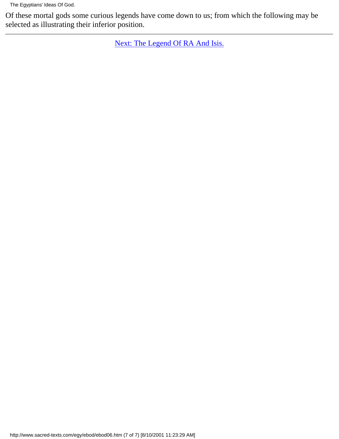Of these mortal gods some curious legends have come down to us; from which the following may be selected as illustrating their inferior position.

[Next: The Legend Of RA And Isis.](#page-76-0)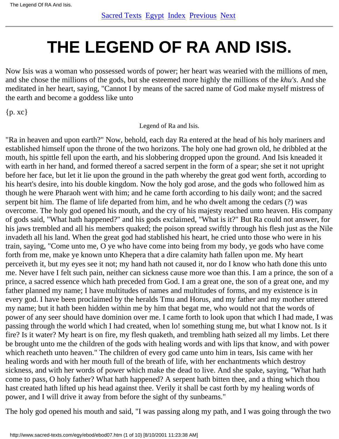## <span id="page-76-0"></span>**THE LEGEND OF RA AND ISIS.**

Now Isis was a woman who possessed words of power; her heart was wearied with the millions of men, and she chose the millions of the gods, but she esteemed more highly the millions of the *khu's*. And she meditated in her heart, saying, "Cannot I by means of the sacred name of God make myself mistress of the earth and become a goddess like unto

{p. xc}

Legend of Ra and Isis.

"Ra in heaven and upon earth?" Now, behold, each day Ra entered at the head of his holy mariners and established himself upon the throne of the two horizons. The holy one had grown old, he dribbled at the mouth, his spittle fell upon the earth, and his slobbering dropped upon the ground. And Isis kneaded it with earth in her hand, and formed thereof a sacred serpent in the form of a spear; she set it not upright before her face, but let it lie upon the ground in the path whereby the great god went forth, according to his heart's desire, into his double kingdom. Now the holy god arose, and the gods who followed him as though he were Pharaoh went with him; and he came forth according to his daily wont; and the sacred serpent bit him. The flame of life departed from him, and he who dwelt among the cedars (?) was overcome. The holy god opened his mouth, and the cry of his majesty reached unto heaven. His company of gods said, "What hath happened?" and his gods exclaimed, "What is it?" But Ra could not answer, for his jaws trembled and all his members quaked; the poison spread swiftly through his flesh just as the Nile invadeth all his land. When the great god had stablished his heart, he cried unto those who were in his train, saying, "Come unto me, O ye who have come into being from my body, ye gods who have come forth from me, make ye known unto Khepera that a dire calamity hath fallen upon me. My heart perceiveth it, but my eyes see it not; my hand hath not caused it, nor do I know who hath done this unto me. Never have I felt such pain, neither can sickness cause more woe than this. I am a prince, the son of a prince, a sacred essence which hath preceded from God. I am a great one, the son of a great one, and my father planned my name; I have multitudes of names and multitudes of forms, and my existence is in every god. I have been proclaimed by the heralds Tmu and Horus, and my father and my mother uttered my name; but it hath been hidden within me by him that begat me, who would not that the words of power of any seer should have dominion over me. I came forth to look upon that which I had made, I was passing through the world which I had created, when lo! something stung me, but what I know not. Is it fire? Is it water? My heart is on fire, my flesh quaketh, and trembling hath seized all my limbs. Let there be brought unto me the children of the gods with healing words and with lips that know, and with power which reacheth unto heaven." The children of every god came unto him in tears, Isis came with her healing words and with her mouth full of the breath of life, with her enchantments which destroy sickness, and with her words of power which make the dead to live. And she spake, saying, "What hath come to pass, O holy father? What hath happened? A serpent hath bitten thee, and a thing which thou hast created hath lifted up his head against thee. Verily it shall be cast forth by my healing words of power, and I will drive it away from before the sight of thy sunbeams."

The holy god opened his mouth and said, "I was passing along my path, and I was going through the two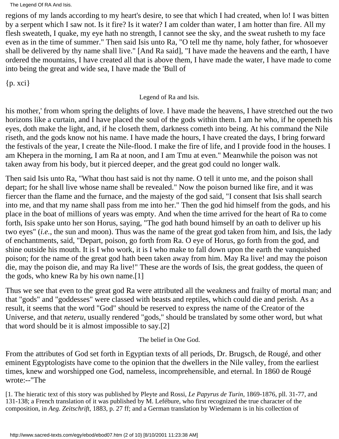regions of my lands according to my heart's desire, to see that which I had created, when lo! I was bitten by a serpent which I saw not. Is it fire? Is it water? I am colder than water, I am hotter than fire. All my flesh sweateth, I quake, my eye hath no strength, I cannot see the sky, and the sweat rusheth to my face even as in the time of summer." Then said Isis unto Ra, "O tell me thy name, holy father, for whosoever shall be delivered by thy name shall live." [And Ra said], "I have made the heavens and the earth, I have ordered the mountains, I have created all that is above them, I have made the water, I have made to come into being the great and wide sea, I have made the 'Bull of

{p. xci}

### Legend of Ra and Isis.

his mother,' from whom spring the delights of love. I have made the heavens, I have stretched out the two horizons like a curtain, and I have placed the soul of the gods within them. I am he who, if he openeth his eyes, doth make the light, and, if he closeth them, darkness cometh into being. At his command the Nile riseth, and the gods know not his name. I have made the hours, I have created the days, I bring forward the festivals of the year, I create the Nile-flood. I make the fire of life, and I provide food in the houses. I am Khepera in the morning, I am Ra at noon, and I am Tmu at even." Meanwhile the poison was not taken away from his body, but it pierced deeper, and the great god could no longer walk.

Then said Isis unto Ra, "What thou hast said is not thy name. O tell it unto me, and the poison shall depart; for he shall live whose name shall be revealed." Now the poison burned like fire, and it was fiercer than the flame and the furnace, and the majesty of the god said, "I consent that Isis shall search into me, and that my name shall pass from me into her." Then the god hid himself from the gods, and his place in the boat of millions of years was empty. And when the time arrived for the heart of Ra to come forth, Isis spake unto her son Horus, saying, "The god hath bound himself by an oath to deliver up his two eyes" (*i.e.*, the sun and moon). Thus was the name of the great god taken from him, and Isis, the lady of enchantments, said, "Depart, poison, go forth from Ra. O eye of Horus, go forth from the god, and shine outside his mouth. It is I who work, it is I who make to fall down upon the earth the vanquished poison; for the name of the great god hath been taken away from him. May Ra live! and may the poison die, may the poison die, and may Ra live!" These are the words of Isis, the great goddess, the queen of the gods, who knew Ra by his own name.[1]

Thus we see that even to the great god Ra were attributed all the weakness and frailty of mortal man; and that "gods" and "goddesses" were classed with beasts and reptiles, which could die and perish. As a result, it seems that the word "God" should be reserved to express the name of the Creator of the Universe, and that *neteru*, usually rendered "gods," should be translated by some other word, but what that word should be it is almost impossible to say.[2]

### The belief in One God.

From the attributes of God set forth in Egyptian texts of all periods, Dr. Brugsch, de Rougé, and other eminent Egyptologists have come to the opinion that the dwellers in the Nile valley, from the earliest times, knew and worshipped one God, nameless, incomprehensible, and eternal. In 1860 de Rougé wrote:--"The

[1. The hieratic text of this story was published by Pleyte and Rossi, *Le Papyrus de Turin*, 1869-1876, pll. 31-77, and 131-138; a French translation of it was published by M. Lefébure, who first recognized the true character of the composition, in *Aeg. Zeitschrift*, 1883, p. 27 ff; and a German translation by Wiedemann is in his collection of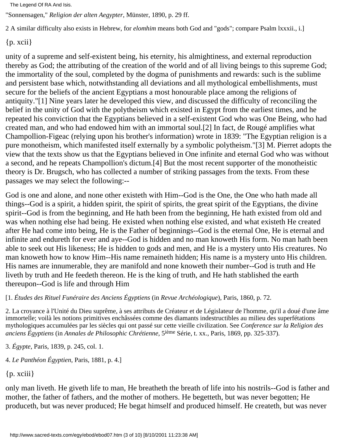"Sonnensagen," *Religion der alten Aegypter*, Münster, 1890, p. 29 ff.

2 A similar difficulty also exists in Hebrew, for *elomhim* means both God and "gods"; compare Psalm lxxxii., i.]

{p. xcii}

unity of a supreme and self-existent being, his eternity, his almightiness, and external reproduction thereby as God; the attributing of the creation of the world and of all living beings to this supreme God; the immortality of the soul, completed by the dogma of punishments and rewards: such is the sublime and persistent base which, notwithstanding all deviations and all mythological embellishments, must secure for the beliefs of the ancient Egyptians a most honourable place among the religions of antiquity."[1] Nine years later he developed this view, and discussed the difficulty of reconciling the belief in the unity of God with the polytheism which existed in Egypt from the earliest times, and he repeated his conviction that the Egyptians believed in a self-existent God who was One Being, who had created man, and who had endowed him with an immortal soul.[2] In fact, de Rougé amplifies what Champollion-Figeac (relying upon his brother's information) wrote in 1839: "The Egyptian religion is a pure monotheism, which manifested itself externally by a symbolic polytheism."[3] M. Pierret adopts the view that the texts show us that the Egyptians believed in One infinite and eternal God who was without a second, and he repeats Champollion's dictum.[4] But the most recent supporter of the monotheistic theory is Dr. Brugsch, who has collected a number of striking passages from the texts. From these passages we may select the following:--

God is one and alone, and none other existeth with Him--God is the One, the One who hath made all things--God is a spirit, a hidden spirit, the spirit of spirits, the great spirit of the Egyptians, the divine spirit--God is from the beginning, and He hath been from the beginning, He hath existed from old and was when nothing else had being. He existed when nothing else existed, and what existeth He created after He had come into being, He is the Father of beginnings--God is the eternal One, He is eternal and infinite and endureth for ever and aye--God is hidden and no man knoweth His form. No man hath been able to seek out His likeness; He is hidden to gods and men, and He is a mystery unto His creatures. No man knoweth how to know Him--His name remaineth hidden; His name is a mystery unto His children. His names are innumerable, they are manifold and none knoweth their number--God is truth and He liveth by truth and He feedeth thereon. He is the king of truth, and He hath stablished the earth thereupon--God is life and through Him

[1. *Études des Rituel Funéraire des Anciens Égyptiens* (in *Revue Archéologique*), Paris, 1860, p. 72.

2. La croyance à l'Unité du Dieu suprême, à ses attributs de Créateur et de Législateur de l'homme, qu'il a doué d'une âme immortelle; voilà les notions primitives enchâssées comme des diamants indestructibles au milieu des superfétations mythologiques accumulées par les siècles qui ont passé sur cette vieille civilization. See *Conference sur la Religion des anciens Égyptiens* (in *Annales de Philosophic Chrétienne*, 5ième Série, t. xx., Paris, 1869, pp. 325-337).

3. *Égypte*, Paris, 1839, p. 245, col. 1.

4. *Le Panthéon Égyptien*, Paris, 1881, p. 4.]

{p. xciii}

only man liveth. He giveth life to man, He breatheth the breath of life into his nostrils--God is father and mother, the father of fathers, and the mother of mothers. He begetteth, but was never begotten; He produceth, but was never produced; He begat himself and produced himself. He createth, but was never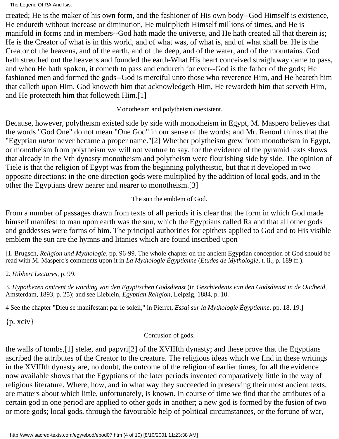created; He is the maker of his own form, and the fashioner of His own body--God Himself is existence, He endureth without increase or diminution, He multiplieth Himself millions of times, and He is manifold in forms and in members--God hath made the universe, and He hath created all that therein is; He is the Creator of what is in this world, and of what was, of what is, and of what shall be. He is the Creator of the heavens, and of the earth, and of the deep, and of the water, and of the mountains. God hath stretched out the heavens and founded the earth-What His heart conceived straightway came to pass, and when He hath spoken, it cometh to pass and endureth for ever--God is the father of the gods; He fashioned men and formed the gods--God is merciful unto those who reverence Him, and He heareth him that calleth upon Him. God knoweth him that acknowledgeth Him, He rewardeth him that serveth Him, and He protecteth him that followeth Him.[1]

Monotheism and polytheism coexistent.

Because, however, polytheism existed side by side with monotheism in Egypt, M. Maspero believes that the words "God One" do not mean "One God" in our sense of the words; and Mr. Renouf thinks that the "Egyptian *nutar* never became a proper name."[2] Whether polytheism grew from monotheism in Egypt, or monotheism from polytheism we will not venture to say, for the evidence of the pyramid texts shows that already in the Vth dynasty monotheism and polytheism were flourishing side by side. The opinion of Tiele is that the religion of Egypt was from the beginning polytheistic, but that it developed in two opposite directions: in the one direction gods were multiplied by the addition of local gods, and in the other the Egyptians drew nearer and nearer to monotheism.[3]

The sun the emblem of God.

From a number of passages drawn from texts of all periods it is clear that the form in which God made himself manifest to man upon earth was the sun, which the Egyptians called Ra and that all other gods and goddesses were forms of him. The principal authorities for epithets applied to God and to His visible emblem the sun are the hymns and litanies which are found inscribed upon

[1. Brugsch, *Religion und Mythologie*, pp. 96-99. The whole chapter on the ancient Egyptian conception of God should be read with M. Maspero's comments upon it in *La Mythologie Égyptienne* (*Études de Mythologie*, t. ii., p. 189 ff.).

2. *Hibbert Lectures*, p. 99.

3. *Hypothezen omtrent de wording van den Egyptischen Godsdienst* (in *Geschiedenis van den Godsdienst in de Oudheid*, Amsterdam, 1893, p. 25); and see Lieblein, *Egyptian Religion*, Leipzig, 1884, p. 10.

4 See the chapter "Dieu se manifestant par le soleil," in Pierret, *Essai sur la Mythologie Égyptienne*, pp. 18, 19.]

{p. xciv}

Confusion of gods.

the walls of tombs,[1] stelæ, and papyri[2] of the XVIIIth dynasty; and these prove that the Egyptians ascribed the attributes of the Creator to the creature. The religious ideas which we find in these writings in the XVIIIth dynasty are, no doubt, the outcome of the religion of earlier times, for all the evidence now available shows that the Egyptians of the later periods invented comparatively little in the way of religious literature. Where, how, and in what way they succeeded in preserving their most ancient texts, are matters about which little, unfortunately, is known. In course of time we find that the attributes of a certain god in one period are applied to other gods in another; a new god is formed by the fusion of two or more gods; local gods, through the favourable help of political circumstances, or the fortune of war,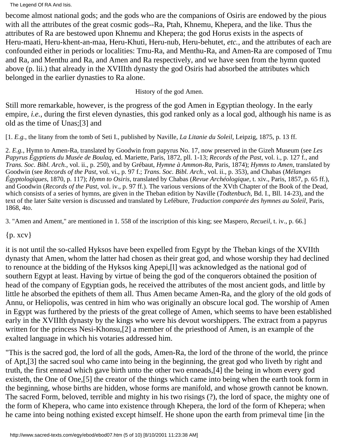become almost national gods; and the gods who are the companions of Osiris are endowed by the pious with all the attributes of the great cosmic gods--Ra, Ptah, Khnemu, Khepera, and the like. Thus the attributes of Ra are bestowed upon Khnemu and Khepera; the god Horus exists in the aspects of Heru-maati, Heru-khent-an-maa, Heru-Khuti, Heru-nub, Heru-behutet, *etc.*, and the attributes of each are confounded either in periods or localities: Tmu-Ra, and Menthu-Ra, and Amen-Ra are composed of Tmu and Ra, and Menthu and Ra, and Amen and Ra respectively, and we have seen from the hymn quoted above (p. lii.) that already in the XVIIIth dynasty the god Osiris had absorbed the attributes which belonged in the earlier dynasties to Ra alone.

History of the god Amen.

Still more remarkable, however, is the progress of the god Amen in Egyptian theology. In the early empire, *i.e.*, during the first eleven dynasties, this god ranked only as a local god, although his name is as old as the time of Unas;[3] and

[1. *E.g.*, the litany from the tomb of Seti I., published by Naville, *La Litanie du Soleil*, Leipzig, 1875, p. 13 ff.

2. *E.g.*, Hymn to Amen-Ra, translated by Goodwin from papyrus No. 17, now preserved in the Gizeh Museum (see *Les Papyrus Égyptiens du Musée de Boulaq*, ed. Mariette, Paris, 1872, pll. 1-13; *Records of the Past*, vol. i., p. 127 f., and *Trans. Soc. Bibl. Arch.*, vol. ii., p. 250), and by Grébaut, *Hymne à Ammon-Ra*, Paris, 1874); *Hymns to Amen*, translated by Goodwin (see *Records of the Past*, vol. vi., p. 97 f.; *Trans. Soc. Bibl. Arch.*, vol. ii., p. 353), and Chabas (*Mélanges Égyptologiques*, 1870, p. 117); *Hymn to Osiris*, translated by Chabas (*Revue Archéologique*, t. xiv., Paris, 1857, p. 65 ff.), and Goodwin (*Records of the Past*, vol. iv., p. 97 ff.). The various versions of the XVth Chapter of the Book of the Dead, which consists of a series of hymns, are given in the Theban edition by Naville (*Todtenbuch*, Bd. I., Bll. 14-23), and the text of the later Saïte version is discussed and translated by Lefébure, *Traduction comparée des hymnes au Soleil*, Paris, 1868, 4to.

3. "Amen and Ament," are mentioned in 1. 558 of the inscription of this king; see Maspero, *Recueil*, t. iv., p. 66.]

 ${p. xcv}$ 

it is not until the so-called Hyksos have been expelled from Egypt by the Theban kings of the XVIIth dynasty that Amen, whom the latter had chosen as their great god, and whose worship they had declined to renounce at the bidding of the Hyksos king Apepi,[l] was acknowledged as the national god of southern Egypt at least. Having by virtue of being the god of the conquerors obtained the position of head of the company of Egyptian gods, he received the attributes of the most ancient gods, and little by little he absorbed the epithets of them all. Thus Amen became Amen-Ra, and the glory of the old gods of Annu, or Heliopolis, was centred in him who was originally an obscure local god. The worship of Amen in Egypt was furthered by the priests of the great college of Amen, which seems to have been established early in the XVIIIth dynasty by the kings who were his devout worshippers. The extract from a papyrus written for the princess Nesi-Khonsu,[2] a member of the priesthood of Amen, is an example of the exalted language in which his votaries addressed him.

"This is the sacred god, the lord of all the gods, Amen-Ra, the lord of the throne of the world, the prince of Apt,[3] the sacred soul who came into being in the beginning, the great god who liveth by right and truth, the first ennead which gave birth unto the other two enneads,[4] the being in whom every god existeth, the One of One,[5] the creator of the things which came into being when the earth took form in the beginning, whose births are hidden, whose forms are manifold, and whose growth cannot be known. The sacred Form, beloved, terrible and mighty in his two risings (?), the lord of space, the mighty one of the form of Khepera, who came into existence through Khepera, the lord of the form of Khepera; when he came into being nothing existed except himself. He shone upon the earth from primeval time [in the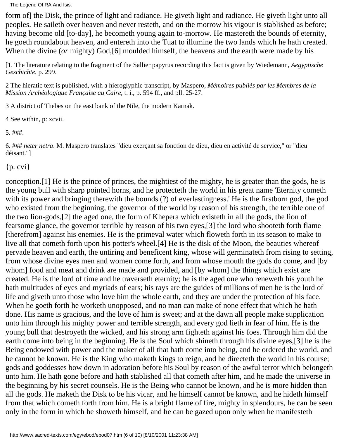form of] the Disk, the prince of light and radiance. He giveth light and radiance. He giveth light unto all peoples. He saileth over heaven and never resteth, and on the morrow his vigour is stablished as before; having become old [to-day], he becometh young again to-morrow. He mastereth the bounds of eternity, he goeth roundabout heaven, and entereth into the Tuat to illumine the two lands which he hath created. When the divine (*or* mighty) God,[6] moulded himself, the heavens and the earth were made by his

[1. The literature relating to the fragment of the Sallier papyrus recording this fact is given by Wiedemann, *Aegyptische Geschichte*, p. 299.

2 The hieratic text is published, with a hieroglyphic transcript, by Maspero, *Mémoires publiés par les Membres de la Mission Archéologique Française au Caire*, t. i., p. 594 ff., and pll. 25-27.

3 A district of Thebes on the east bank of the Nile, the modern Karnak.

4 See within, p: xcvii.

5. ###.

6. ### *neter netra*. M. Maspero translates "dieu exerçant sa fonction de dieu, dieu en activité de service," or "dieu déisant."]

#### ${p. cvi}$

conception.[1] He is the prince of princes, the mightiest of the mighty, he is greater than the gods, he is the young bull with sharp pointed horns, and he protecteth the world in his great name 'Eternity cometh with its power and bringing therewith the bounds (?) of everlastingness.' He is the firstborn god, the god who existed from the beginning, the governor of the world by reason of his strength, the terrible one of the two lion-gods,[2] the aged one, the form of Khepera which existeth in all the gods, the lion of fearsome glance, the governor terrible by reason of his two eyes,[3] the lord who shooteth forth flame [therefrom] against his enemies. He is the primeval water which floweth forth in its season to make to live all that cometh forth upon his potter's wheel.[4] He is the disk of the Moon, the beauties whereof pervade heaven and earth, the untiring and beneficent king, whose will germinateth from rising to setting, from whose divine eyes men and women come forth, and from whose mouth the gods do come, and [by whom] food and meat and drink are made and provided, and [by whom] the things which exist are created. He is the lord of time and he traverseth eternity; he is the aged one who reneweth his youth he hath multitudes of eyes and myriads of ears; his rays are the guides of millions of men he is the lord of life and giveth unto those who love him the whole earth, and they are under the protection of his face. When he goeth forth he worketh unopposed, and no man can make of none effect that which he hath done. His name is gracious, and the love of him is sweet; and at the dawn all people make supplication unto him through his mighty power and terrible strength, and every god lieth in fear of him. He is the young bull that destroyeth the wicked, and his strong arm fighteth against his foes. Through him did the earth come into being in the beginning. He is the Soul which shineth through his divine eyes,[3] he is the Being endowed with power and the maker of all that hath come into being, and he ordered the world, and he cannot be known. He is the King who maketh kings to reign, and he directeth the world in his course; gods and goddesses bow down in adoration before his Soul by reason of the awful terror which belongeth unto him. He hath gone before and hath stablished all that cometh after him, and he made the universe in the beginning by his secret counsels. He is the Being who cannot be known, and he is more hidden than all the gods. He maketh the Disk to be his vicar, and he himself cannot be known, and he hideth himself from that which cometh forth from him. He is a bright flame of fire, mighty in splendours, he can be seen only in the form in which he showeth himself, and he can be gazed upon only when he manifesteth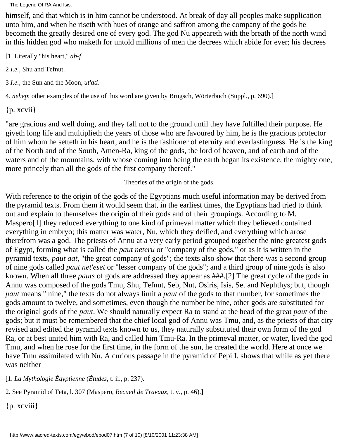himself, and that which is in him cannot be understood. At break of day all peoples make supplication unto him, and when he riseth with hues of orange and saffron among the company of the gods he becometh the greatly desired one of every god. The god Nu appeareth with the breath of the north wind in this hidden god who maketh for untold millions of men the decrees which abide for ever; his decrees

[1. Literally "his heart," *ab-f*.

2 *I.e.*, Shu and Tefnut.

3 *I.e.*, the Sun and the Moon, *ut'ati*.

4. *nehep*; other examples of the use of this word are given by Brugsch, Wörterbuch (Suppl., p. 690).]

{p. xcvii}

"are gracious and well doing, and they fall not to the ground until they have fulfilled their purpose. He giveth long life and multiplieth the years of those who are favoured by him, he is the gracious protector of him whom he setteth in his heart, and he is the fashioner of eternity and everlastingness. He is the king of the North and of the South, Amen-Ra, king of the gods, the lord of heaven, and of earth and of the waters and of the mountains, with whose coming into being the earth began its existence, the mighty one, more princely than all the gods of the first company thereof."

Theories of the origin of the gods.

With reference to the origin of the gods of the Egyptians much useful information may be derived from the pyramid texts. From them it would seem that, in the earliest times, the Egyptians had tried to think out and explain to themselves the origin of their gods and of their groupings. According to M. Maspero[1] they reduced everything to one kind of primeval matter which they believed contained everything in embryo; this matter was water, Nu, which they deified, and everything which arose therefrom was a god. The priests of Annu at a very early period grouped together the nine greatest gods of Egypt, forming what is called the *paut neteru* or "company of the gods," or as it is written in the pyramid texts, *paut aat*, "the great company of gods"; the texts also show that there was a second group of nine gods called *paut net'eset* or "lesser company of the gods"; and a third group of nine gods is also known. When all three *pauts* of gods are addressed they appear as ###.[2] The great cycle of the gods in Annu was composed of the gods Tmu, Shu, Tefnut, Seb, Nut, Osiris, Isis, Set and Nephthys; but, though *paut* means " nine," the texts do not always limit a *paut* of the gods to that number, for sometimes the gods amount to twelve, and sometimes, even though the number be nine, other gods are substituted for the original gods of the *paut*. We should naturally expect Ra to stand at the head of the great *paut* of the gods; but it must be remembered that the chief local god of Annu was Tmu, and, as the priests of that city revised and edited the pyramid texts known to us, they naturally substituted their own form of the god Ra, or at best united him with Ra, and called him Tmu-Ra. In the primeval matter, or water, lived the god Tmu, and when he rose for the first time, in the form of the sun, he created the world. Here at once we have Tmu assimilated with Nu. A curious passage in the pyramid of Pepi I. shows that while as yet there was neither

[1. *La Mythologie Égyptienne* (*Études*, t. ii., p. 237).

2. See Pyramid of Teta, l. 307 (Maspero, *Recueil de Travaux*, t. v., p. 46).]

{p. xcviii}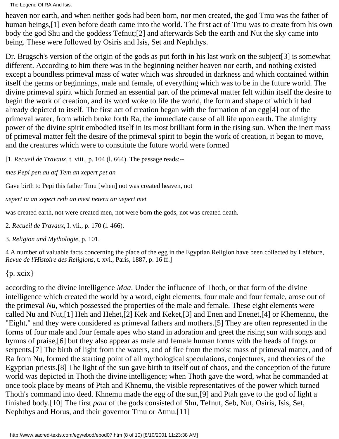heaven nor earth, and when neither gods had been born, nor men created, the god Tmu was the father of human beings,[1] even before death came into the world. The first act of Tmu was to create from his own body the god Shu and the goddess Tefnut;[2] and afterwards Seb the earth and Nut the sky came into being. These were followed by Osiris and Isis, Set and Nephthys.

Dr. Brugsch's version of the origin of the gods as put forth in his last work on the subject[3] is somewhat different. According to him there was in the beginning neither heaven nor earth, and nothing existed except a boundless primeval mass of water which was shrouded in darkness and which contained within itself the germs or beginnings, male and female, of everything which was to be in the future world. The divine primeval spirit which formed an essential part of the primeval matter felt within itself the desire to begin the work of creation, and its word woke to life the world, the form and shape of which it had already depicted to itself. The first act of creation began with the formation of an egg[4] out of the primeval water, from which broke forth Ra, the immediate cause of all life upon earth. The almighty power of the divine spirit embodied itself in its most brilliant form in the rising sun. When the inert mass of primeval matter felt the desire of the primeval spirit to begin the work of creation, it began to move, and the creatures which were to constitute the future world were formed

[1. *Recueil de Travaux*, t. viii., p. 104 (l. 664). The passage reads:--

*mes Pepi pen au atf Tem an xepert pet an*

Gave birth to Pepi this father Tmu [when] not was created heaven, not

*xepert ta an xepert reth an mest neteru an xepert met*

was created earth, not were created men, not were born the gods, not was created death.

2. *Recueil de Travaux*, I. vii., p. 170 (l. 466).

3. *Religion und Mythologie*, p. 101.

4 A number of valuable facts concerning the place of the egg in the Egyptian Religion have been collected by Lefébure, *Revue de l'Histoire des Religions*, t. xvi., Paris, 1887, p. 16 ff.]

 ${p. xci}$ 

according to the divine intelligence *Maa*. Under the influence of Thoth, or that form of the divine intelligence which created the world by a word, eight elements, four male and four female, arose out of the primeval *Nu*, which possessed the properties of the male and female. These eight elements were called Nu and Nut,[1] Heh and Hehet,[2] Kek and Keket,[3] and Enen and Enenet,[4] or Khemennu, the "Eight," and they were considered as primeval fathers and mothers.[5] They are often represented in the forms of four male and four female apes who stand in adoration and greet the rising sun with songs and hymns of praise,[6] but they also appear as male and female human forms with the heads of frogs or serpents.[7] The birth of light from the waters, and of fire from the moist mass of primeval matter, and of Ra from Nu, formed the starting point of all mythological speculations, conjectures, and theories of the Egyptian priests.[8] The light of the sun gave birth to itself out of chaos, and the conception of the future world was depicted in Thoth the divine intelligence; when Thoth gave the word, what he commanded at once took place by means of Ptah and Khnemu, the visible representatives of the power which turned Thoth's command into deed. Khnemu made the egg of the sun,[9] and Ptah gave to the god of light a finished body.[10] The first *paut* of the gods consisted of Shu, Tefnut, Seb, Nut, Osiris, Isis, Set, Nephthys and Horus, and their governor Tmu or Atmu.[11]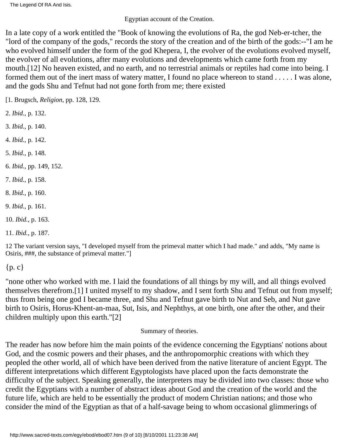Egyptian account of the Creation.

In a late copy of a work entitled the "Book of knowing the evolutions of Ra, the god Neb-er-tcher, the "lord of the company of the gods," records the story of the creation and of the birth of the gods:--"I am he who evolved himself under the form of the god Khepera, I, the evolver of the evolutions evolved myself, the evolver of all evolutions, after many evolutions and developments which came forth from my mouth.[12] No heaven existed, and no earth, and no terrestrial animals or reptiles had come into being. I formed them out of the inert mass of watery matter, I found no place whereon to stand . . . . . I was alone, and the gods Shu and Tefnut had not gone forth from me; there existed

[1. Brugsch, *Religion*, pp. 128, 129.

2. *Ibid.*, p. 132.

3. *Ibid.*, p. 140.

4. *Ibid.*, p. 142.

5. *Ibid.*, p. 148.

6. *Ibid.*, pp. 149, 152.

7. *Ibid.*, p. 158.

8. *Ibid.*, p. 160.

9. *Ibid.*, p. 161.

10. *Ibid.*, p. 163.

11. *Ibid.*, p. 187.

12 The variant version says, "I developed myself from the primeval matter which I had made." and adds, "My name is Osiris, ###, the substance of primeval matter."]

 ${p.c}$ 

"none other who worked with me. I laid the foundations of all things by my will, and all things evolved themselves therefrom.[1] I united myself to my shadow, and I sent forth Shu and Tefnut out from myself; thus from being one god I became three, and Shu and Tefnut gave birth to Nut and Seb, and Nut gave birth to Osiris, Horus-Khent-an-maa, Sut, Isis, and Nephthys, at one birth, one after the other, and their children multiply upon this earth."[2]

Summary of theories.

The reader has now before him the main points of the evidence concerning the Egyptians' notions about God, and the cosmic powers and their phases, and the anthropomorphic creations with which they peopled the other world, all of which have been derived from the native literature of ancient Egypt. The different interpretations which different Egyptologists have placed upon the facts demonstrate the difficulty of the subject. Speaking generally, the interpreters may be divided into two classes: those who credit the Egyptians with a number of abstract ideas about God and the creation of the world and the future life, which are held to be essentially the product of modern Christian nations; and those who consider the mind of the Egyptian as that of a half-savage being to whom occasional glimmerings of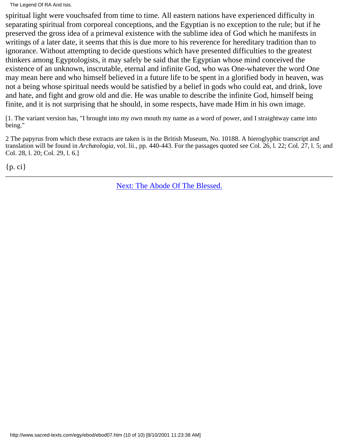spiritual light were vouchsafed from time to time. All eastern nations have experienced difficulty in separating spiritual from corporeal conceptions, and the Egyptian is no exception to the rule; but if he preserved the gross idea of a primeval existence with the sublime idea of God which he manifests in writings of a later date, it seems that this is due more to his reverence for hereditary tradition than to ignorance. Without attempting to decide questions which have presented difficulties to the greatest thinkers among Egyptologists, it may safely be said that the Egyptian whose mind conceived the existence of an unknown, inscrutable, eternal and infinite God, who was One-whatever the word One may mean here and who himself believed in a future life to be spent in a glorified body in heaven, was not a being whose spiritual needs would be satisfied by a belief in gods who could eat, and drink, love and hate, and fight and grow old and die. He was unable to describe the infinite God, himself being finite, and it is not surprising that he should, in some respects, have made Him in his own image.

[1. The variant version has, "I brought into my own mouth my name as a word of power, and I straightway came into being."

2 The papyrus from which these extracts are taken is in the British Museum, No. 10188. A hieroglyphic transcript and translation will be found in *Archæologia*, vol. lii., pp. 440-443. For the passages quoted see Col. 26, l. 22; Col. 27, l. 5; and Col. 28, l. 20; Col. 29, l. 6.]

 ${p. ci}$ 

[Next: The Abode Of The Blessed.](#page-86-0)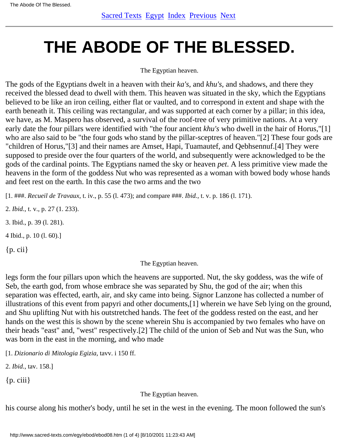# <span id="page-86-0"></span>**THE ABODE OF THE BLESSED.**

The Egyptian heaven.

The gods of the Egyptians dwelt in a heaven with their *ka's*, and *khu's*, and shadows, and there they received the blessed dead to dwell with them. This heaven was situated in the sky, which the Egyptians believed to be like an iron ceiling, either flat or vaulted, and to correspond in extent and shape with the earth beneath it. This ceiling was rectangular, and was supported at each corner by a pillar; in this idea, we have, as M. Maspero has observed, a survival of the roof-tree of very primitive nations. At a very early date the four pillars were identified with "the four ancient *khu's* who dwell in the hair of Horus,"[1] who are also said to be "the four gods who stand by the pillar-sceptres of heaven."[2] These four gods are "children of Horus,"[3] and their names are Amset, Hapi, Tuamautef, and Qebhsennuf.[4] They were supposed to preside over the four quarters of the world, and subsequently were acknowledged to be the gods of the cardinal points. The Egyptians named the sky or heaven *pet*. A less primitive view made the heavens in the form of the goddess Nut who was represented as a woman with bowed body whose hands and feet rest on the earth. In this case the two arms and the two

[1. ###. *Recueil de Travaux*, t. iv., p. 55 (l. 473); and compare ###. *Ibid.*, t. v. p. 186 (l. 171).

2. *Ibid.*, t. v., p. 27 (1. 233).

3. Ibid., p. 39 (l. 281).

4 Ibid., p. 10 (l. 60).]

 ${p. cii}$ 

The Egyptian heaven.

legs form the four pillars upon which the heavens are supported. Nut, the sky goddess, was the wife of Seb, the earth god, from whose embrace she was separated by Shu, the god of the air; when this separation was effected, earth, air, and sky came into being. Signor Lanzone has collected a number of illustrations of this event from papyri and other documents,[1] wherein we have Seb lying on the ground, and Shu uplifting Nut with his outstretched hands. The feet of the goddess rested on the east, and her hands on the west this is shown by the scene wherein Shu is accompanied by two females who have on their heads "east" and, "west" respectively.[2] The child of the union of Seb and Nut was the Sun, who was born in the east in the morning, and who made

[1. *Dizionario di Mitologia Egizia*, tavv. i 150 ff.

2. *Ibid.*, tav. 158.]

 ${p. ciii}$ 

The Egyptian heaven.

his course along his mother's body, until he set in the west in the evening. The moon followed the sun's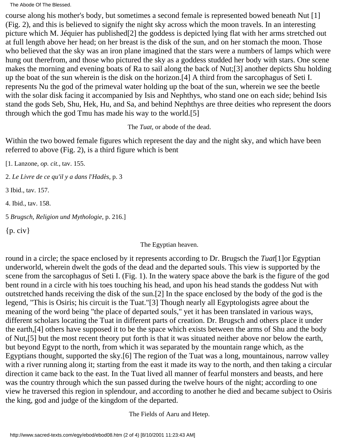#### The Abode Of The Blessed.

course along his mother's body, but sometimes a second female is represented bowed beneath Nut [1] (Fig. 2), and this is believed to signify the night sky across which the moon travels. In an interesting picture which M. Jéquier has published[2] the goddess is depicted lying flat with her arms stretched out at full length above her head; on her breast is the disk of the sun, and on her stomach the moon. Those who believed that the sky was an iron plane imagined that the stars were a numbers of lamps which were hung out therefrom, and those who pictured the sky as a goddess studded her body with stars. One scene makes the morning and evening boats of Ra to sail along the back of Nut;[3] another depicts Shu holding up the boat of the sun wherein is the disk on the horizon.[4] A third from the sarcophagus of Seti I. represents Nu the god of the primeval water holding up the boat of the sun, wherein we see the beetle with the solar disk facing it accompanied by Isis and Nephthys, who stand one on each side; behind Isis stand the gods Seb, Shu, Hek, Hu, and Sa, and behind Nephthys are three deities who represent the doors through which the god Tmu has made his way to the world.[5]

The *Tuat*, or abode of the dead.

Within the two bowed female figures which represent the day and the night sky, and which have been referred to above (Fig. 2), is a third figure which is bent

[1. Lanzone, *op. cit.*, tav. 155. 2. *Le Livre de ce qu'il y a dans l'Hadès*, p. 3 3 Ibid., tav. 157. 4. Ibid., tav. 158. 5 *Brugsch, Religion und Mythologie*, p. 216.]  ${p.\, \text{civ}}$ 

The Egyptian heaven.

round in a circle; the space enclosed by it represents according to Dr. Brugsch the *Tuat*[1]or Egyptian underworld, wherein dwelt the gods of the dead and the departed souls. This view is supported by the scene from the sarcophagus of Seti I. (Fig. 1). In the watery space above the bark is the figure of the god bent round in a circle with his toes touching his head, and upon his head stands the goddess Nut with outstretched hands receiving the disk of the sun.[2] In the space enclosed by the body of the god is the legend, "This is Osiris; his circuit is the Tuat."[3] Though nearly all Egyptologists agree about the meaning of the word being "the place of departed souls," yet it has been translated in various ways, different scholars locating the Tuat in different parts of creation. Dr. Brugsch and others place it under the earth,[4] others have supposed it to be the space which exists between the arms of Shu and the body of Nut,[5] but the most recent theory put forth is that it was situated neither above nor below the earth, but beyond Egypt to the north, from which it was separated by the mountain range which, as the Egyptians thought, supported the sky.[6] The region of the Tuat was a long, mountainous, narrow valley with a river running along it; starting from the east it made its way to the north, and then taking a circular direction it came back to the east. In the Tuat lived all manner of fearful monsters and beasts, and here was the country through which the sun passed during the twelve hours of the night; according to one view he traversed this region in splendour, and according to another he died and became subject to Osiris the king, god and judge of the kingdom of the departed.

The Fields of Aaru and Hetep.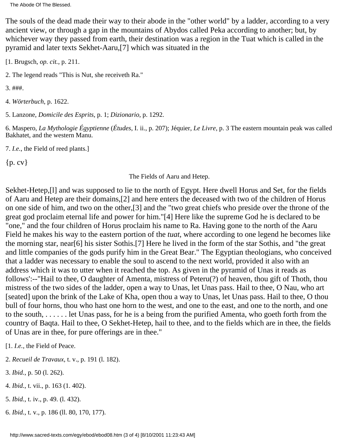The Abode Of The Blessed.

The souls of the dead made their way to their abode in the "other world" by a ladder, according to a very ancient view, or through a gap in the mountains of Abydos called Peka according to another; but, by whichever way they passed from earth, their destination was a region in the Tuat which is called in the pyramid and later texts Sekhet-Aaru,[7] which was situated in the

[1. Brugsch, *op. cit.*, p. 211.

2. The legend reads "This is Nut, she receiveth Ra."

3. ###.

4. *Wörterbuch*, p. 1622.

5. Lanzone, *Domicile des Esprits*, p. 1; *Dizionario*, p. 1292.

6. Maspero, *La Mythologie Égyptienne* (*Études*, I. ii., p. 207); Jéquier, *Le Livre*, p. 3 The eastern mountain peak was called Bakhatet, and the western Manu.

7. *I.e.*, the Field of reed plants.]

 ${p, cv}$ 

The Fields of Aaru and Hetep.

Sekhet-Hetep,[l] and was supposed to lie to the north of Egypt. Here dwell Horus and Set, for the fields of Aaru and Hetep are their domains,[2] and here enters the deceased with two of the children of Horus on one side of him, and two on the other,[3] and the "two great chiefs who preside over the throne of the great god proclaim eternal life and power for him."[4] Here like the supreme God he is declared to be "one," and the four children of Horus proclaim his name to Ra. Having gone to the north of the Aaru Field he makes his way to the eastern portion of the *tuat*, where according to one legend he becomes like the morning star, near[6] his sister Sothis.[7] Here he lived in the form of the star Sothis, and "the great and little companies of the gods purify him in the Great Bear." The Egyptian theologians, who conceived that a ladder was necessary to enable the soul to ascend to the next world, provided it also with an address which it was to utter when it reached the top. As given in the pyramid of Unas it reads as follows':--"Hail to thee, O daughter of Amenta, mistress of Peteru(?) of heaven, thou gift of Thoth, thou mistress of the two sides of the ladder, open a way to Unas, let Unas pass. Hail to thee, O Nau, who art [seated] upon the brink of the Lake of Kha, open thou a way to Unas, let Unas pass. Hail to thee, O thou bull of four horns, thou who hast one horn to the west, and one to the east, and one to the north, and one to the south, . . . . . . let Unas pass, for he is a being from the purified Amenta, who goeth forth from the country of Baqta. Hail to thee, O Sekhet-Hetep, hail to thee, and to the fields which are in thee, the fields of Unas are in thee, for pure offerings are in thee."

[1. *I.e.*, the Field of Peace.

2. *Recueil de Travaux*, t. v., p. 191 (l. 182).

3. *Ibid.*, p. 50 (l. 262).

4. *Ibid.*, t. vii., p. 163 (1. 402).

5. *Ibid.*, t. iv., p. 49. (l. 432).

6. *Ibid.*, t. v., p. 186 (ll. 80, 170, 177).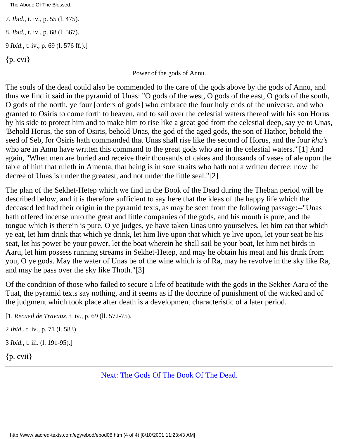The Abode Of The Blessed.

7. *Ibid.*, t. iv., p. 55 (l. 475). 8. *Ibid.*, t. iv., p. 68 (l. 567). 9 *Ibid.*, t. iv., p. 69 (l. 576 ff.).]  ${p. cvi}$ 

Power of the gods of Annu.

The souls of the dead could also be commended to the care of the gods above by the gods of Annu, and thus we find it said in the pyramid of Unas: "O gods of the west, O gods of the east, O gods of the south, O gods of the north, ye four [orders of gods] who embrace the four holy ends of the universe, and who granted to Osiris to come forth to heaven, and to sail over the celestial waters thereof with his son Horus by his side to protect him and to make him to rise like a great god from the celestial deep, say ye to Unas, 'Behold Horus, the son of Osiris, behold Unas, the god of the aged gods, the son of Hathor, behold the seed of Seb, for Osiris hath commanded that Unas shall rise like the second of Horus, and the four *khu's* who are in Annu have written this command to the great gods who are in the celestial waters.'"[1] And again, "When men are buried and receive their thousands of cakes and thousands of vases of ale upon the table of him that ruleth in Amenta, that being is in sore straits who hath not a written decree: now the decree of Unas is under the greatest, and not under the little seal."[2]

The plan of the Sekhet-Hetep which we find in the Book of the Dead during the Theban period will be described below, and it is therefore sufficient to say here that the ideas of the happy life which the deceased led had their origin in the pyramid texts, as may be seen from the following passage:--"Unas hath offered incense unto the great and little companies of the gods, and his mouth is pure, and the tongue which is therein is pure. O ye judges, ye have taken Unas unto yourselves, let him eat that which ye eat, let him drink that which ye drink, let him live upon that which ye live upon, let your seat be his seat, let his power be your power, let the boat wherein he shall sail be your boat, let him net birds in Aaru, let him possess running streams in Sekhet-Hetep, and may he obtain his meat and his drink from you, O ye gods. May the water of Unas be of the wine which is of Ra, may he revolve in the sky like Ra, and may he pass over the sky like Thoth."[3]

Of the condition of those who failed to secure a life of beatitude with the gods in the Sekhet-Aaru of the Tuat, the pyramid texts say nothing, and it seems as if the doctrine of punishment of the wicked and of the judgment which took place after death is a development characteristic of a later period.

[1. *Recueil de Travaux*, t. iv., p. 69 (ll. 572-75).

2 *Ibid.*, t. iv., p. 71 (l. 583).

3 *Ibid.*, t. iii. (l. 191-95).]

{p. cvii}

[Next: The Gods Of The Book Of The Dead.](#page-90-0)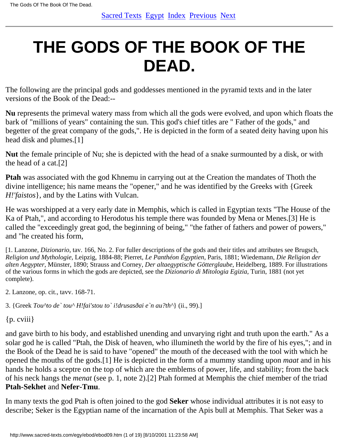## <span id="page-90-0"></span>**THE GODS OF THE BOOK OF THE DEAD.**

The following are the principal gods and goddesses mentioned in the pyramid texts and in the later versions of the Book of the Dead:--

**Nu** represents the primeval watery mass from which all the gods were evolved, and upon which floats the bark of "millions of years" containing the sun. This god's chief titles are " Father of the gods," and begetter of the great company of the gods,". He is depicted in the form of a seated deity having upon his head disk and plumes.[1]

**Nut** the female principle of Nu; she is depicted with the head of a snake surmounted by a disk, or with the head of a cat.[2]

**Ptah** was associated with the god Khnemu in carrying out at the Creation the mandates of Thoth the divine intelligence; his name means the "opener," and he was identified by the Greeks with {Greek *H!'faistos*}, and by the Latins with Vulcan.

He was worshipped at a very early date in Memphis, which is called in Egyptian texts "The House of the Ka of Ptah,", and according to Herodotus his temple there was founded by Mena or Menes.[3] He is called the "exceedingly great god, the beginning of being," "the father of fathers and power of powers," and "he created his form,

[1. Lanzone, *Dizionario*, tav. 166, No. 2. For fuller descriptions of the gods and their titles and attributes see Brugsch, *Religion und Mythologie*, Leipzig, 1884-88; Pierret, *Le Panthéon Égyptien*, Paris, 1881; Wiedemann, *Die Religion der alten Aegypter*, Münster, 1890; Strauss and Corney, *Der altaegyptische Götterglaube*, Heidelberg, 1889. For illustrations of the various forms in which the gods are depicted, see the *Dizionario di Mitologia Egizia*, Turin, 1881 (not yet complete).

2. Lanzone, op. cit., tavv. 168-71.

3. {Greek *Tou^to de` tou^ H!fai'stou to` i!drusasðai e`n au?th^*} (ii., 99).]

 ${p. cviii}$ 

and gave birth to his body, and established unending and unvarying right and truth upon the earth." As a solar god he is called "Ptah, the Disk of heaven, who illumineth the world by the fire of his eyes,"; and in the Book of the Dead he is said to have "opened" the mouth of the deceased with the tool with which he opened the mouths of the gods.[1] He is depicted in the form of a mummy standing upon *maat* and in his hands he holds a sceptre on the top of which are the emblems of power, life, and stability; from the back of his neck hangs the *menat* (see p. 1, note 2).[2] Ptah formed at Memphis the chief member of the triad **Ptah-Sekhet** and **Nefer-Tmu**.

In many texts the god Ptah is often joined to the god **Seker** whose individual attributes it is not easy to describe; Seker is the Egyptian name of the incarnation of the Apis bull at Memphis. That Seker was a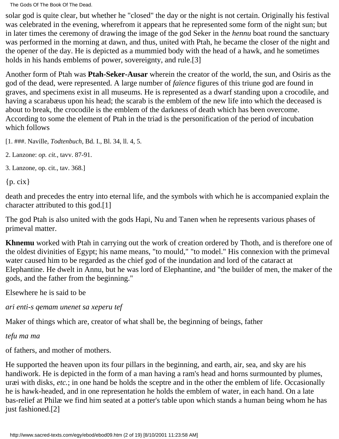solar god is quite clear, but whether he "closed" the day or the night is not certain. Originally his festival was celebrated in the evening, wherefrom it appears that he represented some form of the night sun; but in later times the ceremony of drawing the image of the god Seker in the *hennu* boat round the sanctuary was performed in the morning at dawn, and thus, united with Ptah, he became the closer of the night and the opener of the day. He is depicted as a mummied body with the head of a hawk, and he sometimes holds in his hands emblems of power, sovereignty, and rule.[3]

Another form of Ptah was **Ptah-Seker-Ausar** wherein the creator of the world, the sun, and Osiris as the god of the dead, were represented. A large number of *faïence* figures of this triune god are found in graves, and specimens exist in all museums. He is represented as a dwarf standing upon a crocodile, and having a scarabæus upon his head; the scarab is the emblem of the new life into which the deceased is about to break, the crocodile is the emblem of the darkness of death which has been overcome. According to some the element of Ptah in the triad is the personification of the period of incubation which follows

[1. ###. Naville, *Todtenbuch*, Bd. I., Bl. 34, ll. 4, 5.

- 2. Lanzone: *op. cit.*, tavv. 87-91.
- 3. Lanzone, op. cit., tav. 368.]

 ${p.cix}$ 

death and precedes the entry into eternal life, and the symbols with which he is accompanied explain the character attributed to this god.[1]

The god Ptah is also united with the gods Hapi, Nu and Tanen when he represents various phases of primeval matter.

**Khnemu** worked with Ptah in carrying out the work of creation ordered by Thoth, and is therefore one of the oldest divinities of Egypt; his name means, "to mould," "to model." His connexion with the primeval water caused him to be regarded as the chief god of the inundation and lord of the cataract at Elephantine. He dwelt in Annu, but he was lord of Elephantine, and "the builder of men, the maker of the gods, and the father from the beginning."

Elsewhere he is said to be

*ari enti-s qemam unenet sa xeperu tef*

Maker of things which are, creator of what shall be, the beginning of beings, father

## *tefu ma ma*

of fathers, and mother of mothers.

He supported the heaven upon its four pillars in the beginning, and earth, air, sea, and sky are his handiwork. He is depicted in the form of a man having a ram's head and horns surmounted by plumes, uræi with disks, *etc.*; in one hand be holds the sceptre and in the other the emblem of life. Occasionally he is hawk-headed, and in one representation he holds the emblem of water, in each hand. On a late bas-relief at Philæ we find him seated at a potter's table upon which stands a human being whom he has just fashioned.[2]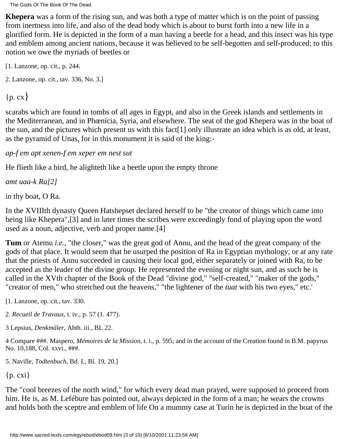**Khepera** was a form of the rising sun, and was both a type of matter which is on the point of passing from inertness into life, and also of the dead body which is about to burst forth into a new life in a glorified form. He is depicted in the form of a man having a beetle for a head, and this insect was his type and emblem among ancient nations, because it was believed to be self-begotten and self-produced; to this notion we owe the myriads of beetles or

[1. Lanzone, op. cit., p. 244.

2. Lanzone, op. cit., tav. 336, No. 3.]

 ${p, cx}$ 

scarabs which are found in tombs of all ages in Egypt, and also in the Greek islands and settlements in the Mediterranean, and in Phœnicia, Syria, and elsewhere. The seat of the god Khepera was in the boat of the sun, and the pictures which present us with this fact[1] only illustrate an idea which is as old, at least, as the pyramid of Unas, for in this monument it is said of the king:-

*ap-f em apt xenen-f em xeper em nest sut*

He flieth like a bird, he alighteth like a beetle upon the empty throne

*amt uaa-k Ra[2]*

in thy boat, O Ra.

In the XVIIIth dynasty Queen Hatshepset declared herself to be "the creator of things which came into being like Khepera",[3] and in later times the scribes were exceedingly fond of playing upon the word used as a noun, adjective, verb and proper name.[4]

**Tum** or Atemu *i.e.*, "the closer," was the great god of Annu, and the head of the great company of the gods of that place. It would seem that he usurped the position of Ra in Egyptian mythology, or at any rate that the priests of Annu succeeded in causing their local god, either separately or joined with Ra, to be accepted as the leader of the divine group. He represented the evening or night sun, and as such he is called in the XVth chapter of the Book of the Dead "divine god," "self-created," "maker of the gods," "creator of men," who stretched out the heavens," "the lightener of the *tuat* with his two eyes," etc.'

[1. Lanzone, op. cit., tav. 330.

2. *Recueil de Travaux*, t. iv., p. 57 (1. 477).

3 Lepsius, *Denkmäler*, Abth. iii., BL 22.

4 Compare ###. Maspero, *Mémoires de la Mission*, t. i., p. 595; and in the account of the Creation found in B.M. papyrus No. 10,188, Col. xxvi., ###.

5. Naville, *Todtenbuch*, Bd. I., Bl. 19, 20.]

 ${p. cxi}$ 

The "cool breezes of the north wind," for which every dead man prayed, were supposed to proceed from him. He is, as M. Lefébure has pointed out, always depicted in the form of a man; he wears the crowns and holds both the sceptre and emblem of life On a mummy case at Turin he is depicted in the boat of the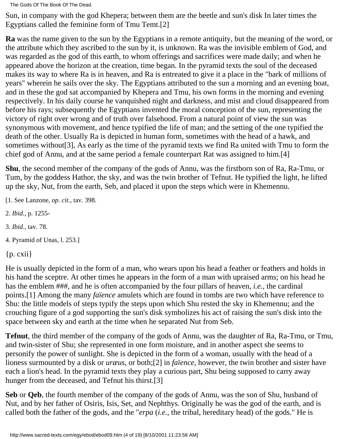Sun, in company with the god Khepera; between them are the beetle and sun's disk In later times the Egyptians called the feminine form of Tmu Temt.[2]

**Ra** was the name given to the sun by the Egyptians in a remote antiquity, but the meaning of the word, or the attribute which they ascribed to the sun by it, is unknown. Ra was the invisible emblem of God, and was regarded as the god of this earth, to whom offerings and sacrifices were made daily; and when he appeared above the horizon at the creation, time began. In the pyramid texts the soul of the deceased makes its way to where Ra is in heaven, and Ra is entreated to give it a place in the "bark of millions of years" wherein he sails over the sky. The Egyptians attributed to the sun a morning and an evening boat, and in these the god sat accompanied by Khepera and Tmu, his own forms in the morning and evening respectively. In his daily course he vanquished night and darkness, and mist and cloud disappeared from before his rays; subsequently the Egyptians invented the moral conception of the sun, representing the victory of right over wrong and of truth over falsehood. From a natural point of view the sun was synonymous with movement, and hence typified the life of man; and the setting of the one typified the death of the other. Usually Ra is depicted in human form, sometimes with the head of a hawk, and sometimes without[3], As early as the time of the pyramid texts we find Ra united with Tmu to form the chief god of Annu, and at the same period a female counterpart Rat was assigned to him.[4]

**Shu**, the second member of the company of the gods of Annu, was the firstborn son of Ra, Ra-Tmu, or Tum, by the goddess Hathor, the sky, and was the twin brother of Tefnut. He typified the light, he lifted up the sky, Nut, from the earth, Seb, and placed it upon the steps which were in Khemennu.

[1. See Lanzone, *op. cit.*, tav. 398.

2. *Ibid.*, p. 1255-

3. *Ibid.*, tav. 78.

4. Pyramid of Unas, l. 253.]

 ${p. cxii}$ 

He is usually depicted in the form of a man, who wears upon his head a feather or feathers and holds in his hand the sceptre. At other times he appears in the form of a man with upraised arms; on his head he has the emblem ###, and he is often accompanied by the four pillars of heaven, *i.e.*, the cardinal points.[1] Among the many *faïence* amulets which are found in tombs are two which have reference to Shu: the little models of steps typify the steps upon which Shu rested the sky in Khemennu; and the crouching figure of a god supporting the sun's disk symbolizes his act of raising the sun's disk into the space between sky and earth at the time when he separated Nut from Seb.

**Tefnut**, the third member of the company of the gods of Annu, was the daughter of Ra, Ra-Tmu, or Tmu, and twin-sister of Shu; she represented in one form moisture, and in another aspect she seems to personify the power of sunlight. She is depicted in the form of a woman, usually with the head of a lioness surmounted by a disk or *uræus*, or both;[2] in *faïence*, however, the twin brother and sister have each a lion's head. In the pyramid texts they play a curious part, Shu being supposed to carry away hunger from the deceased, and Tefnut his thirst.[3]

**Seb** or **Qeb**, the fourth member of the company of the gods of Annu, was the son of Shu, husband of Nut, and by her father of Osiris, Isis, Set, and Nephthys. Originally he was the god of the earth, and is called both the father of the gods, and the "*erpa* (*i.e.*, the tribal, hereditary head) of the gods." He is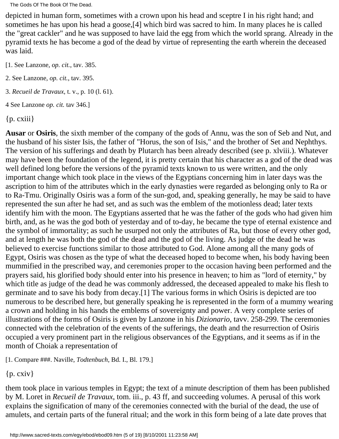depicted in human form, sometimes with a crown upon his head and sceptre I in his right hand; and sometimes he has upon his head a goose,[4] which bird was sacred to him. In many places he is called the "great cackler" and he was supposed to have laid the egg from which the world sprang. Already in the pyramid texts he has become a god of the dead by virtue of representing the earth wherein the deceased was laid.

[1. See Lanzone, *op. cit.*, tav. 385.

2. See Lanzone, *op. cit.*, tav. 395.

3. *Recueil de Travaux*, t. v., p. 10 (l. 61).

4 See Lanzone *op. cit.* tav 346.]

{p. cxiii}

**Ausar** or **Osiris**, the sixth member of the company of the gods of Annu, was the son of Seb and Nut, and the husband of his sister Isis, the father of "Horus, the son of Isis," and the brother of Set and Nephthys. The version of his sufferings and death by Plutarch has been already described (see p. xlviii.). Whatever may have been the foundation of the legend, it is pretty certain that his character as a god of the dead was well defined long before the versions of the pyramid texts known to us were written, and the only important change which took place in the views of the Egyptians concerning him in later days was the ascription to him of the attributes which in the early dynasties were regarded as belonging only to Ra or to Ra-Tmu. Originally Osiris was a form of the sun-god, and, speaking generally, he may be said to have represented the sun after he had set, and as such was the emblem of the motionless dead; later texts identify him with the moon. The Egyptians asserted that he was the father of the gods who had given him birth, and, as he was the god both of yesterday and of to-day, he became the type of eternal existence and the symbol of immortality; as such he usurped not only the attributes of Ra, but those of every other god, and at length he was both the god of the dead and the god of the living. As judge of the dead he was believed to exercise functions similar to those attributed to God. Alone among all the many gods of Egypt, Osiris was chosen as the type of what the deceased hoped to become when, his body having been mummified in the prescribed way, and ceremonies proper to the occasion having been performed and the prayers said, his glorified body should enter into his presence in heaven; to him as "lord of eternity," by which title as judge of the dead he was commonly addressed, the deceased appealed to make his flesh to germinate and to save his body from decay.[1] The various forms in which Osiris is depicted are too numerous to be described here, but generally speaking he is represented in the form of a mummy wearing a crown and holding in his hands the emblems of sovereignty and power. A very complete series of illustrations of the forms of Osiris is given by Lanzone in his *Dizionario*, tavv. 258-299. The ceremonies connected with the celebration of the events of the sufferings, the death and the resurrection of Osiris occupied a very prominent part in the religious observances of the Egyptians, and it seems as if in the month of Choiak a representation of

[1. Compare ###. Naville, *Todtenbuch*, Bd. I., Bl. 179.]

{p. cxiv}

them took place in various temples in Egypt; the text of a minute description of them has been published by M. Loret in *Recueil de Travaux*, tom. iii., p. 43 ff, and succeeding volumes. A perusal of this work explains the signification of many of the ceremonies connected with the burial of the dead, the use of amulets, and certain parts of the funeral ritual; and the work in this form being of a late date proves that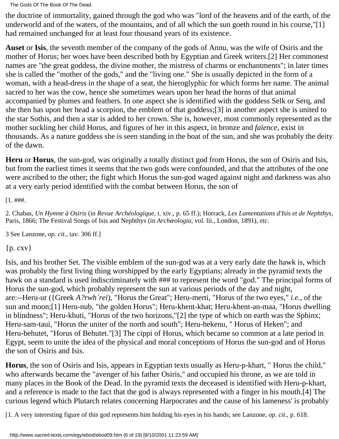the doctrine of immortality, gained through the god who was "lord of the heavens and of the earth, of the underworld and of the waters, of the mountains, and of all which the sun goeth round in his course,"[1] had remained unchanged for at least four thousand years of its existence.

**Auset** or **Isis**, the seventh member of the company of the gods of Annu, was the wife of Osiris and the mother of Horus; her woes have been described both by Egyptian and Greek writers.[2] Her commonest names are "the great goddess, the divine mother, the mistress of charms or enchantments"; in later times she is called the "mother of the gods," and the "living one." She is usually depicted in the form of a woman, with a head-dress in the shape of a seat, the hieroglyphic for which forms her name. The animal sacred to her was the cow, hence she sometimes wears upon her head the horns of that animal accompanied by plumes and feathers. In one aspect she is identified with the goddess Selk or Serq, and she then has upon her head a scorpion, the emblem of that goddess;[3] in another aspect she is united to the star Sothis, and then a star is added to her crown. She is, however, most commonly represented as the mother suckling her child Horus, and figures of her in this aspect, in bronze and *faïence*, exist in thousands. As a nature goddess she is seen standing in the boat of the sun, and she was probably the deity of the dawn.

**Heru** or **Horus**, the sun-god, was originally a totally distinct god from Horus, the son of Osiris and Isis, but from the earliest times it seems that the two gods were confounded, and that the attributes of the one were ascribed to the other; the fight which Horus the sun-god waged against night and darkness was also at a very early period identified with the combat between Horus, the son of

[1. ###.

2. Chabas, *Un Hymne à Osiris* (in *Revue Archéologique*, t. xiv., p. 65 ff.); Horrack, *Les Lamentations d'Isis et de Nephthys*, Paris, 1866; The Festival Songs of Isis and Nephthys (in *Archæologia*, vol. lii., London, 1891), *etc.*

3 See Lanzone, *op. cit.*, tav. 306 ff.]

 ${p. cxy}$ 

Isis, and his brother Set. The visible emblem of the sun-god was at a very early date the hawk is, which was probably the first living thing worshipped by the early Egyptians; already in the pyramid texts the hawk on a standard is used indiscriminately with ### to represent the word "god." The principal forms of Horus the sun-god, which probably represent the sun at various periods of the day and night, are:--Heru-ur ({Greek *A?rwh`rei*), "Horus the Great"; Heru-merti, "Horus of the two eyes," *i.e.*, of the sun and moon;[1] Heru-nub, "the golden Horus"; Heru-khent-khat; Heru-khent-an-maa, "Horus dwelling in blindness"; Heru-khuti, "Horus of the two horizons,"[2] the type of which on earth was the Sphinx; Heru-sam-taui, "Horus the uniter of the north and south"; Heru-hekenu, " Horus of Heken"; and Heru-behutet, "Horus of Behutet."[3] The cippi of Horus, which became so common at a late period in Egypt, seem to unite the idea of the physical and moral conceptions of Horus the sun-god and of Horus the son of Osiris and Isis.

**Horus**, the son of Osiris and Isis, appears in Egyptian texts usually as Heru-p-khart, " Horus the child," who afterwards became the "avenger of his father Osiris," and occupied his throne, as we are told in many places in the Book of the Dead. In the pyramid texts the deceased is identified with Heru-p-khart, and a reference is made to the fact that the god is always represented with a finger in his mouth.[4] The curious legend which Plutarch relates concerning Harpocrates and the cause of his lameness' is probably

[1. A very interesting figure of this god represents him holding his eyes in his hands; see Lanzone, *op. cit.*, p. 618.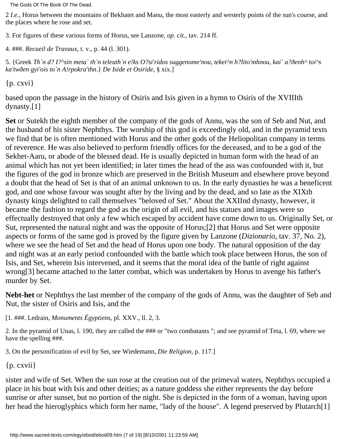2 *I.e.*, Horus between the mountains of Bekhatet and Manu, the most easterly and westerly points of the sun's course, and the places where he rose and set.

3. For figures of these various forms of Horus, see Lanzone, *op. cit.*, tav. 214 ff.

4. ###. *Recueil de Travaux*, t. v., p. 44 (l. 301).

5. {Greek *Th`n d? I?^sin meta` th`n teleuth`n e!ks O?si'ridos suggenome'nou, tekei^n h?lito'mhnou, kai` a?ðenh^ toi^s ka'twðen gyi'ois to`n A!rpokra'thn*.} *De Iside et Osiride*, § xix.]

 ${p. c}xvi}$ 

based upon the passage in the history of Osiris and Isis given in a hymn to Osiris of the XVIIIth dynasty.[1]

**Set** or Sutekh the eighth member of the company of the gods of Annu, was the son of Seb and Nut, and the husband of his sister Nephthys. The worship of this god is exceedingly old, and in the pyramid texts we find that be is often mentioned with Horus and the other gods of the Heliopolitan company in terms of reverence. He was also believed to perform friendly offices for the deceased, and to be a god of the Sekhet-Aaru, or abode of the blessed dead. He is usually depicted in human form with the head of an animal which has not yet been identified; in later times the head of the ass was confounded with it, but the figures of the god in bronze which are preserved in the British Museum and elsewhere prove beyond a doubt that the head of Set is that of an animal unknown to us. In the early dynasties he was a beneficent god, and one whose favour was sought after by the living and by the dead, and so late as the XIXth dynasty kings delighted to call themselves "beloved of Set." About the XXIInd dynasty, however, it became the fashion to regard the god as the origin of all evil, and his statues and images were so effectually destroyed that only a few which escaped by accident have come down to us. Originally Set, or Sut, represented the natural night and was the opposite of Horus;[2] that Horus and Set were opposite aspects or forms of the same god is proved by the figure given by Lanzone (*Dizionario*, tav. 37, No. 2), where we see the head of Set and the head of Horus upon one body. The natural opposition of the day and night was at an early period confounded with the battle which took place between Horus, the son of Isis, and Set, wherein Isis intervened, and it seems that the moral idea of the battle of right against wrong[3] became attached to the latter combat, which was undertaken by Horus to avenge his father's murder by Set.

**Nebt-het** or Nephthys the last member of the company of the gods of Annu, was the daughter of Seb and Nut, the sister of Osiris and Isis, and the

[1. ###. Ledrain, *Monuments Égyptiens*, pl. XXV., ll. 2, 3.

2. In the pyramid of Unas, l. 190, they are called the ### or "two combatants "; and see pyramid of Teta, l. 69, where we have the spelling ###.

3. On the personification of evil by Set, see Wiedemann, *Die Religion*, p. 117.]

{p. cxvii}

sister and wife of Set. When the sun rose at the creation out of the primeval waters, Nephthys occupied a place in his boat with Isis and other deities; as a nature goddess she either represents the day before sunrise or after sunset, but no portion of the night. She is depicted in the form of a woman, having upon her head the hieroglyphics which form her name, "lady of the house". A legend preserved by Plutarch<sup>[1]</sup>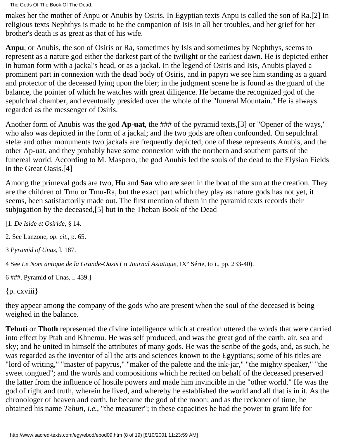makes her the mother of Anpu or Anubis by Osiris. In Egyptian texts Anpu is called the son of Ra.[2] In religious texts Nephthys is made to be the companion of Isis in all her troubles, and her grief for her brother's death is as great as that of his wife.

**Anpu**, or Anubis, the son of Osiris or Ra, sometimes by Isis and sometimes by Nephthys, seems to represent as a nature god either the darkest part of the twilight or the earliest dawn. He is depicted either in human form with a jackal's head, or as a jackal. In the legend of Osiris and Isis, Anubis played a prominent part in connexion with the dead body of Osiris, and in papyri we see him standing as a guard and protector of the deceased lying upon the bier; in the judgment scene he is found as the guard of the balance, the pointer of which he watches with great diligence. He became the recognized god of the sepulchral chamber, and eventually presided over the whole of the "funeral Mountain." He is always regarded as the messenger of Osiris.

Another form of Anubis was the god **Ap-uat**, the ### of the pyramid texts,[3] or "Opener of the ways," who also was depicted in the form of a jackal; and the two gods are often confounded. On sepulchral stelæ and other monuments two jackals are frequently depicted; one of these represents Anubis, and the other Ap-uat, and they probably have some connexion with the northern and southern parts of the funereal world. According to M. Maspero, the god Anubis led the souls of the dead to the Elysian Fields in the Great Oasis.[4]

Among the primeval gods are two, **Hu** and **Saa** who are seen in the boat of the sun at the creation. They are the children of Tmu or Tmu-Ra, but the exact part which they play as nature gods has not yet, it seems, been satisfactorily made out. The first mention of them in the pyramid texts records their subjugation by the deceased,[5] but in the Theban Book of the Dead

[1. *De Iside et Osiride*, § 14.

2. See Lanzone, *op. cit.*, p. 65.

3 *Pyramid of Unas*, l. 187.

4 See *Le Nom antique de la Grande-Oasis* (in *Journal Asiatique*, IXe Série, to i., pp. 233-40).

6 ###. Pyramid of Unas, l. 439.]

{p. cxviii}

they appear among the company of the gods who are present when the soul of the deceased is being weighed in the balance.

**Tehuti** or **Thoth** represented the divine intelligence which at creation uttered the words that were carried into effect by Ptah and Khnemu. He was self produced, and was the great god of the earth, air, sea and sky; and he united in himself the attributes of many gods. He was the scribe of the gods, and, as such, he was regarded as the inventor of all the arts and sciences known to the Egyptians; some of his titles are "lord of writing," "master of papyrus," "maker of the palette and the ink-jar," "the mighty speaker," "the sweet tongued"; and the words and compositions which he recited on behalf of the deceased preserved the latter from the influence of hostile powers and made him invincible in the "other world." He was the god of right and truth, wherein he lived, and whereby he established the world and all that is in it. As the chronologer of heaven and earth, he became the god of the moon; and as the reckoner of time, he obtained his name *Tehuti*, *i.e.*, "the measurer"; in these capacities he had the power to grant life for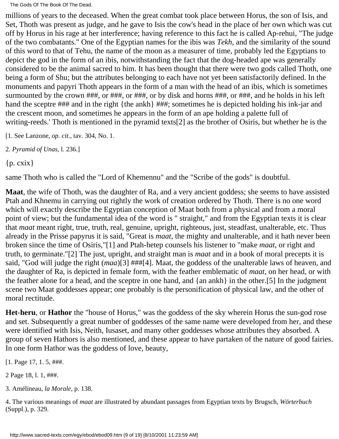millions of years to the deceased. When the great combat took place between Horus, the son of Isis, and Set, Thoth was present as judge, and he gave to Isis the cow's head in the place of her own which was cut off by Horus in his rage at her interference; having reference to this fact he is called Ap-rehui, "The judge of the two combatants." One of the Egyptian names for the ibis was *Tekh*, and the similarity of the sound of this word to that of Tehu, the name of the moon as a measurer of time, probably led the Egyptians to depict the god in the form of an ibis, notwithstanding the fact that the dog-headed ape was generally considered to be the animal sacred to him. It has been thought that there were two gods called Thoth, one being a form of Shu; but the attributes belonging to each have not yet been satisfactorily defined. In the monuments and papyri Thoth appears in the form of a man with the head of an ibis, which is sometimes surmounted by the crown ###, or ###, or ###, or by disk and horns ###, or ###, and he holds in his left hand the sceptre ### and in the right {the ankh} ###; sometimes he is depicted holding his ink-jar and the crescent moon, and sometimes he appears in the form of an ape holding a palette full of writing-reeds.' Thoth is mentioned in the pyramid texts[2] as the brother of Osiris, but whether he is the

[1. See Lanzone, *op. cit.*, tav. 304, No. 1.

2. *Pyramid of Unas*, l. 236.]

 ${p. c**x**ix}$ 

same Thoth who is called the "Lord of Khemennu" and the "Scribe of the gods" is doubtful.

**Maat**, the wife of Thoth, was the daughter of Ra, and a very ancient goddess; she seems to have assisted Ptah and Khnemu in carrying out rightly the work of creation ordered by Thoth. There is no one word which will exactly describe the Egyptian conception of Maat both from a physical and from a moral point of view; but the fundamental idea of the word is " straight," and from the Egyptian texts it is clear that *maat* meant right, true, truth, real, genuine, upright, righteous, just, steadfast, unalterable, etc. Thus already in the Prisse papyrus it is said, "Great is *maat*, the mighty and unalterable, and it hath never been broken since the time of Osiris,"[1] and Ptah-hetep counsels his listener to "make *maat*, or right and truth, to germinate."[2] The just, upright, and straight man is *maat* and in a book of moral precepts it is said, "God will judge the right (*maa*)[3] ###[4]. Maat, the goddess of the unalterable laws of heaven, and the daughter of Ra, is depicted in female form, with the feather emblematic of *maat*, on her head, or with the feather alone for a head, and the sceptre in one hand, and {an ankh} in the other.[5] In the judgment scene two Maat goddesses appear; one probably is the personification of physical law, and the other of moral rectitude.

**Het-heru**, or **Hathor** the "house of Horus," was the goddess of the sky wherein Horus the sun-god rose and set. Subsequently a great number of goddesses of the same name were developed from her, and these were identified with Isis, Neith, Iusaset, and many other goddesses whose attributes they absorbed. A group of seven Hathors is also mentioned, and these appear to have partaken of the nature of good fairies. In one form Hathor was the goddess of love, beauty,

[1. Page 17, 1. 5, ###.

2 Page 18, l. 1, ###.

3. Amélineau, *la Morale*, p. 138.

4. The various meanings of *maat* are illustrated by abundant passages from Egyptian texts by Brugsch, *Wörterbuch* (Suppl.), p. 329.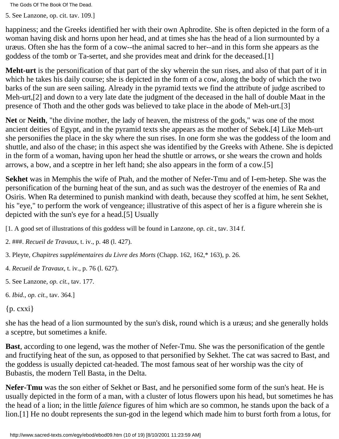5. See Lanzone, op. cit. tav. 109.]

happiness; and the Greeks identified her with their own Aphrodite. She is often depicted in the form of a woman having disk and horns upon her head, and at times she has the head of a lion surmounted by a uræus. Often she has the form of a cow--the animal sacred to her--and in this form she appears as the goddess of the tomb or Ta-sertet, and she provides meat and drink for the deceased.[1]

**Meht-urt** is the personification of that part of the sky wherein the sun rises, and also of that part of it in which he takes his daily course; she is depicted in the form of a cow, along the body of which the two barks of the sun are seen sailing. Already in the pyramid texts we find the attribute of judge ascribed to Meh-urt,[2] and down to a very late date the judgment of the deceased in the hall of double Maat in the presence of Thoth and the other gods was believed to take place in the abode of Meh-urt.[3]

**Net** or **Neith**, "the divine mother, the lady of heaven, the mistress of the gods," was one of the most ancient deities of Egypt, and in the pyramid texts she appears as the mother of Sebek.[4] Like Meh-urt she personifies the place in the sky where the sun rises. In one form she was the goddess of the loom and shuttle, and also of the chase; in this aspect she was identified by the Greeks with Athene. She is depicted in the form of a woman, having upon her head the shuttle or arrows, or she wears the crown and holds arrows, a bow, and a sceptre in her left hand; she also appears in the form of a cow.[5]

**Sekhet** was in Memphis the wife of Ptah, and the mother of Nefer-Tmu and of I-em-hetep. She was the personification of the burning heat of the sun, and as such was the destroyer of the enemies of Ra and Osiris. When Ra determined to punish mankind with death, because they scoffed at him, he sent Sekhet, his "eye," to perform the work of vengeance; illustrative of this aspect of her is a figure wherein she is depicted with the sun's eye for a head.[5] Usually

[1. A good set of illustrations of this goddess will be found in Lanzone, *op. cit.*, tav. 314 f.

- 2. ###. *Recueil de Travaux*, t. iv., p. 48 (l. 427).
- 3. Pleyte, *Chapitres supplémentaires du Livre des Morts* (Chapp. 162, 162,\* 163), p. 26.
- 4. *Recueil de Travaux*, t. iv., p. 76 (l. 627).
- 5. See Lanzone, *op. cit.*, tav. 177.
- 6. *Ibid.*, *op. cit.*, tav. 364.]

 ${p. cxxi}$ 

she has the head of a lion surmounted by the sun's disk, round which is a uræus; and she generally holds a sceptre, but sometimes a knife.

**Bast**, according to one legend, was the mother of Nefer-Tmu. She was the personification of the gentle and fructifying heat of the sun, as opposed to that personified by Sekhet. The cat was sacred to Bast, and the goddess is usually depicted cat-headed. The most famous seat of her worship was the city of Bubastis, the modern Tell Basta, in the Delta.

**Nefer-Tmu** was the son either of Sekhet or Bast, and he personified some form of the sun's heat. He is usually depicted in the form of a man, with a cluster of lotus flowers upon his head, but sometimes he has the head of a lion; in the little *faïence* figures of him which are so common, he stands upon the back of a lion.[1] He no doubt represents the sun-god in the legend which made him to burst forth from a lotus, for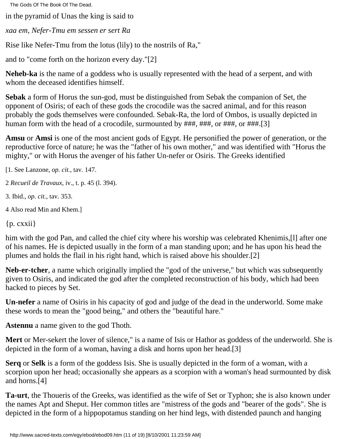in the pyramid of Unas the king is said to

*xaa em, Nefer-Tmu em sessen er sert Ra*

Rise like Nefer-Tmu from the lotus (lily) to the nostrils of Ra,"

and to "come forth on the horizon every day."[2]

**Neheb-ka** is the name of a goddess who is usually represented with the head of a serpent, and with whom the deceased identifies himself.

**Sebak** a form of Horus the sun-god, must be distinguished from Sebak the companion of Set, the opponent of Osiris; of each of these gods the crocodile was the sacred animal, and for this reason probably the gods themselves were confounded. Sebak-Ra, the lord of Ombos, is usually depicted in human form with the head of a crocodile, surmounted by ###, ###, or ###, or ###.[3]

**Amsu** or **Amsi** is one of the most ancient gods of Egypt. He personified the power of generation, or the reproductive force of nature; he was the "father of his own mother," and was identified with "Horus the mighty," or with Horus the avenger of his father Un-nefer or Osiris. The Greeks identified

[1. See Lanzone, *op. cit.*, tav. 147.

2 *Recueil de Travaux*, iv., t. p. 45 (l. 394).

- 3. Ibid., *op. cit.*, tav. 353.
- 4 Also read Min and Khem.]

{p. cxxii}

him with the god Pan, and called the chief city where his worship was celebrated Khenimis,[l] after one of his names. He is depicted usually in the form of a man standing upon; and he has upon his head the plumes and holds the flail in his right hand, which is raised above his shoulder.[2]

**Neb-er-tcher**, a name which originally implied the "god of the universe," but which was subsequently given to Osiris, and indicated the god after the completed reconstruction of his body, which had been hacked to pieces by Set.

**Un-nefer** a name of Osiris in his capacity of god and judge of the dead in the underworld. Some make these words to mean the "good being," and others the "beautiful hare."

**Astennu** a name given to the god Thoth.

**Mert** or Mer-sekert the lover of silence," is a name of Isis or Hathor as goddess of the underworld. She is depicted in the form of a woman, having a disk and horns upon her head.[3]

**Serq** or **Selk** is a form of the goddess Isis. She is usually depicted in the form of a woman, with a scorpion upon her head; occasionally she appears as a scorpion with a woman's head surmounted by disk and horns.[4]

**Ta-urt**, the Thoueris of the Greeks, was identified as the wife of Set or Typhon; she is also known under the names Apt and Sheput. Her common titles are "mistress of the gods and "bearer of the gods". She is depicted in the form of a hippopotamus standing on her hind legs, with distended paunch and hanging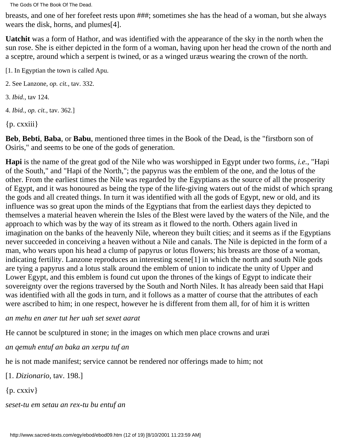breasts, and one of her forefeet rests upon ###; sometimes she has the head of a woman, but she always wears the disk, horns, and plumes[4].

**Uatchit** was a form of Hathor, and was identified with the appearance of the sky in the north when the sun rose. She is either depicted in the form of a woman, having upon her head the crown of the north and a sceptre, around which a serpent is twined, or as a winged uræus wearing the crown of the north.

[1. In Egyptian the town is called Apu.

2. See Lanzone, *op. cit.*, tav. 332.

3. *Ibid.*, tav 124.

4. *Ibid.*, *op. cit.*, tav. 362.]

 ${p. cxxiii}$ 

**Beb**, **Bebti**, **Baba**, or **Babu**, mentioned three times in the Book of the Dead, is the "firstborn son of Osiris," and seems to be one of the gods of generation.

**Hapi** is the name of the great god of the Nile who was worshipped in Egypt under two forms, *i.e.*, "Hapi of the South," and "Hapi of the North,"; the papyrus was the emblem of the one, and the lotus of the other. From the earliest times the Nile was regarded by the Egyptians as the source of all the prosperity of Egypt, and it was honoured as being the type of the life-giving waters out of the midst of which sprang the gods and all created things. In turn it was identified with all the gods of Egypt, new or old, and its influence was so great upon the minds of the Egyptians that from the earliest days they depicted to themselves a material heaven wherein the Isles of the Blest were laved by the waters of the Nile, and the approach to which was by the way of its stream as it flowed to the north. Others again lived in imagination on the banks of the heavenly Nile, whereon they built cities; and it seems as if the Egyptians never succeeded in conceiving a heaven without a Nile and canals. The Nile is depicted in the form of a man, who wears upon his head a clump of papyrus or lotus flowers; his breasts are those of a woman, indicating fertility. Lanzone reproduces an interesting scene[1] in which the north and south Nile gods are tying a papyrus and a lotus stalk around the emblem of union to indicate the unity of Upper and Lower Egypt, and this emblem is found cut upon the thrones of the kings of Egypt to indicate their sovereignty over the regions traversed by the South and North Niles. It has already been said that Hapi was identified with all the gods in turn, and it follows as a matter of course that the attributes of each were ascribed to him; in one respect, however he is different from them all, for of him it is written

*an mehu en aner tut her uah set sexet aarat*

He cannot be sculptured in stone; in the images on which men place crowns and uræi

*an qemuh entuf an baka an xerpu tuf an*

he is not made manifest; service cannot be rendered nor offerings made to him; not

[1. *Dizionario*, tav. 198.]

{p. cxxiv}

*seset-tu em setau an rex-tu bu entuf an*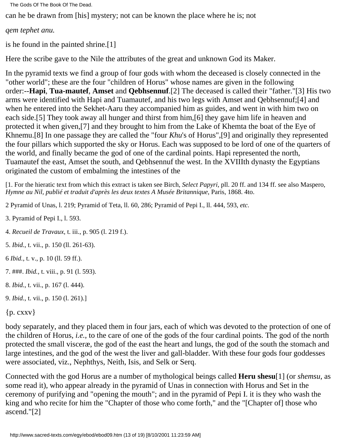can he be drawn from [his] mystery; not can be known the place where he is; not

*qem tephet anu.*

is he found in the painted shrine.[1]

Here the scribe gave to the Nile the attributes of the great and unknown God its Maker.

In the pyramid texts we find a group of four gods with whom the deceased is closely connected in the "other world"; these are the four "children of Horus" whose names are given in the following order:--**Hapi**, **Tua-mautef**, **Amset** and **Qebhsennuf**.[2] The deceased is called their "father."[3] His two arms were identified with Hapi and Tuamautef, and his two legs with Amset and Qebhsennuf;[4] and when he entered into the Sekhet-Aaru they accompanied him as guides, and went in with him two on each side.[5] They took away all hunger and thirst from him,[6] they gave him life in heaven and protected it when given,[7] and they brought to him from the Lake of Khemta the boat of the Eye of Khnemu.[8] In one passage they are called the "four *Khu*'s of Horus",[9] and originally they represented the four pillars which supported the sky or Horus. Each was supposed to be lord of one of the quarters of the world, and finally became the god of one of the cardinal points. Hapi represented the north, Tuamautef the east, Amset the south, and Qebhsennuf the west. In the XVIIIth dynasty the Egyptians originated the custom of embalming the intestines of the

[1. For the hieratic text from which this extract is taken see Birch, *Select Papyri*, pll. 20 ff. and 134 ff. see also Maspero, *Hymne au Nil, publié et traduit d'après les deux textes A Musée Britannique*, Paris, 1868. 4to.

2 Pyramid of Unas, l. 219; Pyramid of Teta, ll. 60, 286; Pyramid of Pepi I., ll. 444, 593, *etc.*

3. Pyramid of Pepi I., l. 593.

4. *Recueil de Travaux*, t. iii., p. 905 (l. 219 f.).

5. *Ibid.*, t. vii., p. 150 (ll. 261-63).

6 *Ibid.*, t. v., p. 10 (ll. 59 ff.).

7. ###. *Ibid.*, t. viii., p. 91 (l. 593).

8. *Ibid.*, t. vii., p. 167 (l. 444).

9. *Ibid.*, t. vii., p. 150 (l. 261).]

 ${p. cxxv}$ 

body separately, and they placed them in four jars, each of which was devoted to the protection of one of the children of Horus, *i.e.*, to the care of one of the gods of the four cardinal points. The god of the north protected the small visceræ, the god of the east the heart and lungs, the god of the south the stomach and large intestines, and the god of the west the liver and gall-bladder. With these four gods four goddesses were associated, viz., Nephthys, Neith, Isis, and Selk or Serq.

Connected with the god Horus are a number of mythological beings called **Heru shesu**[1] (or *shemsu*, as some read it), who appear already in the pyramid of Unas in connection with Horus and Set in the ceremony of purifying and "opening the mouth"; and in the pyramid of Pepi I. it is they who wash the king and who recite for him the "Chapter of those who come forth," and the "[Chapter of] those who ascend."[2]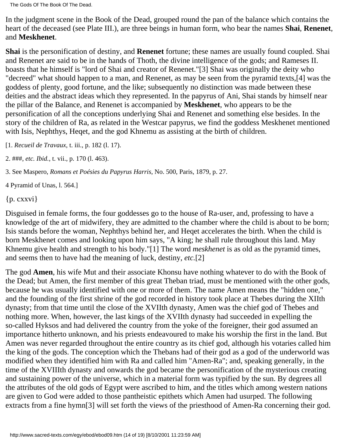In the judgment scene in the Book of the Dead, grouped round the pan of the balance which contains the heart of the deceased (see Plate III.), are three beings in human form, who bear the names **Shai**, **Renenet**, and **Meskhenet**.

**Shai** is the personification of destiny, and **Renenet** fortune; these names are usually found coupled. Shai and Renenet are said to be in the hands of Thoth, the divine intelligence of the gods; and Rameses II. boasts that he himself is "lord of Shai and creator of Renenet."[3] Shai was originally the deity who "decreed" what should happen to a man, and Renenet, as may be seen from the pyramid texts,[4] was the goddess of plenty, good fortune, and the like; subsequently no distinction was made between these deities and the abstract ideas which they represented. In the papyrus of Ani, Shai stands by himself near the pillar of the Balance, and Renenet is accompanied by **Meskhenet**, who appears to be the personification of all the conceptions underlying Shai and Renenet and something else besides. In the story of the children of Ra, as related in the Westcar papyrus, we find the goddess Meskhenet mentioned with Isis, Nephthys, Heqet, and the god Khnemu as assisting at the birth of children.

[1. *Recueil de Travaux*, t. iii., p. 182 (l. 17).

2. ###, *etc. Ibid.*, t. vii., p. 170 (l. 463).

3. See Maspero, *Romans et Poésies du Papyrus Harris*, No. 500, Paris, 1879, p. 27.

4 Pyramid of Unas, l. 564.]

{p. cxxvi}

Disguised in female forms, the four goddesses go to the house of Ra-user, and, professing to have a knowledge of the art of midwifery, they are admitted to the chamber where the child is about to be born; Isis stands before the woman, Nephthys behind her, and Heqet accelerates the birth. When the child is born Meskhenet comes and looking upon him says, "A king; he shall rule throughout this land. May Khnemu give health and strength to his body."[1] The word *meskhenet* is as old as the pyramid times, and seems then to have had the meaning of luck, destiny, *etc.*[2]

The god **Amen**, his wife Mut and their associate Khonsu have nothing whatever to do with the Book of the Dead; but Amen, the first member of this great Theban triad, must be mentioned with the other gods, because he was usually identified with one or more of them. The name Amen means the "hidden one," and the founding of the first shrine of the god recorded in history took place at Thebes during the XIIth dynasty; from that time until the close of the XVIIth dynasty, Amen was the chief god of Thebes and nothing more. When, however, the last kings of the XVIIth dynasty had succeeded in expelling the so-called Hyksos and had delivered the country from the yoke of the foreigner, their god assumed an importance hitherto unknown, and his priests endeavoured to make his worship the first in the land. But Amen was never regarded throughout the entire country as its chief god, although his votaries called him the king of the gods. The conception which the Thebans had of their god as a god of the underworld was modified when they identified him with Ra and called him "Amen-Ra"; and, speaking generally, in the time of the XVIIIth dynasty and onwards the god became the personification of the mysterious creating and sustaining power of the universe, which in a material form was typified by the sun. By degrees all the attributes of the old gods of Egypt were ascribed to him, and the titles which among western nations are given to God were added to those pantheistic epithets which Amen had usurped. The following extracts from a fine hymn[3] will set forth the views of the priesthood of Amen-Ra concerning their god.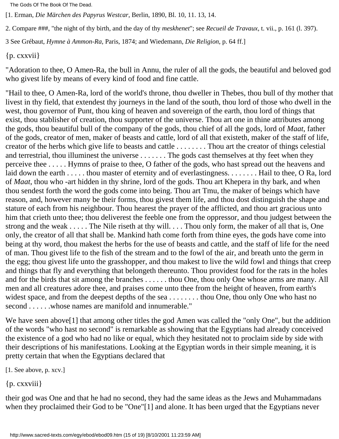[1. Erman, *Die Märchen des Papyrus Westcar*, Berlin, 1890, Bl. 10, 11. 13, 14.

2. Compare ###, "the night of thy birth, and the day of thy *meskhenet*"; see *Recueil de Travaux*, t. vii., p. 161 (l. 397).

3 See Grébaut, *Hymne à Ammon-Ra*, Paris, 1874; and Wiedemann, *Die Religion*, p. 64 ff.]

### {p. cxxvii}

"Adoration to thee, O Amen-Ra, the bull in Annu, the ruler of all the gods, the beautiful and beloved god who givest life by means of every kind of food and fine cattle.

"Hail to thee, O Amen-Ra, lord of the world's throne, thou dweller in Thebes, thou bull of thy mother that livest in thy field, that extendest thy journeys in the land of the south, thou lord of those who dwell in the west, thou governor of Punt, thou king of heaven and sovereign of the earth, thou lord of things that exist, thou stablisher of creation, thou supporter of the universe. Thou art one in thine attributes among the gods, thou beautiful bull of the company of the gods, thou chief of all the gods, lord of *Maat*, father of the gods, creator of men, maker of beasts and cattle, lord of all that existeth, maker of the staff of life, creator of the herbs which give life to beasts and cattle . . . . . . . . Thou art the creator of things celestial and terrestrial, thou illuminest the universe . . . . . . . The gods cast themselves at thy feet when they perceive thee . . . . . Hymns of praise to thee, O father of the gods, who hast spread out the heavens and laid down the earth . . . . . thou master of eternity and of everlastingness. . . . . . . . Hail to thee, O Ra, lord of *Maat*, thou who -art hidden in thy shrine, lord of the gods. Thou art Khepera in thy bark, and when thou sendest forth the word the gods come into being. Thou art Tmu, the maker of beings which have reason, and, however many be their forms, thou givest them life, and thou dost distinguish the shape and stature of each from his neighbour. Thou hearest the prayer of the afflicted, and thou art gracious unto him that crieth unto thee; thou deliverest the feeble one from the oppressor, and thou judgest between the strong and the weak . . . . . The Nile riseth at thy will. . . . Thou only form, the maker of all that is, One only, the creator of all that shall be. Mankind hath come forth from thine eyes, the gods have come into being at thy word, thou makest the herbs for the use of beasts and cattle, and the staff of life for the need of man. Thou givest life to the fish of the stream and to the fowl of the air, and breath unto the germ in the egg; thou givest life unto the grasshopper, and thou makest to live the wild fowl and things that creep and things that fly and everything that belongeth thereunto. Thou providest food for the rats in the holes and for the birds that sit among the branches . . . . . . thou One, thou only One whose arms are many. All men and all creatures adore thee, and praises come unto thee from the height of heaven, from earth's widest space, and from the deepest depths of the sea . . . . . . . . . thou One, thou only One who hast no second . . . . . . whose names are manifold and innumerable."

We have seen above<sup>[1]</sup> that among other titles the god Amen was called the "only One", but the addition of the words "who hast no second" is remarkable as showing that the Egyptians had already conceived the existence of a god who had no like or equal, which they hesitated not to proclaim side by side with their descriptions of his manifestations. Looking at the Egyptian words in their simple meaning, it is pretty certain that when the Egyptians declared that

[1. See above, p. xcv.]

{p. cxxviii}

their god was One and that he had no second, they had the same ideas as the Jews and Muhammadans when they proclaimed their God to be "One"[1] and alone. It has been urged that the Egyptians never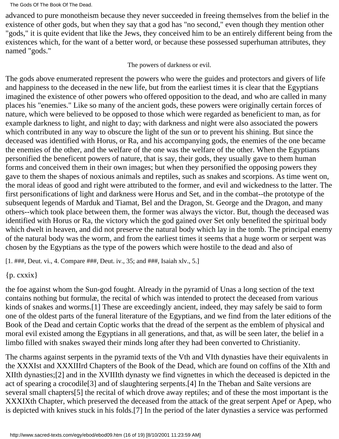advanced to pure monotheism because they never succeeded in freeing themselves from the belief in the existence of other gods, but when they say that a god has "no second," even though they mention other "gods," it is quite evident that like the Jews, they conceived him to be an entirely different being from the existences which, for the want of a better word, or because these possessed superhuman attributes, they named "gods."

### The powers of darkness or evil.

The gods above enumerated represent the powers who were the guides and protectors and givers of life and happiness to the deceased in the new life, but from the earliest times it is clear that the Egyptians imagined the existence of other powers who offered opposition to the dead, and who are called in many places his "enemies." Like so many of the ancient gods, these powers were originally certain forces of nature, which were believed to be opposed to those which were regarded as beneficient to man, as for example darkness to light, and night to day; with darkness and night were also associated the powers which contributed in any way to obscure the light of the sun or to prevent his shining. But since the deceased was identified with Horus, or Ra, and his accompanying gods, the enemies of the one became the enemies of the other, and the welfare of the one was the welfare of the other. When the Egyptians personified the beneficent powers of nature, that is say, their gods, they usually gave to them human forms and conceived them in their own images; but when they personified the opposing powers they gave to them the shapes of noxious animals and reptiles, such as snakes and scorpions. As time went on, the moral ideas of good and right were attributed to the former, and evil and wickedness to the latter. The first personifications of light and darkness were Horus and Set, and in the combat--the prototype of the subsequent legends of Marduk and Tiamat, Bel and the Dragon, St. George and the Dragon, and many others--which took place between them, the former was always the victor. But, though the deceased was identified with Horus or Ra, the victory which the god gained over Set only benefited the spiritual body which dwelt in heaven, and did not preserve the natural body which lay in the tomb. The principal enemy of the natural body was the worm, and from the earliest times it seems that a huge worm or serpent was chosen by the Egyptians as the type of the powers which were hostile to the dead and also of

[1. ###, Deut. vi., 4. Compare ###, Deut. iv., 35; and ###, Isaiah xlv., 5.]

### ${p. cxxix}$

the foe against whom the Sun-god fought. Already in the pyramid of Unas a long section of the text contains nothing but formulæ, the recital of which was intended to protect the deceased from various kinds of snakes and worms.[1] These are exceedingly ancient, indeed, they may safely be said to form one of the oldest parts of the funeral literature of the Egyptians, and we find from the later editions of the Book of the Dead and certain Coptic works that the dread of the serpent as the emblem of physical and moral evil existed among the Egyptians in all generations, and that, as will be seen later, the belief in a limbo filled with snakes swayed their minds long after they had been converted to Christianity.

The charms against serpents in the pyramid texts of the Vth and VIth dynasties have their equivalents in the XXXIst and XXXIIIrd Chapters of the Book of the Dead, which are found on coffins of the XIth and XIIth dynasties;[2] and in the XVIIIth dynasty we find vignettes in which the deceased is depicted in the act of spearing a crocodile[3] and of slaughtering serpents.[4] In the Theban and Saïte versions are several small chapters[5] the recital of which drove away reptiles; and of these the most important is the XXXIXth Chapter, which preserved the deceased from the attack of the great serpent Apef or Apep, who is depicted with knives stuck in his folds.[7] In the period of the later dynasties a service was performed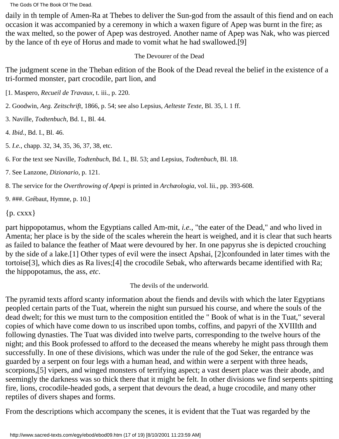daily in th temple of Amen-Ra at Thebes to deliver the Sun-god from the assault of this fiend and on each occasion it was accompanied by a ceremony in which a waxen figure of Apep was burnt in the fire; as the wax melted, so the power of Apep was destroyed. Another name of Apep was Nak, who was pierced by the lance of th eye of Horus and made to vomit what he had swallowed.[9]

The Devourer of the Dead

The judgment scene in the Theban edition of the Book of the Dead reveal the belief in the existence of a tri-formed monster, part crocodile, part lion, and

[1. Maspero, *Recueil de Travaux*, t. iii., p. 220.

2. Goodwin, *Aeg. Zeitschrift*, 1866, p. 54; see also Lepsius, *Aelteste Texte*, Bl. 35, l. 1 ff.

3. Naville, *Todtenbuch*, Bd. I., Bl. 44.

4. *Ibid.*, Bd. I., Bl. 46.

5. *I.e.*, chapp. 32, 34, 35, 36, 37, 38, etc.

6. For the text see Naville, *Todtenbuch*, Bd. I., Bl. 53; and Lepsius, *Todtenbuch*, Bl. 18.

7. See Lanzone, *Dizionario*, p. 121.

8. The service for the *Overthrowing of Apepi* is printed in *Archæologia*, vol. lii., pp. 393-608.

9. ###. Grébaut, Hymne, p. 10.]

 ${p. cxxx}$ 

part hippopotamus, whom the Egyptians called Am-mit, *i.e.*, "the eater of the Dead," and who lived in Amenta; her place is by the side of the scales wherein the heart is weighed, and it is clear that such hearts as failed to balance the feather of Maat were devoured by her. In one papyrus she is depicted crouching by the side of a lake.[1] Other types of evil were the insect Apshai, [2]confounded in later times with the tortoise[3], which dies as Ra lives;[4] the crocodile Sebak, who afterwards became identified with Ra; the hippopotamus, the ass, *etc*.

The devils of the underworld.

The pyramid texts afford scanty information about the fiends and devils with which the later Egyptians peopled certain parts of the Tuat, wherein the night sun pursued his course, and where the souls of the dead dwelt; for this we must turn to the composition entitled the " Book of what is in the Tuat," several copies of which have come down to us inscribed upon tombs, coffins, and papyri of the XVIIIth and following dynasties. The Tuat was divided into twelve parts, corresponding to the twelve hours of the night; and this Book professed to afford to the deceased the means whereby he might pass through them successfully. In one of these divisions, which was under the rule of the god Seker, the entrance was guarded by a serpent on four legs with a human head, and within were a serpent with three heads, scorpions,[5] vipers, and winged monsters of terrifying aspect; a vast desert place was their abode, and seemingly the darkness was so thick there that it might be felt. In other divisions we find serpents spitting fire, lions, crocodile-headed gods, a serpent that devours the dead, a huge crocodile, and many other reptiles of divers shapes and forms.

From the descriptions which accompany the scenes, it is evident that the Tuat was regarded by the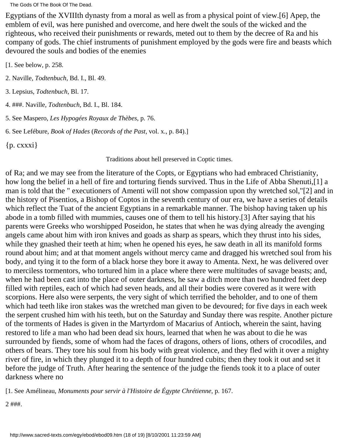Egyptians of the XVIIIth dynasty from a moral as well as from a physical point of view.[6] Apep, the emblem of evil, was here punished and overcome, and here dwelt the souls of the wicked and the righteous, who received their punishments or rewards, meted out to them by the decree of Ra and his company of gods. The chief instruments of punishment employed by the gods were fire and beasts which devoured the souls and bodies of the enemies

[1. See below, p. 258.

2. Naville, *Todtenbuch*, Bd. I., Bl. 49.

3. Lepsius, *Todtenbuch*, Bl. 17.

4. ###. Naville, *Todtenbuch*, Bd. I., Bl. 184.

5. See Maspero, *Les Hypogées Royaux de Thèbes*, p. 76.

6. See Lefébure, *Book of Hades* (*Records of the Past*, vol. x., p. 84).]

{p. cxxxi}

#### Traditions about hell preserved in Coptic times.

of Ra; and we may see from the literature of the Copts, or Egyptians who had embraced Christianity, how long the belief in a hell of fire and torturing fiends survived. Thus in the Life of Abba Shenuti,[1] a man is told that the " executioners of Amenti will not show compassion upon thy wretched sol,"[2] and in the history of Pisentios, a Bishop of Coptos in the seventh century of our era, we have a series of details which reflect the Tuat of the ancient Egyptians in a remarkable manner. The bishop having taken up his abode in a tomb filled with mummies, causes one of them to tell his history.[3] After saying that his parents were Greeks who worshipped Poseidon, he states that when he was dying already the avenging angels came about him with iron knives and goads as sharp as spears, which they thrust into his sides, while they gnashed their teeth at him; when he opened his eyes, he saw death in all its manifold forms round about him; and at that moment angels without mercy came and dragged his wretched soul from his body, and tying it to the form of a black horse they bore it away to Amenta. Next, he was delivered over to merciless tormentors, who tortured him in a place where there were multitudes of savage beasts; and, when he had been cast into the place of outer darkness, he saw a ditch more than two hundred feet deep filled with reptiles, each of which had seven heads, and all their bodies were covered as it were with scorpions. Here also were serpents, the very sight of which terrified the beholder, and to one of them which had teeth like iron stakes was the wretched man given to be devoured; for five days in each week the serpent crushed him with his teeth, but on the Saturday and Sunday there was respite. Another picture of the torments of Hades is given in the Martyrdom of Macarius of Antioch, wherein the saint, having restored to life a man who had been dead six hours, learned that when he was about to die he was surrounded by fiends, some of whom had the faces of dragons, others of lions, others of crocodiles, and others of bears. They tore his soul from his body with great violence, and they fled with it over a mighty river of fire, in which they plunged it to a depth of four hundred cubits; then they took it out and set it before the judge of Truth. After hearing the sentence of the judge the fiends took it to a place of outer darkness where no

[1. See Amélineau, *Monuments pour servir à l'Histoire de Égypte Chrétienne*, p. 167.

 $2. # ##$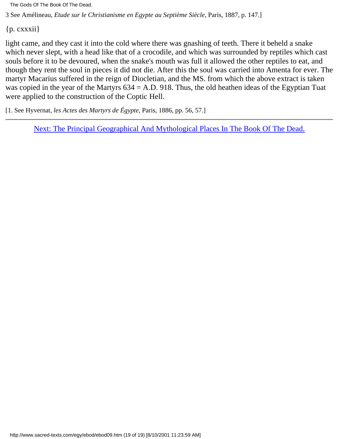The Gods Of The Book Of The Dead.

3 See Amélineau, *Étude sur le Christianisme en Égypte au Septième Siècle*, Paris, 1887, p. 147.]

{p. cxxxii}

light came, and they cast it into the cold where there was gnashing of teeth. There it beheld a snake which never slept, with a head like that of a crocodile, and which was surrounded by reptiles which cast souls before it to be devoured, when the snake's mouth was full it allowed the other reptiles to eat, and though they rent the soul in pieces it did not die. After this the soul was carried into Amenta for ever. The martyr Macarius suffered in the reign of Diocletian, and the MS. from which the above extract is taken was copied in the year of the Martyrs 634 = A.D. 918. Thus, the old heathen ideas of the Egyptian Tuat were applied to the construction of the Coptic Hell.

[1. See Hyvernat, *les Actes des Martyrs de Égypte*, Paris, 1886, pp. 56, 57.]

[Next: The Principal Geographical And Mythological Places In The Book Of The Dead.](#page-109-0)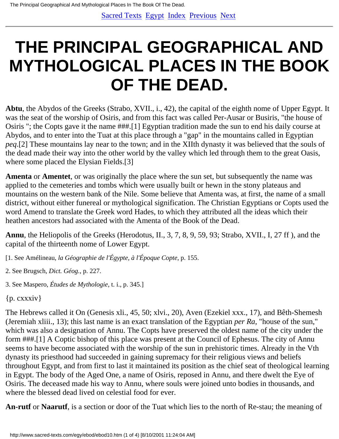## <span id="page-109-0"></span>**THE PRINCIPAL GEOGRAPHICAL AND MYTHOLOGICAL PLACES IN THE BOOK OF THE DEAD.**

**Abtu**, the Abydos of the Greeks (Strabo, XVII., i., 42), the capital of the eighth nome of Upper Egypt. It was the seat of the worship of Osiris, and from this fact was called Per-Ausar or Busiris, "the house of Osiris "; the Copts gave it the name ###.[1] Egyptian tradition made the sun to end his daily course at Abydos, and to enter into the Tuat at this place through a "gap" in the mountains called in Egyptian *peq*.[2] These mountains lay near to the town; and in the XIIth dynasty it was believed that the souls of the dead made their way into the other world by the valley which led through them to the great Oasis, where some placed the Elysian Fields.[3]

**Amenta** or **Amentet**, or was originally the place where the sun set, but subsequently the name was applied to the cemeteries and tombs which were usually built or hewn in the stony plateaus and mountains on the western bank of the Nile. Some believe that Amenta was, at first, the name of a small district, without either funereal or mythological signification. The Christian Egyptians or Copts used the word Amend to translate the Greek word Hades, to which they attributed all the ideas which their heathen ancestors had associated with the Amenta of the Book of the Dead.

**Annu**, the Heliopolis of the Greeks (Herodotus, II., 3, 7, 8, 9, 59, 93; Strabo, XVII., I, 27 ff ), and the capital of the thirteenth nome of Lower Egypt.

[1. See Amélineau, *la Géographie de l'Égypte, à l'Époque Copte*, p. 155.

2. See Brugsch, *Dict. Géog.*, p. 227.

3. See Maspero, *Études de Mythologie*, t. i., p. 345.]

{p. cxxxiv}

The Hebrews called it On (Genesis xli., 45, 50; xlvi., 20), Aven (Ezekiel xxx., 17), and Bêth-Shemesh (Jeremiah xliii., 13); this last name is an exact translation of the Egyptian *per Ra*, "house of the sun," which was also a designation of Annu. The Copts have preserved the oldest name of the city under the form ###.[1] A Coptic bishop of this place was present at the Council of Ephesus. The city of Annu seems to have become associated with the worship of the sun in prehistoric times. Already in the Vth dynasty its priesthood had succeeded in gaining supremacy for their religious views and beliefs throughout Egypt, and from first to last it maintained its position as the chief seat of theological learning in Egypt. The body of the Aged One, a name of Osiris, reposed in Annu, and there dwelt the Eye of Osiris. The deceased made his way to Annu, where souls were joined unto bodies in thousands, and where the blessed dead lived on celestial food for ever.

**An-rutf** or **Naarutf**, is a section or door of the Tuat which lies to the north of Re-stau; the meaning of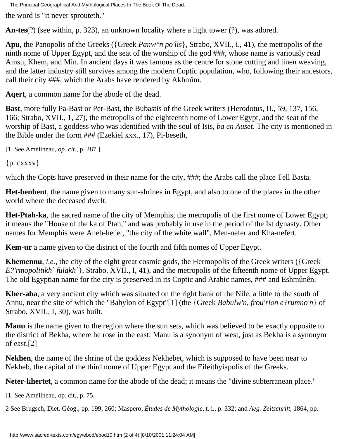The Principal Geographical And Mythological Places In The Book Of The Dead.

the word is "it never sprouteth."

**An-tes**(?) (see within, p. 323), an unknown locality where a light tower (?), was adored.

**Apu**, the Panopolis of the Greeks ({Greek *Panw^n po'lis*}, Strabo, XVII., i., 41), the metropolis of the ninth nome of Upper Egypt, and the seat of the worship of the god ###, whose name is variously read Amsu, Khem, and Min. In ancient days it was famous as the centre for stone cutting and linen weaving, and the latter industry still survives among the modern Coptic population, who, following their ancestors, call their city ###, which the Arabs have rendered by Akhmîm.

**Aqert**, a common name for the abode of the dead.

**Bast**, more fully Pa-Bast or Per-Bast, the Bubastis of the Greek writers (Herodotus, II., 59, 137, 156, 166; Strabo, XVII., 1, 27), the metropolis of the eighteenth nome of Lower Egypt, and the seat of the worship of Bast, a goddess who was identified with the soul of Isis, *ba en Auset*. The city is mentioned in the Bible under the form ### (Ezekiel xxx., 17), Pi-beseth,

[1. See Amélineau, *op. cit.*, p. 287.]

 ${p. cxxxv}$ 

which the Copts have preserved in their name for the city, ###; the Arabs call the place Tell Basta.

**Het-benbent**, the name given to many sun-shrines in Egypt, and also to one of the places in the other world where the deceased dwelt.

**Het-Ptah-ka**, the sacred name of the city of Memphis, the metropolis of the first nome of Lower Egypt; it means the "House of the ka of Ptah," and was probably in use in the period of the Ist dynasty. Other names for Memphis were Aneb-het'et, "the city of the white wall", Men-nefer and Kha-nefert.

**Kem-ur** a name given to the district of the fourth and fifth nomes of Upper Egypt.

**Khemennu**, *i.e.*, the city of the eight great cosmic gods, the Hermopolis of the Greek writers ({Greek *E?'rmopolitikh` fulakh`*}, Strabo, XVII., I, 41), and the metropolis of the fifteenth nome of Upper Egypt. The old Egyptian name for the city is preserved in its Coptic and Arabic names, ### and Eshmûnên.

**Kher-aba**, a very ancient city which was situated on the right bank of the Nile, a little to the south of Annu, near the site of which the "Babylon of Egypt"[1] (the {Greek *Babulw'n, frou'rion e?rumno'n*} of Strabo, XVII., I, 30), was built.

**Manu** is the name given to the region where the sun sets, which was believed to be exactly opposite to the district of Bekha, where he rose in the east; Manu is a synonym of west, just as Bekha is a synonym of east.[2]

**Nekhen**, the name of the shrine of the goddess Nekhebet, which is supposed to have been near to Nekheb, the capital of the third nome of Upper Egypt and the Eileithyiapolis of the Greeks.

**Neter-khertet**, a common name for the abode of the dead; it means the "divine subterranean place."

[1. See Amélineau, op. cit., p. 75.

2 See Brugsch, Diet. Géog., pp. 199, 260; Maspero, *Études de Mythologie*, t. i., p. 332; and *Aeg. Zeitschrift*, 1864, pp.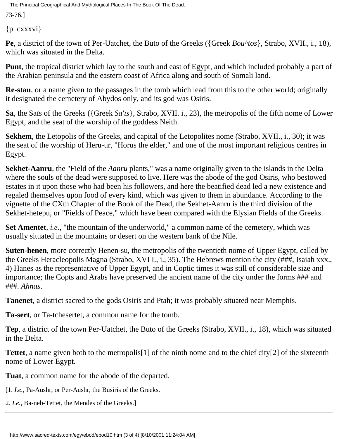The Principal Geographical And Mythological Places In The Book Of The Dead.

73-76.]

{p. cxxxvi}

**Pe**, a district of the town of Per-Uatchet, the Buto of the Greeks ({Greek *Bou^tos*}, Strabo, XVII., i., 18), which was situated in the Delta.

**Punt**, the tropical district which lay to the south and east of Egypt, and which included probably a part of the Arabian peninsula and the eastern coast of Africa along and south of Somali land.

**Re-stau**, or a name given to the passages in the tomb which lead from this to the other world; originally it designated the cemetery of Abydos only, and its god was Osiris.

**Sa**, the Saïs of the Greeks ({Greek *Sa'ïs*}, Strabo, XVII. i., 23), the metropolis of the fifth nome of Lower Egypt, and the seat of the worship of the goddess Neith.

**Sekhem**, the Letopolis of the Greeks, and capital of the Letopolites nome (Strabo, XVII., i., 30); it was the seat of the worship of Heru-ur, "Horus the elder," and one of the most important religious centres in Egypt.

**Sekhet-Aanru**, the "Field of the *Aanru* plants," was a name originally given to the islands in the Delta where the souls of the dead were supposed to live. Here was the abode of the god Osiris, who bestowed estates in it upon those who had been his followers, and here the beatified dead led a new existence and regaled themselves upon food of every kind, which was given to them in abundance. According to the vignette of the CXth Chapter of the Book of the Dead, the Sekhet-Aanru is the third division of the Sekhet-hetepu, or "Fields of Peace," which have been compared with the Elysian Fields of the Greeks.

**Set Amentet**, *i.e.*, "the mountain of the underworld," a common name of the cemetery, which was usually situated in the mountains or desert on the western bank of the Nile.

**Suten-henen**, more correctly Henen-su, the metropolis of the twentieth nome of Upper Egypt, called by the Greeks Heracleopolis Magna (Strabo, XVI I., i., 35). The Hebrews mention the city (###, Isaiah xxx., 4) Hanes as the representative of Upper Egypt, and in Coptic times it was still of considerable size and importance; the Copts and Arabs have preserved the ancient name of the city under the forms ### and ###. *Ahnas*.

**Tanenet**, a district sacred to the gods Osiris and Ptah; it was probably situated near Memphis.

**Ta-sert**, or Ta-tchesertet, a common name for the tomb.

**Tep**, a district of the town Per-Uatchet, the Buto of the Greeks (Strabo, XVII., i., 18), which was situated in the Delta.

**Tettet**, a name given both to the metropolis[1] of the ninth nome and to the chief city[2] of the sixteenth nome of Lower Egypt.

**Tuat**, a common name for the abode of the departed.

[1. *I.e.*, Pa-Aushr, or Per-Aushr, the Busiris of the Greeks.

2. *I.e.*, Ba-neb-Tettet, the Mendes of the Greeks.]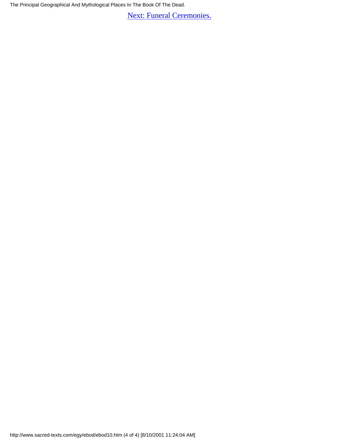The Principal Geographical And Mythological Places In The Book Of The Dead.

**[Next: Funeral Ceremonies.](#page-113-0)**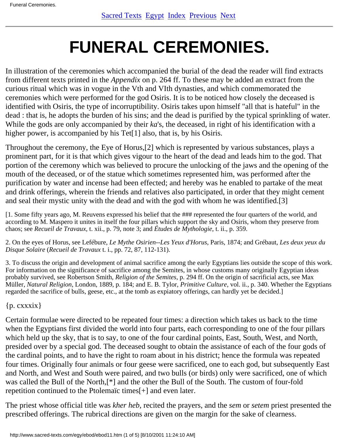# **FUNERAL CEREMONIES.**

<span id="page-113-0"></span>In illustration of the ceremonies which accompanied the burial of the dead the reader will find extracts from different texts printed in the *Appendix* on p. 264 ff. To these may be added an extract from the curious ritual which was in vogue in the Vth and VIth dynasties, and which commemorated the ceremonies which were performed for the god Osiris. It is to be noticed how closely the deceased is identified with Osiris, the type of incorruptibility. Osiris takes upon himself "all that is hateful" in the dead : that is, he adopts the burden of his sins; and the dead is purified by the typical sprinkling of water. While the gods are only accompanied by their *ka*'s, the deceased, in right of his identification with a higher power, is accompanied by his Tet<sup>[1]</sup> also, that is, by his Osiris.

Throughout the ceremony, the Eye of Horus,[2] which is represented by various substances, plays a prominent part, for it is that which gives vigour to the heart of the dead and leads him to the god. That portion of the ceremony which was believed to procure the unlocking of the jaws and the opening of the mouth of the deceased, or of the statue which sometimes represented him, was performed after the purification by water and incense had been effected; and hereby was he enabled to partake of the meat and drink offerings, wherein the friends and relatives also participated, in order that they might cement and seal their mystic unity with the dead and with the god with whom he was identified.[3]

[1. Some fifty years ago, M. Reuvens expressed his belief that the ### represented the four quarters of the world, and according to M. Maspero it unites in itself the four pillars which support the sky and Osiris, whom they preserve from chaos; see *Recueil de Travaux*, t. xii., p. 79, note 3; and *Études de Mythologie*, t. ii., p. 359.

2. On the eyes of Horus, see Lefébure, *Le Mythe Osirien--Les Yeux d'Horus*, Paris, 1874; and Grébaut, *Les deux yeux du Disque Solaire* (*Recueil de Travaux* t. i., pp. 72, 87, 112-131).

3. To discuss the origin and development of animal sacrifice among the early Egyptians lies outside the scope of this work. For information on the significance of sacrifice among the Semites, in whose customs many originally Egyptian ideas probably survived, see Robertson Smith, *Religion of the Semites*, p. 294 ff. On the origin of sacrificial acts, see Max Müller, *Natural Religion*, London, 1889, p. 184; and E. B. Tylor, *Primitive Culture*, vol. ii., p. 340. Whether the Egyptians regarded the sacrifice of bulls, geese, etc., at the tomb as expiatory offerings, can hardly yet be decided.]

 ${p. cxxxix}$ 

Certain formulae were directed to be repeated four times: a direction which takes us back to the time when the Egyptians first divided the world into four parts, each corresponding to one of the four pillars which held up the sky, that is to say, to one of the four cardinal points, East, South, West, and North, presided over by a special god. The deceased sought to obtain the assistance of each of the four gods of the cardinal points, and to have the right to roam about in his district; hence the formula was repeated four times. Originally four animals or four geese were sacrificed, one to each god, but subsequently East and North, and West and South were paired, and two bulls (or birds) only were sacrificed, one of which was called the Bull of the North,[\*] and the other the Bull of the South. The custom of four-fold repetition continued to the Ptolemaïc times[+] and even later.

The priest whose official title was *kher heb*, recited the prayers, and the *sem* or *setem* priest presented the prescribed offerings. The rubrical directions are given on the margin for the sake of clearness.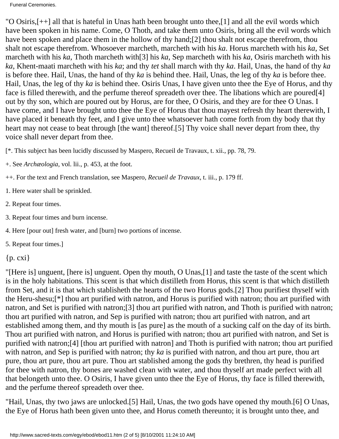"O Osiris,[++] all that is hateful in Unas hath been brought unto thee,[1] and all the evil words which have been spoken in his name. Come, O Thoth, and take them unto Osiris, bring all the evil words which have been spoken and place them in the hollow of thy hand;[2] thou shalt not escape therefrom, thou shalt not escape therefrom. Whosoever marcheth, marcheth with his *ka*. Horus marcheth with his *ka*, Set marcheth with his *ka*, Thoth marcheth with[3] his *ka*, Sep marcheth with his *ka*, Osiris marcheth with his *ka*, Khent-maati marcheth with his *ka*; and thy *tet* shall march with thy *ka*. Hail, Unas, the hand of thy *ka* is before thee. Hail, Unas, the hand of thy *ka* is behind thee. Hail, Unas, the leg of thy *ka* is before thee. Hail, Unas, the leg of thy *ka* is behind thee. Osiris Unas, I have given unto thee the Eye of Horus, and thy face is filled therewith, and the perfume thereof spreadeth over thee. The libations which are poured[4] out by thy son, which are poured out by Horus, are for thee, O Osiris, and they are for thee O Unas. I have come, and I have brought unto thee the Eye of Horus that thou mayest refresh thy heart therewith, I have placed it beneath thy feet, and I give unto thee whatsoever hath come forth from thy body that thy heart may not cease to beat through [the want] thereof.[5] Thy voice shall never depart from thee, thy voice shall never depart from thee.

[\*. This subject has been lucidly discussed by Maspero, Recueil de Travaux, t. xii., pp. 78, 79.

- +. See *Archæologia*, vol. lii., p. 453, at the foot.
- ++. For the text and French translation, see Maspero, *Recueil de Travaux*, t. iii., p. 179 ff.
- 1. Here water shall be sprinkled.
- 2. Repeat four times.
- 3. Repeat four times and burn incense.
- 4. Here [pour out] fresh water, and [burn] two portions of incense.
- 5. Repeat four times.]
- {p. cxi}

"[Here is] unguent, [here is] unguent. Open thy mouth, O Unas,[1] and taste the taste of the scent which is in the holy habitations. This scent is that which distilleth from Horus, this scent is that which distilleth from Set, and it is that which stablisheth the hearts of the two Horus gods.[2] Thou purifiest thyself with the Heru-shesu;[\*] thou art purified with natron, and Horus is purified with natron; thou art purified with natron, and Set is purified with natron;[3] thou art purified with natron, and Thoth is purified with natron; thou art purified with natron, and Sep is purified with natron; thou art purified with natron, and art established among them, and thy mouth is [as pure] as the mouth of a sucking calf on the day of its birth. Thou art purified with natron, and Horus is purified with natron; thou art purified with natron, and Set is purified with natron;[4] [thou art purified with natron] and Thoth is purified with natron; thou art purified with natron, and Sep is purified with natron; thy *ka* is purified with natron, and thou art pure, thou art pure, thou art pure, thou art pure. Thou art stablished among the gods thy brethren, thy head is purified for thee with natron, thy bones are washed clean with water, and thou thyself art made perfect with all that belongeth unto thee. O Osiris, I have given unto thee the Eye of Horus, thy face is filled therewith, and the perfume thereof spreadeth over thee.

"Hail, Unas, thy two jaws are unlocked.[5] Hail, Unas, the two gods have opened thy mouth.[6] O Unas, the Eye of Horus hath been given unto thee, and Horus cometh thereunto; it is brought unto thee, and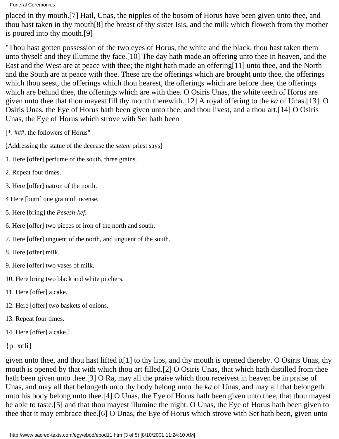placed in thy mouth.[7] Hail, Unas, the nipples of the bosom of Horus have been given unto thee, and thou hast taken in thy mouth[8] the breast of thy sister Isis, and the milk which floweth from thy mother is poured into thy mouth.[9]

"Thou hast gotten possession of the two eyes of Horus, the white and the black, thou hast taken them unto thyself and they illumine thy face.[10] The day hath made an offering unto thee in heaven, and the East and the West are at peace with thee; the night hath made an offering[11] unto thee, and the North and the South are at peace with thee. These are the offerings which are brought unto thee, the offerings which thou seest, the offerings which thou hearest, the offerings which are before thee, the offerings which are behind thee, the offerings which are with thee. O Osiris Unas, the white teeth of Horus are given unto thee that thou mayest fill thy mouth therewith.[12] A royal offering to the *ka* of Unas.[13]. O Osiris Unas, the Eye of Horus hath been given unto thee, and thou livest, and a thou art.[14] O Osiris Unas, the Eye of Horus which strove with Set hath been

[\*. ###, the followers of Horus"

[Addressing the statue of the decease the *setem* priest says]

- 1. Here [offer] perfume of the south, three grains.
- 2. Repeat four times.
- 3. Here [offer] natron of the north.
- 4 Here [burn] one grain of incense.
- 5. Here [bring] the *Pesesh-kef*.
- 6. Here [offer] two pieces of iron of the north and south.
- 7. Here [offer] unguent of the north, and unguent of the south.
- 8. Here [offer] milk.
- 9. Here [offer] two vases of milk.
- 10. Here bring two black and white pitchers.
- 11. Here [offer] a cake.
- 12. Here [offer] two baskets of onions.
- 13. Repeat four times.
- 14. Here [offer] a cake.]

```
{p. xcli}
```
given unto thee, and thou hast lifted it[1] to thy lips, and thy mouth is opened thereby. O Osiris Unas, thy mouth is opened by that with which thou art filled.[2] O Osiris Unas, that which hath distilled from thee hath been given unto thee.[3] O Ra, may all the praise which thou receivest in heaven be in praise of Unas, and may all that belongeth unto thy body belong unto the *ka* of Unas, and may all that belongeth unto his body belong unto thee.[4] O Unas, the Eye of Horus hath been given unto thee, that thou mayest be able to taste,[5] and that thou mayest illumine the night. O Unas, the Eye of Horus hath been given to thee that it may embrace thee.[6] O Unas, the Eye of Horus which strove with Set hath been, given unto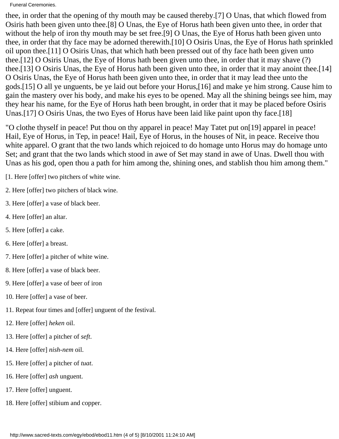thee, in order that the opening of thy mouth may be caused thereby.[7] O Unas, that which flowed from Osiris hath been given unto thee.[8] O Unas, the Eye of Horus hath been given unto thee, in order that without the help of iron thy mouth may be set free.[9] O Unas, the Eye of Horus hath been given unto thee, in order that thy face may be adorned therewith.[10] O Osiris Unas, the Eye of Horus hath sprinkled oil upon thee.[11] O Osiris Unas, that which hath been pressed out of thy face hath been given unto thee.[12] O Osiris Unas, the Eye of Horus hath been given unto thee, in order that it may shave (?) thee.[13] O Osiris Unas, the Eye of Horus hath been given unto thee, in order that it may anoint thee.[14] O Osiris Unas, the Eye of Horus hath been given unto thee, in order that it may lead thee unto the gods.[15] O all ye unguents, be ye laid out before your Horus,[16] and make ye him strong. Cause him to gain the mastery over his body, and make his eyes to be opened. May all the shining beings see him, may they hear his name, for the Eye of Horus hath been brought, in order that it may be placed before Osiris Unas.[17] O Osiris Unas, the two Eyes of Horus have been laid like paint upon thy face.[18]

"O clothe thyself in peace! Put thou on thy apparel in peace! May Tatet put on[19] apparel in peace! Hail, Eye of Horus, in Tep, in peace! Hail, Eye of Horus, in the houses of Nit, in peace. Receive thou white apparel. O grant that the two lands which rejoiced to do homage unto Horus may do homage unto Set; and grant that the two lands which stood in awe of Set may stand in awe of Unas. Dwell thou with Unas as his god, open thou a path for him among the, shining ones, and stablish thou him among them."

[1. Here [offer] two pitchers of white wine.

- 2. Here [offer] two pitchers of black wine.
- 3. Here [offer] a vase of black beer.
- 4. Here [offer] an altar.
- 5. Here [offer] a cake.
- 6. Here [offer] a breast.
- 7. Here [offer] a pitcher of white wine.
- 8. Here [offer] a vase of black beer.
- 9. Here [offer] a vase of beer of iron
- 10. Here [offer] a vase of beer.
- 11. Repeat four times and [offer] unguent of the festival.
- 12. Here [offer] *heken* oil.
- 13. Here [offer] a pitcher of *seft*.
- 14. Here [offer] *nish-nem* oil.
- 15. Here [offer] a pitcher of *tuat*.
- 16. Here [offer] *ash* unguent.
- 17. Here [offer] unguent.
- 18. Here [offer] stibium and copper.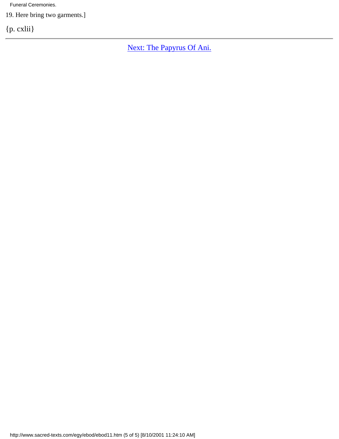19. Here bring two garments.]

{p. cxlii}

[Next: The Papyrus Of Ani.](#page-118-0)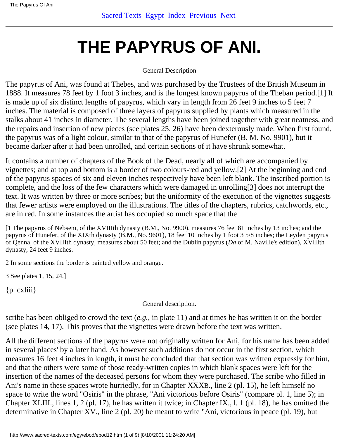# **THE PAPYRUS OF ANI.**

### General Description

<span id="page-118-0"></span>The papyrus of Ani, was found at Thebes, and was purchased by the Trustees of the British Museum in 1888. It measures 78 feet by 1 foot 3 inches, and is the longest known papyrus of the Theban period.[1] It is made up of six distinct lengths of papyrus, which vary in length from 26 feet 9 inches to 5 feet 7 inches. The material is composed of three layers of papyrus supplied by plants which measured in the stalks about 41 inches in diameter. The several lengths have been joined together with great neatness, and the repairs and insertion of new pieces (see plates 25, 26) have been dexterously made. When first found, the papyrus was of a light colour, similar to that of the papyrus of Hunefer (B. M. No. 9901), but it became darker after it had been unrolled, and certain sections of it have shrunk somewhat.

It contains a number of chapters of the Book of the Dead, nearly all of which are accompanied by vignettes; and at top and bottom is a border of two colours-red and yellow.[2] At the beginning and end of the papyrus spaces of six and eleven inches respectively have been left blank. The inscribed portion is complete, and the loss of the few characters which were damaged in unrolling[3] does not interrupt the text. It was written by three or more scribes; but the uniformity of the execution of the vignettes suggests that fewer artists were employed on the illustrations. The titles of the chapters, rubrics, catchwords, etc., are in red. In some instances the artist has occupied so much space that the

[1 The papyrus of Nebseni, of the XVIIIth dynasty (B.M., No. 9900), measures 76 feet 81 inches by 13 inches; and the papyrus of Hunefer, of the XIXth dynasty (B.M., No. 9601), 18 feet 10 inches by 1 foot 3 5/8 inches; the Leyden papyrus of Qenna, of the XVIIIth dynasty, measures about 50 feet; and the Dublin papyrus (*Da* of M. Naville's edition), XVIIIth dynasty, 24 feet 9 inches.

2 In some sections the border is painted yellow and orange.

3 See plates 1, 15, 24.]

 ${p.} \operatorname{exliii}$ 

General description.

scribe has been obliged to crowd the text (*e.g.*, in plate 11) and at times he has written it on the border (see plates 14, 17). This proves that the vignettes were drawn before the text was written.

All the different sections of the papyrus were not originally written for Ani, for his name has been added in several places' by a later hand. As however such additions do not occur in the first section, which measures 16 feet 4 inches in length, it must be concluded that that section was written expressly for him, and that the others were some of those ready-written copies in which blank spaces were left for the insertion of the names of the deceased persons for whom they were purchased. The scribe who filled in Ani's name in these spaces wrote hurriedly, for in Chapter XXXB., line 2 (pl. 15), he left himself no space to write the word "Osiris" in the phrase, "Ani victorious before Osiris" (compare pl. 1, line 5); in Chapter XLIII., lines 1, 2 (pl. 17), he has written it twice; in Chapter IX., l. 1 (pl. 18), he has omitted the determinative in Chapter XV., line 2 (pl. 20) he meant to write "Ani, victorious in peace (pl. 19), but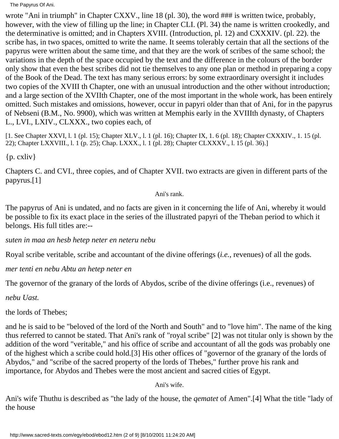wrote "Ani in triumph" in Chapter CXXV., line 18 (pl. 30), the word ### is written twice, probably, however, with the view of filling up the line; in Chapter CLI. (Pl. 34) the name is written crookedly, and the determinative is omitted; and in Chapters XVIII. (Introduction, pl. 12) and CXXXIV. (pl. 22). the scribe has, in two spaces, omitted to write the name. It seems tolerably certain that all the sections of the papyrus were written about the same time, and that they are the work of scribes of the same school; the variations in the depth of the space occupied by the text and the difference in the colours of the border only show that even the best scribes did not tie themselves to any one plan or method in preparing a copy of the Book of the Dead. The text has many serious errors: by some extraordinary oversight it includes two copies of the XVIII th Chapter, one with an unusual introduction and the other without introduction; and a large section of the XVIIth Chapter, one of the most important in the whole work, has been entirely omitted. Such mistakes and omissions, however, occur in papyri older than that of Ani, for in the papyrus of Nebseni (B.M., No. 9900), which was written at Memphis early in the XVIIIth dynasty, of Chapters L., LVI., LXIV., CLXXX., two copies each, of

[1. See Chapter XXVI, l. 1 (pl. 15); Chapter XLV., l. 1 (pl. 16); Chapter IX, 1. 6 (pl. 18); Chapter CXXXIV., 1. 15 (pl. 22); Chapter LXXVIII., l. 1 (p. 25); Chap. LXXX., l. 1 (pl. 28); Chapter CLXXXV., l. 15 (pl. 36).]

{p. cxliv}

Chapters C. and CVI., three copies, and of Chapter XVII. two extracts are given in different parts of the papyrus.[1]

Ani's rank.

The papyrus of Ani is undated, and no facts are given in it concerning the life of Ani, whereby it would be possible to fix its exact place in the series of the illustrated papyri of the Theban period to which it belongs. His full titles are:--

*suten in maa an hesb hetep neter en neteru nebu*

Royal scribe veritable, scribe and accountant of the divine offerings (*i.e.*, revenues) of all the gods.

*mer tenti en nebu Abtu an hetep neter en*

The governor of the granary of the lords of Abydos, scribe of the divine offerings (i.e., revenues) of

*nebu Uast.*

the lords of Thebes;

and he is said to be "beloved of the lord of the North and South" and to "love him". The name of the king thus referred to cannot be stated. That Ani's rank of "royal scribe" [2] was not titular only is shown by the addition of the word "veritable," and his office of scribe and accountant of all the gods was probably one of the highest which a scribe could hold.[3] His other offices of "governor of the granary of the lords of Abydos," and "scribe of the sacred property of the lords of Thebes," further prove his rank and importance, for Abydos and Thebes were the most ancient and sacred cities of Egypt.

Ani's wife.

Ani's wife Thuthu is described as "the lady of the house, the *qematet* of Amen".[4] What the title "lady of the house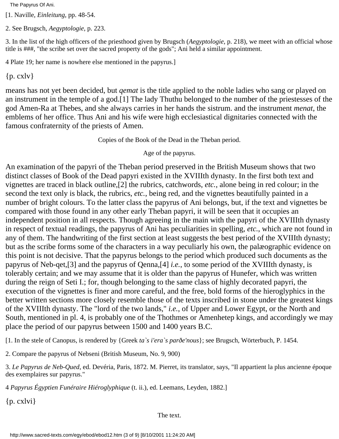[1. Naville, *Einleitung*, pp. 48-54.

2. See Brugsch, *Aegyptologie*, p. 223.

3. In the list of the high officers of the priesthood given by Brugsch (*Aegyptologie*, p. 218), we meet with an official whose title is ###, "the scribe set over the sacred property of the gods"; Ani held a similar appointment.

4 Plate 19; her name is nowhere else mentioned in the papyrus.]

 ${p. cxlv}$ 

means has not yet been decided, but *qemat* is the title applied to the noble ladies who sang or played on an instrument in the temple of a god.[1] The lady Thuthu belonged to the number of the priestesses of the god Amen-Ra at Thebes, and she always carries in her hands the sistrum. and the instrument *menat*, the emblems of her office. Thus Ani and his wife were high ecclesiastical dignitaries connected with the famous confraternity of the priests of Amen.

Copies of the Book of the Dead in the Theban period.

Age of the papyrus.

An examination of the papyri of the Theban period preserved in the British Museum shows that two distinct classes of Book of the Dead papyri existed in the XVIIIth dynasty. In the first both text and vignettes are traced in black outline,[2] the rubrics, catchwords, *etc.*, alone being in red colour; in the second the text only is black, the rubrics, *etc.*, being red, and the vignettes beautifully painted in a number of bright colours. To the latter class the papyrus of Ani belongs, but, if the text and vignettes be compared with those found in any other early Theban papyri, it will be seen that it occupies an independent position in all respects. Though agreeing in the main with the papyri of the XVIIIth dynasty in respect of textual readings, the papyrus of Ani has peculiarities in spelling, *etc.*, which are not found in any of them. The handwriting of the first section at least suggests the best period of the XVIIIth dynasty; but as the scribe forms some of the characters in a way peculiarly his own, the palæographic evidence on this point is not decisive. That the papyrus belongs to the period which produced such documents as the papyrus of Neb-qet,[3] and the papyrus of Qenna,[4] *i.e.*, to some period of the XVIIIth dynasty, is tolerably certain; and we may assume that it is older than the papyrus of Hunefer, which was written during the reign of Seti I.; for, though belonging to the same class of highly decorated papyri, the execution of the vignettes is finer and more careful, and the free, bold forms of the hieroglyphics in the better written sections more closely resemble those of the texts inscribed in stone under the greatest kings of the XVIIIth dynasty. The "lord of the two lands," *i.e.*, of Upper and Lower Egypt, or the North and South, mentioned in pl. 4, is probably one of the Thothmes or Amenhetep kings, and accordingly we may place the period of our papyrus between 1500 and 1400 years B.C.

[1. In the stele of Canopus, is rendered by {Greek *ta`s i'era`s parðe'nous*}; see Brugsch, Wörterbuch, P. 1454.

2. Compare the papyrus of Nebseni (British Museum, No. 9, 900)

3. *Le Papyrus de Neb-Qued*, ed. Devéria, Paris, 1872. M. Pierret, its translator, says, "Il appartient la plus ancienne époque des exemplaires sur papyrus."

4 *Papyrus Égyptien Funéraire Hiéroglyphique* (t. ii.), ed. Leemans, Leyden, 1882.]

{p. cxlvi}

The text.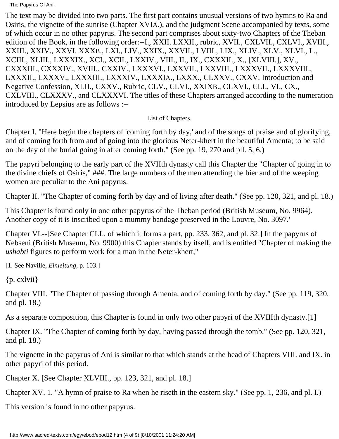The text may be divided into two parts. The first part contains unusual versions of two hymns to Ra and Osiris, the vignette of the sunrise (Chapter XVIA.), and the judgment Scene accompanied by texts, some of which occur in no other papyrus. The second part comprises about sixty-two Chapters of the Theban edition of the Book, in the following order:--I., XXII. LXXII., rubric, XVII., CXLVII., CXLVI., XVIII., XXIII., XXIV., XXVI. XXXB., LXI., LIV., XXIX., XXVII., LVIII., LIX., XLIV., XLV., XLVI., L., XCIII., XLIII., LXXXIX., XCI., XCII., LXXIV., VIII., II., IX., CXXXII., X., [XLVIII.], XV., CXXXIII., CXXXIV., XVIII., CXXIV., LXXXVI., LXXVII., LXXVIII., LXXXVII., LXXXVIII., LXXXII., LXXXV., LXXXIII., LXXXIV., LXXXIA., LXXX., CLXXV., CXXV. Introduction and Negative Confession, XLII., CXXV., Rubric, CLV., CLVI., XXIXB., CLXVI., CLI., VI., CX., CXLVIII., CLXXXV., and CLXXXVI. The titles of these Chapters arranged according to the numeration introduced by Lepsius are as follows :--

### List of Chapters.

Chapter I. "Here begin the chapters of 'coming forth by day,' and of the songs of praise and of glorifying, and of coming forth from and of going into the glorious Neter-khert in the beautiful Amenta; to be said on the day of the burial going in after coming forth." (See pp. 19, 270 and pll. 5, 6.)

The papyri belonging to the early part of the XVIIth dynasty call this Chapter the "Chapter of going in to the divine chiefs of Osiris," ###. The large numbers of the men attending the bier and of the weeping women are peculiar to the Ani papyrus.

Chapter II. "The Chapter of coming forth by day and of living after death." (See pp. 120, 321, and pl. 18.)

This Chapter is found only in one other papyrus of the Theban period (British Museum, No. 9964). Another copy of it is inscribed upon a mummy bandage preserved in the Louvre, No. 3097.'

Chapter VI.--[See Chapter CLI., of which it forms a part, pp. 233, 362, and pl. 32.] In the papyrus of Nebseni (British Museum, No. 9900) this Chapter stands by itself, and is entitled "Chapter of making the *ushabti* figures to perform work for a man in the Neter-khert,"

[1. See Naville, *Einleitung*, p. 103.]

{p. cxlvii}

Chapter VIII. "The Chapter of passing through Amenta, and of coming forth by day." (See pp. 119, 320, and pl. 18.)

As a separate composition, this Chapter is found in only two other papyri of the XVIIIth dynasty.[1]

Chapter IX. "The Chapter of coming forth by day, having passed through the tomb." (See pp. 120, 321, and pl. 18.)

The vignette in the papyrus of Ani is similar to that which stands at the head of Chapters VIII. and IX. in other papyri of this period.

Chapter X. [See Chapter XLVIII., pp. 123, 321, and pl. 18.]

Chapter XV. 1. "A hymn of praise to Ra when he riseth in the eastern sky." (See pp. 1, 236, and pl. I.)

This version is found in no other papyrus.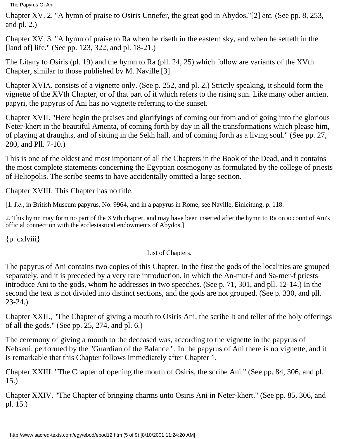Chapter XV. 2. "A hymn of praise to Osiris Unnefer, the great god in Abydos,"[2] *etc.* (See pp. 8, 253, and pl. 2.)

Chapter XV. 3. "A hymn of praise to Ra when he riseth in the eastern sky, and when he setteth in the [land of] life." (See pp. 123, 322, and pl. 18-21.)

The Litany to Osiris (pl. 19) and the hymn to Ra (pll. 24, 25) which follow are variants of the XVth Chapter, similar to those published by M. Naville.[3]

Chapter XVIA. consists of a vignette only. (See p. 252, and pl. 2.) Strictly speaking, it should form the vignette of the XVth Chapter, or of that part of it which refers to the rising sun. Like many other ancient papyri, the papyrus of Ani has no vignette referring to the sunset.

Chapter XVII. "Here begin the praises and glorifyings of coming out from and of going into the glorious Neter-khert in the beautiful Amenta, of coming forth by day in all the transformations which please him, of playing at draughts, and of sitting in the Sekh hall, and of coming forth as a living soul." (See pp. 27, 280, and Pll. 7-10.)

This is one of the oldest and most important of all the Chapters in the Book of the Dead, and it contains the most complete statements concerning the Egyptian cosmogony as formulated by the college of priests of Heliopolis. The scribe seems to have accidentally omitted a large section.

Chapter XVIII. This Chapter has no title.

[1. *I.e.*, in British Museum papyrus, No. 9964, and in a papyrus in Rome; see Naville, Einleitung, p. 118.

2. This hymn may form no part of the XVth chapter, and may have been inserted after the hymn to Ra on account of Ani's official connection with the ecclesiastical endowments of Abydos.]

{p. cxlviii}

List of Chapters.

The papyrus of Ani contains two copies of this Chapter. In the first the gods of the localities are grouped separately, and it is preceded by a very rare introduction, in which the An-mut-f and Sa-mer-f priests introduce Ani to the gods, whom he addresses in two speeches. (See p. 71, 301, and pll. 12-14.) In the second the text is not divided into distinct sections, and the gods are not grouped. (See p. 330, and pll. 23-24.)

Chapter XXII., "The Chapter of giving a mouth to Osiris Ani, the scribe It and teller of the holy offerings of all the gods." (See pp. 25, 274, and pl. 6.)

The ceremony of giving a mouth to the deceased was, according to the vignette in the papyrus of Nebseni, performed by the "Guardian of the Balance ". In the papyrus of Ani there is no vignette, and it is remarkable that this Chapter follows immediately after Chapter 1.

Chapter XXIII. "The Chapter of opening the mouth of Osiris, the scribe Ani." (See pp. 84, 306, and pl. 15.)

Chapter XXIV. "The Chapter of bringing charms unto Osiris Ani in Neter-khert." (See pp. 85, 306, and pl. 15.)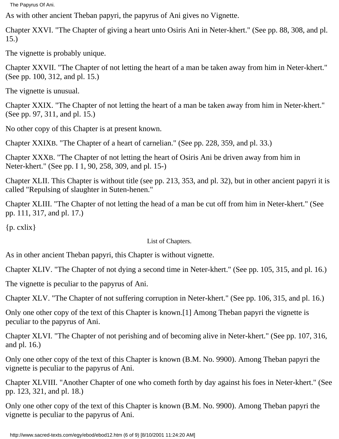As with other ancient Theban papyri, the papyrus of Ani gives no Vignette.

Chapter XXVI. "The Chapter of giving a heart unto Osiris Ani in Neter-khert." (See pp. 88, 308, and pl. 15.)

The vignette is probably unique.

Chapter XXVII. "The Chapter of not letting the heart of a man be taken away from him in Neter-khert." (See pp. 100, 312, and pl. 15.)

The vignette is unusual.

Chapter XXIX. "The Chapter of not letting the heart of a man be taken away from him in Neter-khert." (See pp. 97, 311, and pl. 15.)

No other copy of this Chapter is at present known.

Chapter XXIXB. "The Chapter of a heart of carnelian." (See pp. 228, 359, and pl. 33.)

Chapter XXXB. "The Chapter of not letting the heart of Osiris Ani be driven away from him in Neter-khert." (See pp. I 1, 90, 258, 309, and pl. 15-)

Chapter XLII. This Chapter is without title (see pp. 213, 353, and pl. 32), but in other ancient papyri it is called "Repulsing of slaughter in Suten-henen."

Chapter XLIII. "The Chapter of not letting the head of a man be cut off from him in Neter-khert." (See pp. 111, 317, and pl. 17.)

 ${p. \text{cxlix}}$ 

### List of Chapters.

As in other ancient Theban papyri, this Chapter is without vignette.

Chapter XLIV. "The Chapter of not dying a second time in Neter-khert." (See pp. 105, 315, and pl. 16.)

The vignette is peculiar to the papyrus of Ani.

Chapter XLV. "The Chapter of not suffering corruption in Neter-khert." (See pp. 106, 315, and pl. 16.)

Only one other copy of the text of this Chapter is known.[1] Among Theban papyri the vignette is peculiar to the papyrus of Ani.

Chapter XLVI. "The Chapter of not perishing and of becoming alive in Neter-khert." (See pp. 107, 316, and pl. 16.)

Only one other copy of the text of this Chapter is known (B.M. No. 9900). Among Theban papyri the vignette is peculiar to the papyrus of Ani.

Chapter XLVIII. "Another Chapter of one who cometh forth by day against his foes in Neter-khert." (See pp. 123, 321, and pl. 18.)

Only one other copy of the text of this Chapter is known (B.M. No. 9900). Among Theban papyri the vignette is peculiar to the papyrus of Ani.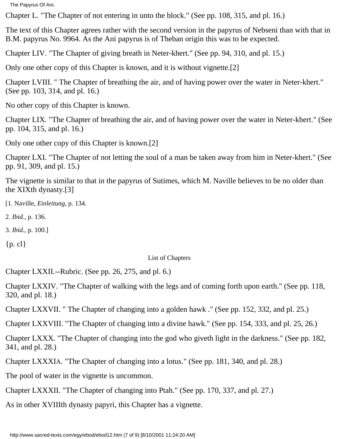Chapter L. "The Chapter of not entering in unto the block." (See pp. 108, 315, and pl. 16.)

The text of this Chapter agrees rather with the second version in the papyrus of Nebseni than with that in B.M. papyrus No. 9964. As the Ani papyrus is of Theban origin this was to be expected.

Chapter LIV. "The Chapter of giving breath in Neter-khert." (See pp. 94, 310, and pl. 15.)

Only one other copy of this Chapter is known, and it is without vignette.[2]

Chapter LVIII. " The Chapter of breathing the air, and of having power over the water in Neter-khert." (See pp. 103, 314, and pl. 16.)

No other copy of this Chapter is known.

Chapter LIX. "The Chapter of breathing the air, and of having power over the water in Neter-khert." (See pp. 104, 315, and pl. 16.)

Only one other copy of this Chapter is known.[2]

Chapter LXI. "The Chapter of not letting the soul of a man be taken away from him in Neter-khert." (See pp. 91, 309, and pl. 15.)

The vignette is similar to that in the papyrus of Sutimes, which M. Naville believes to be no older than the XIXth dynasty.[3]

[1. Naville, *Einleitung*, p. 134.

2. *Ibid.*, p. 136.

3. *Ibid.*, p. 100.]

 ${p. cl}$ 

### List of Chapters

Chapter LXXII.--Rubric. (See pp. 26, 275, and pl. 6.)

Chapter LXXIV. "The Chapter of walking with the legs and of coming forth upon earth." (See pp. 118, 320, and pl. 18.)

Chapter LXXVII. " The Chapter of changing into a golden hawk ." (See pp. 152, 332, and pl. 25.)

Chapter LXXVIII. "The Chapter of changing into a divine hawk." (See pp. 154, 333, and pl. 25, 26.)

Chapter LXXX. "The Chapter of changing into the god who giveth light in the darkness." (See pp. 182, 341, and pl. 28.)

Chapter LXXXIA. "The Chapter of changing into a lotus." (See pp. 181, 340, and pl. 28.)

The pool of water in the vignette is uncommon.

Chapter LXXXII. "The Chapter of changing into Ptah." (See pp. 170, 337, and pl. 27.)

As in other XVIIIth dynasty papyri, this Chapter has a vignette.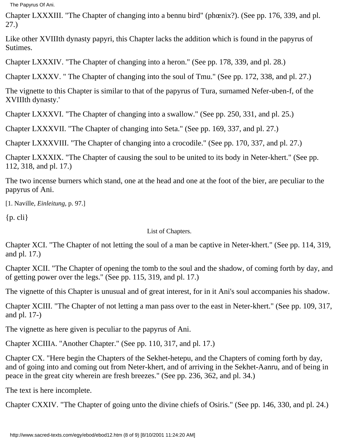Chapter LXXXIII. "The Chapter of changing into a bennu bird" (phœnix?). (See pp. 176, 339, and pl. 27.)

Like other XVIIIth dynasty papyri, this Chapter lacks the addition which is found in the papyrus of Sutimes.

Chapter LXXXIV. "The Chapter of changing into a heron." (See pp. 178, 339, and pl. 28.)

Chapter LXXXV. " The Chapter of changing into the soul of Tmu." (See pp. 172, 338, and pl. 27.)

The vignette to this Chapter is similar to that of the papyrus of Tura, surnamed Nefer-uben-f, of the XVIIIth dynasty.'

Chapter LXXXVI. "The Chapter of changing into a swallow." (See pp. 250, 331, and pl. 25.)

Chapter LXXXVII. "The Chapter of changing into Seta." (See pp. 169, 337, and pl. 27.)

Chapter LXXXVIII. "The Chapter of changing into a crocodile." (See pp. 170, 337, and pl. 27.)

Chapter LXXXIX. "The Chapter of causing the soul to be united to its body in Neter-khert." (See pp. 112, 318, and pl. 17.)

The two incense burners which stand, one at the head and one at the foot of the bier, are peculiar to the papyrus of Ani.

[1. Naville, *Einleitung*, p. 97.]

 ${p. \text{cli}}$ 

### List of Chapters.

Chapter XCI. "The Chapter of not letting the soul of a man be captive in Neter-khert." (See pp. 114, 319, and pl. 17.)

Chapter XCII. "The Chapter of opening the tomb to the soul and the shadow, of coming forth by day, and of getting power over the legs." (See pp. 115, 319, and pl. 17.)

The vignette of this Chapter is unusual and of great interest, for in it Ani's soul accompanies his shadow.

Chapter XCIII. "The Chapter of not letting a man pass over to the east in Neter-khert." (See pp. 109, 317, and pl. 17-)

The vignette as here given is peculiar to the papyrus of Ani.

Chapter XCIIIA. "Another Chapter." (See pp. 110, 317, and pl. 17.)

Chapter CX. "Here begin the Chapters of the Sekhet-hetepu, and the Chapters of coming forth by day, and of going into and coming out from Neter-khert, and of arriving in the Sekhet-Aanru, and of being in peace in the great city wherein are fresh breezes." (See pp. 236, 362, and pl. 34.)

The text is here incomplete.

Chapter CXXIV. "The Chapter of going unto the divine chiefs of Osiris." (See pp. 146, 330, and pl. 24.)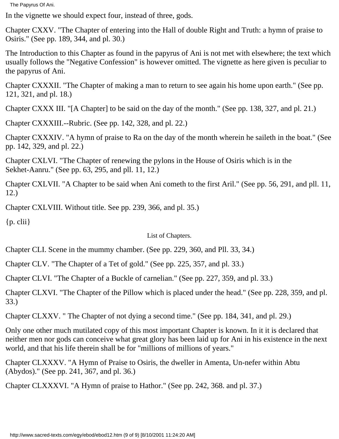In the vignette we should expect four, instead of three, gods.

Chapter CXXV. "The Chapter of entering into the Hall of double Right and Truth: a hymn of praise to Osiris." (See pp. 189, 344, and pl. 30.)

The Introduction to this Chapter as found in the papyrus of Ani is not met with elsewhere; the text which usually follows the "Negative Confession" is however omitted. The vignette as here given is peculiar to the papyrus of Ani.

Chapter CXXXII. "The Chapter of making a man to return to see again his home upon earth." (See pp. 121, 321, and pl. 18.)

Chapter CXXX III. "[A Chapter] to be said on the day of the month." (See pp. 138, 327, and pl. 21.)

Chapter CXXXIII.--Rubric. (See pp. 142, 328, and pl. 22.)

Chapter CXXXIV. "A hymn of praise to Ra on the day of the month wherein he saileth in the boat." (See pp. 142, 329, and pl. 22.)

Chapter CXLVI. "The Chapter of renewing the pylons in the House of Osiris which is in the Sekhet-Aanru." (See pp. 63, 295, and pll. 11, 12.)

Chapter CXLVII. "A Chapter to be said when Ani cometh to the first Aril." (See pp. 56, 291, and pll. 11, 12.)

Chapter CXLVIII. Without title. See pp. 239, 366, and pl. 35.)

 ${p. \text{cli}}$ 

List of Chapters.

Chapter CLI. Scene in the mummy chamber. (See pp. 229, 360, and Pll. 33, 34.)

Chapter CLV. "The Chapter of a Tet of gold." (See pp. 225, 357, and pl. 33.)

Chapter CLVI. "The Chapter of a Buckle of carnelian." (See pp. 227, 359, and pl. 33.)

Chapter CLXVI. "The Chapter of the Pillow which is placed under the head." (See pp. 228, 359, and pl. 33.)

Chapter CLXXV. " The Chapter of not dying a second time." (See pp. 184, 341, and pl. 29.)

Only one other much mutilated copy of this most important Chapter is known. In it it is declared that neither men nor gods can conceive what great glory has been laid up for Ani in his existence in the next world, and that his life therein shall be for "millions of millions of years."

Chapter CLXXXV. "A Hymn of Praise to Osiris, the dweller in Amenta, Un-nefer within Abtu (Abydos)." (See pp. 241, 367, and pl. 36.)

Chapter CLXXXVI. "A Hymn of praise to Hathor." (See pp. 242, 368. and pl. 37.)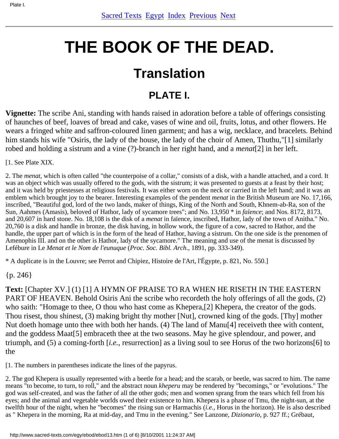# <span id="page-127-0"></span>**THE BOOK OF THE DEAD.**

## **Translation**

## **PLATE I.**

**Vignette:** The scribe Ani, standing with hands raised in adoration before a table of offerings consisting of haunches of beef, loaves of bread and cake, vases of wine and oil, fruits, lotus, and other flowers. He wears a fringed white and saffron-coloured linen garment; and has a wig, necklace, and bracelets. Behind him stands his wife "Osiris, the lady of the house, the lady of the choir of Amen, Thuthu,"[1] similarly robed and holding a sistrum and a vine (?)-branch in her right hand, and a *menat*[2] in her left.

[1. See Plate XIX.

2. The *menat*, which is often called "the counterpoise of a collar," consists of a disk, with a handle attached, and a cord. It was an object which was usually offered to the gods, with the sistrum; it was presented to guests at a feast by their host; and it was held by priestesses at religious festivals. It was either worn on the neck or carried in the left hand; and it was an emblem which brought joy to the bearer. Interesting examples of the pendent *menat* in the British Museum are No. 17,166, inscribed, "Beautiful god, lord of the two lands, maker of things, King of the North and South, Khnem-ab-Ra, son of the Sun, Aahmes (Amasis), beloved of Hathor, lady of sycamore trees"; and No. 13,950 \* in *faïence*; and Nos. 8172, 8173, and 20,607 in hard stone. No. 18,108 is the disk of a *menat* in faïence, inscribed, Hathor, lady of the town of Anitha." No. 20,760 is a disk and handle in bronze, the disk having, in hollow work, the figure of a cow, sacred to Hathor, and the handle, the upper part of which is in the form of the head of Hathor, having a sistrum. On the one side is the prenomen of Amenophis III. and on the other is Hathor, lady of the sycamore." The meaning and use of the menat is discussed by Lefébure in Le *Menat et le Nom de l'eunuque* (*Proc. Soc. Bibl. Arch*., 1891, pp. 333-349).

\* A duplicate is in the Louvre; see Perrot and Chipiez, Histoire de l'Art, l'Égypte, p. 821, No. 550.]

{p. 246}

**Text:** [Chapter XV.] (1) [1] A HYMN OF PRAISE TO RA WHEN HE RISETH IN THE EASTERN PART OF HEAVEN. Behold Osiris Ani the scribe who recordeth the holy offerings of all the gods, (2) who saith: "Homage to thee, O thou who hast come as Khepera,[2] Khepera, the creator of the gods. Thou risest, thou shinest, (3) making bright thy mother [Nut], crowned king of the gods. [Thy] mother Nut doeth homage unto thee with both her hands. (4) The land of Manu[4] receiveth thee with content, and the goddess Maat[5] embraceth thee at the two seasons. May he give splendour, and power, and triumph, and (5) a coming-forth [*i.e.*, resurrection] as a living soul to see Horus of the two horizons[6] to the

[1. The numbers in parentheses indicate the lines of the papyrus.

2. The god Khepera is usually represented with a beetle for a head; and the scarab, or beetle, was sacred to him. The name means "to become, to turn, to roll," and the abstract noun *kheperu* may be rendered by "becomings," or "evolutions." The god was self-created, and was the father of all the other gods; men and women sprang from the tears which fell from his eyes; and the animal and vegetable worlds owed their existence to him. Khepera is a phase of Tmu, the night-sun, at the twelfth hour of the night, when he "becomes" the rising sun or Harmachis (*i.e.*, Horus in the horizon). He is also described as " Khepera in the morning, Ra at mid-day, and Tmu in the evening." See Lanzone, *Dizionario*, p. 927 ff.; Grébaut,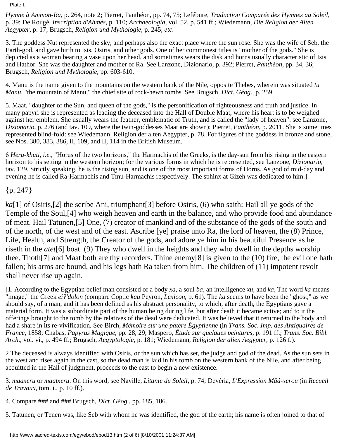*Hymne à Ammon-Ra*, p. 264, note 2; Pierret, Panthéon, pp. 74, 75; Lefébure, *Traduction Comparée des Hymnes au Soleil*, p. 39; De Rougé, *Inscription d'Ahmés*, p. 110; *Archaeologia*, vol. 52, p. 541 ff.; Wiedemann, *Die Religion der Alten Aegypter*, p. 17; Brugsch, *Religion und Mythologie*, p. 245, *etc*.

3. The goddess Nut represented the sky, and perhaps also the exact place where the sun rose. She was the wife of Seb, the Earth-god, and gave birth to Isis, Osiris, and other gods. One of her commonest titles is "mother of the gods." She is depicted as a woman bearing a vase upon her head, and sometimes wears the disk and horns usually characteristic of Isis and Hathor. She was the daughter and mother of Ra. See Lanzone, Dizionario, p. 392; Pierret, *Panthéon*, pp. 34, 36; Brugsch, *Religion und Mythologie*, pp. 603-610.

4. Manu is the name given to the mountains on the western bank of the Nile, opposite Thebes, wherein was situated *tu Manu*, "the mountain of Manu," the chief site of rock-hewn tombs. See Brugsch, *Dict. Géog*., p. 259.

5. Maat, "daughter of the Sun, and queen of the gods," is the personification of righteousness and truth and justice. In many papyri she is represented as leading the deceased into the Hall of Double Maat, where his heart is to be weighed against her emblem. She usually wears the feather, emblematic of Truth, and is called the "lady of heaven": see Lanzone, *Dizionario*, p. 276 (and tav. 109, where the twin-goddesses Maat are shown); Pierret, *Panthéon*, p. 2011. She is sometimes represented blind-fold: see Wiedemann, Religion der alten Aegypter, p. 78. For figures of the goddess in bronze and stone, see Nos. 380, 383, 386, II, 109, and II, 114 in the British Museum.

6 *Heru-khuti*, *i.e.*, "Horus of the two horizons," the Harmachis of the Greeks, is the day-sun from his rising in the eastern horizon to his setting in the western horizon; for the various forms in which he is represented, see Lanzone, *Dizionario*, tav. 129. Strictly speaking, he is the rising sun, and is one of the most important forms of Horns. As god of mid-day and evening he is called Ra-Harmachis and Tmu-Harmachis respectively. The sphinx at Gizeh was dedicated to him.]

{p. 247}

*ka*[1] of Osiris,[2] the scribe Ani, triumphant[3] before Osiris, (6) who saith: Hail all ye gods of the Temple of the Soul,[4] who weigh heaven and earth in the balance, and who provide food and abundance of meat. Hail Tatunen,[5] One, (7) creator of mankind and of the substance of the gods of the south and of the north, of the west and of the east. Ascribe [ye] praise unto Ra, the lord of heaven, the (8) Prince, Life, Health, and Strength, the Creator of the gods, and adore ye him in his beautiful Presence as he riseth in the *atet*[6] boat. (9) They who dwell in the heights and they who dwell in the depths worship thee. Thoth[7] and Maat both are thy recorders. Thine enemy[8] is given to the (10) fire, the evil one hath fallen; his arms are bound, and his legs hath Ra taken from him. The children of (11) impotent revolt shall never rise up again.

[1. According to the Egyptian belief man consisted of a body *xa*, a soul *ba*, an intelligence *xu*, and *ka*, The word *ka* means "image," the Greek *ei?'dolon* (compare Coptic *kau* Peyron, *Lexicon*, p. 61). The *ka* seems to have been the "ghost," as we should say, of a man, and it has been defined as his abstract personality, to which, after death, the Egyptians gave a material form. It was a subordinate part of the human being during life, but after death it became active; and to it the offerings brought to the tomb by the relatives of the dead were dedicated. It was believed that it returned to the body and had a share in its re-vivification. See Birch, *Mémoire sur une patère Égyptienne* (in *Trans. Soc. Imp. des Antiquaires de France*, 1858; Chabas, *Papyrus Magique*, pp. 28, 29; Maspero, *Étude sur quelques peintures*, p. 191 ff.; *Trans. Soc. Bibl. Arch*., vol. vi., p. 494 ff.; Brugsch, *Aegyptologie*, p. 181; Wiedemann, *Religion der alien Aegypter*, p. 126 f.).

2 The deceased is always identified with Osiris, or the sun which has set, the judge and god of the dead. As the sun sets in the west and rises again in the cast, so the dead man is laid in his tomb on the western bank of the Nile, and after being acquitted in the Hall of judgment, proceeds to the east to begin a new existence.

3. *maaxeru* or *maatxeru*. On this word, see Naville, *Litanie du Soleil*, p. 74; Devéria, *L'Expression Mââ-xerou* (in *Recueil de Travaux*, tom. i., p. 10 ff.).

4. Compare ### and ### Brugsch, *Dict. Géog*., pp. 185, 186.

5. Tatunen, or Tenen was, like Seb with whom he was identified, the god of the earth; his name is often joined to that of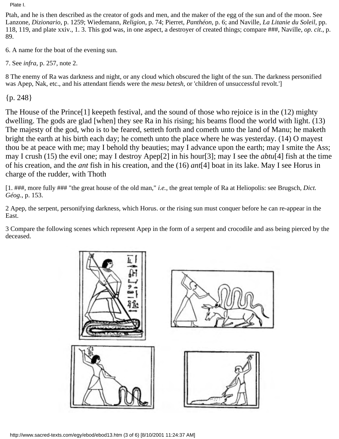Ptah, and he is then described as the creator of gods and men, and the maker of the egg of the sun and of the moon. See Lanzone, *Dizionario*, p. 1259; Wiedemann, *Religion*, p. 74; Pierret, *Panthéon*, p. 6; and Naville, *La Litanie du Soleil*, pp. 118, 119, and plate xxiv., 1. 3. This god was, in one aspect, a destroyer of created things; compare ###, Naville, *op. cit*., p. 89.

6. A name for the boat of the evening sun.

7. See *infra*, p. 257, note 2.

8 The enemy of Ra was darkness and night, or any cloud which obscured the light of the sun. The darkness personified was Apep, Nak, etc., and his attendant fiends were the *mesu betesh*, or 'children of unsuccessful revolt.']

{p. 248}

The House of the Prince[1] keepeth festival, and the sound of those who rejoice is in the (12) mighty dwelling. The gods are glad [when] they see Ra in his rising; his beams flood the world with light. (13) The majesty of the god, who is to be feared, setteth forth and cometh unto the land of Manu; he maketh bright the earth at his birth each day; he cometh unto the place where he was yesterday. (14) O mayest thou be at peace with me; may I behold thy beauties; may I advance upon the earth; may I smite the Ass; may I crush (15) the evil one; may I destroy Apep[2] in his hour[3]; may I see the *abtu*[4] fish at the time of his creation, and the *ant* fish in his creation, and the (16) *ant*[4] boat in its lake. May I see Horus in charge of the rudder, with Thoth

[1. ###, more fully ### "the great house of the old man," *i.e.*, the great temple of Ra at Heliopolis: see Brugsch, *Dict. Géog*., p. 153.

2 Apep, the serpent, personifying darkness, which Horus. or the rising sun must conquer before he can re-appear in the East.

3 Compare the following scenes which represent Apep in the form of a serpent and crocodile and ass being pierced by the deceased.

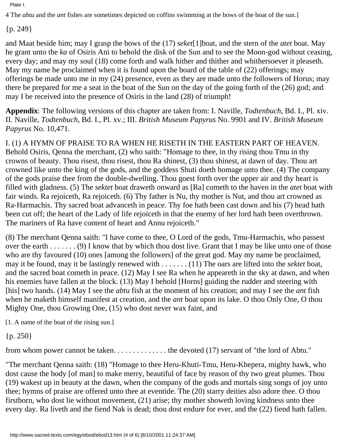4 The *abtu* and the *ant* fishes are sometimes depicted on coffins swimming at the bows of the boat of the sun.]

{p. 249}

and Maat beside him; may I grasp the bows of the (17) *seket*[1]boat, and the stern of the *atet* boat. May he grant unto the *ka* of Osiris Ani to behold the disk of the Sun and to see the Moon-god without ceasing, every day; and may my soul (18) come forth and walk hither and thither and whithersoever it pleaseth. May my name be proclaimed when it is found upon the board of the table of (22) offerings; may offerings be made unto me in my (24) presence, even as they are made unto the followers of Horus; may there be prepared for me a seat in the boat of the Sun on the day of the going forth of the (26) god; and may I be received into the presence of Osiris in the land (28) of triumph!

**Appendix**: The following versions of this chapter are taken from: I. Naville, *Todtenbuch*, Bd. I., Pl. xiv. II. Naville, *Todtenbuch*, Bd. I., Pl. xv.; III. *British Museum Papyrus* No. 9901 and IV. *British Museum Papyrus* No. 10,471.

I. (1) A HYMN OF PRAISE TO RA WHEN HE RISETH IN THE EASTERN PART OF HEAVEN. Behold Osiris, Qenna the merchant, (2) who saith: "Homage to thee, in thy rising thou Tmu in thy crowns of beauty. Thou risest, thou risest, thou Ra shinest, (3) thou shinest, at dawn of day. Thou art crowned like unto the king of the gods, and the goddess Shuti doeth homage unto thee. (4) The company of the gods praise thee from the double-dwelling. Thou goest forth over the upper air and thy heart is filled with gladness. (5) The *sektet* boat draweth onward as [Ra] cometh to the haven in the *atet* boat with fair winds. Ra rejoiceth, Ra rejoiceth. (6) Thy father is Nu, thy mother is Nut, and thou art crowned as Ra-Harmachis. Thy sacred boat advanceth in peace. Thy foe hath been cast down and his (7) head hath been cut off; the heart of the Lady of life rejoiceth in that the enemy of her lord hath been overthrown. The mariners of Ra have content of heart and Annu rejoiceth."

(8) The merchant Qenna saith: "I have come to thee, O Lord of the gods, Tmu-Harmachis, who passest over the earth  $\dots \dots$  . (9) I know that by which thou dost live. Grant that I may be like unto one of those who are thy favoured (10) ones [among the followers] of the great god. May my name be proclaimed, may it be found, may it be lastingly renewed with . . . . . . . (11) The oars are lifted into the *sektet* boat, and the sacred boat cometh in peace. (12) May I see Ra when he appeareth in the sky at dawn, and when his enemies have fallen at the block. (13) May I behold [Horns] guiding the rudder and steering with [his] two hands. (14) May I see the *abtu* fish at the moment of his creation; and may I see the *ant* fish when he maketh himself manifest at creation, and the *ant* boat upon its lake. O thou Only One, O thou Mighty One, thou Growing One, (15) who dost never wax faint, and

[1. A name of the boat of the rising sun.]

{p. 250}

from whom power cannot be taken. . . . . . . . . . . . . . the devoted (17) servant of "the lord of Abtu."

"The merchant Qenna saith: (18) "Homage to thee Heru-Khuti-Tmu, Heru-Khepera, mighty hawk, who dost cause the body [of man] to make merry, beautiful of face by reason of thy two great plumes. Thou (19) wakest up in beauty at the dawn, when the company of the gods and mortals sing songs of joy unto thee; hymns of praise are offered unto thee at eventide. The (20) starry deities also adore thee. O thou firstborn, who dost lie without movement, (21) arise; thy mother showeth loving kindness unto thee every day. Ra liveth and the fiend Nak is dead; thou dost endure for ever, and the (22) fiend hath fallen.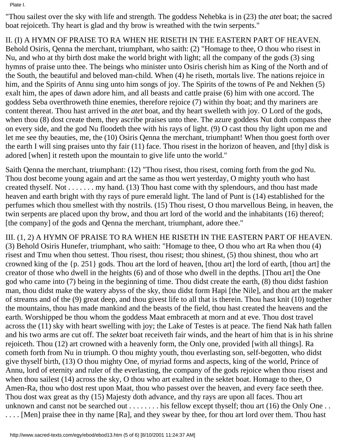"Thou sailest over the sky with life and strength. The goddess Nehebka is in (23) the *atet* boat; the sacred boat rejoiceth. Thy heart is glad and thy brow is wreathed with the twin serpents."

II. (I) A HYMN OF PRAISE TO RA WHEN HE RISETH IN THE EASTERN PART OF HEAVEN. Behold Osiris, Qenna the merchant, triumphant, who saith: (2) "Homage to thee, O thou who risest in Nu, and who at thy birth dost make the world bright with light; all the company of the gods (3) sing hymns of praise unto thee. The beings who minister unto Osiris cherish him as King of the North and of the South, the beautiful and beloved man-child. When (4) he riseth, mortals live. The nations rejoice in him, and the Spirits of Annu sing unto him songs of joy. The Spirits of the towns of Pe and Nekhen (5) exalt him, the apes of dawn adore him, and all beasts and cattle praise (6) him with one accord. The goddess Seba overthroweth thine enemies, therefore rejoice (7) within thy boat; and thy mariners are content thereat. Thou hast arrived in the *atet* boat, and thy heart swelleth with joy. O Lord of the gods, when thou (8) dost create them, they ascribe praises unto thee. The azure goddess Nut doth compass thee on every side, and the god Nu floodeth thee with his rays of light. (9) O cast thou thy light upon me and let me see thy beauties, me, the (10) Osiris Qenna the merchant, triumphant! When thou goest forth over the earth I will sing praises unto thy fair (11) face. Thou risest in the horizon of heaven, and [thy] disk is adored [when] it resteth upon the mountain to give life unto the world."

Saith Qenna the merchant, triumphant: (12) "Thou risest, thou risest, coming forth from the god Nu. Thou dost become young again and art the same as thou wert yesterday, O mighty youth who hast created thyself. Not . . . . . . . my hand. (13) Thou hast come with thy splendours, and thou hast made heaven and earth bright with thy rays of pure emerald light. The land of Punt is (14) established for the perfumes which thou smellest with thy nostrils. (15) Thou risest, O thou marvellous Being, in heaven, the twin serpents are placed upon thy brow, and thou art lord of the world and the inhabitants (16) thereof; [the company] of the gods and Qenna the merchant, triumphant, adore thee."

III. (1, 2) A HYMN OF PRAISE TO RA WHEN HE RISETH IN THE EASTERN PART OF HEAVEN. (3) Behold Osiris Hunefer, triumphant, who saith: "Homage to thee, O thou who art Ra when thou (4) risest and Tmu when thou settest. Thou risest, thou risest; thou shinest, (5) thou shinest, thou who art crowned king of the {p. 251} gods. Thou art the lord of heaven, [thou art] the lord of earth, [thou art] the creator of those who dwell in the heights (6) and of those who dwell in the depths. [Thou art] the One god who came into (7) being in the beginning of time. Thou didst create the earth, (8) thou didst fashion man, thou didst make the watery abyss of the sky, thou didst form Hapi [the Nile], and thou art the maker of streams and of the (9) great deep, and thou givest life to all that is therein. Thou hast knit (10) together the mountains, thou has made mankind and the beasts of the field, thou hast created the heavens and the earth. Worshipped be thou whom the goddess Maat embraceth at morn and at eve. Thou dost travel across the (11) sky with heart swelling with joy; the Lake of Testes is at peace. The fiend Nak hath fallen and his two arms are cut off. The *sektet* boat receiveth fair winds, and the heart of him that is in his shrine rejoiceth. Thou (12) art crowned with a heavenly form, the Only one, provided [with all things]. Ra cometh forth from Nu in triumph. O thou mighty youth, thou everlasting son, self-begotten, who didst give thyself birth, (13) O thou mighty One, of myriad forms and aspects, king of the world, Prince of Annu, lord of eternity and ruler of the everlasting, the company of the gods rejoice when thou risest and when thou sailest (14) across the sky, O thou who art exalted in the sektet boat. Homage to thee, O Amen-Ra, thou who dost rest upon Maat, thou who passest over the heaven, and every face seeth thee. Thou dost wax great as thy (15) Majesty doth advance, and thy rays are upon all faces. Thou art unknown and canst not be searched out . . . . . . . . his fellow except thyself; thou art (16) the Only One . . . . . . [Men] praise thee in thy name [Ra], and they swear by thee, for thou art lord over them. Thou hast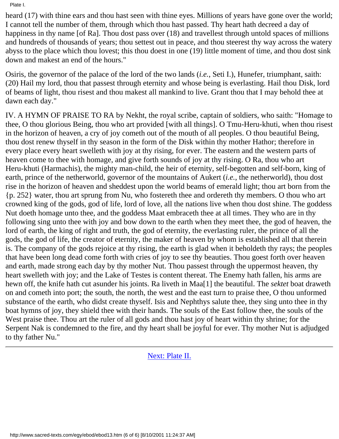heard (17) with thine ears and thou hast seen with thine eyes. Millions of years have gone over the world; I cannot tell the number of them, through which thou hast passed. Thy heart hath decreed a day of happiness in thy name [of Ra]. Thou dost pass over (18) and travellest through untold spaces of millions and hundreds of thousands of years; thou settest out in peace, and thou steerest thy way across the watery abyss to the place which thou lovest; this thou doest in one (19) little moment of time, and thou dost sink down and makest an end of the hours."

Osiris, the governor of the palace of the lord of the two lands (*i.e.*, Seti I.), Hunefer, triumphant, saith: (20) Hail my lord, thou that passest through eternity and whose being is everlasting. Hail thou Disk, lord of beams of light, thou risest and thou makest all mankind to live. Grant thou that I may behold thee at dawn each day."

IV. A HYMN OF PRAISE TO RA by Nekht, the royal scribe, captain of soldiers, who saith: "Homage to thee, O thou glorious Being, thou who art provided [with all things]. O Tmu-Heru-khuti, when thou risest in the horizon of heaven, a cry of joy cometh out of the mouth of all peoples. O thou beautiful Being, thou dost renew thyself in thy season in the form of the Disk within thy mother Hathor; therefore in every place every heart swelleth with joy at thy rising, for ever. The eastern and the western parts of heaven come to thee with homage, and give forth sounds of joy at thy rising. O Ra, thou who art Heru-khuti (Harmachis), the mighty man-child, the heir of eternity, self-begotten and self-born, king of earth, prince of the netherworld, governor of the mountains of Aukert (*i.e.*, the netherworld), thou dost rise in the horizon of heaven and sheddest upon the world beams of emerald light; thou art born from the {p. 252} water, thou art sprung from Nu, who fostereth thee and ordereth thy members. O thou who art crowned king of the gods, god of life, lord of love, all the nations live when thou dost shine. The goddess Nut doeth homage unto thee, and the goddess Maat embraceth thee at all times. They who are in thy following sing unto thee with joy and bow down to the earth when they meet thee, the god of heaven, the lord of earth, the king of right and truth, the god of eternity, the everlasting ruler, the prince of all the gods, the god of life, the creator of eternity, the maker of heaven by whom is established all that therein is. The company of the gods rejoice at thy rising, the earth is glad when it beholdeth thy rays; the peoples that have been long dead come forth with cries of joy to see thy beauties. Thou goest forth over heaven and earth, made strong each day by thy mother Nut. Thou passest through the uppermost heaven, thy heart swelleth with joy; and the Lake of Testes is content thereat. The Enemy hath fallen, his arms are hewn off, the knife hath cut asunder his joints. Ra liveth in Maa[1] the beautiful. The *sektet* boat draweth on and cometh into port; the south, the north, the west and the east turn to praise thee, O thou unformed substance of the earth, who didst create thyself. Isis and Nephthys salute thee, they sing unto thee in thy boat hymns of joy, they shield thee with their hands. The souls of the East follow thee, the souls of the West praise thee. Thou art the ruler of all gods and thou hast joy of heart within thy shrine; for the Serpent Nak is condemned to the fire, and thy heart shall be joyful for ever. Thy mother Nut is adjudged to thy father Nu."

[Next: Plate II.](#page-133-0)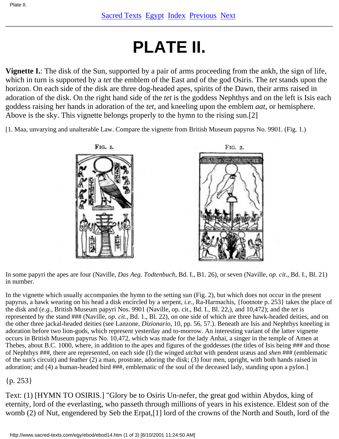# **PLATE II.**

<span id="page-133-0"></span>**Vignette I.**: The disk of the Sun, supported by a pair of arms proceeding from the ankh, the sign of life, which in turn is supported by a *tet* the emblem of the East and of the god Osiris. The *tet* stands upon the horizon. On each side of the disk are three dog-headed apes, spirits of the Dawn, their arms raised in adoration of the disk. On the right hand side of the *tet* is the goddess Nephthys and on the left is Isis each goddess raising her hands in adoration of the *tet*, and kneeling upon the emblem *aat*, or hemisphere. Above is the sky. This vignette belongs properly to the hymn to the rising sun.[2]

[1. Maa, unvarying and unalterable Law. Compare the vignette from British Museum papyrus No. 9901. (Fig. 1.)



In some papyri the apes are four (Naville, *Das Aeg. Todtenbuch*, Bd. I., B1. 26), or seven (Naville, *op. cit*., Bd. I., Bl. 21) in number.

In the vignette which usually accompanies the hymn to the setting sun (Fig. 2), but which does not occur in the present papyrus, a hawk wearing on his head a disk encircled by a serpent, *i.e.*, Ra-Harmachis, {footnote p. 253} takes the place of the disk and (*e.g.*, British Museum papyri Nos. 9901 (Naville, op. cit., Bd. I., Bl. 22,), and 10,472); and the *tet* is represented by the stand ### (Naville, *op. cit*., Bd. 1., Bl. 22), on one side of which are three hawk-headed deities, and on the other three jackal-headed deities (see Lanzone, *Dizionario*, 10, pp. 56, 57.). Beneath are Isis and Nephthys kneeling in adoration before two lion-gods, which represent yesterday and to-morrow. An interesting variant of the latter vignette occurs in British Museum papyrus No. 10,472, which was made for the lady Anhai, a singer in the temple of Amen at Thebes, about B.C. 1000, where, in addition to the apes and figures of the goddesses (the titles of Isis being ### and those of Nephthys ###, there are represented, on each side (I) the winged *utchat* with pendent uræus and *shen* ### (emblematic of the sun's circuit) and feather (2) a man, prostrate, adoring the disk; (3) four men, upright, with both hands raised in adoration; and (4) a human-headed bird ###, emblematic of the soul of the deceased lady, standing upon a pylon.]

### ${p. 253}$

Text: (1) [HYMN TO OSIRIS.] "Glory be to Osiris Un-nefer, the great god within Abydos, king of eternity, lord of the everlasting, who passeth through millions of years in his existence. Eldest son of the womb (2) of Nut, engendered by Seb the Erpat,[1] lord of the crowns of the North and South, lord of the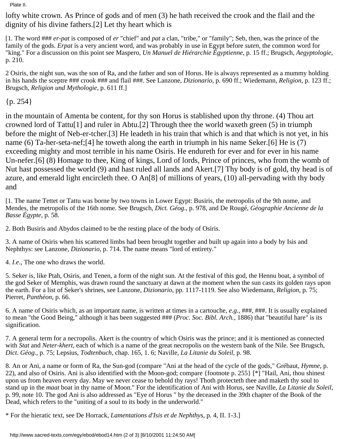lofty white crown. As Prince of gods and of men (3) he hath received the crook and the flail and the dignity of his divine fathers.[2] Let thy heart which is

[1. The word ### *er-pat* is composed of *er* "chief" and *pat* a clan, "tribe," or "family"; Seb, then, was the prince of the family of the gods. *Erpat* is a very ancient word, and was probably in use in Egypt before *suten*, the common word for "king." For a discussion on this point see Maspero, *Un Manuel de Hiérarchie Égyptienne*, p. 15 ff.; Brugsch, *Aegyptologie*, p. 210.

2 Osiris, the night sun, was the son of Ra, and the father and son of Horus. He is always represented as a mummy holding in his hands the sceptre ### crook ### and flail ###. See Lanzone, *Dizionario*, p. 690 ff.; Wiedemann, *Religion*, p. 123 ff.; Brugsch, *Religion und Mythologie*, p. 611 ff.]

 ${p. 254}$ 

in the mountain of Amenta be content, for thy son Horus is stablished upon thy throne. (4) Thou art crowned lord of Tattu[1] and ruler in Abtu.[2] Through thee the world waxeth green (5) in triumph before the might of Neb-er-tcher.[3] He leadeth in his train that which is and that which is not yet, in his name (6) Ta-her-seta-nef;[4] he toweth along the earth in triumph in his name Seker.[6] He is (7) exceeding mighty and most terrible in his name Osiris. He endureth for ever and for ever in his name Un-nefer.[6] (8) Homage to thee, King of kings, Lord of lords, Prince of princes, who from the womb of Nut hast possessed the world (9) and hast ruled all lands and Akert.[7] Thy body is of gold, thy head is of azure, and emerald light encircleth thee. O An[8] of millions of years, (10) all-pervading with thy body and

[1. The name Tettet or Tattu was borne by two towns in Lower Egypt: Busiris, the metropolis of the 9th nome, and Mendes, the metropolis of the 16th nome. See Brugsch, *Dict. Géog*., p. 978, and De Rougé, *Géographie Ancienne de la Basse Égypte*, p. 58.

2. Both Busiris and Abydos claimed to be the resting place of the body of Osiris.

3. A name of Osiris when his scattered limbs had been brought together and built up again into a body by Isis and Nephthys: see Lanzone, *Dizionario*, p. 714. The name means "lord of entirety."

4. *I.e.*, The one who draws the world.

5. Seker is, like Ptah, Osiris, and Tenen, a form of the night sun. At the festival of this god, the Hennu boat, a symbol of the god Seker of Memphis, was drawn round the sanctuary at dawn at the moment when the sun casts its golden rays upon the earth. For a list of Seker's shrines, see Lanzone, *Dizionario*, pp. 1117-1119. See also Wiedemann, *Religion*, p. 75; Pierret, *Panthéon*, p. 66.

6. A name of Osiris which, as an important name, is written at times in a cartouche, *e.g.*, ###, ###. It is usually explained to mean "the Good Being," although it has been suggested ### (*Proc. Soc. Bibl. Arch.*, 1886) that "beautiful hare" is its signification.

7. A general term for a necropolis. Akert is the country of which Osiris was the prince; and it is mentioned as connected with *Stat* and *Neter-khert*, each of which is a name of the great necropolis on the western bank of the Nile. See Brugsch, *Dict. Géog*., p. 75; Lepsius, *Todtenbuch*, chap. 165, 1. 6; Naville, *La Litanie du Soleil*, p. 98.

8. An or Ani, a name or form of Ra, the Sun-god (compare "Ani at the head of the cycle of the gods," Grébaut, *Hymne*, p. 22), and also of Osiris. Ani is also identified with the Moon-god; compare {footnote p. 255} [\*] "Hail, Ani, thou shinest upon us from heaven every day. May we never cease to behold thy rays! Thoth protecteth thee and maketh thy soul to stand up in the *maat* boat in thy name of Moon." For the identification of Ani with Horus, see Naville, *La Litanie du Soleil*, p. 99, note 10. The god Ani is also addressed as "Eye of Horus " by the deceased in the 39th chapter of the Book of the Dead, which refers to the "uniting of a soul to its body in the underworld."

\* For the hieratic text, see De Horrack, *Lamentations d'Isis et de Nephthys*, p. 4, II. 1-3.]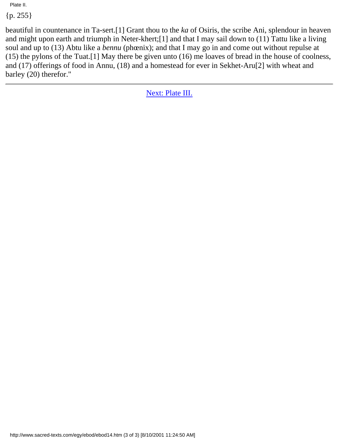${p. 255}$ 

beautiful in countenance in Ta-sert.[1] Grant thou to the *ka* of Osiris, the scribe Ani, splendour in heaven and might upon earth and triumph in Neter-khert;[1] and that I may sail down to (11) Tattu like a living soul and up to (13) Abtu like a *bennu* (phœnix); and that I may go in and come out without repulse at (15) the pylons of the Tuat.[1] May there be given unto (16) me loaves of bread in the house of coolness, and (17) offerings of food in Annu, (18) and a homestead for ever in Sekhet-Aru[2] with wheat and barley (20) therefor."

[Next: Plate III.](#page-136-0)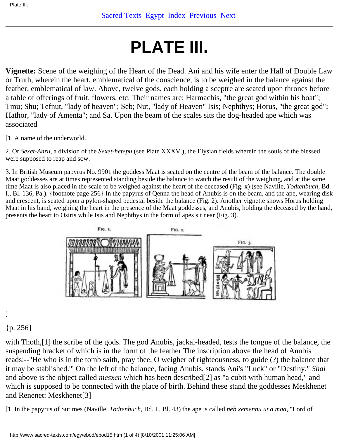# **PLATE III.**

<span id="page-136-0"></span>**Vignette:** Scene of the weighing of the Heart of the Dead. Ani and his wife enter the Hall of Double Law or Truth, wherein the heart, emblematical of the conscience, is to be weighed in the balance against the feather, emblematical of law. Above, twelve gods, each holding a sceptre are seated upon thrones before a table of offerings of fruit, flowers, etc. Their names are: Harmachis, "the great god within his boat"; Tmu; Shu; Tefnut, "lady of heaven"; Seb; Nut, "lady of Heaven" Isis; Nephthys; Horus, "the great god"; Hathor, "lady of Amenta"; and Sa. Upon the beam of the scales sits the dog-headed ape which was associated

[1. A name of the underworld.

2. Or *Sexet-Anru*, a division of the *Sexet-hetepu* (see Plate XXXV.), the Elysian fields wherein the souls of the blessed were supposed to reap and sow.

3. In British Museum papyrus No. 9901 the goddess Maat is seated on the centre of the beam of the balance. The double Maat goddesses are at times represented standing beside the balance to watch the result of the weighing, and at the same time Maat is also placed in the scale to be weighed against the heart of the deceased (Fig. x) (see Naville, *Todtenbuch*, Bd. I., Bl. 136, Pa.). {footnote page 256} In the papyrus of Qenna the head of Anubis is on the beam, and the ape, wearing disk and crescent, is seated upon a pylon-shaped pedestal beside the balance (Fig. 2). Another vignette shows Horus holding Maat in his band, weighing the heart in the presence of the Maat goddesses, and Anubis, holding the deceased by the hand, presents the heart to Osiris while Isis and Nephthys in the form of apes sit near (Fig. 3).



### ]

### ${p. 256}$

with Thoth,[1] the scribe of the gods. The god Anubis, jackal-headed, tests the tongue of the balance, the suspending bracket of which is in the form of the feather The inscription above the head of Anubis reads:--"He who is in the tomb saith, pray thee, O weigher of righteousness, to guide (?) the balance that it may be stablished.'" On the left of the balance, facing Anubis, stands Ani's "Luck" or "Destiny," *Shai* and above is the object called *mesxen* which has been described[2] as "a cubit with human head," and which is supposed to be connected with the place of birth. Behind these stand the goddesses Meskhenet and Renenet: Meskhenet[3]

[1. In the papyrus of Sutimes (Naville, *Todtenbuch*, Bd. I., Bl. 43) the ape is called *neb xemennu ut a maa*, "Lord of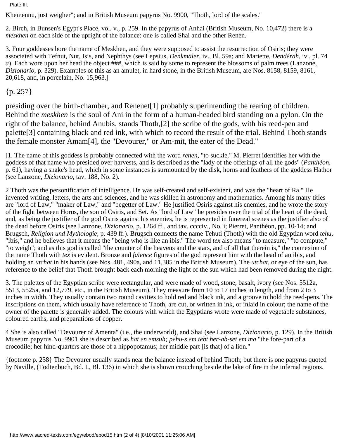Plate III.

Khemennu, just weigher"; and in British Museum papyrus No. 9900, "Thoth, lord of the scales."

2. Birch, in Bunsen's Egypt's Place, vol. v., p. 259. In the papyrus of Anhai (British Museum, No. 10,472) there is a *meskhen* on each side of the upright of the balance: one is called Shai and the other Renen.

3. Four goddesses bore the name of Meskhen, and they were supposed to assist the resurrection of Osiris; they were associated with Tefnut, Nut, Isis, and Nephthys (see Lepsius, *Denkmäler*, iv., Bl. 59a; and Mariette, *Dendérah*, iv., pl. 74 *a*). Each wore upon her head the object ###, which is said by some to represent the blossoms of palm trees (Lanzone, *Dizionario*, p. 329). Examples of this as an amulet, in hard stone, in the British Museum, are Nos. 8158, 8159, 8161, 20,618, and, in porcelain, No. 15,963.]

{p. 257}

presiding over the birth-chamber, and Renenet[1] probably superintending the rearing of children. Behind the *meskhen* is the soul of Ani in the form of a human-headed bird standing on a pylon. On the right of the balance, behind Anubis, stands Thoth,[2] the scribe of the gods, with his reed-pen and palette[3] containing black and red ink, with which to record the result of the trial. Behind Thoth stands the female monster Amam[4], the "Devourer," or Am-mit, the eater of the Dead."

[1. The name of this goddess is probably connected with the word *renen*, "to suckle." M. Pierret identifies her with the goddess of that name who presided over harvests, and is described as the "lady of the offerings of all the gods" (*Panthéon*, p. 61), having a snake's head, which in some instances is surmounted by the disk, horns and feathers of the goddess Hathor (see Lanzone, *Dizionario*, tav. 188, No. 2).

2 Thoth was the personification of intelligence. He was self-created and self-existent, and was the "heart of Ra." He invented writing, letters, the arts and sciences, and he was skilled in astronomy and mathematics. Among his many titles are "lord of Law," "maker of Law," and "begetter of Law." He justified Osiris against his enemies, and he wrote the story of the fight between Horus, the son of Osiris, and Set. As "lord of Law" he presides over the trial of the heart of the dead, and, as being the justifier of the god Osiris against his enemies, he is represented in funereal scenes as the justifier also of the dead before Osiris (see Lanzone, *Dizionario*, p. 1264 ff., and tav. cccciv., No. i; Pierret, Panthéon, pp. 10-14; and Brugsch, *Religion und Mythologie*, p. 439 ff.). Brugsch connects the name Tehuti (Thoth) with the old Egyptian word *tehu*, "ibis," and he believes that it means the "being who is like an ibis." The word *tex* also means "to measure," "to compute," "to weigh"; and as this god is called "the counter of the heavens and the stars, and of all that therein is," the connexion of the name Thoth with *tex* is evident. Bronze and *faïence* figures of the god represent him with the head of an ibis, and holding an *utchat* in his hands (see Nos. 481, 490a, and 11,385 in the British Museum). The *utchat*, or eye of the sun, has reference to the belief that Thoth brought back each morning the light of the sun which had been removed during the night.

3. The palettes of the Egyptian scribe were rectangular, and were made of wood, stone, basalt, ivory (see Nos. 5512a, 5513, 5525a, and 12,779, etc., in the British Museum). They measure from 10 to 17 inches in length, and from 2 to 3 inches in width. They usually contain two round cavities to hold red and black ink, and a groove to hold the reed-pens. The inscriptions on them, which usually have reference to Thoth, are cut, or written in ink, or inlaid in colour; the name of the owner of the palette is generally added. The colours with which the Egyptians wrote were made of vegetable substances, coloured earths, and preparations of copper.

4 She is also called "Devourer of Amenta" (i.e., the underworld), and Shai (see Lanzone, *Dizionario*, p. 129). In the British Museum papyrus No. 9901 she is described as *hat en emsuh; pehu-s em tebt her-ab-set em ma* "the fore-part of a crocodile; her hind-quarters are those of a hippopotamus; her middle part [is that] of a lion."

{footnote p. 258} The Devourer usually stands near the balance instead of behind Thoth; but there is one papyrus quoted by Naville, (Todtenbuch, Bd. I., Bl. 136) in which she is shown crouching beside the lake of fire in the infernal regions.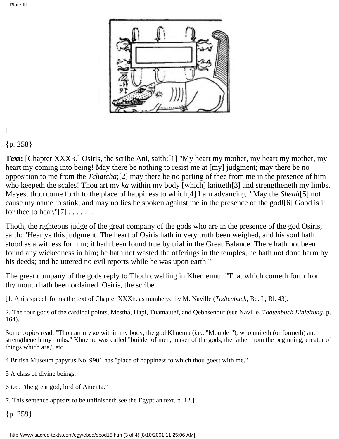Plate III.



### ]

{p. 258}

**Text:** [Chapter XXXB.] Osiris, the scribe Ani, saith:[1] "My heart my mother, my heart my mother, my heart my coming into being! May there be nothing to resist me at [my] judgment; may there be no opposition to me from the *Tchatcha*;[2] may there be no parting of thee from me in the presence of him who keepeth the scales! Thou art my *ka* within my body [which] knitteth[3] and strengtheneth my limbs. Mayest thou come forth to the place of happiness to which[4] I am advancing. "May the *Shenit*[5] not cause my name to stink, and may no lies be spoken against me in the presence of the god![6] Good is it for thee to hear." $[7]$ ......

Thoth, the righteous judge of the great company of the gods who are in the presence of the god Osiris, saith: "Hear ye this judgment. The heart of Osiris hath in very truth been weighed, and his soul hath stood as a witness for him; it hath been found true by trial in the Great Balance. There hath not been found any wickedness in him; he hath not wasted the offerings in the temples; he hath not done harm by his deeds; and he uttered no evil reports while he was upon earth."

The great company of the gods reply to Thoth dwelling in Khemennu: "That which cometh forth from thy mouth hath been ordained. Osiris, the scribe

[1. Ani's speech forms the text of Chapter XXXB. as numbered by M. Naville (*Todtenbuch*, Bd. I., Bl. 43).

2. The four gods of the cardinal points, Mestha, Hapi, Tuamautef, and Qebhsennuf (see Naville, *Todtenbuch Einleitung*, p. 164).

Some copies read, "Thou art my *ka* within my body, the god Khnemu (*i.e.*, "Moulder"), who uniteth (or formeth) and strengtheneth my limbs." Khnemu was called "builder of men, maker of the gods, the father from the beginning; creator of things which are," etc.

4 British Museum papyrus No. 9901 has "place of happiness to which thou goest with me."

5 A class of divine beings.

6 *I.e.*, "the great god, lord of Amenta."

7. This sentence appears to be unfinished; see the Egyptian text, p. 12.]

 ${p. 259}$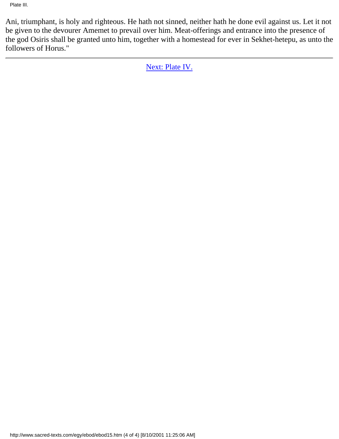Plate III.

Ani, triumphant, is holy and righteous. He hath not sinned, neither hath he done evil against us. Let it not be given to the devourer Amemet to prevail over him. Meat-offerings and entrance into the presence of the god Osiris shall be granted unto him, together with a homestead for ever in Sekhet-hetepu, as unto the followers of Horus."

[Next: Plate IV.](#page-140-0)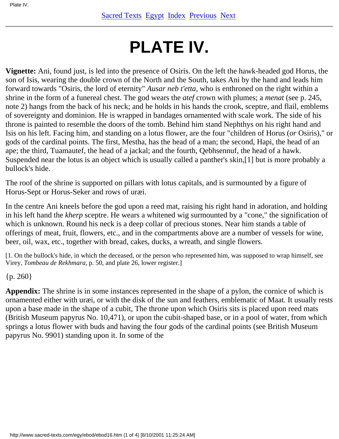# **PLATE IV.**

<span id="page-140-0"></span>**Vignette:** Ani, found just, is led into the presence of Osiris. On the left the hawk-headed god Horus, the son of Isis, wearing the double crown of the North and the South, takes Ani by the hand and leads him forward towards "Osiris, the lord of eternity" *Ausar neb t'etta*, who is enthroned on the right within a shrine in the form of a funereal chest. The god wears the *atef* crown with plumes; a *menat* (see p. 245, note 2) hangs from the back of his neck; and he holds in his hands the crook, sceptre, and flail, emblems of sovereignty and dominion. He is wrapped in bandages ornamented with scale work. The side of his throne is painted to resemble the doors of the tomb. Behind him stand Nephthys on his right hand and Isis on his left. Facing him, and standing on a lotus flower, are the four "children of Horus (*or* Osiris)," or gods of the cardinal points. The first, Mestha, has the head of a man; the second, Hapi, the head of an ape; the third, Tuamautef, the head of a jackal; and the fourth, Qebhsennuf, the head of a hawk. Suspended near the lotus is an object which is usually called a panther's skin,[1] but is more probably a bullock's hide.

The roof of the shrine is supported on pillars with lotus capitals, and is surmounted by a figure of Horus-Sept or Horus-Seker and rows of uræi.

In the centre Ani kneels before the god upon a reed mat, raising his right hand in adoration, and holding in his left hand the *kherp* sceptre. He wears a whitened wig surmounted by a "cone," the signification of which is unknown. Round his neck is a deep collar of precious stones. Near him stands a table of offerings of meat, fruit, flowers, etc., and in the compartments above are a number of vessels for wine, beer, oil, wax, etc., together with bread, cakes, ducks, a wreath, and single flowers.

[1. On the bullock's hide, in which the deceased, or the person who represented him, was supposed to wrap himself, see Virey, *Tombeau de Rekhmara*, p. 50, and plate 26, lower register.]

{p. 260}

**Appendix:** The shrine is in some instances represented in the shape of a pylon, the cornice of which is ornamented either with uræi, or with the disk of the sun and feathers, emblematic of Maat. It usually rests upon a base made in the shape of a cubit, The throne upon which Osiris sits is placed upon reed mats (British Museum papyrus No. 10,471), or upon the cubit-shaped base, or in a pool of water, from which springs a lotus flower with buds and having the four gods of the cardinal points (see British Museum papyrus No. 9901) standing upon it. In some of the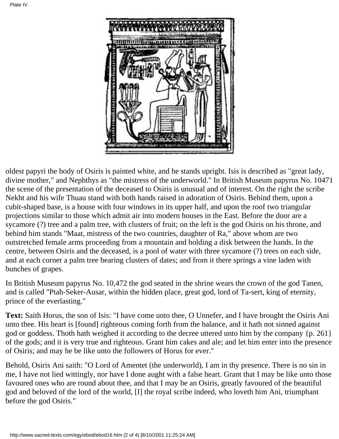

oldest papyri the body of Osiris is painted white, and he stands upright. Isis is described as "great lady, divine mother," and Nephthys as "the mistress of the underworld." In British Museum papyrus No. 10471 the scene of the presentation of the deceased to Osiris is unusual and of interest. On the right the scribe Nekht and his wife Thuau stand with both hands raised in adoration of Osiris. Behind them, upon a cubit-shaped base, is a house with four windows in its upper half, and upon the roof two triangular projections similar to those which admit air into modern houses in the East. Before the door are a sycamore (?) tree and a palm tree, with clusters of fruit; on the left is the god Osiris on his throne, and behind him stands "Maat, mistress of the two countries, daughter of Ra," above whom are two outstretched female arms proceeding from a mountain and holding a disk between the hands. In the centre, between Osiris and the deceased, is a pool of water with three sycamore (?) trees on each side, and at each corner a palm tree bearing clusters of dates; and from it there springs a vine laden with bunches of grapes.

In British Museum papyrus No. 10,472 the god seated in the shrine wears the crown of the god Tanen, and is called "Ptah-Seker-Ausar, within the hidden place, great god, lord of Ta-sert, king of eternity, prince of the everlasting."

**Text:** Saith Horus, the son of Isis: "I have come unto thee, O Unnefer, and I have brought the Osiris Ani unto thee. His heart is [found] righteous coming forth from the balance, and it hath not sinned against god or goddess. Thoth hath weighed it according to the decree uttered unto him by the company {p. 261} of the gods; and it is very true and righteous. Grant him cakes and ale; and let him enter into the presence of Osiris; and may he be like unto the followers of Horus for ever."

Behold, Osiris Ani saith: "O Lord of Amentet (the underworld), I am in thy presence. There is no sin in me, I have not lied wittingly, nor have I done aught with a false heart. Grant that I may be like unto those favoured ones who are round about thee, and that I may be an Osiris, greatly favoured of the beautiful god and beloved of the lord of the world, [I] the royal scribe indeed, who loveth him Ani, triumphant before the god Osiris."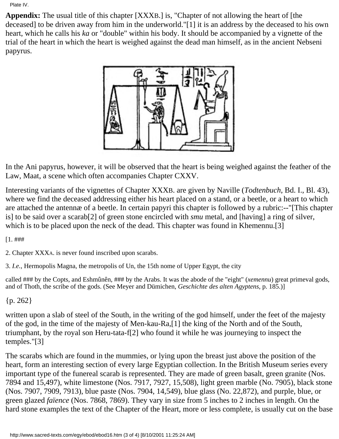**Appendix:** The usual title of this chapter [XXXB.] is, "Chapter of not allowing the heart of [the deceased] to be driven away from him in the underworld."[1] it is an address by the deceased to his own heart, which he calls his *ka* or "double" within his body. It should be accompanied by a vignette of the trial of the heart in which the heart is weighed against the dead man himself, as in the ancient Nebseni papyrus.



In the Ani papyrus, however, it will be observed that the heart is being weighed against the feather of the Law, Maat, a scene which often accompanies Chapter CXXV.

Interesting variants of the vignettes of Chapter XXXB. are given by Naville (*Todtenbuch*, Bd. I., Bl. 43), where we find the deceased addressing either his heart placed on a stand, or a beetle, or a heart to which are attached the antennæ of a beetle. In certain papyri this chapter is followed by a rubric:--"[This chapter is] to be said over a scarab[2] of green stone encircled with *smu* metal, and [having] a ring of silver, which is to be placed upon the neck of the dead. This chapter was found in Khemennu.[3]

[1. ###

2. Chapter XXXA. is never found inscribed upon scarabs.

3. *I.e.*, Hermopolis Magna, the metropolis of Un, the 15th nome of Upper Egypt, the city

called ### by the Copts, and Eshmûnên, ### by the Arabs. It was the abode of the "eight" (*xemennu*) great primeval gods, and of Thoth, the scribe of the gods. (See Meyer and Dümichen, *Geschichte des alten Agyptens*, p. 185.)]

 ${p. 262}$ 

written upon a slab of steel of the South, in the writing of the god himself, under the feet of the majesty of the god, in the time of the majesty of Men-kau-Ra,[1] the king of the North and of the South, triumphant, by the royal son Heru-tata-f[2] who found it while he was journeying to inspect the temples."[3]

The scarabs which are found in the mummies, or lying upon the breast just above the position of the heart, form an interesting section of every large Egyptian collection. In the British Museum series every important type of the funereal scarab is represented. They are made of green basalt, green granite (Nos. 7894 and 15,497), white limestone (Nos. 7917, 7927, 15,508), light green marble (No. 7905), black stone (Nos. 7907, 7909, 7913), blue paste (Nos. 7904, 14,549), blue glass (No. 22,872), and purple, blue, or green glazed *faïence* (Nos. 7868, 7869). They vary in size from 5 inches to 2 inches in length. On the hard stone examples the text of the Chapter of the Heart, more or less complete, is usually cut on the base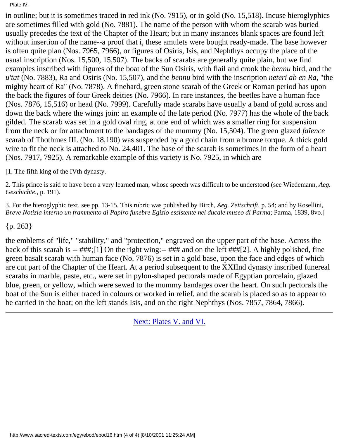in outline; but it is sometimes traced in red ink (No. 7915), or in gold (No. 15,518). Incuse hieroglyphics are sometimes filled with gold (No. 7881). The name of the person with whom the scarab was buried usually precedes the text of the Chapter of the Heart; but in many instances blank spaces are found left without insertion of the name--a proof that i, these amulets were bought ready-made. The base however is often quite plan (Nos. 7965, 7966), or figures of Osiris, Isis, and Nephthys occupy the place of the usual inscription (Nos. 15,500, 15,507). The backs of scarabs are generally quite plain, but we find examples inscribed with figures of the boat of the Sun Osiris, with flail and crook the *bennu* bird, and the *u'tat* (No. 7883), Ra and Osiris (No. 15,507), and the *bennu* bird with the inscription *neteri ab en Ra*, "the mighty heart of Ra" (No. 7878). A finehard, green stone scarab of the Greek or Roman period has upon the back the figures of four Greek deities (No. 7966). In rare instances, the beetles have a human face (Nos. 7876, 15,516) or head (No. 7999). Carefully made scarabs have usually a band of gold across and down the back where the wings join: an example of the late period (No. 7977) has the whole of the back gilded. The scarab was set in a gold oval ring, at one end of which was a smaller ring for suspension from the neck or for attachment to the bandages of the mummy (No. 15,504). The green glazed *faïence* scarab of Thothmes III. (No. 18,190) was suspended by a gold chain from a bronze torque. A thick gold wire to fit the neck is attached to No. 24,401. The base of the scarab is sometimes in the form of a heart (Nos. 7917, 7925). A remarkable example of this variety is No. 7925, in which are

[1. The fifth king of the IVth dynasty.

2. This prince is said to have been a very learned man, whose speech was difficult to be understood (see Wiedemann, *Aeg. Geschichte*., p. 191).

3. For the hieroglyphic text, see pp. 13-15. This rubric was published by Birch, *Aeg. Zeitschrift*, p. 54; and by Rosellini, *Breve Notizia interno un frammento di Papiro funebre Egizio essistente nel ducale museo di Parma*; Parma, 1839, 8vo.]

 ${p. 263}$ 

the emblems of "life," "stability," and "protection," engraved on the upper part of the base. Across the back of this scarab is -- ###;[1] On the right wing:-- ### and on the left ###[2]. A highly polished, fine green basalt scarab with human face (No. 7876) is set in a gold base, upon the face and edges of which are cut part of the Chapter of the Heart. At a period subsequent to the XXIInd dynasty inscribed funereal scarabs in marble, paste, etc., were set in pylon-shaped pectorals made of Egyptian porcelain, glazed blue, green, or yellow, which were sewed to the mummy bandages over the heart. On such pectorals the boat of the Sun is either traced in colours or worked in relief, and the scarab is placed so as to appear to be carried in the boat; on the left stands Isis, and on the right Nephthys (Nos. 7857, 7864, 7866).

[Next: Plates V. and VI.](#page-144-0)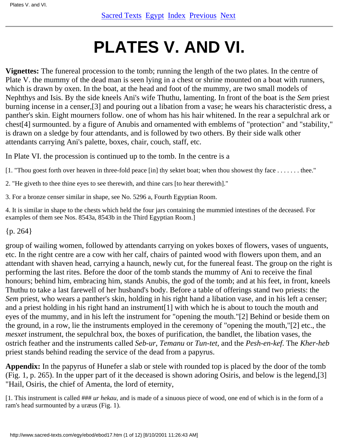# **PLATES V. AND VI.**

<span id="page-144-0"></span>**Vignettes:** The funereal procession to the tomb; running the length of the two plates. In the centre of Plate V. the mummy of the dead man is seen lying in a chest or shrine mounted on a boat with runners, which is drawn by oxen. In the boat, at the head and foot of the mummy, are two small models of Nephthys and Isis. By the side kneels Ani's wife Thuthu, lamenting. In front of the boat is the *Sem* priest burning incense in a censer,[3] and pouring out a libation from a vase; he wears his characteristic dress, a panther's skin. Eight mourners follow. one of whom has his hair whitened. In the rear a sepulchral ark or chest[4] surmounted. by a figure of Anubis and ornamented with emblems of "protection" and "stability," is drawn on a sledge by four attendants, and is followed by two others. By their side walk other attendants carrying Ani's palette, boxes, chair, couch, staff, etc.

In Plate VI. the procession is continued up to the tomb. In the centre is a

- [1. "Thou goest forth over heaven in three-fold peace [in] thy sektet boat; when thou showest thy face . . . . . . . thee."
- 2. "He giveth to thee thine eyes to see therewith, and thine cars [to hear therewith]."
- 3. For a bronze censer similar in shape, see No. 5296 a, Fourth Egyptian Room.

4. It is similar in shape to the chests which held the four jars containing the mummied intestines of the deceased. For examples of them see Nos. 8543a, 8543b in the Third Egyptian Room.]

 ${p. 264}$ 

group of wailing women, followed by attendants carrying on yokes boxes of flowers, vases of unguents, etc. In the right centre are a cow with her calf, chairs of painted wood with flowers upon them, and an attendant with shaven head, carrying a haunch, newly cut, for the funereal feast. The group on the right is performing the last rites. Before the door of the tomb stands the mummy of Ani to receive the final honours; behind him, embracing him, stands Anubis, the god of the tomb; and at his feet, in front, kneels Thuthu to take a last farewell of her husband's body. Before a table of offerings stand two priests: the *Sem* priest, who wears a panther's skin, holding in his right hand a libation vase, and in his left a censer; and a priest holding in his right hand an instrument[1] with which he is about to touch the mouth and eyes of the mummy, and in his left the instrument for "opening the mouth."[2] Behind or beside them on the ground, in a row, lie the instruments employed in the ceremony of "opening the mouth,"[2] etc., the *mesxet* instrument, the sepulchral box, the boxes of purification, the bandlet, the libation vases, the ostrich feather and the instruments called *Seb-ur*, *Temanu* or *Tun-tet*, and the *Pesh-en-kef*. The *Kher-heb* priest stands behind reading the service of the dead from a papyrus.

**Appendix:** In the papyrus of Hunefer a slab or stele with rounded top is placed by the door of the tomb (Fig. 1, p. 265). In the upper part of it the deceased is shown adoring Osiris, and below is the legend,[3] "Hail, Osiris, the chief of Amenta, the lord of eternity,

[1. This instrument is called ### *ur hekau*, and is made of a sinuous piece of wood, one end of which is in the form of a ram's head surmounted by a uræus (Fig. 1).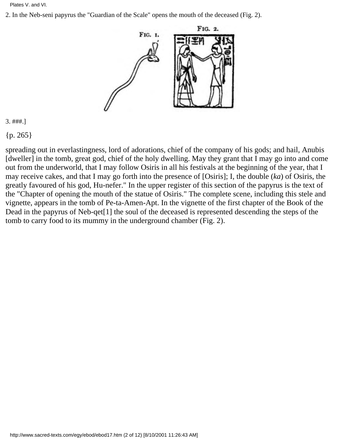2. In the Neb-seni papyrus the "Guardian of the Scale" opens the mouth of the deceased (Fig. 2).



3. ###.]

 ${p. 265}$ 

spreading out in everlastingness, lord of adorations, chief of the company of his gods; and hail, Anubis [dweller] in the tomb, great god, chief of the holy dwelling. May they grant that I may go into and come out from the underworld, that I may follow Osiris in all his festivals at the beginning of the year, that I may receive cakes, and that I may go forth into the presence of [Osiris]; I, the double (*ka*) of Osiris, the greatly favoured of his god, Hu-nefer." In the upper register of this section of the papyrus is the text of the "Chapter of opening the mouth of the statue of Osiris." The complete scene, including this stele and vignette, appears in the tomb of Pe-ta-Amen-Apt. In the vignette of the first chapter of the Book of the Dead in the papyrus of Neb-qet[1] the soul of the deceased is represented descending the steps of the tomb to carry food to its mummy in the underground chamber (Fig. 2).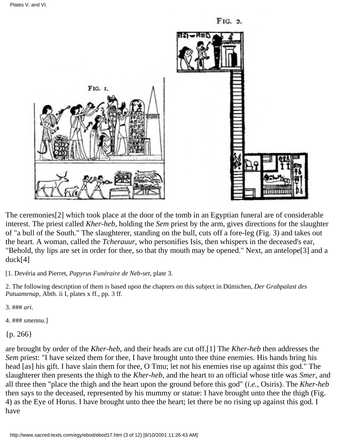FIG. 2.



The ceremonies[2] which took place at the door of the tomb in an Egyptian funeral are of considerable interest. The priest called *Kher-heb*, holding the *Sem* priest by the arm, gives directions for the slaughter of "a bull of the South." The slaughterer, standing on the bull, cuts off a fore-leg (Fig. 3) and takes out the heart. A woman, called the *Tcherauur*, who personifies Isis, then whispers in the deceased's ear, "Behold, thy lips are set in order for thee, so that thy mouth may be opened." Next, an antelope[3] and a duck[4]

[1. Devéria and Pierret, *Papyrus Funéraire de Neb-set*, plate 3.

2. The following description of them is based upon the chapters on this subject in Dümichen, *Der Grabpalast des Patuamenap*, Abth. ii I, plates x ff., pp. 3 ff.

3. ### *ari*.

4. ### *smennu*.]

 ${p. 266}$ 

are brought by order of the *Kher-heb*, and their heads are cut off.[1] The *Kher-heb* then addresses the *Sem* priest: "I have seized them for thee, I have brought unto thee thine enemies. His hands bring his head [as] his gift. I have slain them for thee, O Tmu; let not his enemies rise up against this god." The slaughterer then presents the thigh to the *Kher-heb*, and the heart to an official whose title was *Smer*, and all three then "place the thigh and the heart upon the ground before this god" (*i.e.*, Osiris). The *Kher-heb* then says to the deceased, represented by his mummy or statue: I have brought unto thee the thigh (Fig. 4) as the Eye of Horus. I have brought unto thee the heart; let there be no rising up against this god. I have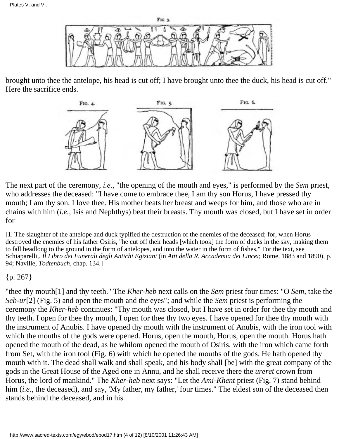

brought unto thee the antelope, his head is cut off; I have brought unto thee the duck, his head is cut off." Here the sacrifice ends.



The next part of the ceremony, *i.e.*, "the opening of the mouth and eyes," is performed by the *Sem* priest, who addresses the deceased: "I have come to embrace thee, I am thy son Horus, I have pressed thy mouth; I am thy son, I love thee. His mother beats her breast and weeps for him, and those who are in chains with him (*i.e.*, Isis and Nephthys) beat their breasts. Thy mouth was closed, but I have set in order for

[1. The slaughter of the antelope and duck typified the destruction of the enemies of the deceased; for, when Horus destroyed the enemies of his father Osiris, "he cut off their heads [which took] the form of ducks in the sky, making them to fall headlong to the ground in the form of antelopes, and into the water in the form of fishes," For the text, see Schiaparelli,. *Il Libro dei Funerali degli Antichi Egiziani* (in *Atti della R. Accademia dei Lincei*; Rome, 1883 and 1890), p. 94; Naville, *Todtenbuch*, chap. 134.]

### ${p. 267}$

"thee thy mouth[1] and thy teeth." The *Kher-heb* next calls on the *Sem* priest four times: "O *Sem*, take the *Seb-ur*[2] (Fig. 5) and open the mouth and the eyes"; and while the *Sem* priest is performing the ceremony the *Kher-heb* continues: "Thy mouth was closed, but I have set in order for thee thy mouth and thy teeth. I open for thee thy mouth, I open for thee thy two eyes. I have opened for thee thy mouth with the instrument of Anubis. I have opened thy mouth with the instrument of Anubis, with the iron tool with which the mouths of the gods were opened. Horus, open the mouth, Horus, open the mouth. Horus hath opened the mouth of the dead, as he whilom opened the mouth of Osiris, with the iron which came forth from Set, with the iron tool (Fig. 6) with which he opened the mouths of the gods. He hath opened thy mouth with it. The dead shall walk and shall speak, and his body shall [be] with the great company of the gods in the Great House of the Aged one in Annu, and he shall receive there the *ureret* crown from Horus, the lord of mankind." The *Kher-heb* next says: "Let the *Ami-Khent* priest (Fig. 7) stand behind him (*i.e.*, the deceased), and say, 'My father, my father,' four times." The eldest son of the deceased then stands behind the deceased, and in his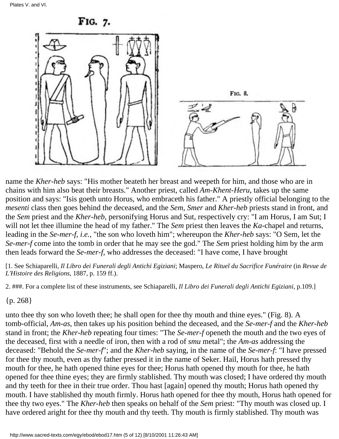



name the *Kher-heb* says: "His mother beateth her breast and weepeth for him, and those who are in chains with him also beat their breasts." Another priest, called *Am-Khent-Heru*, takes up the same position and says: "Isis goeth unto Horus, who embraceth his father." A priestly official belonging to the *mesenti* class then goes behind the deceased, and the *Sem*, *Smer* and *Kher-heb* priests stand in front, and the *Sem* priest and the *Kher-heb*, personifying Horus and Sut, respectively cry: "I am Horus, I am Sut; I will not let thee illumine the head of my father." The *Sem* priest then leaves the *Ka*-chapel and returns, leading in the *Se-mer-f*, *i.e.*, "the son who loveth him"; whereupon the *Kher-heb* says: "O Sem, let the *Se-mer-f* come into the tomb in order that he may see the god." The *Sem* priest holding him by the arm then leads forward the *Se-mer-f*, who addresses the deceased: "I have come, I have brought

[1. See Schiaparelli, *Il Libro dei Funerali degli Antichi Egiziani*; Maspero, *Le Rituel du Sacrifice Funéraire* (in *Revue de L'Histoire des Religions*, 1887, p. 159 ff.).

2. ###. For a complete list of these instruments, see Schiaparelli, *Il Libro dei Funerali degli Antichi Egiziani*, p.109.]

{p. 268}

unto thee thy son who loveth thee; he shall open for thee thy mouth and thine eyes." (Fig. 8). A tomb-official, *Am-as*, then takes up his position behind the deceased, and the *Se-mer-f* and the *Kher-heb* stand in front; the *Kher-heb* repeating four times: "The *Se-mer-f* openeth the mouth and the two eyes of the deceased, first with a needle of iron, then with a rod of *smu* metal"; the *Am-as* addressing the deceased: "Behold the *Se-mer-f*"; and the *Kher-heb* saying, in the name of the *Se-mer-f*: "I have pressed for thee thy mouth, even as thy father pressed it in the name of Seker. Hail, Horus hath pressed thy mouth for thee, he hath opened thine eyes for thee; Horus hath opened thy mouth for thee, he hath opened for thee thine eyes; they are firmly stablished. Thy mouth was closed; I have ordered thy mouth and thy teeth for thee in their true order. Thou hast [again] opened thy mouth; Horus hath opened thy mouth. I have stablished thy mouth firmly. Horus hath opened for thee thy mouth, Horus hath opened for thee thy two eyes." The *Kher-heb* then speaks on behalf of the *Sem* priest: "Thy mouth was closed up. I have ordered aright for thee thy mouth and thy teeth. Thy mouth is firmly stablished. Thy mouth was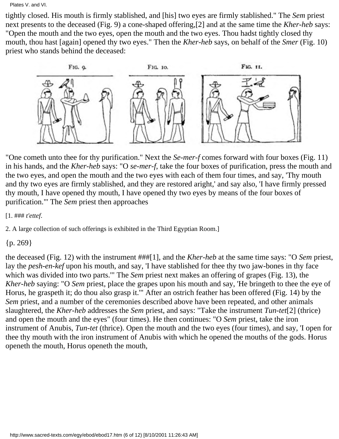tightly closed. His mouth is firmly stablished, and [his] two eyes are firmly stablished." The *Sem* priest next presents to the deceased (Fig. 9) a cone-shaped offering,[2] and at the same time the *Kher-heb* says: "Open the mouth and the two eyes, open the mouth and the two eyes. Thou hadst tightly closed thy mouth, thou hast [again] opened thy two eyes." Then the *Kher-heb* says, on behalf of the *Smer* (Fig. 10) priest who stands behind the deceased:



"One cometh unto thee for thy purification." Next the *Se-mer-f* comes forward with four boxes (Fig. 11) in his hands, and the *Kher-heb* says: "O *se-mer-f*, take the four boxes of purification, press the mouth and the two eyes, and open the mouth and the two eyes with each of them four times, and say, 'Thy mouth and thy two eyes are firmly stablished, and they are restored aright,' and say also, 'I have firmly pressed thy mouth, I have opened thy mouth, I have opened thy two eyes by means of the four boxes of purification."' The *Sem* priest then approaches

[1. ### *t'ettef*.

2. A large collection of such offerings is exhibited in the Third Egyptian Room.]

 ${p. 269}$ 

the deceased (Fig. 12) with the instrument ###[1], and the *Kher-heb* at the same time says: "O *Sem* priest, lay the *pesh-en-kef* upon his mouth, and say, 'I have stablished for thee thy two jaw-bones in thy face which was divided into two parts.'" The *Sem* priest next makes an offering of grapes (Fig. 13), the *Kher-heb* saying: "O *Sem* priest, place the grapes upon his mouth and say, 'He bringeth to thee the eye of Horus, he graspeth it; do thou also grasp it.'" After an ostrich feather has been offered (Fig. 14) by the *Sem* priest, and a number of the ceremonies described above have been repeated, and other animals slaughtered, the *Kher-heb* addresses the *Sem* priest, and says: "Take the instrument *Tun-tet*[2] (thrice) and open the mouth and the eyes" (four times). He then continues: "O *Sem* priest, take the iron instrument of Anubis, *Tun-tet* (thrice). Open the mouth and the two eyes (four times), and say, 'I open for thee thy mouth with the iron instrument of Anubis with which he opened the mouths of the gods. Horus openeth the mouth, Horus openeth the mouth,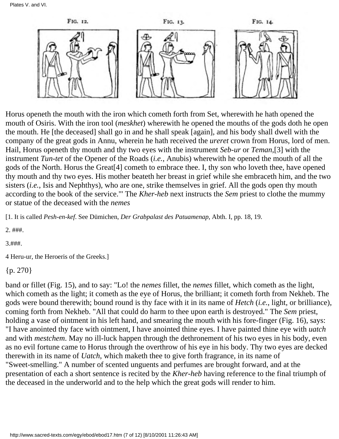Plates V. and VI.



Horus openeth the mouth with the iron which cometh forth from Set, wherewith he hath opened the mouth of Osiris. With the iron tool (*meskhet*) wherewith he opened the mouths of the gods doth he open the mouth. He [the deceased] shall go in and he shall speak [again], and his body shall dwell with the company of the great gods in Annu, wherein he hath received the *ureret* crown from Horus, lord of men. Hail, Horus openeth thy mouth and thy two eyes with the instrument *Seb-ur* or *Teman*,[3] with the instrument *Tun-tet* of the Opener of the Roads (*i.e.*, Anubis) wherewith he opened the mouth of all the gods of the North. Horus the Great[4] cometh to embrace thee. I, thy son who loveth thee, have opened thy mouth and thy two eyes. His mother beateth her breast in grief while she embraceth him, and the two sisters (*i.e.*, Isis and Nephthys), who are one, strike themselves in grief. All the gods open thy mouth according to the book of the service."' The *Kher-heb* next instructs the *Sem* priest to clothe the mummy or statue of the deceased with the *nemes*

[1. It is called *Pesh-en-kef*. See Dümichen, *Der Grabpalast des Patuamenap*, Abth. I, pp. 18, 19.

2. ###.

3.###.

4 Heru-ur, the Heroeris of the Greeks.]

{p. 270}

band or fillet (Fig. 15), and to say: "Lo! the *nemes* fillet, the *nemes* fillet, which cometh as the light, which cometh as the light; it cometh as the eye of Horus, the brilliant; it cometh forth from Nekheb. The gods were bound therewith; bound round is thy face with it in its name of *Hetch* (*i.e.*, light, or brilliance), coming forth from Nekheb. "All that could do harm to thee upon earth is destroyed." The *Sem* priest, holding a vase of ointment in his left hand, and smearing the mouth with his fore-finger (Fig. 16), says: "I have anointed thy face with ointment, I have anointed thine eyes. I have painted thine eye with *uatch* and with *mestchem*. May no ill-luck happen through the dethronement of his two eyes in his body, even as no evil fortune came to Horus through the overthrow of his eye in his body. Thy two eyes are decked therewith in its name of *Uatch*, which maketh thee to give forth fragrance, in its name of "Sweet-smelling." A number of scented unguents and perfumes are brought forward, and at the presentation of each a short sentence is recited by the *Kher-heb* having reference to the final triumph of the deceased in the underworld and to the help which the great gods will render to him.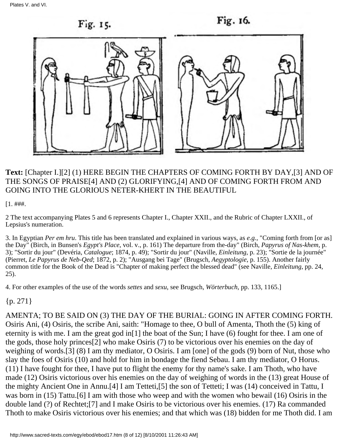Fig. 15.

Fig. 16.



### **Text:** [Chapter I.][2] (1) HERE BEGIN THE CHAPTERS OF COMING FORTH BY DAY,[3] AND OF THE SONGS OF PRAISE[4] AND (2) GLORIFYING,[4] AND OF COMING FORTH FROM AND GOING INTO THE GLORIOUS NETER-KHERT IN THE BEAUTIFUL.

[1. ###.

2 The text accompanying Plates 5 and 6 represents Chapter I., Chapter XXII., and the Rubric of Chapter LXXII., of Lepsius's numeration.

3. In Egyptian *Per em hru*. This title has been translated and explained in various ways, as *e.g.*, "Coming forth from [or as] the Day" (Birch, in Bunsen's *Egypt's Place*, vol. v., p. 161) The departure from the-day" (Birch, *Papyrus of Nas-khem*, p. 3); "Sortir du jour" (Devéria, *Catalogue*; 1874, p. 49); "Sortir du jour" (Naville, *Einleitung*, p. 23); "Sortie de la journée" (Pierret, *Le Papyrus de Neb-Qed*; 1872, p. 2); "Ausgang bei Tage" (Brugsch, *Aegyptologie*, p. 155). Another fairly common title for the Book of the Dead is "Chapter of making perfect the blessed dead" (see Naville, *Einleitung*, pp. 24, 25).

4. For other examples of the use of the words *settes* and *sexu*, see Brugsch, *Wörterbuch*, pp. 133, 1165.]

 ${p. 271}$ 

AMENTA; TO BE SAID ON (3) THE DAY OF THE BURIAL: GOING IN AFTER COMING FORTH. Osiris Ani, (4) Osiris, the scribe Ani, saith: "Homage to thee, O bull of Amenta, Thoth the (5) king of eternity is with me. I am the great god in[1] the boat of the Sun; I have (6) fought for thee. I am one of the gods, those holy princes[2] who make Osiris (7) to be victorious over his enemies on the day of weighing of words.[3] (8) I am thy mediator, O Osiris. I am [one] of the gods (9) born of Nut, those who slay the foes of Osiris (10) and hold for him in bondage the fiend Sebau. I am thy mediator, O Horus. (11) I have fought for thee, I have put to flight the enemy for thy name's sake. I am Thoth, who have made (12) Osiris victorious over his enemies on the day of weighing of words in the (13) great House of the mighty Ancient One in Annu.[4] I am Tetteti,[5] the son of Tetteti; I was (14) conceived in Tattu, I was born in (15) Tattu.[6] I am with those who weep and with the women who bewail (16) Osiris in the double land (?) of Rechtet;[7] and I make Osiris to be victorious over his enemies. (17) Ra commanded Thoth to make Osiris victorious over his enemies; and that which was (18) bidden for me Thoth did. I am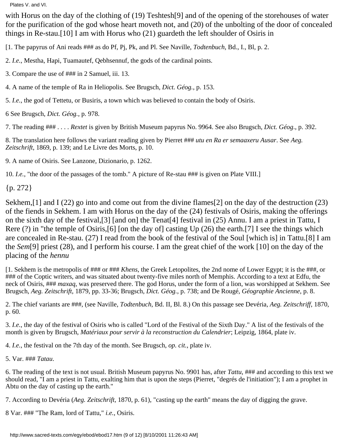with Horus on the day of the clothing of (19) Teshtesh[9] and of the opening of the storehouses of water for the purification of the god whose heart moveth not, and (20) of the unbolting of the door of concealed things in Re-stau.[10] I am with Horus who (21) guardeth the left shoulder of Osiris in

[1. The papyrus of Ani reads ### as do Pf, Pj, Pk, and Pl. See Naville, *Todtenbuch*, Bd., I., Bl, p. 2.

2. *I.e.*, Mestha, Hapi, Tuamautef, Qebhsennuf, the gods of the cardinal points.

3. Compare the use of ### in 2 Samuel, iii. 13.

4. A name of the temple of Ra in Heliopolis. See Brugsch, *Dict. Géog.*, p. 153.

5. *I.e.*, the god of Tettetu, or Busiris, a town which was believed to contain the body of Osiris.

6 See Brugsch, *Dict. Géog.*, p. 978.

7. The reading ### . . . . *Rextet* is given by British Museum papyrus No. 9964. See also Brugsch, *Dict. Géog*., p. 392.

8. The translation here follows the variant reading given by Pierret ### *utu en Ra er semaaxeru Ausar*. See *Aeg. Zeitschrift*, 1869, p. 139; and Le Livre des Morts, p. 10.

9. A name of Osiris. See Lanzone, Dizionario, p. 1262.

10. *I.e.*, "the door of the passages of the tomb." A picture of Re-stau ### is given on Plate VIII.]

{p. 272}

Sekhem, [1] and I (22) go into and come out from the divine flames [2] on the day of the destruction (23) of the fiends in Sekhem. I am with Horus on the day of the (24) festivals of Osiris, making the offerings on the sixth day of the festival,[3] [and on] the Tenat[4] festival in (25) Annu. I am a priest in Tattu, I Rere (?) in "the temple of Osiris,[6] [on the day of] casting Up (26) the earth.[7] I see the things which are concealed in Re-stau. (27) I read from the book of the festival of the Soul [which is] in Tattu.[8] I am the *Sem*[9] priest (28), and I perform his course. I am the great chief of the work [10] on the day of the placing of the *hennu*

[1. Sekhem is the metropolis of ### or ### *Khens*, the Greek Letopolites, the 2nd nome of Lower Egypt; it is the ###, or ### of the Coptic writers, and was situated about twenty-five miles north of Memphis. According to a text at Edfu, the neck of Osiris, ### *maxaq*, was preserved there. The god Horus, under the form of a lion, was worshipped at Sekhem. See Brugsch, *Aeg. Zeitschrift*, 1879, pp. 33-36; Brugsch, *Dict. Géog.*, p. 738; and De Rougé, *Géographie Ancienne*, p. 8.

2. The chief variants are ###, (see Naville, *Todtenbuch*, Bd. II, Bl. 8.) On this passage see Devéria, *Aeg. Zeitschriff*, 1870, p. 60.

3. *I.e.*, the day of the festival of Osiris who is called "Lord of the Festival of the Sixth Day." A list of the festivals of the month is given by Brugsch, *Matériaux pour servir à la reconstruction du Calendrier*; Leipzig, 1864, plate iv.

4. *I.e.*, the festival on the 7th day of the month. See Brugsch, *op. cit.*, plate iv.

5. Var. ### *Tatau*.

6. The reading of the text is not usual. British Museum papyrus No. 9901 has, after *Tattu*, ### and according to this text we should read, "I am a priest in Tattu, exalting him that is upon the steps (Pierret, "degrés de l'initiation"); I am a prophet in Abtu on the day of casting up the earth."

7. According to Devéria (*Aeg. Zeitschrift*, 1870, p. 61), "casting up the earth" means the day of digging the grave.

8 Var. ### "The Ram, lord of Tattu," *i.e.*, Osiris.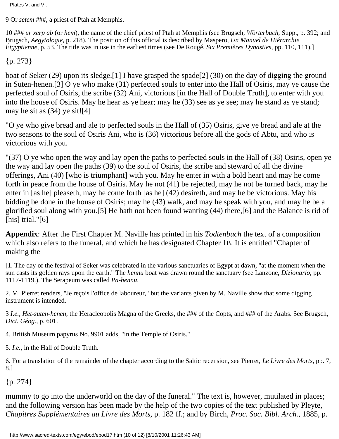9 Or *setem* ###, a priest of Ptah at Memphis.

10 ### *ur xerp ab* (or *hem*), the name of the chief priest of Ptah at Memphis (see Brugsch, *Wörterbuch*, Supp., p. 392; and Brugsch, *Aegytologie*, p. 218). The position of this official is described by Maspero, *Un Manuel de Hiérarchie Étgyptienne*, p. 53. The title was in use in the earliest times (see De Rougé, *Six Premières Dynasties*, pp. 110, 111).]

{p. 273}

boat of Seker (29) upon its sledge.[1] I have grasped the spade[2] (30) on the day of digging the ground in Suten-henen.[3] O ye who make (31) perfected souls to enter into the Hall of Osiris, may ye cause the perfected soul of Osiris, the scribe (32) Ani, victorious [in the Hall of Double Truth], to enter with you into the house of Osiris. May he hear as ye hear; may he (33) see as ye see; may he stand as ye stand; may he sit as (34) ye sit![4]

"O ye who give bread and ale to perfected souls in the Hall of (35) Osiris, give ye bread and ale at the two seasons to the soul of Osiris Ani, who is (36) victorious before all the gods of Abtu, and who is victorious with you.

"(37) O ye who open the way and lay open the paths to perfected souls in the Hall of (38) Osiris, open ye the way and lay open the paths (39) to the soul of Osiris, the scribe and steward of all the divine offerings, Ani (40) [who is triumphant] with you. May he enter in with a bold heart and may he come forth in peace from the house of Osiris. May he not (41) be rejected, may he not be turned back, may he enter in [as he] pleaseth, may he come forth [as he] (42) desireth, and may he be victorious. May his bidding be done in the house of Osiris; may he (43) walk, and may he speak with you, and may he be a glorified soul along with you.[5] He hath not been found wanting (44) there,[6] and the Balance is rid of [his] trial." $[6]$ 

**Appendix**: After the First Chapter M. Naville has printed in his *Todtenbuch* the text of a composition which also refers to the funeral, and which he has designated Chapter 1B. It is entitled "Chapter of making the

[1. The day of the festival of Seker was celebrated in the various sanctuaries of Egypt at dawn, "at the moment when the sun casts its golden rays upon the earth." The *hennu* boat was drawn round the sanctuary (see Lanzone, *Dizionario*, pp. 1117-1119.). The Serapeum was called *Pa-hennu*.

2. M. Pierret renders, "Je reçois l'office de laboureur," but the variants given by M. Naville show that some digging instrument is intended.

3 *I.e.*, *Het-suten-henen*, the Heracleopolis Magna of the Greeks, the ### of the Copts, and ### of the Arabs. See Brugsch, *Dict. Géog.*, p. 601.

4. British Museum papyrus No. 9901 adds, "in the Temple of Osiris."

5. *I.e.*, in the Hall of Double Truth.

6. For a translation of the remainder of the chapter according to the Saïtic recension, see Pierret, *Le Livre des Morts*, pp. 7, 8.]

{p. 274}

mummy to go into the underworld on the day of the funeral." The text is, however, mutilated in places; and the following version has been made by the help of the two copies of the text published by Pleyte, *Chapitres Supplémentaires au Livre des Morts*, p. 182 ff.; and by Birch, *Proc. Soc. Bibl. Arch.*, 1885, p.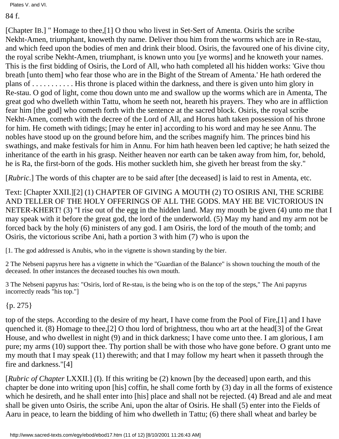#### 84 f.

[Chapter IB.] " Homage to thee,[1] O thou who livest in Set-Sert of Amenta. Osiris the scribe Nekht-Amen, triumphant, knoweth thy name. Deliver thou him from the worms which are in Re-stau, and which feed upon the bodies of men and drink their blood. Osiris, the favoured one of his divine city, the royal scribe Nekht-Amen, triumphant, is known unto you [ye worms] and he knoweth your names. This is the first bidding of Osiris, the Lord of All, who hath completed all his hidden works: 'Give thou breath [unto them] who fear those who are in the Bight of the Stream of Amenta.' He hath ordered the plans of . . . . . . . . . . . His throne is placed within the darkness, and there is given unto him glory in Re-stau. O god of light, come thou down unto me and swallow up the worms which are in Amenta, The great god who dwelleth within Tattu, whom he seeth not, heareth his prayers. They who are in affliction fear him [the god] who cometh forth with the sentence at the sacred block. Osiris, the royal scribe Nekht-Amen, cometh with the decree of the Lord of All, and Horus hath taken possession of his throne for him. He cometh with tidings; [may he enter in] according to his word and may he see Annu. The nobles have stood up on the ground before him, and the scribes magnify him. The princes bind his swathings, and make festivals for him in Annu. For him hath heaven been led captive; he hath seized the inheritance of the earth in his grasp. Neither heaven nor earth can be taken away from him, for, behold, he is Ra, the first-born of the gods. His mother suckleth him, she giveth her breast from the sky."

[*Rubric*.] The words of this chapter are to be said after [the deceased] is laid to rest in Amenta, etc.

Text: [Chapter XXII.][2] (1) CHAPTER OF GIVING A MOUTH (2) TO OSIRIS ANI, THE SCRIBE AND TELLER OF THE HOLY OFFERINGS OF ALL THE GODS. MAY HE BE VICTORIOUS IN NETER-KHERT! (3) "I rise out of the egg in the hidden land. May my mouth be given (4) unto me that I may speak with it before the great god, the lord of the underworld. (5) May my hand and my arm not be forced back by the holy (6) ministers of any god. I am Osiris, the lord of the mouth of the tomb; and Osiris, the victorious scribe Ani, hath a portion 3 with him (7) who is upon the

[1. The god addressed is Anubis, who in the vignette is shown standing by the bier.

2 The Nebseni papyrus here has a vignette in which the "Guardian of the Balance" is shown touching the mouth of the deceased. In other instances the deceased touches his own mouth.

3 The Nebseni papyrus has: "Osiris, lord of Re-stau, is the being who is on the top of the steps," The Ani papyrus incorrectly reads "his top."]

### {p. 275}

top of the steps. According to the desire of my heart, I have come from the Pool of Fire,[1] and I have quenched it. (8) Homage to thee,[2] O thou lord of brightness, thou who art at the head[3] of the Great House, and who dwellest in night (9) and in thick darkness; I have come unto thee. I am glorious, I am pure; my arms (10) support thee. Thy portion shall be with those who have gone before. O grant unto me my mouth that I may speak (11) therewith; and that I may follow my heart when it passeth through the fire and darkness."[4]

[*Rubric of Chapter* LXXII.] (I). If this writing be (2) known [by the deceased] upon earth, and this chapter be done into writing upon [his] coffin, he shall come forth by (3) day in all the forms of existence which he desireth, and he shall enter into [his] place and shall not be rejected. (4) Bread and ale and meat shall be given unto Osiris, the scribe Ani, upon the altar of Osiris. He shall (5) enter into the Fields of Aaru in peace, to learn the bidding of him who dwelleth in Tattu; (6) there shall wheat and barley be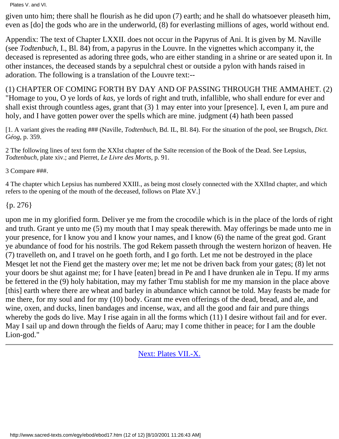given unto him; there shall he flourish as he did upon (7) earth; and he shall do whatsoever pleaseth him, even as [do] the gods who are in the underworld, (8) for everlasting millions of ages, world without end.

Appendix: The text of Chapter LXXII. does not occur in the Papyrus of Ani. It is given by M. Naville (see *Todtenbuch*, I., Bl. 84) from, a papyrus in the Louvre. In the vignettes which accompany it, the deceased is represented as adoring three gods, who are either standing in a shrine or are seated upon it. In other instances, the deceased stands by a sepulchral chest or outside a pylon with hands raised in adoration. The following is a translation of the Louvre text:--

(1) CHAPTER OF COMING FORTH BY DAY AND OF PASSING THROUGH THE AMMAHET. (2) "Homage to you, O ye lords of *kas*, ye lords of right and truth, infallible, who shall endure for ever and shall exist through countless ages, grant that (3) 1 may enter into your [presence]. I, even I, am pure and holy, and I have gotten power over the spells which are mine. judgment (4) hath been passed

[1. A variant gives the reading ### (Naville, *Todtenbuch*, Bd. IL, Bl. 84). For the situation of the pool, see Brugsch, *Dict. Géog*, p. 359.

2 The following lines of text form the XXIst chapter of the Saïte recension of the Book of the Dead. See Lepsius, *Todtenbuch*, plate xiv.; and Pierret, *Le Livre des Morts*, p. 91.

3 Compare ###.

4 The chapter which Lepsius has numbered XXIII., as being most closely connected with the XXIInd chapter, and which refers to the opening of the mouth of the deceased, follows on Plate XV.]

{p. 276}

upon me in my glorified form. Deliver ye me from the crocodile which is in the place of the lords of right and truth. Grant ye unto me (5) my mouth that I may speak therewith. May offerings be made unto me in your presence, for I know you and I know your names, and I know (6) the name of the great god. Grant ye abundance of food for his nostrils. The god Rekem passeth through the western horizon of heaven. He (7) travelleth on, and I travel on he goeth forth, and I go forth. Let me not be destroyed in the place Mesqet let not the Fiend get the mastery over me; let me not be driven back from your gates; (8) let not your doors be shut against me; for I have [eaten] bread in Pe and I have drunken ale in Tepu. If my arms be fettered in the (9) holy habitation, may my father Tmu stablish for me my mansion in the place above [this] earth where there are wheat and barley in abundance which cannot be told. May feasts be made for me there, for my soul and for my (10) body. Grant me even offerings of the dead, bread, and ale, and wine, oxen, and ducks, linen bandages and incense, wax, and all the good and fair and pure things whereby the gods do live. May I rise again in all the forms which (11) I desire without fail and for ever. May I sail up and down through the fields of Aaru; may I come thither in peace; for I am the double Lion-god."

[Next: Plates VII.-X.](#page-156-0)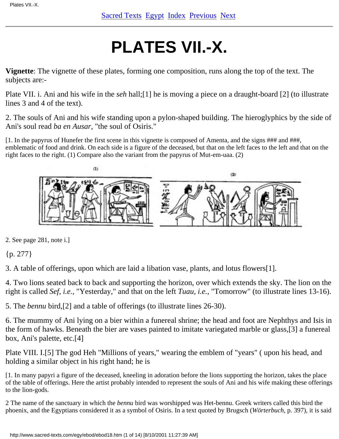## **PLATES VII.-X.**

<span id="page-156-0"></span>**Vignette**: The vignette of these plates, forming one composition, runs along the top of the text. The subjects are:-

Plate VII. i. Ani and his wife in the *seh* hall;[1] he is moving a piece on a draught-board [2] (to illustrate lines 3 and 4 of the text).

2. The souls of Ani and his wife standing upon a pylon-shaped building. The hieroglyphics by the side of Ani's soul read *ba en Ausar*, "the soul of Osiris."

[1. In the papyrus of Hunefer the first scene in this vignette is composed of Amenta, and the signs ### and ###, emblematic of food and drink. On each side is a figure of the deceased, but that on the left faces to the left and that on the right faces to the right. (1) Compare also the variant from the papyrus of Mut-em-uaa. (2)



2. See page 281, note i.]

{p. 277}

3. A table of offerings, upon which are laid a libation vase, plants, and lotus flowers[1].

4. Two lions seated back to back and supporting the horizon, over which extends the sky. The lion on the right is called *Sef*, *i.e.*, "Yesterday," and that on the left *Tuau*, *i.e.*, "Tomorrow" (to illustrate lines 13-16).

5. The *bennu* bird,[2] and a table of offerings (to illustrate lines 26-30).

6. The mummy of Ani lying on a bier within a funereal shrine; the head and foot are Nephthys and Isis in the form of hawks. Beneath the bier are vases painted to imitate variegated marble or glass,[3] a funereal box, Ani's palette, etc.[4]

Plate VIII. I.[5] The god Heh "Millions of years," wearing the emblem of "years" ( upon his head, and holding a similar object in his right hand; he is

[1. In many papyri a figure of the deceased, kneeling in adoration before the lions supporting the horizon, takes the place of the table of offerings. Here the artist probably intended to represent the souls of Ani and his wife making these offerings to the lion-gods.

2 The name of the sanctuary in which the *bennu* bird was worshipped was Het-bennu. Greek writers called this bird the phoenix, and the Egyptians considered it as a symbol of Osiris. In a text quoted by Brugsch (*Wörterbuch*, p. 397), it is said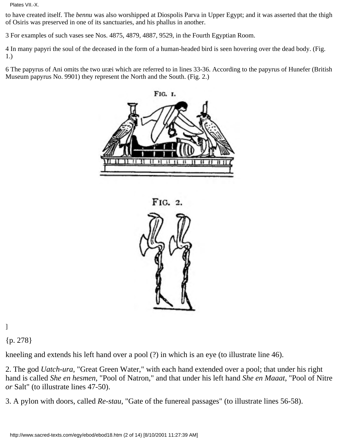to have created itself. The *bennu* was also worshipped at Diospolis Parva in Upper Egypt; and it was asserted that the thigh of Osiris was preserved in one of its sanctuaries, and his phallus in another.

3 For examples of such vases see Nos. 4875, 4879, 4887, 9529, in the Fourth Egyptian Room.

4 In many papyri the soul of the deceased in the form of a human-headed bird is seen hovering over the dead body. (Fig. 1.)

6 The papyrus of Ani omits the two uræi which are referred to in lines 33-36. According to the papyrus of Hunefer (British Museum papyrus No. 9901) they represent the North and the South. (Fig. 2.)





]

{p. 278}

kneeling and extends his left hand over a pool (?) in which is an eye (to illustrate line 46).

2. The god *Uatch-ura*, "Great Green Water," with each hand extended over a pool; that under his right hand is called *She en hesmen*, "Pool of Natron," and that under his left hand *She en Maaat*, "Pool of Nitre *or* Salt" (to illustrate lines 47-50).

3. A pylon with doors, called *Re-stau*, "Gate of the funereal passages" (to illustrate lines 56-58).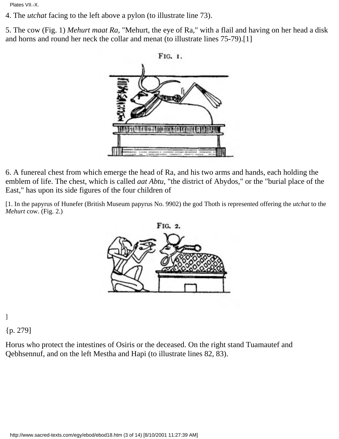4. The *utchat* facing to the left above a pylon (to illustrate line 73).

5. The cow (Fig. 1) *Mehurt maat Ra*, "Mehurt, the eye of Ra," with a flail and having on her head a disk and horns and round her neck the collar and menat (to illustrate lines 75-79).[1]



6. A funereal chest from which emerge the head of Ra, and his two arms and hands, each holding the emblem of life. The chest, which is called *aat Abtu*, "the district of Abydos," or the "burial place of the East," has upon its side figures of the four children of

[1. In the papyrus of Hunefer (British Museum papyrus No. 9902) the god Thoth is represented offering the *utchat* to the *Mehurt* cow. (Fig. 2.)



]

{p. 279]

Horus who protect the intestines of Osiris or the deceased. On the right stand Tuamautef and Qebhsennuf, and on the left Mestha and Hapi (to illustrate lines 82, 83).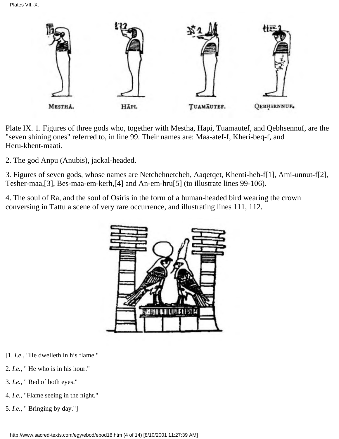

Plate IX. 1. Figures of three gods who, together with Mestha, Hapi, Tuamautef, and Qebhsennuf, are the "seven shining ones" referred to, in line 99. Their names are: Maa-atef-f, Kheri-beq-f, and Heru-khent-maati.

2. The god Anpu (Anubis), jackal-headed.

3. Figures of seven gods, whose names are Netchehnetcheh, Aaqetqet, Khenti-heh-f[1], Ami-unnut-f[2], Tesher-maa,[3], Bes-maa-em-kerh,[4] and An-em-hru[5] (to illustrate lines 99-106).

4. The soul of Ra, and the soul of Osiris in the form of a human-headed bird wearing the crown conversing in Tattu a scene of very rare occurrence, and illustrating lines 111, 112.



[1. *I.e.*, "He dwelleth in his flame."

- 2. *I.e.*, " He who is in his hour."
- 3. *I.e.*, " Red of both eyes."
- 4. *I.e.*, "Flame seeing in the night."
- 5. *I.e.*, " Bringing by day."]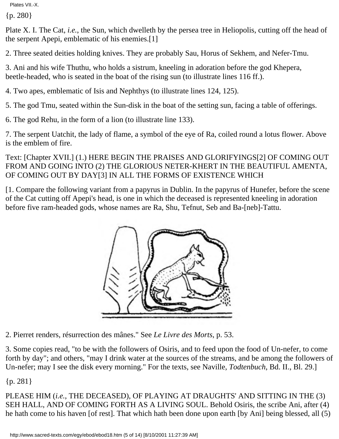{p. 280}

Plate X. I. The Cat, *i.e.*, the Sun, which dwelleth by the persea tree in Heliopolis, cutting off the head of the serpent Apepi, emblematic of his enemies.[1]

2. Three seated deities holding knives. They are probably Sau, Horus of Sekhem, and Nefer-Tmu.

3. Ani and his wife Thuthu, who holds a sistrum, kneeling in adoration before the god Khepera, beetle-headed, who is seated in the boat of the rising sun (to illustrate lines 116 ff.).

4. Two apes, emblematic of Isis and Nephthys (to illustrate lines 124, 125).

5. The god Tmu, seated within the Sun-disk in the boat of the setting sun, facing a table of offerings.

6. The god Rehu, in the form of a lion (to illustrate line 133).

7. The serpent Uatchit, the lady of flame, a symbol of the eye of Ra, coiled round a lotus flower. Above is the emblem of fire.

Text: [Chapter XVII.] (1.) HERE BEGIN THE PRAISES AND GLORIFYINGS[2] OF COMING OUT FROM AND GOING INTO (2) THE GLORIOUS NETER-KHERT IN THE BEAUTIFUL AMENTA, OF COMING OUT BY DAY[3] IN ALL THE FORMS OF EXISTENCE WHICH

[1. Compare the following variant from a papyrus in Dublin. In the papyrus of Hunefer, before the scene of the Cat cutting off Apepi's head, is one in which the deceased is represented kneeling in adoration before five ram-headed gods, whose names are Ra, Shu, Tefnut, Seb and Ba-[neb]-Tattu.



2. Pierret renders, résurrection des mânes." See *Le Livre des Morts*, p. 53.

3. Some copies read, "to be with the followers of Osiris, and to feed upon the food of Un-nefer, to come forth by day"; and others, "may I drink water at the sources of the streams, and be among the followers of Un-nefer; may I see the disk every morning." For the texts, see Naville, *Todtenbuch*, Bd. II., Bl. 29.]

{p. 281}

PLEASE HIM (*i.e.*, THE DECEASED), OF PLAYING AT DRAUGHTS' AND SITTING IN THE (3) SEH HALL, AND OF COMING FORTH AS A LIVING SOUL. Behold Osiris, the scribe Ani, after (4) he hath come to his haven [of rest]. That which hath been done upon earth [by Ani] being blessed, all (5)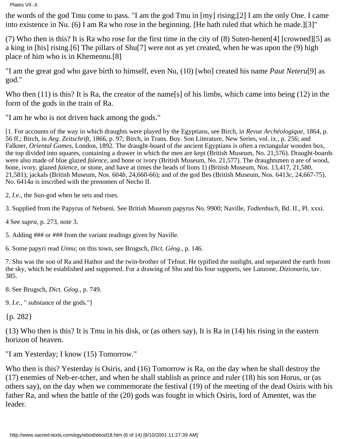the words of the god Tmu come to pass. "I am the god Tmu in [my] rising;[2] I am the only One. I came into existence in Nu. (6) I am Ra who rose in the beginning. [He hath ruled that which he made.][3]"

(7) Who then is this? It is Ra who rose for the first time in the city of (8) Suten-henen[4] [crowned][5] as a king in [his] rising.[6] The pillars of Shu[7] were not as yet created, when he was upon the (9) high place of him who is in Khemennu.[8]

"I am the great god who gave birth to himself, even Nu, (10) [who] created his name *Paut Neteru*[9] as god."

Who then (11) is this? It is Ra, the creator of the name<sup>[s]</sup> of his limbs, which came into being (12) in the form of the gods in the train of Ra.

"I am he who is not driven back among the gods."

[1. For accounts of the way in which draughts were played by the Egyptians, see Birch, in *Revue Archéologique*, 1864, p. 56 ff.; Birch, in *Aeg. Zeitschrift*, 1866, p. 97; Birch, in Trans. Boy. Son Literature, New Series, vol. ix., p. 256; and Falkner, *Oriental Games*, London, 1892. The draught-board of the ancient Egyptians is often a rectangular wooden box, the top divided into squares, containing a drawer in which the men are kept (British Museum, No. 21,576). Draught-boards were also made of blue glazed *faïence*, and bone or ivory (British Museum, No. 21,577). The draughtsmen n are of wood, bone, ivory, glazed *faïence*, or stone, and have at times the heads of lions 1) (British Museum, Nos. 13,417, 21,580, 21,581); jackals (British Museum, Nos. 604*b*, 24,660-66); and of the god Bes (British Museum, Nos. 6413*c*, 24,667-75). No. 6414*a* is inscribed with the prenomen of Necho II.

2, *I.e.*, the Sun-god when he sets and rises.

3. Supplied from the Papyrus of Nebseni. See British Museum papyrus No. 9900; Naville, *Todtenbuch*, Bd. II., Pl. xxxi.

4 See *supra*, p. 273, note 3.

5. Adding ### or ### from the variant readings given by Naville.

6. Some papyri read *Unnu*; on this town, see Brugsch, *Dict. Géog.*, p. 146.

7. Shu was the son of Ra and Hathor and the twin-brother of Tefnut. He typified the sunlight, and separated the earth from the sky, which he established and supported. For a drawing of Shu and his four supports, see Lanzone, *Dizionario*, tav. 385.

8. See Brugsch, *Dict. Géog.*, p. 749.

9. *I.e.*, " substance of the gods."]

{p. 282}

(13) Who then is this? It is Tmu in his disk, or (as others say), It is Ra in (14) his rising in the eastern horizon of heaven.

"I am Yesterday; I know (15) Tomorrow."

Who then is this? Yesterday is Osiris, and (16) Tomorrow is Ra, on the day when he shall destroy the (17) enemies of Neb-er-tcher, and when he shall stablish as prince and ruler (18) his son Horus, or (as others say), on the day when we commemorate the festival (19) of the meeting of the dead Osiris with his father Ra, and when the battle of the (20) gods was fought in which Osiris, lord of Amentet, was the leader.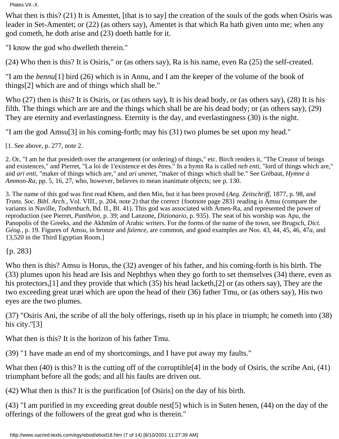What then is this? (21) It is Amentet, [that is to say] the creation of the souls of the gods when Osiris was leader in Set-Amentet; or (22) (as others say), Amentet is that which Ra hath given unto me; when any god cometh, he doth arise and (23) doeth battle for it.

"I know the god who dwelleth therein."

(24) Who then is this? It is Osiris," or (as others say), Ra is his name, even Ra (25) the self-created.

"I am the *bennu*[1] bird (26) which is in Annu, and I am the keeper of the volume of the book of things[2] which are and of things which shall be."

Who (27) then is this? It is Osiris, or (as others say), It is his dead body, or (as others say), (28) It is his filth. The things which are are and the things which shall be are his dead body; or (as others say), (29) They are eternity and everlastingness. Eternity is the day, and everlastingness (30) is the night.

"I am the god Amsu[3] in his coming-forth; may his (31) two plumes be set upon my head."

[1. See above, p. 277, note 2.

2. Or, "I am he that presideth over the arrangement (or ordering) of things," etc. Birch renders it, "The Creator of beings and existences," and Pierret, "La loi de 1'existence et des êtres." In a hymn Ra is called *neb enti*, "lord of things which are," and *ari enti*, "maker of things which are," and *ari unenet*, "maker of things which shall be." See Grébaut, *Hymne à Ammon-Ra*, pp. 5, 16, 27, who, however, believes to mean inanimate objects; see p. 130.

3. The name of this god was first read Khem, and then Min, but it has been proved (*Aeg. Zeitschriff*, 1877, p. 98, and *Trans. Soc. Bibl. Arch.*, Vol. VIII., p. 204, note 2) that the correct {footnote page 283} reading is Amsu (compare the variants in Naville, *Todtenbuch*, Bd. II., Bl. 41). This god was associated with Amen-Ra, and represented the power of reproduction (see Pierret, *Panthéon*, p. 39; and Lanzone, *Dizionario*, p. 935). The seat of his worship was Apu, the Panopolis of the Greeks, and the Akhmîm of Arabic writers. For the forms of the name of the town, see Brugsch, *Dict. Géog.*, p. 19. Figures of Amsu, in bronze and *faïence*, are common, and good examples are Nos. 43, 44, 45, 46, 47*a*, and 13,520 in the Third Egyptian Room.]

{p. 283}

Who then is this? Amsu is Horus, the (32) avenger of his father, and his coming-forth is his birth. The (33) plumes upon his head are Isis and Nephthys when they go forth to set themselves (34) there, even as his protectors, [1] and they provide that which (35) his head lacketh, [2] or (as others say), They are the two exceeding great uræi which are upon the head of their (36) father Tmu, or (as others say), His two eyes are the two plumes.

(37) "Osiris Ani, the scribe of all the holy offerings, riseth up in his place in triumph; he cometh into (38) his city."[3]

What then is this? It is the horizon of his father Tmu.

(39) "1 have made an end of my shortcomings, and I have put away my faults."

What then (40) is this? It is the cutting off of the corruptible<sup>[4]</sup> in the body of Osiris, the scribe Ani, (41) triumphant before all the gods; and all his faults are driven out.

(42) What then is this? It is the purification [of Osiris] on the day of his birth.

(43) "I am purified in my exceeding great double nest[5] which is in Suten henen, (44) on the day of the offerings of the followers of the great god who is therein."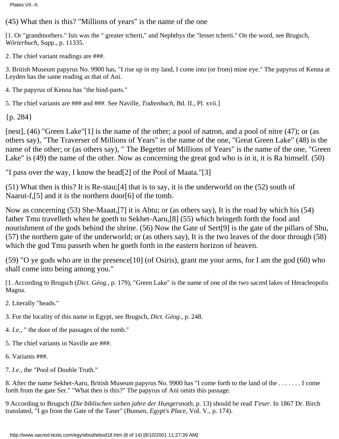(45) What then is this? "Millions of years" is the name of the one

[1. Or "grandmothers." Isis was the " greater tcherti," and Nephthys the "lesser tcherti." On the word, see Brugsch, *Wörterbuch*, Supp., p. 11335.

2. The chief variant readings are ###.

3. British Museum papyrus No. 9900 has, "I rise up in my land, I come into (or from) mine eye." The papyrus of Kenna at Leyden has the same reading as that of Ani.

4. The papyrus of Kenna has "the hind-parts."

5. The chief variants are ### and ###. See Naville, *Todtenbuch*, Bd. II., Pl. xvii.]

{p. 284}

[nest], (46) "Green Lake"[1] is the name of the other; a pool of natron, and a pool of nitre (47); or (as others say), "The Traverser of Millions of Years" is the name of the one, "Great Green Lake" (48) is the name of the other; or (as others say), " The Begetter of Millions of Years" is the name of the one, "Green Lake" is (49) the name of the other. Now as concerning the great god who is in it, it is Ra himself. (50)

"I pass over the way, I know the head[2] of the Pool of Maata."[3]

(51) What then is this? It is Re-stau;[4] that is to say, it is the underworld on the (52) south of Naarut-f,[5] and it is the northern door[6] of the tomb.

Now as concerning (53) She-Maaat,[7] it is Abtu; or (as others say), It is the road by which his (54) father Tmu travelleth when he goeth to Sekhet-Aaru,[8] (55) which bringeth forth the food and nourishment of the gods behind the shrine. (56) Now the Gate of Sert[9] is the gate of the pillars of Shu, (57) the northern gate of the underworld; or (as others say), It is the two leaves of the door through (58) which the god Tmu passeth when he goeth forth in the eastern horizon of heaven.

(59) "O ye gods who are in the presence[10] (of Osiris), grant me your arms, for I am the god (60) who shall come into being among you."

[1. According to Brugsch (*Dict. Géog.*, p. 179), "Green Lake" is the name of one of the two sacred lakes of Heracleopolis Magna.

2. Literally "heads."

3. For the locality of this name in Egypt, see Brugsch, *Dict. Géog.*, p. 248.

- 4. *I.e.*, " the door of the passages of the tomb."
- 5. The chief variants in Naville are ###.
- 6. Variants ###.
- 7. *I.e.*, the "Pool of Double Truth."

8. After the name Sekhet-Aaru, British Museum papyrus No. 9900 has "I come forth to the land of the . . . . . . . I come forth from the gate Ser." "What then is this?" The papyrus of Ani omits this passage.

9 According to Brugsch (*Die biblischen sieben jahre der Hungersnoth*, p. 13) should be read *T'eser*. In 1867 Dr. Birch translated, "I go from the Gate of the Taser" (Bunsen, *Egypt's Place*, Vol. V., p. 174).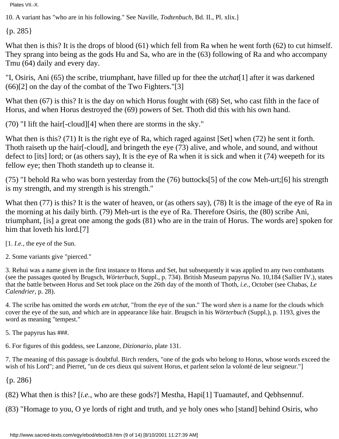10. A variant has "who are in his following." See Naville, *Todtenbuch*, Bd. II., Pl. xlix.]

{p. 285}

What then is this? It is the drops of blood (61) which fell from Ra when he went forth (62) to cut himself. They sprang into being as the gods Hu and Sa, who are in the (63) following of Ra and who accompany Tmu (64) daily and every day.

"I, Osiris, Ani (65) the scribe, triumphant, have filled up for thee the *utchat*[1] after it was darkened (66)[2] on the day of the combat of the Two Fighters."[3]

What then (67) is this? It is the day on which Horus fought with (68) Set, who cast filth in the face of Horus, and when Horus destroyed the (69) powers of Set. Thoth did this with his own hand.

(70) "I lift the hair[-cloud][4] when there are storms in the sky."

What then is this? (71) It is the right eye of Ra, which raged against [Set] when (72) he sent it forth. Thoth raiseth up the hair[-cloud], and bringeth the eye (73) alive, and whole, and sound, and without defect to [its] lord; or (as others say), It is the eye of Ra when it is sick and when it (74) weepeth for its fellow eye; then Thoth standeth up to cleanse it.

(75) "I behold Ra who was born yesterday from the (76) buttocks[5] of the cow Meh-urt;[6] his strength is my strength, and my strength is his strength."

What then (77) is this? It is the water of heaven, or (as others say), (78) It is the image of the eye of Ra in the morning at his daily birth. (79) Meh-urt is the eye of Ra. Therefore Osiris, the (80) scribe Ani, triumphant, [is] a great one among the gods (81) who are in the train of Horus. The words are] spoken for him that loveth his lord.[7]

[1. *I.e.*, the eye of the Sun.

2. Some variants give "pierced."

3. Rehui was a name given in the first instance to Horus and Set, but subsequently it was applied to any two combatants (see the passages quoted by Brugsch, *Wörterbuch*, Suppl., p. 734). British Museum papyrus No. 10,184 (Sallier IV.), states that the battle between Horus and Set took place on the 26th day of the month of Thoth, *i.e.*, October (see Chabas, *Le Calendrier*, p. 28).

4. The scribe has omitted the words *em utchat*, "from the eye of the sun." The word *shen* is a name for the clouds which cover the eye of the sun, and which are in appearance like hair. Brugsch in his *Wörterbuch* (Suppl.), p. 1193, gives the word as meaning "tempest."

5. The papyrus has ###.

6. For figures of this goddess, see Lanzone, *Dizionario*, plate 131.

7. The meaning of this passage is doubtful. Birch renders, "one of the gods who belong to Horus, whose words exceed the wish of his Lord"; and Pierret, "un de ces dieux qui suivent Horus, et parlent selon la volonté de leur seigneur."]

 ${p. 286}$ 

(82) What then is this? [*i.e.*, who are these gods?] Mestha, Hapi[1] Tuamautef, and Qebhsennuf.

(83) "Homage to you, O ye lords of right and truth, and ye holy ones who [stand] behind Osiris, who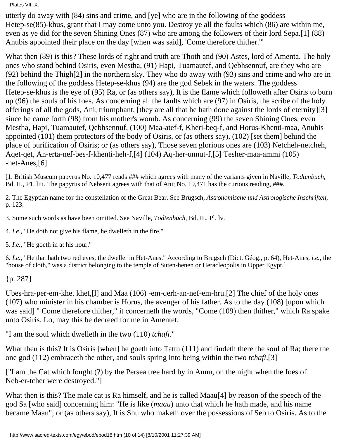utterly do away with (84) sins and crime, and [ye] who are in the following of the goddess Hetep-se(85)-khus, grant that I may come unto you. Destroy ye all the faults which (86) are within me, even as ye did for the seven Shining Ones (87) who are among the followers of their lord Sepa.[1] (88) Anubis appointed their place on the day [when was said], 'Come therefore thither.'"

What then (89) is this? These lords of right and truth are Thoth and (90) Astes, lord of Amenta. The holy ones who stand behind Osiris, even Mestha, (91) Hapi, Tuamautef, and Qebhsennuf, are they who are (92) behind the Thigh[2] in the northern sky. They who do away with (93) sins and crime and who are in the following of the goddess Hetep-se-khus (94) are the god Sebek in the waters. The goddess Hetep-se-khus is the eye of (95) Ra, or (as others say), It is the flame which followeth after Osiris to burn up (96) the souls of his foes. As concerning all the faults which are (97) in Osiris, the scribe of the holy offerings of all the gods, Ani, triumphant, [they are all that he hath done against the lords of eternity][3] since he came forth (98) from his mother's womb. As concerning (99) the seven Shining Ones, even Mestha, Hapi, Tuamautef, Qebhsennuf, (100) Maa-atef-f, Kheri-beq-f, and Horus-Khenti-maa, Anubis appointed (101) them protectors of the body of Osiris, or (as others say), (102) [set them] behind the place of purification of Osiris; or (as others say), Those seven glorious ones are (103) Netcheh-netcheh, Aqet-qet, An-erta-nef-bes-f-khenti-heh-f,[4] (104) Aq-her-unnut-f,[5] Tesher-maa-ammi (105) -het-Anes,[6]

[1. British Museum papyrus No. 10,477 reads ### which agrees with many of the variants given in Naville, *Todtenbuch*, Bd. II., P1. liii. The papyrus of Nebseni agrees with that of Ani; No. 19,471 has the curious reading, ###.

2. The Egyptian name for the constellation of the Great Bear. See Brugsch, *Astronomische und Astrologische Inschriften*, p. 123.

3. Some such words as have been omitted. See Naville, *Todtenbuch*, Bd. IL, Pl. lv.

4. *I.e.*, "He doth not give his flame, he dwelleth in the fire."

5. *I.e.*, "He goeth in at his hour."

6. *I.e.*, "He that hath two red eyes, the dweller in Het-Anes." According to Brugsch (Dict. Géog., p. 64), Het-Anes, *i.e.*, the "house of cloth," was a district belonging to the temple of Suten-henen or Heracleopolis in Upper Egypt.]

{p. 287}

Ubes-hra-per-em-khet khet,[l] and Maa (106) -em-qerh-an-nef-em-hru.[2] The chief of the holy ones (107) who minister in his chamber is Horus, the avenger of his father. As to the day (108) [upon which was said] " Come therefore thither," it concerneth the words, "Come (109) then thither," which Ra spake unto Osiris. Lo, may this be decreed for me in Amentet.

"I am the soul which dwelleth in the two (110) *tchafi*."

What then is this? It is Osiris [when] he goeth into Tattu (111) and findeth there the soul of Ra; there the one god (112) embraceth the other, and souls spring into being within the two *tchafi*.[3]

["I am the Cat which fought (?) by the Persea tree hard by in Annu, on the night when the foes of Neb-er-tcher were destroyed."]

What then is this? The male cat is Ra himself, and he is called Maau<sup>[4]</sup> by reason of the speech of the god Sa [who said] concerning him: "He is like (*maau*) unto that which he hath made, and his name became Maau"; or (as others say), It is Shu who maketh over the possessions of Seb to Osiris. As to the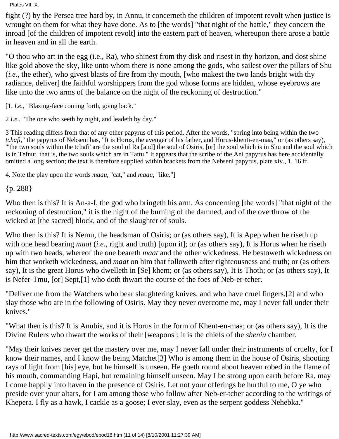fight (?) by the Persea tree hard by, in Annu, it concerneth the children of impotent revolt when justice is wrought on them for what they have done. As to [the words] "that night of the battle," they concern the inroad [of the children of impotent revolt] into the eastern part of heaven, whereupon there arose a battle in heaven and in all the earth.

"O thou who art in the egg (i.e., Ra), who shinest from thy disk and risest in thy horizon, and dost shine like gold above the sky, like unto whom there is none among the gods, who sailest over the pillars of Shu (*i.e.*, the ether), who givest blasts of fire from thy mouth, [who makest the two lands bright with thy radiance, deliver] the faithful worshippers from the god whose forms are hidden, whose eyebrows are like unto the two arms of the balance on the night of the reckoning of destruction."

[1. *I.e.*, "Blazing-face coming forth, going back."

2 *I.e.*, "The one who seeth by night, and leadeth by day."

3 This reading differs from that of any other papyrus of this period. After the words, "spring into being within the two *tchafi*," the papyrus of Nebseni has, "It is Horus, the avenger of his father, and Horus-khenti-en-maa," or (as others say), "'the two souls within the tchafi' are the soul of Ra [and] the soul of Osiris, [or] the soul which is in Shu and the soul which is in Tefnut, that is, the two souls which are in Tattu." It appears that the scribe of the Ani papyrus has here accidentally omitted a long section; the text is therefore supplied within brackets from the Nebseni papyrus, plate xiv., 1. 16 ff.

4. Note the play upon the words *maau*, "cat," and *maau*, "like."]

{p. 288}

Who then is this? It is An-a-f, the god who bringeth his arm. As concerning [the words] "that night of the reckoning of destruction," it is the night of the burning of the damned, and of the overthrow of the wicked at [the sacred] block, and of the slaughter of souls.

Who then is this? It is Nemu, the headsman of Osiris; or (as others say), It is Apep when he riseth up with one head bearing *maat* (*i.e.*, right and truth) [upon it]; or (as others say), It is Horus when he riseth up with two heads, whereof the one beareth *maat* and the other wickedness. He bestoweth wickedness on him that worketh wickedness, and *maat* on him that followeth after righteousness and truth; or (as others say), It is the great Horus who dwelleth in [Se] khem; or (as others say), It is Thoth; or (as others say), It is Nefer-Tmu, [or] Sept,[1] who doth thwart the course of the foes of Neb-er-tcher.

"Deliver me from the Watchers who bear slaughtering knives, and who have cruel fingers,[2] and who slay those who are in the following of Osiris. May they never overcome me, may I never fall under their knives."

"What then is this? It is Anubis, and it is Horus in the form of Khent-en-maa; or (as others say), It is the Divine Rulers who thwart the works of their [weapons]; it is the chiefs of the *sheniu* chamber.

"May their knives never get the mastery over me, may I never fall under their instruments of cruelty, for I know their names, and I know the being Matchet[3] Who is among them in the house of Osiris, shooting rays of light from [his] eye, but he himself is unseen. He goeth round about heaven robed in the flame of his mouth, commanding Hapi, but remaining himself unseen. May I be strong upon earth before Ra, may I come happily into haven in the presence of Osiris. Let not your offerings be hurtful to me, O ye who preside over your altars, for I am among those who follow after Neb-er-tcher according to the writings of Khepera. I fly as a hawk, I cackle as a goose; I ever slay, even as the serpent goddess Nehebka."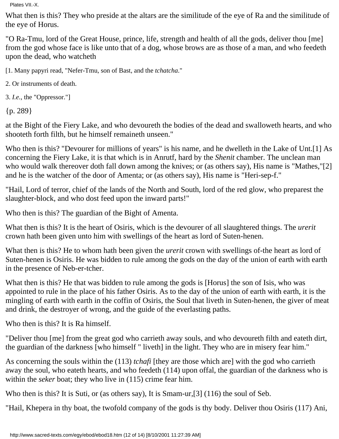What then is this? They who preside at the altars are the similitude of the eye of Ra and the similitude of the eye of Horus.

"O Ra-Tmu, lord of the Great House, prince, life, strength and health of all the gods, deliver thou [me] from the god whose face is like unto that of a dog, whose brows are as those of a man, and who feedeth upon the dead, who watcheth

[1. Many papyri read, "Nefer-Tmu, son of Bast, and the *tchatcha*."

- 2. Or instruments of death.
- 3. *I.e.*, the "Oppressor."]

{p. 289}

at the Bight of the Fiery Lake, and who devoureth the bodies of the dead and swalloweth hearts, and who shooteth forth filth, but he himself remaineth unseen."

Who then is this? "Devourer for millions of years" is his name, and he dwelleth in the Lake of Unt. [1] As concerning the Fiery Lake, it is that which is in Anrutf, hard by the *Shenit* chamber. The unclean man who would walk thereover doth fall down among the knives; or (as others say), His name is "Mathes,"[2] and he is the watcher of the door of Amenta; or (as others say), His name is "Heri-sep-f."

"Hail, Lord of terror, chief of the lands of the North and South, lord of the red glow, who preparest the slaughter-block, and who dost feed upon the inward parts!"

Who then is this? The guardian of the Bight of Amenta.

What then is this? It is the heart of Osiris, which is the devourer of all slaughtered things. The *urerit* crown hath been given unto him with swellings of the heart as lord of Suten-henen.

What then is this? He to whom hath been given the *urerit* crown with swellings of-the heart as lord of Suten-henen is Osiris. He was bidden to rule among the gods on the day of the union of earth with earth in the presence of Neb-er-tcher.

What then is this? He that was bidden to rule among the gods is [Horus] the son of Isis, who was appointed to rule in the place of his father Osiris. As to the day of the union of earth with earth, it is the mingling of earth with earth in the coffin of Osiris, the Soul that liveth in Suten-henen, the giver of meat and drink, the destroyer of wrong, and the guide of the everlasting paths.

Who then is this? It is Ra himself.

"Deliver thou [me] from the great god who carrieth away souls, and who devoureth filth and eateth dirt, the guardian of the darkness [who himself " liveth] in the light. They who are in misery fear him."

As concerning the souls within the (113) *tchafi* [they are those which are] with the god who carrieth away the soul, who eateth hearts, and who feedeth (114) upon offal, the guardian of the darkness who is within the *seker* boat; they who live in (115) crime fear him.

Who then is this? It is Suti, or (as others say), It is Smam-ur,[3] (116) the soul of Seb.

"Hail, Khepera in thy boat, the twofold company of the gods is thy body. Deliver thou Osiris (117) Ani,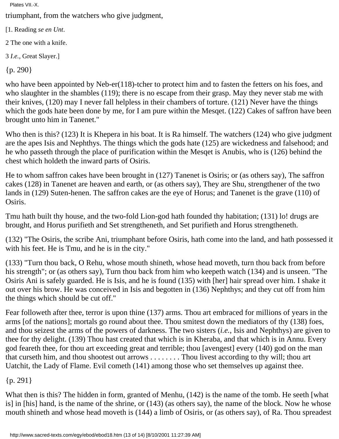triumphant, from the watchers who give judgment,

[1. Reading *se en Unt*.

2 The one with a knife.

3 *I.e.*, Great Slayer.]

 ${p. 290}$ 

who have been appointed by Neb-er(118)-tcher to protect him and to fasten the fetters on his foes, and who slaughter in the shambles (119); there is no escape from their grasp. May they never stab me with their knives, (120) may I never fall helpless in their chambers of torture. (121) Never have the things which the gods hate been done by me, for I am pure within the Mesqet. (122) Cakes of saffron have been brought unto him in Tanenet."

Who then is this? (123) It is Khepera in his boat. It is Ra himself. The watchers (124) who give judgment are the apes Isis and Nephthys. The things which the gods hate (125) are wickedness and falsehood; and he who passeth through the place of purification within the Mesqet is Anubis, who is (126) behind the chest which holdeth the inward parts of Osiris.

He to whom saffron cakes have been brought in (127) Tanenet is Osiris; or (as others say), The saffron cakes (128) in Tanenet are heaven and earth, or (as others say), They are Shu, strengthener of the two lands in (129) Suten-henen. The saffron cakes are the eye of Horus; and Tanenet is the grave (110) of Osiris.

Tmu hath built thy house, and the two-fold Lion-god hath founded thy habitation; (131) lo! drugs are brought, and Horus purifieth and Set strengtheneth, and Set purifieth and Horus strengtheneth.

(132) "The Osiris, the scribe Ani, triumphant before Osiris, hath come into the land, and hath possessed it with his feet. He is Tmu, and he is in the city."

(133) "Turn thou back, O Rehu, whose mouth shineth, whose head moveth, turn thou back from before his strength"; or (as others say), Turn thou back from him who keepeth watch (134) and is unseen. "The Osiris Ani is safely guarded. He is Isis, and he is found (135) with [her] hair spread over him. I shake it out over his brow. He was conceived in Isis and begotten in (136) Nephthys; and they cut off from him the things which should be cut off."

Fear followeth after thee, terror is upon thine (137) arms. Thou art embraced for millions of years in the arms [of the nations]; mortals go round about thee. Thou smitest down the mediators of thy (138) foes, and thou seizest the arms of the powers of darkness. The two sisters (*i.e.*, Isis and Nephthys) are given to thee for thy delight. (139) Thou hast created that which is in Kheraba, and that which is in Annu. Every god feareth thee, for thou art exceeding great and terrible; thou [avengest] every (140) god on the man that curseth him, and thou shootest out arrows . . . . . . . . Thou livest according to thy will; thou art Uatchit, the Lady of Flame. Evil cometh (141) among those who set themselves up against thee.

{p. 291}

What then is this? The hidden in form, granted of Menhu, (142) is the name of the tomb. He seeth [what is] in [his] hand, is the name of the shrine, or (143) (as others say), the name of the block. Now he whose mouth shineth and whose head moveth is (144) a limb of Osiris, or (as others say), of Ra. Thou spreadest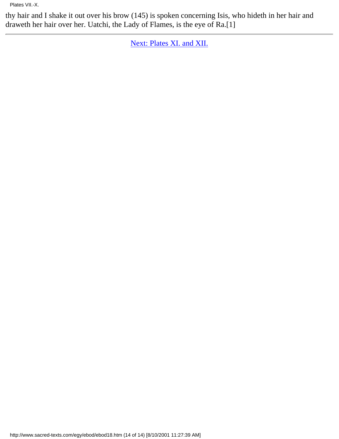thy hair and I shake it out over his brow (145) is spoken concerning Isis, who hideth in her hair and draweth her hair over her. Uatchi, the Lady of Flames, is the eye of Ra.[1]

[Next: Plates XI. and XII.](#page-170-0)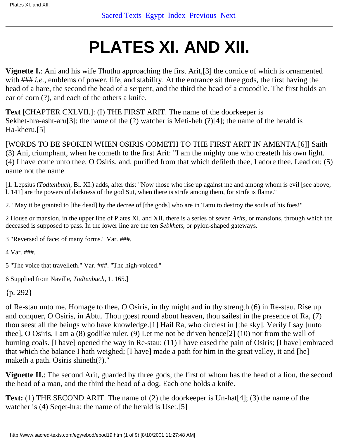## **PLATES XI. AND XII.**

<span id="page-170-0"></span>**Vignette I.**: Ani and his wife Thuthu approaching the first Arit, [3] the cornice of which is ornamented with ### *i.e.*, emblems of power, life, and stability. At the entrance sit three gods, the first having the head of a hare, the second the head of a serpent, and the third the head of a crocodile. The first holds an ear of corn (?), and each of the others a knife.

**Text** [CHAPTER CXLVII.]: (I) THE FIRST ARIT. The name of the doorkeeper is Sekhet-hra-asht-aru[3]; the name of the (2) watcher is Meti-heh (?)[4]; the name of the herald is Ha-kheru.[5]

[WORDS TO BE SPOKEN WHEN OSIRIS COMETH TO THE FIRST ARIT IN AMENTA.[6]] Saith (3) Ani, triumphant, when he cometh to the first Arit: "I am the mighty one who createth his own light. (4) I have come unto thee, O Osiris, and, purified from that which defileth thee, I adore thee. Lead on; (5) name not the name

[1. Lepsius (*Todtenbuch*, Bl. XI.) adds, after this: "Now those who rise up against me and among whom is evil [see above, l. 141] are the powers of darkness of the god Sut, when there is strife among them, for strife is flame."

2. "May it be granted to [the dead] by the decree of [the gods] who are in Tattu to destroy the souls of his foes!"

2 House or mansion. in the upper line of Plates XI. and XII. there is a series of seven *Arits*, or mansions, through which the deceased is supposed to pass. In the lower line are the ten *Sebkhets*, or pylon-shaped gateways.

3 "Reversed of face: of many forms." Var. ###.

4 Var. ###.

5 "The voice that travelleth." Var. ###. "The high-voiced."

6 Supplied from Naville, *Todtenbuch*, 1. 165.]

{p. 292}

of Re-stau unto me. Homage to thee, O Osiris, in thy might and in thy strength (6) in Re-stau. Rise up and conquer, O Osiris, in Abtu. Thou goest round about heaven, thou sailest in the presence of Ra, (7) thou seest all the beings who have knowledge.[1] Hail Ra, who circlest in [the sky]. Verily I say [unto thee], O Osiris, I am a (8) godlike ruler. (9) Let me not be driven hence[2] (10) nor from the wall of burning coals. [I have] opened the way in Re-stau; (11) I have eased the pain of Osiris; [I have] embraced that which the balance I hath weighed; [I have] made a path for him in the great valley, it and [he] maketh a path. Osiris shineth(?)."

**Vignette II.**: The second Arit, guarded by three gods; the first of whom has the head of a lion, the second the head of a man, and the third the head of a dog. Each one holds a knife.

**Text:** (1) THE SECOND ARIT. The name of (2) the doorkeeper is Un-hat[4]; (3) the name of the watcher is (4) Seqet-hra; the name of the herald is Uset.[5]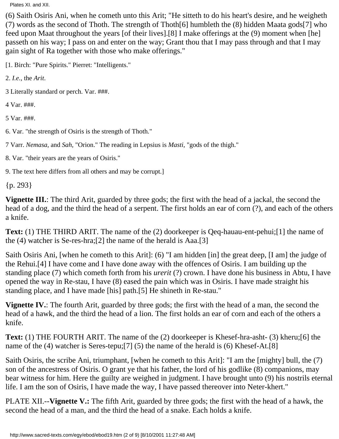(6) Saith Osiris Ani, when he cometh unto this Arit; "He sitteth to do his heart's desire, and he weigheth (7) words as the second of Thoth. The strength of Thoth[6] humbleth the (8) hidden Maata gods[7] who feed upon Maat throughout the years [of their lives].[8] I make offerings at the (9) moment when [he] passeth on his way; I pass on and enter on the way; Grant thou that I may pass through and that I may gain sight of Ra together with those who make offerings."

[1. Birch: "Pure Spirits." Pierret: "Intelligents."

2. *I.e.*, the *Arit*.

3 Literally standard or perch. Var. ###.

4 Var. ###.

5 Var. ###.

6. Var. "the strength of Osiris is the strength of Thoth."

7 Varr. *Nemasa*, and *Sah*, "Orion." The reading in Lepsius is *Masti*, "gods of the thigh."

8. Var. "their years are the years of Osiris."

9. The text here differs from all others and may be corrupt.]

 ${p. 293}$ 

**Vignette III.**: The third Arit, guarded by three gods; the first with the head of a jackal, the second the head of a dog, and the third the head of a serpent. The first holds an ear of corn (?), and each of the others a knife.

**Text:** (1) THE THIRD ARIT. The name of the (2) doorkeeper is Qeq-hauau-ent-pehui;[1] the name of the (4) watcher is Se-res-hra;[2] the name of the herald is Aaa.[3]

Saith Osiris Ani, [when he cometh to this Arit]: (6) "I am hidden [in] the great deep, [I am] the judge of the Rehui.[4] I have come and I have done away with the offences of Osiris. I am building up the standing place (7) which cometh forth from his *urerit* (?) crown. I have done his business in Abtu, I have opened the way in Re-stau, I have (8) eased the pain which was in Osiris. I have made straight his standing place, and I have made [his] path.[5] He shineth in Re-stau."

**Vignette IV.**: The fourth Arit, guarded by three gods; the first with the head of a man, the second the head of a hawk, and the third the head of a lion. The first holds an ear of corn and each of the others a knife.

**Text:** (1) THE FOURTH ARIT. The name of the (2) doorkeeper is Khesef-hra-asht- (3) kheru;[6] the name of the (4) watcher is Seres-tepu;[7] (5) the name of the herald is (6) Khesef-At.[8]

Saith Osiris, the scribe Ani, triumphant, [when he cometh to this Arit]: "I am the [mighty] bull, the (7) son of the ancestress of Osiris. O grant ye that his father, the lord of his godlike (8) companions, may bear witness for him. Here the guilty are weighed in judgment. I have brought unto (9) his nostrils eternal life. I am the son of Osiris, I have made the way, I have passed thereover into Neter-khert."

PLATE XII.--**Vignette V.:** The fifth Arit, guarded by three gods; the first with the head of a hawk, the second the head of a man, and the third the head of a snake. Each holds a knife.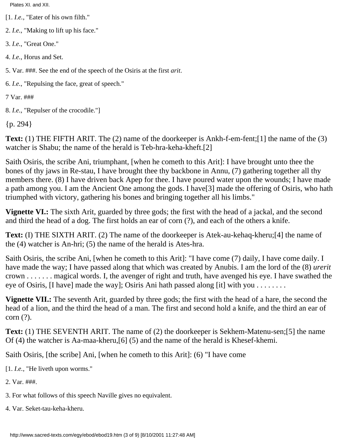[1. *I.e.*, "Eater of his own filth."

2. *I.e.*, "Making to lift up his face."

3. *I.e.*, "Great One."

4. *I.e.*, Horus and Set.

5. Var. ###. See the end of the speech of the Osiris at the first *arit*.

6. *I.e.*, "Repulsing the face, great of speech."

7 Var. ###

8. *I.e.*, "Repulser of the crocodile."]

 ${p. 294}$ 

**Text:** (1) THE FIFTH ARIT. The (2) name of the doorkeeper is Ankh-f-em-fent;[1] the name of the (3) watcher is Shabu; the name of the herald is Teb-hra-keha-kheft.[2]

Saith Osiris, the scribe Ani, triumphant, [when he cometh to this Arit]: I have brought unto thee the bones of thy jaws in Re-stau, I have brought thee thy backbone in Annu, (7) gathering together all thy members there. (8) I have driven back Apep for thee. I have poured water upon the wounds; I have made a path among you. I am the Ancient One among the gods. I have[3] made the offering of Osiris, who hath triumphed with victory, gathering his bones and bringing together all his limbs."

**Vignette VI.:** The sixth Arit, guarded by three gods; the first with the head of a jackal, and the second and third the head of a dog. The first holds an ear of corn (?), and each of the others a knife.

**Text:** (I) THE SIXTH ARIT. (2) The name of the doorkeeper is Atek-au-kehaq-kheru;[4] the name of the (4) watcher is An-hri; (5) the name of the herald is Ates-hra.

Saith Osiris, the scribe Ani, [when he cometh to this Arit]: "I have come (7) daily, I have come daily. I have made the way; I have passed along that which was created by Anubis. I am the lord of the (8) *urerit* crown . . . . . . . magical words. I, the avenger of right and truth, have avenged his eye. I have swathed the eye of Osiris, [I have] made the way]; Osiris Ani hath passed along [it] with you . . . . . . . .

**Vignette VII.:** The seventh Arit, guarded by three gods; the first with the head of a hare, the second the head of a lion, and the third the head of a man. The first and second hold a knife, and the third an ear of corn (?).

**Text:** (1) THE SEVENTH ARIT. The name of (2) the doorkeeper is Sekhem-Matenu-sen;[5] the name Of (4) the watcher is Aa-maa-kheru,[6] (5) and the name of the herald is Khesef-khemi.

Saith Osiris, [the scribe] Ani, [when he cometh to this Arit]: (6) "I have come

[1. *I.e.*, "He liveth upon worms."

2. Var. ###.

3. For what follows of this speech Naville gives no equivalent.

4. Var. Seket-tau-keha-kheru.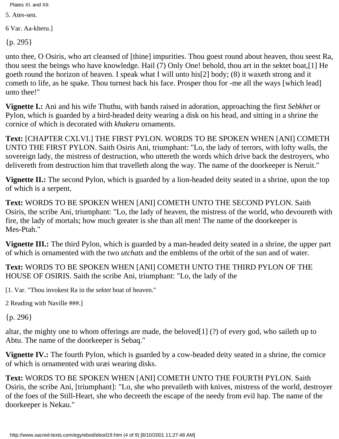5. Ates-sen.

6 Var. Aa-kheru.]

{p. 295}

unto thee, O Osiris, who art cleansed of [thine] impurities. Thou goest round about heaven, thou seest Ra, thou seest the beings who have knowledge. Hail (7) Only One! behold, thou art in the sektet boat,[1] He goeth round the horizon of heaven. I speak what I will unto his[2] body; (8) it waxeth strong and it cometh to life, as he spake. Thou turnest back his face. Prosper thou for -me all the ways [which lead] unto thee!"

**Vignette I.:** Ani and his wife Thuthu, with hands raised in adoration, approaching the first *Sebkhet* or Pylon, which is guarded by a bird-headed deity wearing a disk on his head, and sitting in a shrine the cornice of which is decorated with *khakeru* ornaments.

**Text:** [CHAPTER CXLVI.] THE FIRST PYLON. WORDS TO BE SPOKEN WHEN [ANI] COMETH UNTO THE FIRST PYLON. Saith Osiris Ani, triumphant: "Lo, the lady of terrors, with lofty walls, the sovereign lady, the mistress of destruction, who uttereth the words which drive back the destroyers, who delivereth from destruction him that travelleth along the way. The name of the doorkeeper is Neruit."

**Vignette II.:** The second Pylon, which is guarded by a lion-headed deity seated in a shrine, upon the top of which is a serpent.

**Text:** WORDS TO BE SPOKEN WHEN [ANI] COMETH UNTO THE SECOND PYLON. Saith Osiris, the scribe Ani, triumphant: "Lo, the lady of heaven, the mistress of the world, who devoureth with fire, the lady of mortals; how much greater is she than all men! The name of the doorkeeper is Mes-Ptah."

**Vignette III.:** The third Pylon, which is guarded by a man-headed deity seated in a shrine, the upper part of which is ornamented with the two *utchats* and the emblems of the orbit of the sun and of water.

**Text:** WORDS TO BE SPOKEN WHEN [ANI] COMETH UNTO THE THIRD PYLON OF THE HOUSE OF OSIRIS. Saith the scribe Ani, triumphant: "Lo, the lady of the

[1. Var. "Thou invokest Ra in the *sektet* boat of heaven."

2 Reading with Naville ###.]

{p. 296}

altar, the mighty one to whom offerings are made, the beloved[1] (?) of every god, who saileth up to Abtu. The name of the doorkeeper is Sebaq."

**Vignette IV.:** The fourth Pylon, which is guarded by a cow-headed deity seated in a shrine, the cornice of which is ornamented with uræi wearing disks.

**Text:** WORDS TO BE SPOKEN WHEN [ANI] COMETH UNTO THE FOURTH PYLON. Saith Osiris, the scribe Ani, [triumphant]: "Lo, she who prevaileth with knives, mistress of the world, destroyer of the foes of the Still-Heart, she who decreeth the escape of the needy from evil hap. The name of the doorkeeper is Nekau."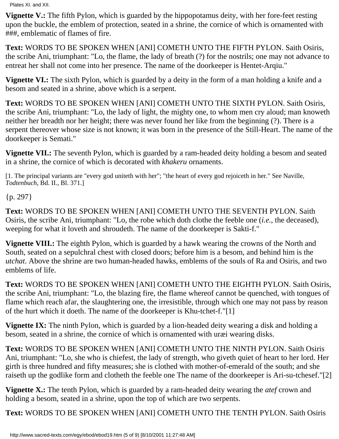**Vignette V.:** The fifth Pylon, which is guarded by the hippopotamus deity, with her fore-feet resting upon the buckle, the emblem of protection, seated in a shrine, the cornice of which is ornamented with ###, emblematic of flames of fire.

**Text:** WORDS TO BE SPOKEN WHEN [ANI] COMETH UNTO THE FIFTH PYLON. Saith Osiris, the scribe Ani, triumphant: "Lo, the flame, the lady of breath (?) for the nostrils; one may not advance to entreat her shall not come into her presence. The name of the doorkeeper is Hentet-Arqiu."

**Vignette VI.:** The sixth Pylon, which is guarded by a deity in the form of a man holding a knife and a besom and seated in a shrine, above which is a serpent.

**Text:** WORDS TO BE SPOKEN WHEN [ANI] COMETH UNTO THE SIXTH PYLON. Saith Osiris, the scribe Ani, triumphant: "Lo, the lady of light, the mighty one, to whom men cry aloud; man knoweth neither her breadth nor her height; there was never found her like from the beginning (?). There is a serpent thereover whose size is not known; it was born in the presence of the Still-Heart. The name of the doorkeeper is Semati."

**Vignette VII.:** The seventh Pylon, which is guarded by a ram-headed deity holding a besom and seated in a shrine, the cornice of which is decorated with *khakeru* ornaments.

[1. The principal variants are "every god uniteth with her"; "the heart of every god rejoiceth in her." See Naville, *Todtenbuch*, Bd. II., Bl. 371.]

 ${p. 297}$ 

**Text:** WORDS TO BE SPOKEN WHEN [ANI] COMETH UNTO THE SEVENTH PYLON. Saith Osiris, the scribe Ani, triumphant: "Lo, the robe which doth clothe the feeble one (*i.e.*, the deceased), weeping for what it loveth and shroudeth. The name of the doorkeeper is Sakti-f."

**Vignette VIII.:** The eighth Pylon, which is guarded by a hawk wearing the crowns of the North and South, seated on a sepulchral chest with closed doors; before him is a besom, and behind him is the *utchat*. Above the shrine are two human-headed hawks, emblems of the souls of Ra and Osiris, and two emblems of life.

**Text:** WORDS TO BE SPOKEN WHEN [ANI] COMETH UNTO THE EIGHTH PYLON. Saith Osiris, the scribe Ani, triumphant: "Lo, the blazing fire, the flame whereof cannot be quenched, with tongues of flame which reach afar, the slaughtering one, the irresistible, through which one may not pass by reason of the hurt which it doeth. The name of the doorkeeper is Khu-tchet-f."[1]

**Vignette IX:** The ninth Pylon, which is guarded by a lion-headed deity wearing a disk and holding a besom, seated in a shrine, the cornice of which is ornamented with uræi wearing disks.

**Text:** WORDS TO BE SPOKEN WHEN [ANI] COMETH UNTO THE NINTH PYLON. Saith Osiris Ani, triumphant: "Lo, she who is chiefest, the lady of strength, who giveth quiet of heart to her lord. Her girth is three hundred and fifty measures; she is clothed with mother-of-emerald of the south; and she raiseth up the godlike form and clotheth the feeble one The name of the doorkeeper is Ari-su-tchesef."[2]

**Vignette X.:** The tenth Pylon, which is guarded by a ram-headed deity wearing the *atef* crown and holding a besom, seated in a shrine, upon the top of which are two serpents.

**Text:** WORDS TO BE SPOKEN WHEN [ANI] COMETH UNTO THE TENTH PYLON. Saith Osiris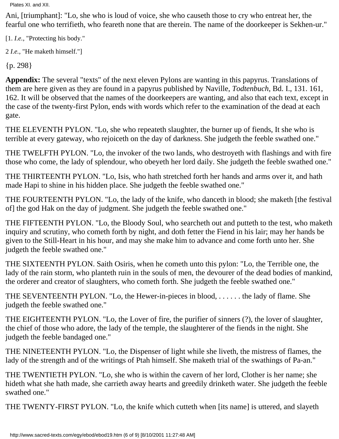Ani, [triumphant]: "Lo, she who is loud of voice, she who causeth those to cry who entreat her, the fearful one who terrifieth, who feareth none that are therein. The name of the doorkeeper is Sekhen-ur."

[1. *I.e.*, "Protecting his body."

2 *I.e.*, "He maketh himself."]

{p. 298}

**Appendix:** The several "texts" of the next eleven Pylons are wanting in this papyrus. Translations of them are here given as they are found in a papyrus published by Naville, *Todtenbuch*, Bd. I., 131. 161, 162. It will be observed that the names of the doorkeepers are wanting, and also that each text, except in the case of the twenty-first Pylon, ends with words which refer to the examination of the dead at each gate.

THE ELEVENTH PYLON. "Lo, she who repeateth slaughter, the burner up of fiends, It she who is terrible at every gateway, who rejoiceth on the day of darkness. She judgeth the feeble swathed one."

THE TWELFTH PYLON. "Lo, the invoker of the two lands, who destroyeth with flashings and with fire those who come, the lady of splendour, who obeyeth her lord daily. She judgeth the feeble swathed one."

THE THIRTEENTH PYLON. "Lo, Isis, who hath stretched forth her hands and arms over it, and hath made Hapi to shine in his hidden place. She judgeth the feeble swathed one."

THE FOURTEENTH PYLON. "Lo, the lady of the knife, who danceth in blood; she maketh [the festival of] the god Hak on the day of judgment. She judgeth the feeble swathed one."

THE FIFTEENTH PYLON. "Lo, the Bloody Soul, who searcheth out and putteth to the test, who maketh inquiry and scrutiny, who cometh forth by night, and doth fetter the Fiend in his lair; may her hands be given to the Still-Heart in his hour, and may she make him to advance and come forth unto her. She judgeth the feeble swathed one."

THE SIXTEENTH PYLON. Saith Osiris, when he cometh unto this pylon: "Lo, the Terrible one, the lady of the rain storm, who planteth ruin in the souls of men, the devourer of the dead bodies of mankind, the orderer and creator of slaughters, who cometh forth. She judgeth the feeble swathed one."

THE SEVENTEENTH PYLON. "Lo, the Hewer-in-pieces in blood, . . . . . . the lady of flame. She judgeth the feeble swathed one."

THE EIGHTEENTH PYLON. "Lo, the Lover of fire, the purifier of sinners (?), the lover of slaughter, the chief of those who adore, the lady of the temple, the slaughterer of the fiends in the night. She judgeth the feeble bandaged one."

THE NINETEENTH PYLON. "Lo, the Dispenser of light while she liveth, the mistress of flames, the lady of the strength and of the writings of Ptah himself. She maketh trial of the swathings of Pa-an."

THE TWENTIETH PYLON. "Lo, she who is within the cavern of her lord, Clother is her name; she hideth what she hath made, she carrieth away hearts and greedily drinketh water. She judgeth the feeble swathed one."

THE TWENTY-FIRST PYLON. "Lo, the knife which cutteth when [its name] is uttered, and slayeth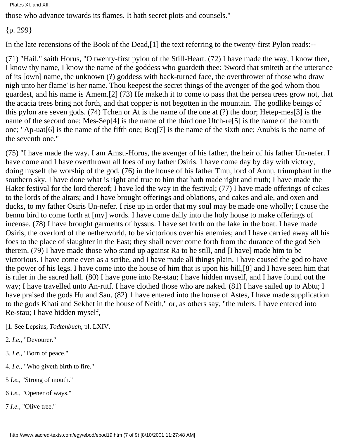those who advance towards its flames. It hath secret plots and counsels."

{p. 299}

In the late recensions of the Book of the Dead,[1] the text referring to the twenty-first Pylon reads:--

(71) "Hail," saith Horus, "O twenty-first pylon of the Still-Heart. (72) I have made the way, I know thee, I know thy name, I know the name of the goddess who guardeth thee: 'Sword that smiteth at the utterance of its [own] name, the unknown (?) goddess with back-turned face, the overthrower of those who draw nigh unto her flame' is her name. Thou keepest the secret things of the avenger of the god whom thou guardest, and his name is Amem.[2] (73) He maketh it to come to pass that the persea trees grow not, that the acacia trees bring not forth, and that copper is not begotten in the mountain. The godlike beings of this pylon are seven gods. (74) Tchen or At is the name of the one at (?) the door; Hetep-mes[3] is the name of the second one; Mes-Sep[4] is the name of the third one Utch-re[5] is the name of the fourth one; "Ap-uat[6] is the name of the fifth one; Beq[7] is the name of the sixth one; Anubis is the name of the seventh one."

(75) "I have made the way. I am Amsu-Horus, the avenger of his father, the heir of his father Un-nefer. I have come and I have overthrown all foes of my father Osiris. I have come day by day with victory, doing myself the worship of the god, (76) in the house of his father Tmu, lord of Annu, triumphant in the southern sky. I have done what is right and true to him that hath made right and truth; I have made the Haker festival for the lord thereof; I have led the way in the festival; (77) I have made offerings of cakes to the lords of the altars; and I have brought offerings and oblations, and cakes and ale, and oxen and ducks, to my father Osiris Un-nefer. I rise up in order that my soul may be made one wholly; I cause the bennu bird to come forth at [my] words. I have come daily into the holy house to make offerings of incense. (78) I have brought garments of byssus. I have set forth on the lake in the boat. I have made Osiris, the overlord of the netherworld, to be victorious over his enemies; and I have carried away all his foes to the place of slaughter in the East; they shall never come forth from the durance of the god Seb therein. (79) I have made those who stand up against Ra to be still, and [I have] made him to be victorious. I have come even as a scribe, and I have made all things plain. I have caused the god to have the power of his legs. I have come into the house of him that is upon his hill,[8] and I have seen him that is ruler in the sacred hall. (80) I have gone into Re-stau; I have hidden myself, and I have found out the way; I have travelled unto An-rutf. I have clothed those who are naked. (81) I have sailed up to Abtu; I have praised the gods Hu and Sau. (82) 1 have entered into the house of Astes, I have made supplication to the gods Khati and Sekhet in the house of Neith," or, as others say, "the rulers. I have entered into Re-stau; I have hidden myself,

[1. See Lepsius, *Todtenbuch*, pl. LXIV.

- 2. *I.e.*, "Devourer."
- 3. *I.e.*, "Born of peace."
- 4. *I.e.*, "Who giveth birth to fire."
- 5 *I.e.*, "Strong of mouth."
- 6 *I.e.*, "Opener of ways."
- 7 *I.e.*, "Olive tree."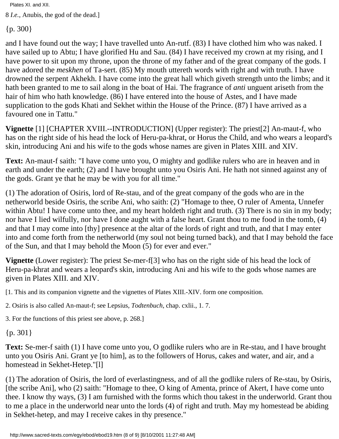8 *I.e.*, Anubis, the god of the dead.]

{p. 300}

and I have found out the way; I have travelled unto An-rutf. (83) I have clothed him who was naked. I have sailed up to Abtu; I have glorified Hu and Sau. (84) I have received my crown at my rising, and I have power to sit upon my throne, upon the throne of my father and of the great company of the gods. I have adored the *meskhen* of Ta-sert. (85) My mouth uttereth words with right and with truth. I have drowned the serpent Akhekh. I have come into the great hall which giveth strength unto the limbs; and it hath been granted to me to sail along in the boat of Hai. The fragrance of *anti* unguent ariseth from the hair of him who hath knowledge. (86) I have entered into the house of Astes, and I have made supplication to the gods Khati and Sekhet within the House of the Prince. (87) I have arrived as a favoured one in Tattu."

**Vignette** [1] [CHAPTER XVIII.--INTRODUCTION] (Upper register): The priest[2] An-maut-f, who has on the right side of his head the lock of Heru-pa-khrat, or Horus the Child, and who wears a leopard's skin, introducing Ani and his wife to the gods whose names are given in Plates XIII. and XIV.

**Text:** An-maut-f saith: "I have come unto you, O mighty and godlike rulers who are in heaven and in earth and under the earth; (2) and I have brought unto you Osiris Ani. He hath not sinned against any of the gods. Grant ye that he may be with you for all time."

(1) The adoration of Osiris, lord of Re-stau, and of the great company of the gods who are in the netherworld beside Osiris, the scribe Ani, who saith: (2) "Homage to thee, O ruler of Amenta, Unnefer within Abtu! I have come unto thee, and my heart holdeth right and truth. (3) There is no sin in my body; nor have I lied wilfully, nor have I done aught with a false heart. Grant thou to me food in the tomb, (4) and that I may come into [thy] presence at the altar of the lords of right and truth, and that I may enter into and come forth from the netherworld (my soul not being turned back), and that I may behold the face of the Sun, and that I may behold the Moon (5) for ever and ever."

**Vignette** (Lower register): The priest Se-mer-f[3] who has on the right side of his head the lock of Heru-pa-khrat and wears a leopard's skin, introducing Ani and his wife to the gods whose names are given in Plates XIII. and XIV.

[1. This and its companion vignette and the vignettes of Plates XIII.-XIV. form one composition.

2. Osiris is also called An-maut-f; see Lepsius, *Todtenbuch*, chap. cxlii., 1. 7.

3. For the functions of this priest see above, p. 268.]

{p. 301}

**Text:** Se-mer-f saith (1) I have come unto you, O godlike rulers who are in Re-stau, and I have brought unto you Osiris Ani. Grant ye [to him], as to the followers of Horus, cakes and water, and air, and a homestead in Sekhet-Hetep."[l]

(1) The adoration of Osiris, the lord of everlastingness, and of all the godlike rulers of Re-stau, by Osiris, [the scribe Ani], who (2) saith: "Homage to thee, O king of Amenta, prince of Akert, I have come unto thee. I know thy ways, (3) I am furnished with the forms which thou takest in the underworld. Grant thou to me a place in the underworld near unto the lords (4) of right and truth. May my homestead be abiding in Sekhet-hetep, and may I receive cakes in thy presence."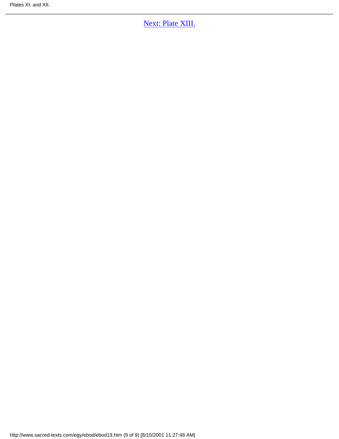[Next: Plate XIII.](#page-179-0)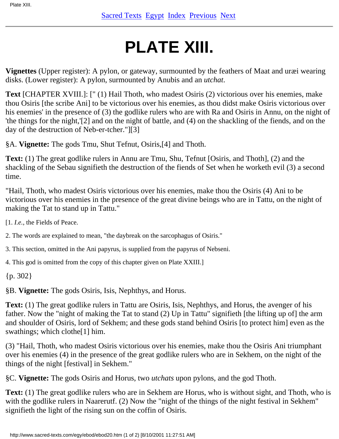## **PLATE XIII.**

<span id="page-179-0"></span>**Vignettes** (Upper register): A pylon, or gateway, surmounted by the feathers of Maat and uræi wearing disks. (Lower register): A pylon, surmounted by Anubis and an *utchat*.

**Text** [CHAPTER XVIII.]: [" (1) Hail Thoth, who madest Osiris (2) victorious over his enemies, make thou Osiris [the scribe Ani] to be victorious over his enemies, as thou didst make Osiris victorious over his enemies' in the presence of (3) the godlike rulers who are with Ra and Osiris in Annu, on the night of 'the things for the night,'[2] and on the night of battle, and (4) on the shackling of the fiends, and on the day of the destruction of Neb-er-tcher."][3]

§A. **Vignette:** The gods Tmu, Shut Tefnut, Osiris,[4] and Thoth.

**Text:** (1) The great godlike rulers in Annu are Tmu, Shu, Tefnut [Osiris, and Thoth], (2) and the shackling of the Sebau signifieth the destruction of the fiends of Set when he worketh evil (3) a second time.

"Hail, Thoth, who madest Osiris victorious over his enemies, make thou the Osiris (4) Ani to be victorious over his enemies in the presence of the great divine beings who are in Tattu, on the night of making the Tat to stand up in Tattu."

[1. *I.e.*, the Fields of Peace.

2. The words are explained to mean, "the daybreak on the sarcophagus of Osiris."

- 3. This section, omitted in the Ani papyrus, is supplied from the papyrus of Nebseni.
- 4. This god is omitted from the copy of this chapter given on Plate XXIII.]

{p. 302}

§B. **Vignette:** The gods Osiris, Isis, Nephthys, and Horus.

**Text:** (1) The great godlike rulers in Tattu are Osiris, Isis, Nephthys, and Horus, the avenger of his father. Now the "night of making the Tat to stand (2) Up in Tattu" signifieth [the lifting up of] the arm and shoulder of Osiris, lord of Sekhem; and these gods stand behind Osiris [to protect him] even as the swathings; which clothe[1] him.

(3) "Hail, Thoth, who madest Osiris victorious over his enemies, make thou the Osiris Ani triumphant over his enemies (4) in the presence of the great godlike rulers who are in Sekhem, on the night of the things of the night [festival] in Sekhem."

§C. **Vignette:** The gods Osiris and Horus, two *utchats* upon pylons, and the god Thoth.

**Text:** (1) The great godlike rulers who are in Sekhem are Horus, who is without sight, and Thoth, who is with the godlike rulers in Naarerutf. (2) Now the "night of the things of the night festival in Sekhem" signifieth the light of the rising sun on the coffin of Osiris.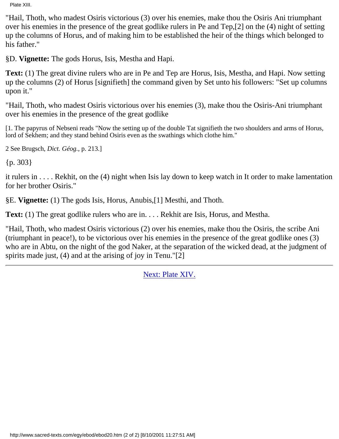Plate XIII.

"Hail, Thoth, who madest Osiris victorious (3) over his enemies, make thou the Osiris Ani triumphant over his enemies in the presence of the great godlike rulers in Pe and Tep,[2] on the (4) night of setting up the columns of Horus, and of making him to be established the heir of the things which belonged to his father."

§D. **Vignette:** The gods Horus, Isis, Mestha and Hapi.

**Text:** (1) The great divine rulers who are in Pe and Tep are Horus, Isis, Mestha, and Hapi. Now setting up the columns (2) of Horus [signifieth] the command given by Set unto his followers: "Set up columns upon it."

"Hail, Thoth, who madest Osiris victorious over his enemies (3), make thou the Osiris-Ani triumphant over his enemies in the presence of the great godlike

[1. The papyrus of Nebseni reads "Now the setting up of the double Tat signifieth the two shoulders and arms of Horus, lord of Sekhem; and they stand behind Osiris even as the swathings which clothe him."

2 See Brugsch, *Dict. Géog.*, p. 213.]

{p. 303}

it rulers in . . . . Rekhit, on the (4) night when Isis lay down to keep watch in It order to make lamentation for her brother Osiris."

§E. **Vignette:** (1) The gods Isis, Horus, Anubis,[1] Mesthi, and Thoth.

**Text:** (1) The great godlike rulers who are in. . . . Rekhit are Isis, Horus, and Mestha.

"Hail, Thoth, who madest Osiris victorious (2) over his enemies, make thou the Osiris, the scribe Ani (triumphant in peace!), to be victorious over his enemies in the presence of the great godlike ones (3) who are in Abtu, on the night of the god Naker, at the separation of the wicked dead, at the judgment of spirits made just, (4) and at the arising of joy in Tenu."[2]

[Next: Plate XIV.](#page-181-0)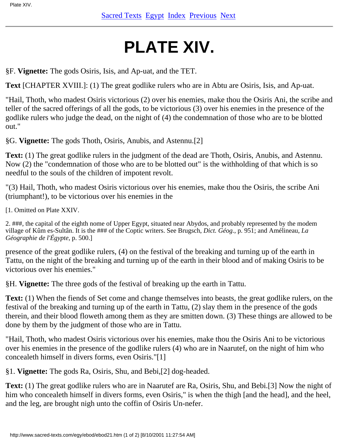# **PLATE XIV.**

<span id="page-181-0"></span>§F. **Vignette:** The gods Osiris, Isis, and Ap-uat, and the TET.

**Text** [CHAPTER XVIII.]: (1) The great godlike rulers who are in Abtu are Osiris, Isis, and Ap-uat.

"Hail, Thoth, who madest Osiris victorious (2) over his enemies, make thou the Osiris Ani, the scribe and teller of the sacred offerings of all the gods, to be victorious (3) over his enemies in the presence of the godlike rulers who judge the dead, on the night of (4) the condemnation of those who are to be blotted out."

§G. **Vignette:** The gods Thoth, Osiris, Anubis, and Astennu.[2]

**Text:** (1) The great godlike rulers in the judgment of the dead are Thoth, Osiris, Anubis, and Astennu. Now (2) the "condemnation of those who are to be blotted out" is the withholding of that which is so needful to the souls of the children of impotent revolt.

"(3) Hail, Thoth, who madest Osiris victorious over his enemies, make thou the Osiris, the scribe Ani (triumphant!), to be victorious over his enemies in the

[1. Omitted on Plate XXIV.

2. ###, the capital of the eighth nome of Upper Egypt, situated near Abydos, and probably represented by the modem village of Kûm es-Sultân. It is the ### of the Coptic writers. See Brugsch, *Dict. Géog.*, p. 951; and Amélineau, *La Géographie de l'Égypte*, p. 500.]

presence of the great godlike rulers, (4) on the festival of the breaking and turning up of the earth in Tattu, on the night of the breaking and turning up of the earth in their blood and of making Osiris to be victorious over his enemies."

§H. **Vignette:** The three gods of the festival of breaking up the earth in Tattu.

**Text:** (1) When the fiends of Set come and change themselves into beasts, the great godlike rulers, on the festival of the breaking and turning up of the earth in Tattu, (2) slay them in the presence of the gods therein, and their blood floweth among them as they are smitten down. (3) These things are allowed to be done by them by the judgment of those who are in Tattu.

"Hail, Thoth, who madest Osiris victorious over his enemies, make thou the Osiris Ani to be victorious over his enemies in the presence of the godlike rulers (4) who are in Naarutef, on the night of him who concealeth himself in divers forms, even Osiris."[1]

§1. **Vignette:** The gods Ra, Osiris, Shu, and Bebi,[2] dog-headed.

**Text:** (1) The great godlike rulers who are in Naarutef are Ra, Osiris, Shu, and Bebi.[3] Now the night of him who concealeth himself in divers forms, even Osiris," is when the thigh [and the head], and the heel, and the leg, are brought nigh unto the coffin of Osiris Un-nefer.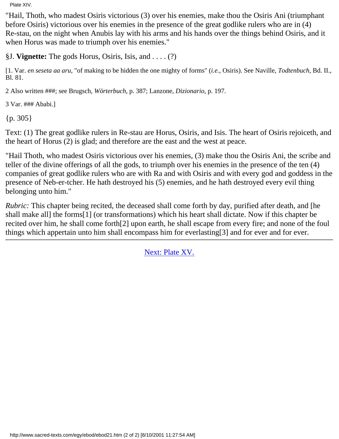"Hail, Thoth, who madest Osiris victorious (3) over his enemies, make thou the Osiris Ani (triumphant before Osiris) victorious over his enemies in the presence of the great godlike rulers who are in (4) Re-stau, on the night when Anubis lay with his arms and his hands over the things behind Osiris, and it when Horus was made to triumph over his enemies."

§J. **Vignette:** The gods Horus, Osiris, Isis, and . . . . (?)

[1. Var. *en seseta aa aru*, "of making to be hidden the one mighty of forms" (*i.e.*, Osiris). See Naville, *Todtenbuch*, Bd. II., Bl. 81.

2 Also written ###; see Brugsch, *Wörterbuch*, p. 387; Lanzone, *Dizionario*, p. 197.

3 Var. ### Ababi.]

 ${p. 305}$ 

Text: (1) The great godlike rulers in Re-stau are Horus, Osiris, and Isis. The heart of Osiris rejoiceth, and the heart of Horus (2) is glad; and therefore are the east and the west at peace.

"Hail Thoth, who madest Osiris victorious over his enemies, (3) make thou the Osiris Ani, the scribe and teller of the divine offerings of all the gods, to triumph over his enemies in the presence of the ten (4) companies of great godlike rulers who are with Ra and with Osiris and with every god and goddess in the presence of Neb-er-tcher. He hath destroyed his (5) enemies, and he hath destroyed every evil thing belonging unto him."

*Rubric:* This chapter being recited, the deceased shall come forth by day, purified after death, and [he shall make all] the forms[1] (or transformations) which his heart shall dictate. Now if this chapter be recited over him, he shall come forth[2] upon earth, he shall escape from every fire; and none of the foul things which appertain unto him shall encompass him for everlasting[3] and for ever and for ever.

[Next: Plate XV.](#page-183-0)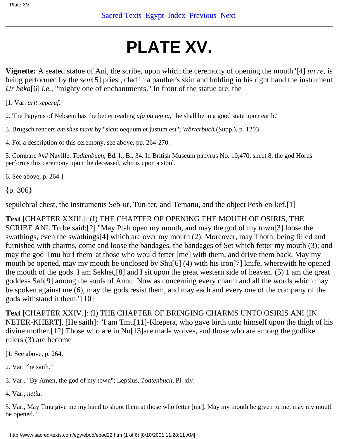# **PLATE XV.**

<span id="page-183-0"></span>**Vignette:** A seated statue of Ani, the scribe, upon which the ceremony of opening the mouth"[4] *un re*, is being performed by the *sem*[5] priest, clad in a panther's skin and holding in his right hand the instrument *Ur heka*[6] *i.e.*, "mighty one of enchantments." In front of the statue are: the

[1. Var. *arit xeperuf*.

2. The Papyrus of Nebseni has the better reading *ufa pu tep ta*, "he shall be in a good state upon earth."

3. Brugsch renders *em shes maat* by "sicut oequum et justum est"; *Wörterbuch* (Supp.), p. 1203.

4. For a description of this ceremony, see above, pp. 264-270.

5. Compare ### Naville, *Todtenbuch*, Bd. I., Bl. 34. In British Museum papyrus No. 10,470, sheet 8, the god Horus performs this ceremony upon the deceased, who is upon a stool.

6. See above, p. 264.]

 ${p. 306}$ 

sepulchral chest, the instruments Seb-ur, Tun-tet, and Temanu, and the object Pesh-en-kef.[1]

**Text** [CHAPTER XXIII.]: (I) THE CHAPTER OF OPENING THE MOUTH OF OSIRIS, THE SCRIBE ANI. To be said:[2] "May Ptah open my mouth, and may the god of my town[3] loose the swathings, even the swathings[4] which are over my mouth (2). Moreover, may Thoth, being filled and furnished with charms, come and loose the bandages, the bandages of Set which fetter my mouth (3); and may the god Tmu hurl them' at those who would fetter [me] with them, and drive them back. May my mouth be opened, may my mouth be unclosed by Shu[6] (4) with his iron[7] knife, wherewith he opened the mouth of the gods. I am Sekhet,[8] and I sit upon the great western side of heaven. (5) 1 am the great goddess Sah[9] among the souls of Annu. Now as concerning every charm and all the words which may be spoken against me (6), may the gods resist them, and may each and every one of the company of the gods withstand it them."[10]

**Text** [CHAPTER XXIV.]: (I) THE CHAPTER OF BRINGING CHARMS UNTO OSIRIS ANI [IN NETER-KHERT]. [He saith]: "I am Tmu[11]-Khepera, who gave birth unto himself upon the thigh of his divine mother.[12] Those who are in Nu[13]are made wolves, and those who are among the godlike rulers (3) are become

[1. See above, p. 264.

2. Var. "he saith."

3. Var., "By Amen, the god of my town"; Lepsius, *Todtenbuch*, Pl. xiv.

4. Var., *netiu*.

5. Var., May Tmu give me my hand to shoot them at those who fetter [me]. May my mouth be given to me, may my mouth be opened."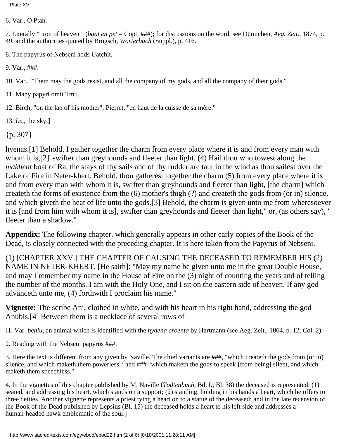6. Var., O Ptah.

7. Literally " iron of heaven " (*baat en pet* = Copt. ###); for discussions on the word, see Dümichen, *Aeg. Zeit.*, 1874, p. 49, and the authorities quoted by Brugsch, *Wörterbuch* (Suppl.), p. 416.

8. The papyrus of Nebseni adds Uatchit.

9. Var., ###.

10. Var., "Them may the gods resist, and all the company of my gods, and all the company of their gods."

11. Many papyri omit Tmu.

12. Birch, "on the lap of his mother"; Pierret, "en haut de la cuisse de sa mère."

13. *I.e.*, the sky.]

{p. 307}

hyenas.[1] Behold, I gather together the charm from every place where it is and from every man with whom it is,[2]' swifter than greyhounds and fleeter than light. (4) Hail thou who towest along the *makhent* boat of Ra, the stays of thy sails and of thy rudder are taut in the wind as thou sailest over the Lake of Fire in Neter-khert. Behold, thou gatherest together the charm (5) from every place where it is and from every man with whom it is, swifter than greyhounds and fleeter than light, [the charm] which createth the forms of existence from the (6) mother's thigh (?) and createth the gods from (or in) silence, and which giveth the heat of life unto the gods.[3] Behold, the charm is given unto me from wheresoever it is [and from him with whom it is], swifter than greyhounds and fleeter than light," or, (as others say), " fleeter than a shadow."

**Appendix:** The following chapter, which generally appears in other early copies of the Book of the Dead, is closely connected with the preceding chapter. It is here taken from the Papyrus of Nebseni.

(1) [CHAPTER XXV.] THE CHAPTER OF CAUSING THE DECEASED TO REMEMBER HIS (2) NAME IN NETER-KHERT. [He saith]: "May my name be given unto me in the great Double House, and may I remember my name in the House of Fire on the (3) night of counting the years and of telling the number of the months. I am with the Holy One, and I sit on the eastern side of heaven. If any god advanceth unto me, (4) forthwith I proclaim his name."

**Vignette:** The scribe Ani, clothed in white, and with his heart in his right hand, addressing the god Anubis.[4] Between them is a necklace of several rows of

[1. Var. *behiu*, an animal which is identified with the *hyaena croenta* by Hartmann (see Aeg. Zeit., 1864, p. 12, Col. 2).

2. Reading with the Nebseni papyrus ###.

3. Here the text is different from any given by Naville. The chief variants are ###, "which createth the gods from (or in) silence, and which maketh them powerless"; and ### "which maketh the gods to speak [from being] silent, and which maketh them speechless."

4. In the vignettes of this chapter published by M. Naville (*Todtenbuch*, Bd. I., Bl. 38) the deceased is represented: (1) seated, and addressing his heart, which stands on a support; (2) standing, holding in his hands a heart, which he offers to three deities. Another vignette represents a priest tying a heart on to a statue of the deceased; and in the late recension of the Book of the Dead published by Lepsius (Bl. 15) the deceased holds a heart to his left side and addresses a human-headed hawk emblematic of the soul.]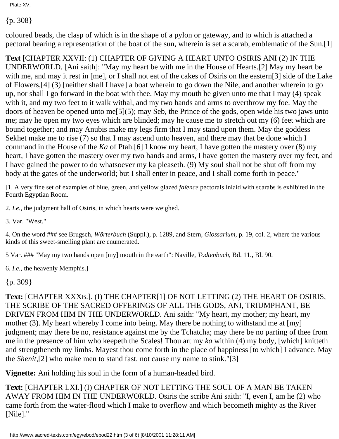#### {p. 308}

coloured beads, the clasp of which is in the shape of a pylon or gateway, and to which is attached a pectoral bearing a representation of the boat of the sun, wherein is set a scarab, emblematic of the Sun.[1]

**Text** [CHAPTER XXVII: (1) CHAPTER OF GIVING A HEART UNTO OSIRIS ANI (2) IN THE UNDERWORLD. [Ani saith]: "May my heart be with me in the House of Hearts.[2] May my heart be with me, and may it rest in [me], or I shall not eat of the cakes of Osiris on the eastern[3] side of the Lake of Flowers,[4] (3) [neither shall I have] a boat wherein to go down the Nile, and another wherein to go up, nor shall I go forward in the boat with thee. May my mouth be given unto me that I may (4) speak with it, and my two feet to it walk withal, and my two hands and arms to overthrow my foe. May the doors of heaven be opened unto me[5](5); may Seb, the Prince of the gods, open wide his two jaws unto me; may he open my two eyes which are blinded; may he cause me to stretch out my (6) feet which are bound together; and may Anubis make my legs firm that I may stand upon them. May the goddess Sekhet make me to rise (7) so that I may ascend unto heaven, and there may that be done which I command in the House of the *Ka* of Ptah.[6] I know my heart, I have gotten the mastery over (8) my heart, I have gotten the mastery over my two hands and arms, I have gotten the mastery over my feet, and I have gained the power to do whatsoever my ka pleaseth. (9) My soul shall not be shut off from my body at the gates of the underworld; but I shall enter in peace, and I shall come forth in peace."

[1. A very fine set of examples of blue, green, and yellow glazed *faïence* pectorals inlaid with scarabs is exhibited in the Fourth Egyptian Room.

2. *I.e.*, the judgment hall of Osiris, in which hearts were weighed.

3. Var. "West."

4. On the word ### see Brugsch, *Wörterbuch* (Suppl.), p. 1289, and Stern, *Glossarium*, p. 19, col. 2, where the various kinds of this sweet-smelling plant are enumerated.

5 Var. ### "May my two hands open [my] mouth in the earth": Naville, *Todtenbuch*, Bd. 11., Bl. 90.

6. *I.e.*, the heavenly Memphis.]

{p. 309}

**Text:** [CHAPTER XXXB.]. (I) THE CHAPTER[1] OF NOT LETTING (2) THE HEART OF OSIRIS, THE SCRIBE OF THE SACRED OFFERINGS OF ALL THE GODS, ANI, TRIUMPHANT, BE DRIVEN FROM HIM IN THE UNDERWORLD. Ani saith: "My heart, my mother; my heart, my mother (3). My heart whereby I come into being. May there be nothing to withstand me at [my] judgment; may there be no, resistance against me by the Tchatcha; may there be no parting of thee from me in the presence of him who keepeth the Scales! Thou art my *ka* within (4) my body, [which] knitteth and strengtheneth my limbs. Mayest thou come forth in the place of happiness [to which] I advance. May the *Shenit*,[2] who make men to stand fast, not cause my name to stink."[3]

**Vignette:** Ani holding his soul in the form of a human-headed bird.

**Text:** [CHAPTER LXI.] (I) CHAPTER OF NOT LETTING THE SOUL OF A MAN BE TAKEN AWAY FROM HIM IN THE UNDERWORLD. Osiris the scribe Ani saith: "I, even I, am he (2) who came forth from the water-flood which I make to overflow and which becometh mighty as the River [Nile]."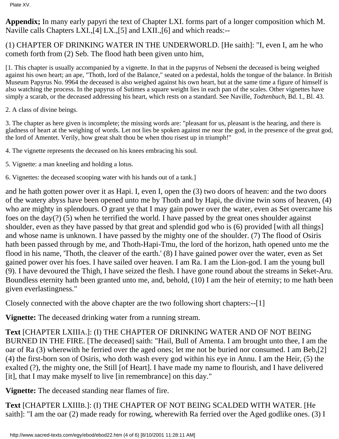**Appendix;** In many early papyri the text of Chapter LXI. forms part of a longer composition which M. Naville calls Chapters LXI.,[4] LX.,[5] and LXII.,[6] and which reads:--

(1) CHAPTER OF DRINKING WATER IN THE UNDERWORLD. [He saith]: "I, even I, am he who cometh forth from (2) Seb. The flood hath been given unto him,

[1. This chapter is usually accompanied by a vignette. In that in the papyrus of Nebseni the deceased is being weighed against his own heart; an ape, "Thoth, lord of the Balance," seated on a pedestal, holds the tongue of the balance. In British Museum Papyrus No. 9964 the deceased is also weighed against his own heart, but at the same time a figure of himself is also watching the process. In the papyrus of Sutimes a square weight lies in each pan of the scales. Other vignettes have simply a scarab, or the deceased addressing his heart, which rests on a standard. See Naville, *Todtenbuch*, Bd. I., Bl. 43.

2. A class of divine beings.

3. The chapter as here given is incomplete; the missing words are: "pleasant for us, pleasant is the hearing, and there is gladness of heart at the weighing of words. Let not lies be spoken against me near the god, in the presence of the great god, the lord of Amentet. Verily, how great shalt thou be when thou risest up in triumph!"

4. The vignette represents the deceased on his knees embracing his soul.

- 5. Vignette: a man kneeling and holding a lotus.
- 6. Vignettes: the deceased scooping water with his hands out of a tank.]

and he hath gotten power over it as Hapi. I, even I, open the (3) two doors of heaven: and the two doors of the watery abyss have been opened unto me by Thoth and by Hapi, the divine twin sons of heaven, (4) who are mighty in splendours. O grant ye that I may gain power over the water, even as Set overcame his foes on the day(?) (5) when he terrified the world. I have passed by the great ones shoulder against shoulder, even as they have passed by that great and splendid god who is (6) provided [with all things] and whose name is unknown. I have passed by the mighty one of the shoulder. (7) The flood of Osiris hath been passed through by me, and Thoth-Hapi-Tmu, the lord of the horizon, hath opened unto me the flood in his name, 'Thoth, the cleaver of the earth.' (8) I have gained power over the water, even as Set gained power over his foes. I have sailed over heaven. I am Ra. I am the Lion-god. I am the young bull (9). I have devoured the Thigh, I have seized the flesh. I have gone round about the streams in Seket-Aru. Boundless eternity hath been granted unto me, and, behold, (10) I am the heir of eternity; to me hath been given everlastingness."

Closely connected with the above chapter are the two following short chapters:--[1]

**Vignette:** The deceased drinking water from a running stream.

**Text** [CHAPTER LXIIIA.]: (I) THE CHAPTER OF DRINKING WATER AND OF NOT BEING BURNED IN THE FIRE. [The deceased] saith: "Hail, Bull of Amenta. I am brought unto thee, I am the oar of Ra (3) wherewith he ferried over the aged ones; let me not be buried nor consumed. I am Beb,[2] (4) the first-born son of Osiris, who doth wash every god within his eye in Annu. I am the Heir, (5) the exalted (?), the mighty one, the Still [of Heart]. I have made my name to flourish, and I have delivered [it], that I may make myself to live [in remembrance] on this day."

**Vignette:** The deceased standing near flames of fire.

**Text** [CHAPTER LXIIIB.]: (I) THE CHAPTER OF NOT BEING SCALDED WITH WATER. [He saith]: "I am the oar (2) made ready for rowing, wherewith Ra ferried over the Aged godlike ones. (3) I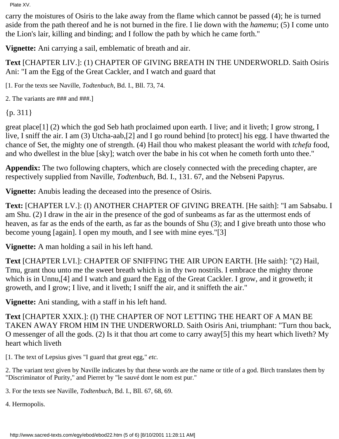carry the moistures of Osiris to the lake away from the flame which cannot be passed (4); he is turned aside from the path thereof and he is not burned in the fire. I lie down with the *hamemu*; (5) I come unto the Lion's lair, killing and binding; and I follow the path by which he came forth."

**Vignette:** Ani carrying a sail, emblematic of breath and air.

**Text** [CHAPTER LIV.]: (1) CHAPTER OF GIVING BREATH IN THE UNDERWORLD. Saith Osiris Ani: "I am the Egg of the Great Cackler, and I watch and guard that

[1. For the texts see Naville, *Todtenbuch*, Bd. I., Bll. 73, 74.

2. The variants are ### and ###.]

{p. 311}

great place[1] (2) which the god Seb hath proclaimed upon earth. I live; and it liveth; I grow strong, I live, I sniff the air. I am (3) Utcha-aab,[2] and I go round behind [to protect] his egg. I have thwarted the chance of Set, the mighty one of strength. (4) Hail thou who makest pleasant the world with *tchefa* food, and who dwellest in the blue [sky]; watch over the babe in his cot when he cometh forth unto thee."

**Appendix:** The two following chapters, which are closely connected with the preceding chapter, are respectively supplied from Naville, *Todtenbuch*, Bd. I., 131. 67, and the Nebseni Papyrus.

**Vignette:** Anubis leading the deceased into the presence of Osiris.

**Text:** [CHAPTER LV.]: (I) ANOTHER CHAPTER OF GIVING BREATH. [He saith]: "I am Sabsabu. I am Shu. (2) I draw in the air in the presence of the god of sunbeams as far as the uttermost ends of heaven, as far as the ends of the earth, as far as the bounds of Shu (3); and I give breath unto those who become young [again]. I open my mouth, and I see with mine eyes."[3]

**Vignette:** A man holding a sail in his left hand.

**Text** [CHAPTER LVI.]: CHAPTER OF SNIFFING THE AIR UPON EARTH. [He saith]: "(2) Hail, Tmu, grant thou unto me the sweet breath which is in thy two nostrils. I embrace the mighty throne which is in Unnu,[4] and I watch and guard the Egg of the Great Cackler. I grow, and it groweth; it groweth, and I grow; I live, and it liveth; I sniff the air, and it sniffeth the air."

**Vignette:** Ani standing, with a staff in his left hand.

**Text** [CHAPTER XXIX.]: (I) THE CHAPTER OF NOT LETTING THE HEART OF A MAN BE TAKEN AWAY FROM HIM IN THE UNDERWORLD. Saith Osiris Ani, triumphant: "Turn thou back, O messenger of all the gods. (2) Is it that thou art come to carry away[5] this my heart which liveth? My heart which liveth

[1. The text of Lepsius gives "I guard that great egg," *etc.*

2. The variant text given by Naville indicates by that these words are the name or title of a god. Birch translates them by "Discriminator of Purity," and Pierret by "le sauvé dont le nom est pur."

3. For the texts see Naville, *Todtenbuch*, Bd. I., Bll. 67, 68, 69.

4. Hermopolis.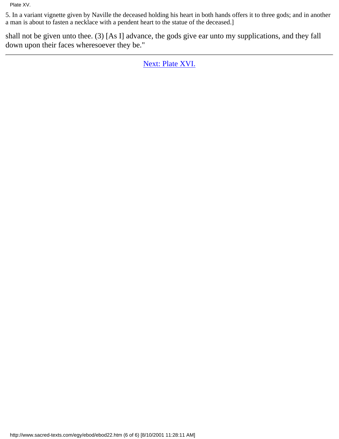5. In a variant vignette given by Naville the deceased holding his heart in both hands offers it to three gods; and in another a man is about to fasten a necklace with a pendent heart to the statue of the deceased.]

shall not be given unto thee. (3) [As I] advance, the gods give ear unto my supplications, and they fall down upon their faces wheresoever they be."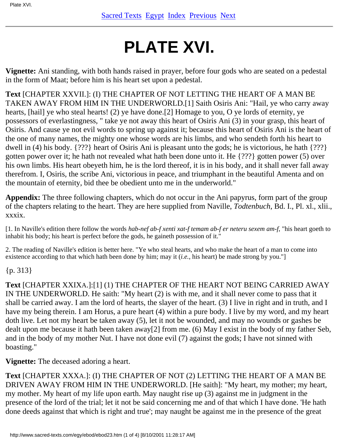# **PLATE XVI.**

<span id="page-189-0"></span>**Vignette:** Ani standing, with both hands raised in prayer, before four gods who are seated on a pedestal in the form of Maat; before him is his heart set upon a pedestal.

**Text** [CHAPTER XXVII.]: (I) THE CHAPTER OF NOT LETTING THE HEART OF A MAN BE TAKEN AWAY FROM HIM IN THE UNDERWORLD.[1] Saith Osiris Ani: "Hail, ye who carry away hearts, [hail] ye who steal hearts! (2) ye have done.[2] Homage to you, O ye lords of eternity, ye possessors of everlastingness, " take ye not away this heart of Osiris Ani (3) in your grasp, this heart of Osiris. And cause ye not evil words to spring up against it; because this heart of Osiris Ani is the heart of the one of many names, the mighty one whose words are his limbs, and who sendeth forth his heart to dwell in (4) his body. {???} heart of Osiris Ani is pleasant unto the gods; he is victorious, he hath {???} gotten power over it; he hath not revealed what hath been done unto it. He {???} gotten power (5) over his own limbs. His heart obeyeth him, he is the lord thereof, it is in his body, and it shall never fall away therefrom. I, Osiris, the scribe Ani, victorious in peace, and triumphant in the beautiful Amenta and on the mountain of eternity, bid thee be obedient unto me in the underworld."

**Appendix:** The three following chapters, which do not occur in the Ani papyrus, form part of the group of the chapters relating to the heart. They are here supplied from Naville, *Todtenbuch*, Bd. I., Pl. xl., xlii., xxxix.

[1. In Naville's edition there follow the words *hab-nef ab-f xenti xat-f temam ab-f er neteru sexem am-f*, "his heart goeth to inhabit his body; his heart is perfect before the gods, he gaineth possession of it."

2. The reading of Naville's edition is better here. "Ye who steal hearts, and who make the heart of a man to come into existence according to that which hath been done by him; may it (*i.e.*, his heart) be made strong by you."]

{p. 313}

**Text** [CHAPTER XXIXA.]:[1] (1) THE CHAPTER OF THE HEART NOT BEING CARRIED AWAY IN THE UNDERWORLD. He saith: "My heart (2) is with me, and it shall never come to pass that it shall be carried away. I am the lord of hearts, the slayer of the heart. (3) I live in right and in truth, and I have my being therein. I am Horus, a pure heart (4) within a pure body. I live by my word, and my heart doth live. Let not my heart be taken away (5), let it not be wounded, and may no wounds or gashes be dealt upon me because it hath been taken away[2] from me. (6) May I exist in the body of my father Seb, and in the body of my mother Nut. I have not done evil (7) against the gods; I have not sinned with boasting."

**Vignette:** The deceased adoring a heart.

**Text** [CHAPTER XXXA.]: (I) THE CHAPTER OF NOT (2) LETTING THE HEART OF A MAN BE DRIVEN AWAY FROM HIM IN THE UNDERWORLD. [He saith]: "My heart, my mother; my heart, my mother. My heart of my life upon earth. May naught rise up (3) against me in judgment in the presence of the lord of the trial; let it not be said concerning me and of that which I have done. 'He hath done deeds against that which is right and true'; may naught be against me in the presence of the great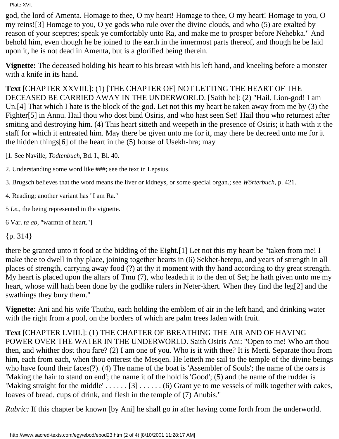god, the lord of Amenta. Homage to thee, O my heart! Homage to thee, O my heart! Homage to you, O my reins![3] Homage to you, O ye gods who rule over the divine clouds, and who (5) are exalted by reason of your sceptres; speak ye comfortably unto Ra, and make me to prosper before Nehebka." And behold him, even though he be joined to the earth in the innermost parts thereof, and though he be laid upon it, he is not dead in Amenta, but is a glorified being therein.

**Vignette:** The deceased holding his heart to his breast with his left hand, and kneeling before a monster with a knife in its hand.

**Text** [CHAPTER XXVIII.]: (1) [THE CHAPTER OF] NOT LETTING THE HEART OF THE DECEASED BE CARRIED AWAY IN THE UNDERWORLD. [Saith he]: (2) "Hail, Lion-god! I am Un.[4] That which I hate is the block of the god. Let not this my heart be taken away from me by (3) the Fighter[5] in Annu. Hail thou who dost bind Osiris, and who hast seen Set! Hail thou who returnest after smiting and destroying him. (4) This heart sitteth and weepeth in the presence of Osiris; it hath with it the staff for which it entreated him. May there be given unto me for it, may there be decreed unto me for it the hidden things[6] of the heart in the (5) house of Usekh-hra; may

[1. See Naville, *Todtenbuch*, Bd. I., Bl. 40.

2. Understanding some word like ###; see the text in Lepsius.

- 3. Brugsch believes that the word means the liver or kidneys, or some special organ.; see *Wörterbuch*, p. 421.
- 4. Reading; another variant has "I am Ra."
- 5 *I.e.*, the being represented in the vignette.
- 6 Var. *ta ab*, "warmth of heart."]

{p. 314}

there be granted unto it food at the bidding of the Eight.[1] Let not this my heart be "taken from me! I make thee to dwell in thy place, joining together hearts in (6) Sekhet-hetepu, and years of strength in all places of strength, carrying away food (?) at thy it moment with thy hand according to thy great strength. My heart is placed upon the altars of Tmu (7), who leadeth it to the den of Set; he hath given unto me my heart, whose will hath been done by the godlike rulers in Neter-khert. When they find the leg[2] and the swathings they bury them."

**Vignette:** Ani and his wife Thuthu, each holding the emblem of air in the left hand, and drinking water with the right from a pool, on the borders of which are palm trees laden with fruit.

**Text** [CHAPTER LVIII.]: (1) THE CHAPTER OF BREATHING THE AIR AND OF HAVING POWER OVER THE WATER IN THE UNDERWORLD. Saith Osiris Ani: "Open to me! Who art thou then, and whither dost thou fare? (2) I am one of you. Who is it with thee? It is Merti. Separate thou from him, each from each, when thou enterest the Mesqen. He letteth me sail to the temple of the divine beings who have found their faces(?). (4) The name of the boat is 'Assembler of Souls'; the name of the oars is 'Making the hair to stand on end'; the name it of the hold is 'Good'; (5) and the name of the rudder is 'Making straight for the middle' . . . . . . [3] . . . . . . (6) Grant ye to me vessels of milk together with cakes, loaves of bread, cups of drink, and flesh in the temple of (7) Anubis."

*Rubric:* If this chapter be known [by Ani] he shall go in after having come forth from the underworld.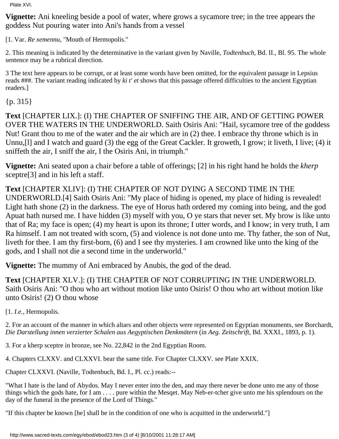**Vignette:** Ani kneeling beside a pool of water, where grows a sycamore tree; in the tree appears the goddess Nut pouring water into Ani's hands from a vessel

[1. Var. *Re xemennu*, "Mouth of Hermopolis."

2. This meaning is indicated by the determinative in the variant given by Naville, *Todtenbuch*, Bd. II., Bl. 95. The whole sentence may be a rubrical direction.

3 The text here appears to be corrupt, or at least some words have been omitted, for the equivalent passage in Lepsius reads ###. The variant reading indicated by *ki t' et* shows that this passage offered difficulties to the ancient Egyptian readers.]

 ${p. 315}$ 

**Text** [CHAPTER LIX.]: (I) THE CHAPTER OF SNIFFING THE AIR, AND OF GETTING POWER OVER THE WATERS IN THE UNDERWORLD. Saith Osiris Ani: "Hail, sycamore tree of the goddess Nut! Grant thou to me of the water and the air which are in (2) thee. I embrace thy throne which is in Unnu,[l] and I watch and guard (3) the egg of the Great Cackler. It groweth, I grow; it liveth, I live; (4) it sniffeth the air, I sniff the air, I the Osiris Ani, in triumph."

**Vignette:** Ani seated upon a chair before a table of offerings; [2] in his right hand he holds the *kherp* sceptre[3] and in his left a staff.

**Text** [CHAPTER XLIV]: (I) THE CHAPTER OF NOT DYING A SECOND TIME IN THE UNDERWORLD.[4] Saith Osiris Ani: "My place of hiding is opened, my place of hiding is revealed! Light hath shone (2) in the darkness. The eye of Horus hath ordered my coming into being, and the god Apuat hath nursed me. I have hidden (3) myself with you, O ye stars that never set. My brow is like unto that of Ra; my face is open; (4) my heart is upon its throne; I utter words, and I know; in very truth, I am Ra himself. I am not treated with scorn, (5) and violence is not done unto me. Thy father, the son of Nut, liveth for thee. I am thy first-born, (6) and I see thy mysteries. I am crowned like unto the king of the gods, and I shall not die a second time in the underworld."

**Vignette:** The mummy of Ani embraced by Anubis, the god of the dead.

**Text** [CHAPTER XLV.]: (I) THE CHAPTER OF NOT CORRUPTING IN THE UNDERWORLD. Saith Osiris Ani: "O thou who art without motion like unto Osiris! O thou who art without motion like unto Osiris! (2) O thou whose

[1. *I.e.*, Hermopolis.

2. For an account of the manner in which altars and other objects were represented on Egyptian monuments, see Borchardt, *Die Darstellung innen verzierter Schalen aus Aegyptischen Denkmätern* (in *Aeg. Zeitschrift*, Bd. XXXI., 1893, p. 1).

3. For a kherp sceptre in bronze, see No. 22,842 in the 2nd Egyptian Room.

4. Chapters CLXXV. and CLXXVI. bear the same title. For Chapter CLXXV. see Plate XXIX.

Chapter CLXXVI. (Naville, Todtenbuch, Bd. I., Pl. cc.) reads:--

"What I hate is the land of Abydos. May I never enter into the den, and may there never be done unto me any of those things which the gods hate, for I am . . . . pure within the Mesqet. May Neb-er-tcher give unto me his splendours on the day of the funeral in the presence of the Lord of Things."

"If this chapter be known [he] shall be in the condition of one who is acquitted in the underworld."]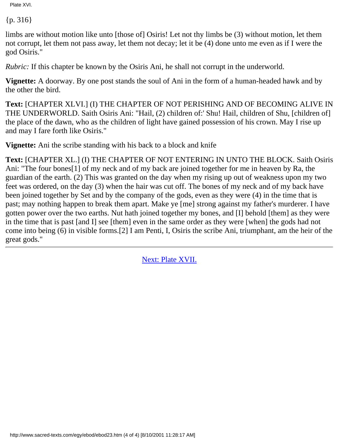{p. 316}

limbs are without motion like unto [those of] Osiris! Let not thy limbs be (3) without motion, let them not corrupt, let them not pass away, let them not decay; let it be (4) done unto me even as if I were the god Osiris."

*Rubric:* If this chapter be known by the Osiris Ani, he shall not corrupt in the underworld.

**Vignette:** A doorway. By one post stands the soul of Ani in the form of a human-headed hawk and by the other the bird.

**Text:** [CHAPTER XLVI.] (I) THE CHAPTER OF NOT PERISHING AND OF BECOMING ALIVE IN THE UNDERWORLD. Saith Osiris Ani: "Hail, (2) children of:' Shu! Hail, children of Shu, [children of] the place of the dawn, who as the children of light have gained possession of his crown. May I rise up and may I fare forth like Osiris."

**Vignette:** Ani the scribe standing with his back to a block and knife

**Text:** [CHAPTER XL.] (I) THE CHAPTER OF NOT ENTERING IN UNTO THE BLOCK. Saith Osiris Ani: "The four bones[1] of my neck and of my back are joined together for me in heaven by Ra, the guardian of the earth. (2) This was granted on the day when my rising up out of weakness upon my two feet was ordered, on the day (3) when the hair was cut off. The bones of my neck and of my back have been joined together by Set and by the company of the gods, even as they were (4) in the time that is past; may nothing happen to break them apart. Make ye [me] strong against my father's murderer. I have gotten power over the two earths. Nut hath joined together my bones, and [I] behold [them] as they were in the time that is past [and I] see [them] even in the same order as they were [when] the gods had not come into being (6) in visible forms.[2] I am Penti, I, Osiris the scribe Ani, triumphant, am the heir of the great gods."

[Next: Plate XVII.](#page-193-0)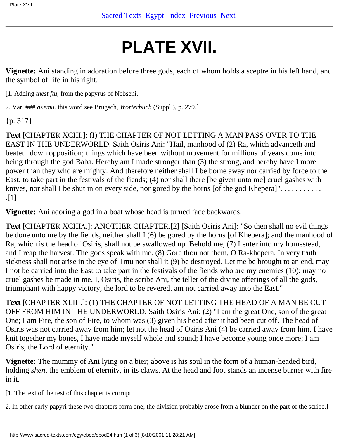# **PLATE XVII.**

<span id="page-193-0"></span>**Vignette:** Ani standing in adoration before three gods, each of whom holds a sceptre in his left hand, and the symbol of life in his right.

[1. Adding *thest ftu*, from the papyrus of Nebseni.

2. Var. ### *axemu*. this word see Brugsch, *Wörterbuch* (Suppl.), p. 279.]

{p. 317}

**Text** [CHAPTER XCIII.]: (I) THE CHAPTER OF NOT LETTING A MAN PASS OVER TO THE EAST IN THE UNDERWORLD. Saith Osiris Ani: "Hail, manhood of (2) Ra, which advanceth and beateth down opposition; things which have been without movement for millions of years come into being through the god Baba. Hereby am I made stronger than (3) the strong, and hereby have I more power than they who are mighty. And therefore neither shall I be borne away nor carried by force to the East, to take part in the festivals of the fiends; (4) nor shall there [be given unto me] cruel gashes with knives, nor shall I be shut in on every side, nor gored by the horns [of the god Khepera]".......... .[1]

**Vignette:** Ani adoring a god in a boat whose head is turned face backwards.

**Text** [CHAPTER XCIIIA.]: ANOTHER CHAPTER.[2] [Saith Osiris Ani]: "So then shall no evil things be done unto me by the fiends, neither shall I (6) be gored by the horns [of Khepera]; and the manhood of Ra, which is the head of Osiris, shall not be swallowed up. Behold me, (7) I enter into my homestead, and I reap the harvest. The gods speak with me. (8) Gore thou not them, O Ra-khepera. In very truth sickness shall not arise in the eye of Tmu nor shall it (9) be destroyed. Let me be brought to an end, may I not be carried into the East to take part in the festivals of the fiends who are my enemies (10); may no cruel gashes be made in me. I, Osiris, the scribe Ani, the teller of the divine offerings of all the gods, triumphant with happy victory, the lord to be revered. am not carried away into the East."

**Text** [CHAPTER XLIII.]: (1) THE CHAPTER OF NOT LETTING THE HEAD OF A MAN BE CUT OFF FROM HIM IN THE UNDERWORLD. Saith Osiris Ani: (2) "I am the great One, son of the great One; I am Fire, the son of Fire, to whom was (3) given his head after it had been cut off. The head of Osiris was not carried away from him; let not the head of Osiris Ani (4) be carried away from him. I have knit together my bones, I have made myself whole and sound; I have become young once more; I am Osiris, the Lord of eternity."

**Vignette:** The mummy of Ani lying on a bier; above is his soul in the form of a human-headed bird, holding *shen*, the emblem of eternity, in its claws. At the head and foot stands an incense burner with fire in it.

[1. The text of the rest of this chapter is corrupt.

2. In other early papyri these two chapters form one; the division probably arose from a blunder on the part of the scribe.]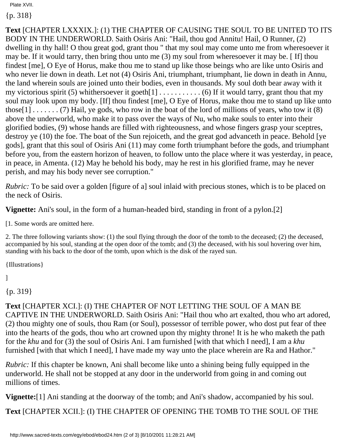Plate XVII.

{p. 318}

**Text** [CHAPTER LXXXIX.]: (1) THE CHAPTER OF CAUSING THE SOUL TO BE UNITED TO ITS BODY IN THE UNDERWORLD. Saith Osiris Ani: "Hail, thou god Annitu! Hail, O Runner, (2) dwelling in thy hall! O thou great god, grant thou " that my soul may come unto me from wheresoever it may be. If it would tarry, then bring thou unto me (3) my soul from wheresoever it may be. [ If] thou findest [me], O Eye of Horus, make thou me to stand up like those beings who are like unto Osiris and who never lie down in death. Let not (4) Osiris Ani, triumphant, triumphant, lie down in death in Annu, the land wherein souls are joined unto their bodies, even in thousands. My soul doth bear away with it my victorious spirit (5) whithersoever it goeth[1] . . . . . . . . . . . (6) If it would tarry, grant thou that my soul may look upon my body. [If] thou findest [me], O Eye of Horus, make thou me to stand up like unto those[1] . . . . . . . (7) Hail, ye gods, who row in the boat of the lord of millions of years, who tow it (8) above the underworld, who make it to pass over the ways of Nu, who make souls to enter into their glorified bodies, (9) whose hands are filled with righteousness, and whose fingers grasp your sceptres, destroy ye (10) the foe. The boat of the Sun rejoiceth, and the great god advanceth in peace. Behold [ye gods], grant that this soul of Osiris Ani (11) may come forth triumphant before the gods, and triumphant before you, from the eastern horizon of heaven, to follow unto the place where it was yesterday, in peace, in peace, in Amenta. (12) May he behold his body, may he rest in his glorified frame, may he never perish, and may his body never see corruption."

*Rubric:* To be said over a golden [figure of a] soul inlaid with precious stones, which is to be placed on the neck of Osiris.

**Vignette:** Ani's soul, in the form of a human-headed bird, standing in front of a pylon.[2]

[1. Some words are omitted here.

2. The three following variants show: (1) the soul flying through the door of the tomb to the deceased; (2) the deceased, accompanied by his soul, standing at the open door of the tomb; and (3) the deceased, with his soul hovering over him, standing with his back to the door of the tomb, upon which is the disk of the rayed sun.

{Illustrations}

]

{p. 319}

**Text** [CHAPTER XCI.]: (I) THE CHAPTER OF NOT LETTING THE SOUL OF A MAN BE CAPTIVE IN THE UNDERWORLD. Saith Osiris Ani: "Hail thou who art exalted, thou who art adored, (2) thou mighty one of souls, thou Ram (or Soul), possessor of terrible power, who dost put fear of thee into the hearts of the gods, thou who art crowned upon thy mighty throne! It is he who maketh the path for the *khu* and for (3) the soul of Osiris Ani. I am furnished [with that which I need], I am a *khu* furnished [with that which I need], I have made my way unto the place wherein are Ra and Hathor."

*Rubric:* If this chapter be known, Ani shall become like unto a shining being fully equipped in the underworld. He shall not be stopped at any door in the underworld from going in and coming out millions of times.

**Vignette:**[1] Ani standing at the doorway of the tomb; and Ani's shadow, accompanied by his soul.

**Text** [CHAPTER XCII.]: (I) THE CHAPTER OF OPENING THE TOMB TO THE SOUL OF THE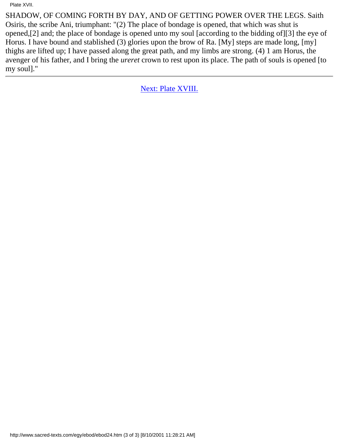Plate XVII.

SHADOW, OF COMING FORTH BY DAY, AND OF GETTING POWER OVER THE LEGS. Saith Osiris, the scribe Ani, triumphant: "(2) The place of bondage is opened, that which was shut is opened,[2] and; the place of bondage is opened unto my soul [according to the bidding of][3] the eye of Horus. I have bound and stablished (3) glories upon the brow of Ra. [My] steps are made long, [my] thighs are lifted up; I have passed along the great path, and my limbs are strong. (4) 1 am Horus, the avenger of his father, and I bring the *ureret* crown to rest upon its place. The path of souls is opened [to my soul]."

[Next: Plate XVIII.](#page-196-0)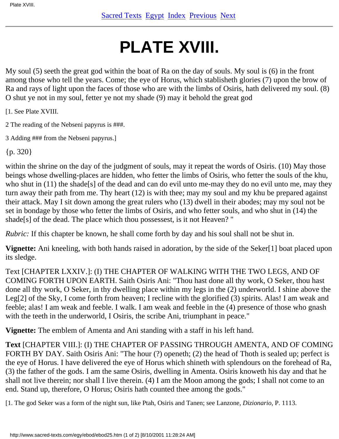# **PLATE XVIII.**

<span id="page-196-0"></span>My soul (5) seeth the great god within the boat of Ra on the day of souls. My soul is (6) in the front among those who tell the years. Come; the eye of Horus, which stablisheth glories (7) upon the brow of Ra and rays of light upon the faces of those who are with the limbs of Osiris, hath delivered my soul. (8) O shut ye not in my soul, fetter ye not my shade (9) may it behold the great god

[1. See Plate XVIII.

2 The reading of the Nebseni papyrus is ###.

3 Adding ### from the Nebseni papyrus.]

{p. 320}

within the shrine on the day of the judgment of souls, may it repeat the words of Osiris. (10) May those beings whose dwelling-places are hidden, who fetter the limbs of Osiris, who fetter the souls of the khu, who shut in  $(11)$  the shade[s] of the dead and can do evil unto me-may they do no evil unto me, may they turn away their path from me. Thy heart (12) is with thee; may my soul and my khu be prepared against their attack. May I sit down among the great rulers who (13) dwell in their abodes; may my soul not be set in bondage by those who fetter the limbs of Osiris, and who fetter souls, and who shut in (14) the shade[s] of the dead. The place which thou possessest, is it not Heaven? "

*Rubric:* If this chapter be known, he shall come forth by day and his soul shall not be shut in.

**Vignette:** Ani kneeling, with both hands raised in adoration, by the side of the Seker[1] boat placed upon its sledge.

Text [CHAPTER LXXIV.]: (I) THE CHAPTER OF WALKING WITH THE TWO LEGS, AND OF COMING FORTH UPON EARTH. Saith Osiris Ani: "Thou hast done all thy work, O Seker, thou hast done all thy work, O Seker, in thy dwelling place within my legs in the (2) underworld. I shine above the Leg[2] of the Sky, I come forth from heaven; I recline with the glorified (3) spirits. Alas! I am weak and feeble; alas! I am weak and feeble. I walk. I am weak and feeble in the (4) presence of those who gnash with the teeth in the underworld, I Osiris, the scribe Ani, triumphant in peace."

**Vignette:** The emblem of Amenta and Ani standing with a staff in his left hand.

**Text** [CHAPTER VIII.]: (I) THE CHAPTER OF PASSING THROUGH AMENTA, AND OF COMING FORTH BY DAY. Saith Osiris Ani: "The hour (?) openeth; (2) the head of Thoth is sealed up; perfect is the eye of Horus. I have delivered the eye of Horus which shineth with splendours on the forehead of Ra, (3) the father of the gods. I am the same Osiris, dwelling in Amenta. Osiris knoweth his day and that he shall not live therein; nor shall I live therein. (4) I am the Moon among the gods; I shall not come to an end. Stand up, therefore, O Horus; Osiris hath counted thee among the gods."

[1. The god Seker was a form of the night sun, like Ptah, Osiris and Tanen; see Lanzone, *Dizionario*, P. 1113.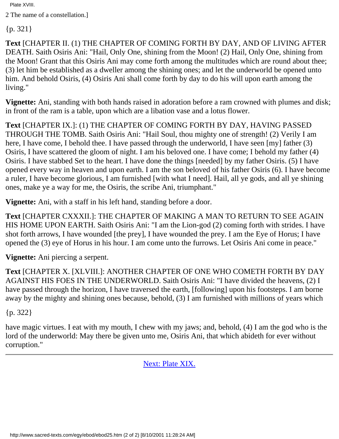Plate XVIII.

2 The name of a constellation.]

{p. 321}

**Text** [CHAPTER II. (1) THE CHAPTER OF COMING FORTH BY DAY, AND OF LIVING AFTER DEATH. Saith Osiris Ani: "Hail, Only One, shining from the Moon! (2) Hail, Only One, shining from the Moon! Grant that this Osiris Ani may come forth among the multitudes which are round about thee; (3) let him be established as a dweller among the shining ones; and let the underworld be opened unto him. And behold Osiris, (4) Osiris Ani shall come forth by day to do his will upon earth among the living."

**Vignette:** Ani, standing with both hands raised in adoration before a ram crowned with plumes and disk; in front of the ram is a table, upon which are a libation vase and a lotus flower.

**Text** [CHAPTER IX.]: (1) THE CHAPTER OF COMING FORTH BY DAY, HAVING PASSED THROUGH THE TOMB. Saith Osiris Ani: "Hail Soul, thou mighty one of strength! (2) Verily I am here, I have come, I behold thee. I have passed through the underworld, I have seen [my] father (3) Osiris, I have scattered the gloom of night. I am his beloved one. I have come; I behold my father (4) Osiris. I have stabbed Set to the heart. I have done the things [needed] by my father Osiris. (5) I have opened every way in heaven and upon earth. I am the son beloved of his father Osiris (6). I have become a ruler, I have become glorious, I am furnished [with what I need]. Hail, all ye gods, and all ye shining ones, make ye a way for me, the Osiris, the scribe Ani, triumphant."

**Vignette:** Ani, with a staff in his left hand, standing before a door.

**Text** [CHAPTER CXXXII.]: THE CHAPTER OF MAKING A MAN TO RETURN TO SEE AGAIN HIS HOME UPON EARTH. Saith Osiris Ani: "I am the Lion-god (2) coming forth with strides. I have shot forth arrows, I have wounded [the prey], I have wounded the prey. I am the Eye of Horus; I have opened the (3) eye of Horus in his hour. I am come unto the furrows. Let Osiris Ani come in peace."

**Vignette:** Ani piercing a serpent.

**Text** [CHAPTER X. [XLVIII.]: ANOTHER CHAPTER OF ONE WHO COMETH FORTH BY DAY AGAINST HIS FOES IN THE UNDERWORLD. Saith Osiris Ani: "I have divided the heavens, (2) I have passed through the horizon, I have traversed the earth, [following] upon his footsteps. I am borne away by the mighty and shining ones because, behold, (3) I am furnished with millions of years which

{p. 322}

have magic virtues. I eat with my mouth, I chew with my jaws; and, behold, (4) I am the god who is the lord of the underworld: May there be given unto me, Osiris Ani, that which abideth for ever without corruption."

[Next: Plate XIX.](#page-198-0)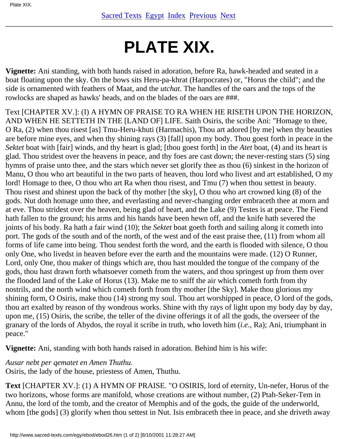### **PLATE XIX.**

<span id="page-198-0"></span>**Vignette:** Ani standing, with both hands raised in adoration, before Ra, hawk-headed and seated in a boat floating upon the sky. On the bows sits Heru-pa-khrat (Harpocrates) or, "Horus the child"; and the side is ornamented with feathers of Maat, and the *utchat*. The handles of the oars and the tops of the rowlocks are shaped as hawks' heads, and on the blades of the oars are ###.

Text [CHAPTER XV.]: (I) A HYMN OF PRAISE TO RA WHEN HE RISETH UPON THE HORIZON, AND WHEN HE SETTETH IN THE [LAND OF] LIFE. Saith Osiris, the scribe Ani: "Homage to thee, O Ra, (2) when thou risest [as] Tmu-Heru-khuti (Harmachis), Thou art adored [by me] when thy beauties are before mine eyes, and when thy shining rays (3) [fall] upon my body. Thou goest forth in peace in the *Sektet* boat with [fair] winds, and thy heart is glad; [thou goest forth] in the *Atet* boat, (4) and its heart is glad. Thou stridest over the heavens in peace, and thy foes are cast down; the never-resting stars (5) sing hymns of praise unto thee, and the stars which never set glorify thee as thou (6) sinkest in the horizon of Manu, O thou who art beautiful in the two parts of heaven, thou lord who livest and art established, O my lord! Homage to thee, O thou who art Ra when thou risest, and Tmu (7) when thou settest in beauty. Thou risest and shinest upon the back of thy mother [the sky], O thou who art crowned king (8) of the gods. Nut doth homage unto thee, and everlasting and never-changing order embraceth thee at morn and at eve. Thou stridest over the heaven, being glad of heart, and the Lake (9) Testes is at peace. The Fiend hath fallen to the ground; his arms and his hands have been hewn off, and the knife hath severed the joints of his body. Ra hath a fair wind (10); the *Sektet* boat goeth forth and sailing along it cometh into port. The gods of the south and of the north, of the west and of the east praise thee, (11) from whom all forms of life came into being. Thou sendest forth the word, and the earth is flooded with silence, O thou only One, who livedst in heaven before ever the earth and the mountains were made. (12) O Runner, Lord, only One, thou maker of things which are, thou hast moulded the tongue of the company of the gods, thou hast drawn forth whatsoever cometh from the waters, and thou springest up from them over the flooded land of the Lake of Horus (13). Make me to sniff the air which cometh forth from thy nostrils, and the north wind which cometh forth from thy mother [the Sky]. Make thou glorious my shining form, O Osiris, make thou (14) strong my soul. Thou art worshipped in peace, O lord of the gods, thou art exalted by reason of thy wondrous works. Shine with thy rays of light upon my body day by day, upon me, (15) Osiris, the scribe, the teller of the divine offerings it of all the gods, the overseer of the granary of the lords of Abydos, the royal it scribe in truth, who loveth him (*i.e.*, Ra); Ani, triumphant in peace."

**Vignette:** Ani, standing with both hands raised in adoration. Behind him is his wife:

#### *Ausar nebt per qematet en Amen Thuthu.*

Osiris, the lady of the house, priestess of Amen, Thuthu.

**Text** [CHAPTER XV.]: (1) A HYMN OF PRAISE. "O OSIRIS, lord of eternity, Un-nefer, Horus of the two horizons, whose forms are manifold, whose creations are without number, (2) Ptah-Seker-Tem in Annu, the lord of the tomb, and the creator of Memphis and of the gods, the guide of the underworld, whom [the gods] (3) glorify when thou settest in Nut. Isis embraceth thee in peace, and she driveth away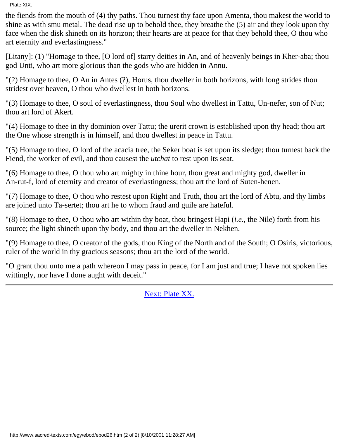Plate XIX.

the fiends from the mouth of (4) thy paths. Thou turnest thy face upon Amenta, thou makest the world to shine as with smu metal. The dead rise up to behold thee, they breathe the (5) air and they look upon thy face when the disk shineth on its horizon; their hearts are at peace for that they behold thee, O thou who art eternity and everlastingness."

[Litany]: (1) "Homage to thee, [O lord of] starry deities in An, and of heavenly beings in Kher-aba; thou god Unti, who art more glorious than the gods who are hidden in Annu.

"(2) Homage to thee, O An in Antes (?), Horus, thou dweller in both horizons, with long strides thou stridest over heaven, O thou who dwellest in both horizons.

"(3) Homage to thee, O soul of everlastingness, thou Soul who dwellest in Tattu, Un-nefer, son of Nut; thou art lord of Akert.

"(4) Homage to thee in thy dominion over Tattu; the urerit crown is established upon thy head; thou art the One whose strength is in himself, and thou dwellest in peace in Tattu.

"(5) Homage to thee, O lord of the acacia tree, the Seker boat is set upon its sledge; thou turnest back the Fiend, the worker of evil, and thou causest the *utchat* to rest upon its seat.

"(6) Homage to thee, O thou who art mighty in thine hour, thou great and mighty god, dweller in An-rut-f, lord of eternity and creator of everlastingness; thou art the lord of Suten-henen.

"(7) Homage to thee, O thou who restest upon Right and Truth, thou art the lord of Abtu, and thy limbs are joined unto Ta-sertet; thou art he to whom fraud and guile are hateful.

"(8) Homage to thee, O thou who art within thy boat, thou bringest Hapi (*i.e.*, the Nile) forth from his source; the light shineth upon thy body, and thou art the dweller in Nekhen.

"(9) Homage to thee, O creator of the gods, thou King of the North and of the South; O Osiris, victorious, ruler of the world in thy gracious seasons; thou art the lord of the world.

"O grant thou unto me a path whereon I may pass in peace, for I am just and true; I have not spoken lies wittingly, nor have I done aught with deceit."

[Next: Plate XX.](#page-200-0)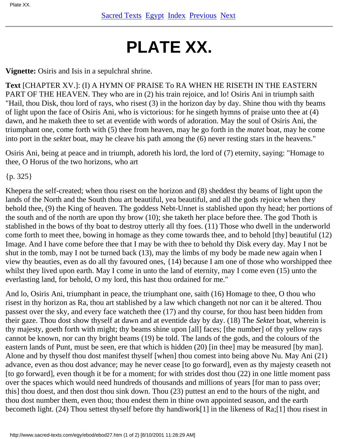# **PLATE XX.**

<span id="page-200-0"></span>**Vignette:** Osiris and Isis in a sepulchral shrine.

**Text** [CHAPTER XV.]: (I) A HYMN OF PRAISE To RA WHEN HE RISETH IN THE EASTERN PART OF THE HEAVEN. They who are in (2) his train rejoice, and lo! Osiris Ani in triumph saith "Hail, thou Disk, thou lord of rays, who risest (3) in the horizon day by day. Shine thou with thy beams of light upon the face of Osiris Ani, who is victorious: for he singeth hymns of praise unto thee at (4) dawn, and he maketh thee to set at eventide with words of adoration. May the soul of Osiris Ani, the triumphant one, come forth with (5) thee from heaven, may he go forth in the *matet* boat, may he come into port in the *sektet* boat, may he cleave his path among the (6) never resting stars in the heavens."

Osiris Ani, being at peace and in triumph, adoreth his lord, the lord of (7) eternity, saying: "Homage to thee, O Horus of the two horizons, who art

{p. 325}

Khepera the self-created; when thou risest on the horizon and (8) sheddest thy beams of light upon the lands of the North and the South thou art beautiful, yea beautiful, and all the gods rejoice when they behold thee, (9) the King of heaven. The goddess Nebt-Unnet is stablished upon thy head; her portions of the south and of the north are upon thy brow (10); she taketh her place before thee. The god Thoth is stablished in the bows of thy boat to destroy utterly all thy foes. (11) Those who dwell in the underworld come forth to meet thee, bowing in homage as they come towards thee, and to behold [thy] beautiful (12) Image. And I have come before thee that I may be with thee to behold thy Disk every day. May I not be shut in the tomb, may I not be turned back (13), may the limbs of my body be made new again when I view thy beauties, even as do all thy favoured ones, {14) because I am one of those who worshipped thee whilst they lived upon earth. May I come in unto the land of eternity, may I come even (15) unto the everlasting land, for behold, O my lord, this hast thou ordained for me."

And lo, Osiris Ani, triumphant in peace, the triumphant one, saith (16) Homage to thee, O thou who risest in thy horizon as Ra, thou art stablished by a law which changeth not nor can it be altered. Thou passest over the sky, and every face watcheth thee (17) and thy course, for thou hast been hidden from their gaze. Thou dost show thyself at dawn and at eventide day by day. (18) The *Sektet* boat, wherein is thy majesty, goeth forth with might; thy beams shine upon [all] faces; [the number] of thy yellow rays cannot be known, nor can thy bright beams (19) be told. The lands of the gods, and the colours of the eastern lands of Punt, must be seen, ere that which is hidden (20) [in thee] may be measured [by man]. Alone and by thyself thou dost manifest thyself [when] thou comest into being above Nu. May Ani (21) advance, even as thou dost advance; may he never cease [to go forward], even as thy majesty ceaseth not [to go forward], even though it be for a moment; for with strides dost thou (22) in one little moment pass over the spaces which would need hundreds of thousands and millions of years [for man to pass over; this] thou doest, and then dost thou sink down. Thou (23) puttest an end to the hours of the night, and thou dost number them, even thou; thou endest them in thine own appointed season, and the earth becometh light. (24) Thou settest thyself before thy handiwork[1] in the likeness of Ra;[1] thou risest in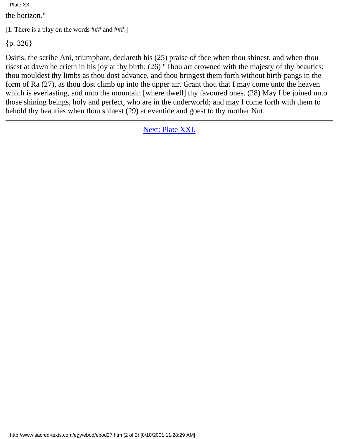Plate XX.

the horizon."

[1. There is a play on the words ### and ###.]

{p. 326}

Osiris, the scribe Ani, triumphant, declareth his (25) praise of thee when thou shinest, and when thou risest at dawn he crieth in his joy at thy birth: (26) "Thou art crowned with the majesty of thy beauties; thou mouldest thy limbs as thou dost advance, and thou bringest them forth without birth-pangs in the form of Ra (27), as thou dost climb up into the upper air. Grant thou that I may come unto the heaven which is everlasting, and unto the mountain [where dwell] thy favoured ones. (28) May I be joined unto those shining beings, holy and perfect, who are in the underworld; and may I come forth with them to behold thy beauties when thou shinest (29) at eventide and goest to thy mother Nut.

[Next: Plate XXI.](#page-202-0)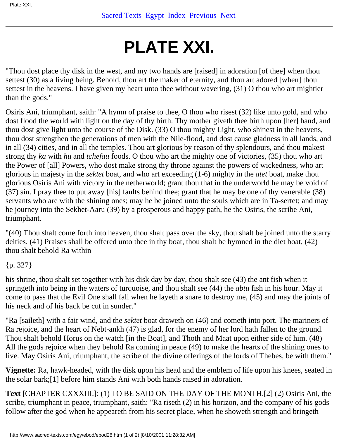# **PLATE XXI.**

<span id="page-202-0"></span>"Thou dost place thy disk in the west, and my two hands are [raised] in adoration [of thee] when thou settest (30) as a living being. Behold, thou art the maker of eternity, and thou art adored [when] thou settest in the heavens. I have given my heart unto thee without wavering, (31) O thou who art mightier than the gods."

Osiris Ani, triumphant, saith: "A hymn of praise to thee, O thou who risest (32) like unto gold, and who dost flood the world with light on the day of thy birth. Thy mother giveth thee birth upon [her] hand, and thou dost give light unto the course of the Disk. (33) O thou mighty Light, who shinest in the heavens, thou dost strengthen the generations of men with the Nile-flood, and dost cause gladness in all lands, and in all (34) cities, and in all the temples. Thou art glorious by reason of thy splendours, and thou makest strong thy *ka* with *hu* and *tchefau* foods. O thou who art the mighty one of victories, (35) thou who art the Power of [all] Powers, who dost make strong thy throne against the powers of wickedness, who art glorious in majesty in the *sektet* boat, and who art exceeding (1-6) mighty in the *atet* boat, make thou glorious Osiris Ani with victory in the netherworld; grant thou that in the underworld he may be void of (37) sin. I pray thee to put away [his] faults behind thee; grant that he may be one of thy venerable (38) servants who are with the shining ones; may he be joined unto the souls which are in Ta-sertet; and may he journey into the Sekhet-Aaru (39) by a prosperous and happy path, he the Osiris, the scribe Ani, triumphant.

"(40) Thou shalt come forth into heaven, thou shalt pass over the sky, thou shalt be joined unto the starry deities. (41) Praises shall be offered unto thee in thy boat, thou shalt be hymned in the diet boat, (42) thou shalt behold Ra within

#### {p. 327}

his shrine, thou shalt set together with his disk day by day, thou shalt see (43) the ant fish when it springeth into being in the waters of turquoise, and thou shalt see (44) the *abtu* fish in his hour. May it come to pass that the Evil One shall fall when he layeth a snare to destroy me, (45) and may the joints of his neck and of his back be cut in sunder."

"Ra [saileth] with a fair wind, and the *sektet* boat draweth on (46) and cometh into port. The mariners of Ra rejoice, and the heart of Nebt-ankh (47) is glad, for the enemy of her lord hath fallen to the ground. Thou shalt behold Horus on the watch [in the Boat], and Thoth and Maat upon either side of him. (48) All the gods rejoice when they behold Ra coming in peace (49) to make the hearts of the shining ones to live. May Osiris Ani, triumphant, the scribe of the divine offerings of the lords of Thebes, be with them."

**Vignette:** Ra, hawk-headed, with the disk upon his head and the emblem of life upon his knees, seated in the solar bark;[1] before him stands Ani with both hands raised in adoration.

**Text** [CHAPTER CXXXIII.]: (1) TO BE SAID ON THE DAY OF THE MONTH.[2] (2) Osiris Ani, the scribe, triumphant in peace, triumphant, saith: "Ra riseth (2) in his horizon, and the company of his gods follow after the god when he appeareth from his secret place, when he showeth strength and bringeth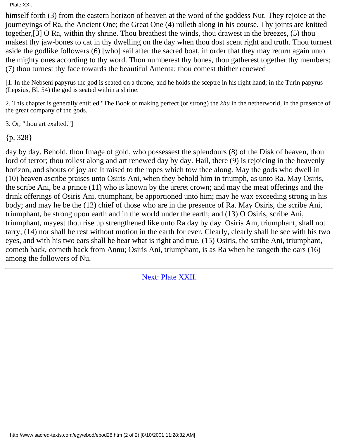Plate XXI.

himself forth (3) from the eastern horizon of heaven at the word of the goddess Nut. They rejoice at the journeyings of Ra, the Ancient One; the Great One (4) rolleth along in his course. Thy joints are knitted together,[3] O Ra, within thy shrine. Thou breathest the winds, thou drawest in the breezes, (5) thou makest thy jaw-bones to cat in thy dwelling on the day when thou dost scent right and truth. Thou turnest aside the godlike followers (6) [who] sail after the sacred boat, in order that they may return again unto the mighty ones according to thy word. Thou numberest thy bones, thou gatherest together thy members; (7) thou turnest thy face towards the beautiful Amenta; thou comest thither renewed

[1. In the Nebseni papyrus the god is seated on a throne, and he holds the sceptre in his right hand; in the Turin papyrus (Lepsius, Bl. 54) the god is seated within a shrine.

2. This chapter is generally entitled "The Book of making perfect (or strong) the *khu* in the netherworld, in the presence of the great company of the gods.

3. Or, "thou art exalted."]

{p. 328}

day by day. Behold, thou Image of gold, who possessest the splendours (8) of the Disk of heaven, thou lord of terror; thou rollest along and art renewed day by day. Hail, there (9) is rejoicing in the heavenly horizon, and shouts of joy are It raised to the ropes which tow thee along. May the gods who dwell in (10) heaven ascribe praises unto Osiris Ani, when they behold him in triumph, as unto Ra. May Osiris, the scribe Ani, be a prince (11) who is known by the ureret crown; and may the meat offerings and the drink offerings of Osiris Ani, triumphant, be apportioned unto him; may he wax exceeding strong in his body; and may he be the (12) chief of those who are in the presence of Ra. May Osiris, the scribe Ani, triumphant, be strong upon earth and in the world under the earth; and (13) O Osiris, scribe Ani, triumphant, mayest thou rise up strengthened like unto Ra day by day. Osiris Am, triumphant, shall not tarry, (14) nor shall he rest without motion in the earth for ever. Clearly, clearly shall he see with his two eyes, and with his two ears shall be hear what is right and true. (15) Osiris, the scribe Ani, triumphant, cometh back, cometh back from Annu; Osiris Ani, triumphant, is as Ra when he rangeth the oars (16) among the followers of Nu.

[Next: Plate XXII.](#page-204-0)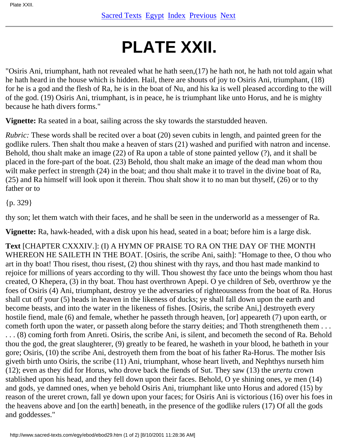### **PLATE XXII.**

<span id="page-204-0"></span>"Osiris Ani, triumphant, hath not revealed what he hath seen,(17) he hath not, he hath not told again what he hath heard in the house which is hidden. Hail, there are shouts of joy to Osiris Ani, triumphant, (18) for he is a god and the flesh of Ra, he is in the boat of Nu, and his ka is well pleased according to the will of the god. (19) Osiris Ani, triumphant, is in peace, he is triumphant like unto Horus, and he is mighty because he hath divers forms."

**Vignette:** Ra seated in a boat, sailing across the sky towards the starstudded heaven.

*Rubric:* These words shall be recited over a boat (20) seven cubits in length, and painted green for the godlike rulers. Then shalt thou make a heaven of stars (21) washed and purified with natron and incense. Behold, thou shalt make an image (22) of Ra upon a table of stone painted yellow (?), and it shall be placed in the fore-part of the boat. (23) Behold, thou shalt make an image of the dead man whom thou wilt make perfect in strength (24) in the boat; and thou shalt make it to travel in the divine boat of Ra, (25) and Ra himself will look upon it therein. Thou shalt show it to no man but thyself, (26) or to thy father or to

{p. 329}

thy son; let them watch with their faces, and he shall be seen in the underworld as a messenger of Ra.

**Vignette:** Ra, hawk-headed, with a disk upon his head, seated in a boat; before him is a large disk.

**Text** [CHAPTER CXXXIV.]: (I) A HYMN OF PRAISE TO RA ON THE DAY OF THE MONTH WHEREON HE SAILETH IN THE BOAT. [Osiris, the scribe Ani, saith]: "Homage to thee, O thou who art in thy boat! Thou risest, thou risest, (2) thou shinest with thy rays, and thou hast made mankind to rejoice for millions of years according to thy will. Thou showest thy face unto the beings whom thou hast created, O Khepera, (3) in thy boat. Thou hast overthrown Apepi. O ye children of Seb, overthrow ye the foes of Osiris (4) Ani, triumphant, destroy ye the adversaries of righteousness from the boat of Ra. Horus shall cut off your (5) heads in heaven in the likeness of ducks; ye shall fall down upon the earth and become beasts, and into the water in the likeness of fishes. [Osiris, the scribe Ani,] destroyeth every hostile fiend, male (6) and female, whether he passeth through heaven, [or] appeareth (7) upon earth, or cometh forth upon the water, or passeth along before the starry deities; and Thoth strengtheneth them . . . . . . (8) coming forth from Anreti. Osiris, the scribe Ani, is silent, and becometh the second of Ra. Behold thou the god, the great slaughterer, (9) greatly to be feared, he washeth in your blood, he batheth in your gore; Osiris, (10) the scribe Ani, destroyeth them from the boat of his father Ra-Horus. The mother Isis giveth birth unto Osiris, the scribe (11) Ani, triumphant, whose heart liveth, and Nephthys nurseth him (12); even as they did for Horus, who drove back the fiends of Sut. They saw (13) the *urertu* crown stablished upon his head, and they fell down upon their faces. Behold, O ye shining ones, ye men (14) and gods, ye damned ones, when ye behold Osiris Ani, triumphant like unto Horus and adored (15) by reason of the ureret crown, fall ye down upon your faces; for Osiris Ani is victorious (16) over his foes in the heavens above and [on the earth] beneath, in the presence of the godlike rulers (17) Of all the gods and goddesses."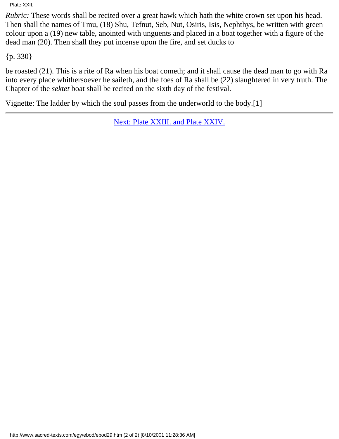Plate XXII.

*Rubric:* These words shall be recited over a great hawk which hath the white crown set upon his head. Then shall the names of Tmu, (18) Shu, Tefnut, Seb, Nut, Osiris, Isis, Nephthys, be written with green colour upon a (19) new table, anointed with unguents and placed in a boat together with a figure of the dead man (20). Then shall they put incense upon the fire, and set ducks to

{p. 330}

be roasted (21). This is a rite of Ra when his boat cometh; and it shall cause the dead man to go with Ra into every place whithersoever he saileth, and the foes of Ra shall be (22) slaughtered in very truth. The Chapter of the *sektet* boat shall be recited on the sixth day of the festival.

Vignette: The ladder by which the soul passes from the underworld to the body.[1]

[Next: Plate XXIII. and Plate XXIV.](#page-206-0)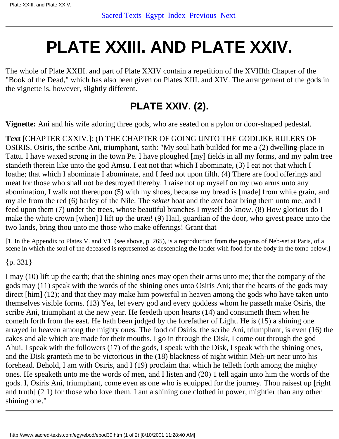### <span id="page-206-0"></span>**PLATE XXIII. AND PLATE XXIV.**

The whole of Plate XXIII. and part of Plate XXIV contain a repetition of the XVIIIth Chapter of the "Book of the Dead," which has also been given on Plates XIII. and XIV. The arrangement of the gods in the vignette is, however, slightly different.

### **PLATE XXIV. (2).**

**Vignette:** Ani and his wife adoring three gods, who are seated on a pylon or door-shaped pedestal.

**Text** [CHAPTER CXXIV.]: (I) THE CHAPTER OF GOING UNTO THE GODLIKE RULERS OF OSIRIS. Osiris, the scribe Ani, triumphant, saith: "My soul hath builded for me a (2) dwelling-place in Tattu. I have waxed strong in the town Pe. I have ploughed [my] fields in all my forms, and my palm tree standeth therein like unto the god Amsu. I eat not that which I abominate, (3) I eat not that which I loathe; that which I abominate I abominate, and I feed not upon filth. (4) There are food offerings and meat for those who shall not be destroyed thereby. I raise not up myself on my two arms unto any abomination, I walk not thereupon (5) with my shoes, because my bread is [made] from white grain, and my ale from the red (6) barley of the Nile. The *sektet* boat and the *atet* boat bring them unto me, and I feed upon them (7) under the trees, whose beautiful branches I myself do know. (8) How glorious do I make the white crown [when] I lift up the uræi! (9) Hail, guardian of the door, who givest peace unto the two lands, bring thou unto me those who make offerings! Grant that

[1. In the Appendix to Plates V. and V1. (see above, p. 265), is a reproduction from the papyrus of Neb-set at Paris, of a scene in which the soul of the deceased is represented as descending the ladder with food for the body in the tomb below.]

{p. 331}

I may (10) lift up the earth; that the shining ones may open their arms unto me; that the company of the gods may (11) speak with the words of the shining ones unto Osiris Ani; that the hearts of the gods may direct [him] (12); and that they may make him powerful in heaven among the gods who have taken unto themselves visible forms. (13) Yea, let every god and every goddess whom he passeth make Osiris, the scribe Ani, triumphant at the new year. He feedeth upon hearts (14) and consumeth them when he cometh forth from the east. He hath been judged by the forefather of Light. He is (15) a shining one arrayed in heaven among the mighty ones. The food of Osiris, the scribe Ani, triumphant, is even (16) the cakes and ale which are made for their mouths. I go in through the Disk, I come out through the god Ahui. I speak with the followers (17) of the gods, I speak with the Disk, I speak with the shining ones, and the Disk granteth me to be victorious in the (18) blackness of night within Meh-urt near unto his forehead. Behold, I am with Osiris, and I (19) proclaim that which he telleth forth among the mighty ones. He speaketh unto me the words of men, and I listen and (20) 1 tell again unto him the words of the gods. I, Osiris Ani, triumphant, come even as one who is equipped for the journey. Thou raisest up [right and truth] (2 1) for those who love them. I am a shining one clothed in power, mightier than any other shining one."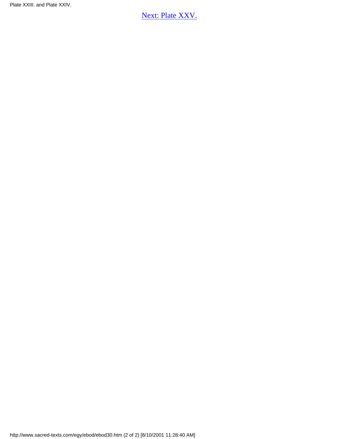Plate XXIII. and Plate XXIV.

[Next: Plate XXV.](#page-208-0)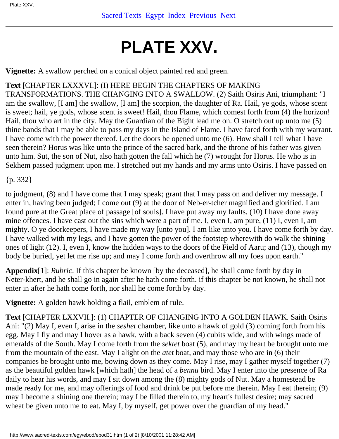# **PLATE XXV.**

<span id="page-208-0"></span>**Vignette:** A swallow perched on a conical object painted red and green.

**Text** [CHAPTER LXXXVI.]: (I) HERE BEGIN THE CHAPTERS OF MAKING

TRANSFORMATIONS. THE CHANGING INTO A SWALLOW. (2) Saith Osiris Ani, triumphant: "I am the swallow, [I am] the swallow, [I am] the scorpion, the daughter of Ra. Hail, ye gods, whose scent is sweet; hail, ye gods, whose scent is sweet! Hail, thou Flame, which comest forth from (4) the horizon! Hail, thou who art in the city. May the Guardian of the Bight lead me on. O stretch out up unto me (5) thine bands that I may be able to pass my days in the Island of Flame. I have fared forth with my warrant. I have come with the power thereof. Let the doors be opened unto me (6). How shall I tell what I have seen therein? Horus was like unto the prince of the sacred bark, and the throne of his father was given unto him. Sut, the son of Nut, also hath gotten the fall which he (7) wrought for Horus. He who is in Sekhem passed judgment upon me. I stretched out my hands and my arms unto Osiris. I have passed on

{p. 332}

to judgment, (8) and I have come that I may speak; grant that I may pass on and deliver my message. I enter in, having been judged; I come out (9) at the door of Neb-er-tcher magnified and glorified. I am found pure at the Great place of passage [of souls]. I have put away my faults. (10) I have done away mine offences. I have cast out the sins which were a part of me. I, even I, am pure, (11) I, even I, am mighty. O ye doorkeepers, I have made my way [unto you]. I am like unto you. I have come forth by day. I have walked with my legs, and I have gotten the power of the footstep wherewith do walk the shining ones of light (12). I, even I, know the hidden ways to the doors of the Field of Aaru; and (13), though my body be buried, yet let me rise up; and may I come forth and overthrow all my foes upon earth."

**Appendix**[1]: *Rubric*. If this chapter be known [by the deceased], he shall come forth by day in Neter-khert, and he shall go in again after he hath come forth. if this chapter be not known, he shall not enter in after he hath come forth, nor shall he come forth by day.

**Vignette:** A golden hawk holding a flail, emblem of rule.

**Text** [CHAPTER LXXVII.]: (1) CHAPTER OF CHANGING INTO A GOLDEN HAWK. Saith Osiris Ani: "(2) May I, even I, arise in the *seshet* chamber, like unto a hawk of gold (3) coming forth from his egg. May I fly and may I hover as a hawk, with a back seven (4) cubits wide, and with wings made of emeralds of the South. May I come forth from the *sektet* boat (5), and may my heart be brought unto me from the mountain of the east. May I alight on the *atet* boat, and may those who are in (6) their companies be brought unto me, bowing down as they come. May I rise, may I gather myself together (7) as the beautiful golden hawk [which hath] the head of a *bennu* bird. May I enter into the presence of Ra daily to hear his words, and may I sit down among the (8) mighty gods of Nut. May a homestead be made ready for me, and may offerings of food and drink be put before me therein. May I eat therein; (9) may I become a shining one therein; may I be filled therein to, my heart's fullest desire; may sacred wheat be given unto me to eat. May I, by myself, get power over the guardian of my head."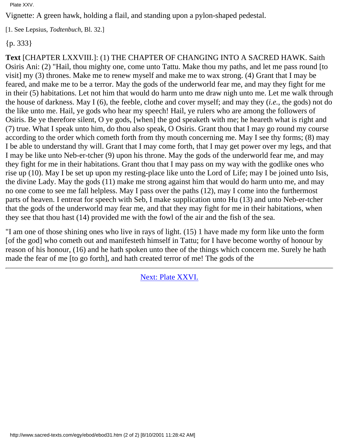Vignette: A green hawk, holding a flail, and standing upon a pylon-shaped pedestal.

[1. See Lepsius, *Todtenbuch*, Bl. 32.]

{p. 333}

**Text** [CHAPTER LXXVIII.]: (1) THE CHAPTER OF CHANGING INTO A SACRED HAWK. Saith Osiris Ani: (2) "Hail, thou mighty one, come unto Tattu. Make thou my paths, and let me pass round [to visit] my (3) thrones. Make me to renew myself and make me to wax strong. (4) Grant that I may be feared, and make me to be a terror. May the gods of the underworld fear me, and may they fight for me in their (5) habitations. Let not him that would do harm unto me draw nigh unto me. Let me walk through the house of darkness. May I (6), the feeble, clothe and cover myself; and may they (*i.e.*, the gods) not do the like unto me. Hail, ye gods who hear my speech! Hail, ye rulers who are among the followers of Osiris. Be ye therefore silent, O ye gods, [when] the god speaketh with me; he heareth what is right and (7) true. What I speak unto him, do thou also speak, O Osiris. Grant thou that I may go round my course according to the order which cometh forth from thy mouth concerning me. May I see thy forms; (8) may I be able to understand thy will. Grant that I may come forth, that I may get power over my legs, and that I may be like unto Neb-er-tcher (9) upon his throne. May the gods of the underworld fear me, and may they fight for me in their habitations. Grant thou that I may pass on my way with the godlike ones who rise up (10). May I be set up upon my resting-place like unto the Lord of Life; may I be joined unto Isis, the divine Lady. May the gods (11) make me strong against him that would do harm unto me, and may no one come to see me fall helpless. May I pass over the paths (12), may I come into the furthermost parts of heaven. I entreat for speech with Seb, I make supplication unto Hu (13) and unto Neb-er-tcher that the gods of the underworld may fear me, and that they may fight for me in their habitations, when they see that thou hast (14) provided me with the fowl of the air and the fish of the sea.

"I am one of those shining ones who live in rays of light. (15) 1 have made my form like unto the form [of the god] who cometh out and manifesteth himself in Tattu; for I have become worthy of honour by reason of his honour, (16) and he hath spoken unto thee of the things which concern me. Surely he hath made the fear of me [to go forth], and hath created terror of me! The gods of the

[Next: Plate XXVI.](#page-210-0)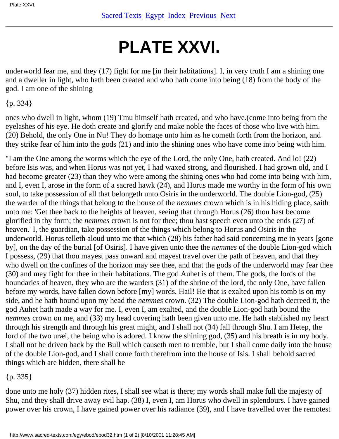### **PLATE XXVI.**

<span id="page-210-0"></span>underworld fear me, and they (17) fight for me [in their habitations]. I, in very truth I am a shining one and a dweller in light, who hath been created and who hath come into being (18) from the body of the god. I am one of the shining

{p. 334}

ones who dwell in light, whom (19) Tmu himself hath created, and who have.(come into being from the eyelashes of his eye. He doth create and glorify and make noble the faces of those who live with him. (20) Behold, the only One in Nu! They do homage unto him as he cometh forth from the horizon, and they strike fear of him into the gods (21) and into the shining ones who have come into being with him.

"I am the One among the worms which the eye of the Lord, the only One, hath created. And lo! (22) before Isis was, and when Horus was not yet, I had waxed strong, and flourished. I had grown old, and I had become greater (23) than they who were among the shining ones who had come into being with him, and I, even I, arose in the form of a sacred hawk (24), and Horus made me worthy in the form of his own soul, to take possession of all that belongeth unto Osiris in the underworld. The double Lion-god, (25) the warder of the things that belong to the house of the *nemmes* crown which is in his hiding place, saith unto me: 'Get thee back to the heights of heaven, seeing that through Horus (26) thou hast become glorified in thy form; the *nemmes* crown is not for thee; thou hast speech even unto the ends (27) of heaven.' I, the guardian, take possession of the things which belong to Horus and Osiris in the underworld. Horus telleth aloud unto me that which (28) his father had said concerning me in years [gone by], on the day of the burial [of Osiris]. I have given unto thee the *nemmes* of the double Lion-god which I possess, (29) that thou mayest pass onward and mayest travel over the path of heaven, and that they who dwell on the confines of the horizon may see thee, and that the gods of the underworld may fear thee (30) and may fight for thee in their habitations. The god Auhet is of them. The gods, the lords of the boundaries of heaven, they who are the warders (31) of the shrine of the lord, the only One, have fallen before my words, have fallen down before [my] words. Hail! He that is exalted upon his tomb is on my side, and he hath bound upon my head the *nemmes* crown. (32) The double Lion-god hath decreed it, the god Auhet hath made a way for me. I, even I, am exalted, and the double Lion-god hath bound the *nemmes* crown on me, and (33) my head covering hath been given unto me. He hath stablished my heart through his strength and through his great might, and I shall not (34) fall through Shu. I am Hetep, the lord of the two uræi, the being who is adored. I know the shining god, (35) and his breath is in my body. I shall not be driven back by the Bull which causeth men to tremble, but I shall come daily into the house of the double Lion-god, and I shall come forth therefrom into the house of Isis. I shall behold sacred things which are hidden, there shall be

{p. 335}

done unto me holy (37) hidden rites, I shall see what is there; my words shall make full the majesty of Shu, and they shall drive away evil hap. (38) I, even I, am Horus who dwell in splendours. I have gained power over his crown, I have gained power over his radiance (39), and I have travelled over the remotest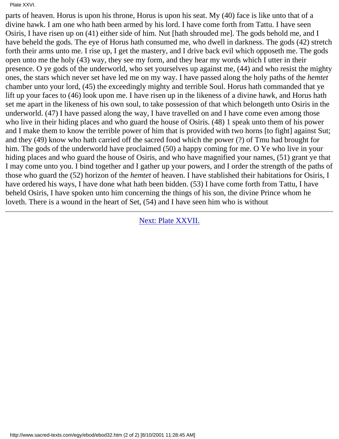Plate XXVI.

parts of heaven. Horus is upon his throne, Horus is upon his seat. My (40) face is like unto that of a divine hawk. I am one who hath been armed by his lord. I have come forth from Tattu. I have seen Osiris, I have risen up on (41) either side of him. Nut [hath shrouded me]. The gods behold me, and I have beheld the gods. The eye of Horus hath consumed me, who dwell in darkness. The gods (42) stretch forth their arms unto me. I rise up, I get the mastery, and I drive back evil which opposeth me. The gods open unto me the holy (43) way, they see my form, and they hear my words which I utter in their presence. O ye gods of the underworld, who set yourselves up against me, (44) and who resist the mighty ones, the stars which never set have led me on my way. I have passed along the holy paths of the *hemtet* chamber unto your lord, (45) the exceedingly mighty and terrible Soul. Horus hath commanded that ye lift up your faces to (46) look upon me. I have risen up in the likeness of a divine hawk, and Horus hath set me apart in the likeness of his own soul, to take possession of that which belongeth unto Osiris in the underworld. (47) I have passed along the way, I have travelled on and I have come even among those who live in their hiding places and who guard the house of Osiris. (48) 1 speak unto them of his power and I make them to know the terrible power of him that is provided with two horns [to fight] against Sut; and they (49) know who hath carried off the sacred food which the power (?) of Tmu had brought for him. The gods of the underworld have proclaimed (50) a happy coming for me. O Ye who live in your hiding places and who guard the house of Osiris, and who have magnified your names, (51) grant ye that I may come unto you. I bind together and I gather up your powers, and I order the strength of the paths of those who guard the (52) horizon of the *hemtet* of heaven. I have stablished their habitations for Osiris, I have ordered his ways, I have done what hath been bidden. (53) I have come forth from Tattu, I have beheld Osiris, I have spoken unto him concerning the things of his son, the divine Prince whom he loveth. There is a wound in the heart of Set, (54) and I have seen him who is without

[Next: Plate XXVII.](#page-212-0)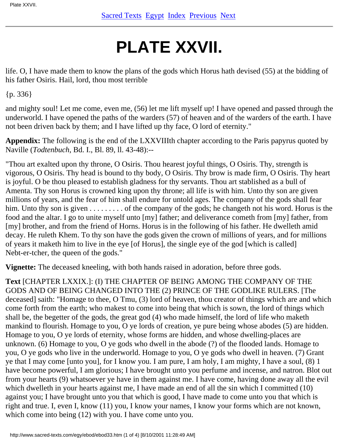## **PLATE XXVII.**

<span id="page-212-0"></span>life. O, I have made them to know the plans of the gods which Horus hath devised (55) at the bidding of his father Osiris. Hail, lord, thou most terrible

{p. 336}

and mighty soul! Let me come, even me, (56) let me lift myself up! I have opened and passed through the underworld. I have opened the paths of the warders (57) of heaven and of the warders of the earth. I have not been driven back by them; and I have lifted up thy face, O lord of eternity."

**Appendix:** The following is the end of the LXXVIIIth chapter according to the Paris papyrus quoted by Naville (*Todtenbuch*, Bd. I., Bl. 89, ll. 43-48):--

"Thou art exalted upon thy throne, O Osiris. Thou hearest joyful things, O Osiris. Thy, strength is vigorous, O Osiris. Thy head is bound to thy body, O Osiris. Thy brow is made firm, O Osiris. Thy heart is joyful. O be thou pleased to establish gladness for thy servants. Thou art stablished as a bull of Amenta. Thy son Horus is crowned king upon thy throne; all life is with him. Unto thy son are given millions of years, and the fear of him shall endure for untold ages. The company of the gods shall fear him. Unto thy son is given . . . . . . . . . of the company of the gods; he changeth not his word. Horus is the food and the altar. I go to unite myself unto [my] father; and deliverance cometh from [my] father, from [my] brother, and from the friend of Horns. Horus is in the following of his father. He dwelleth amid decay. He ruleth Khem. To thy son have the gods given the crown of millions of years, and for millions of years it maketh him to live in the eye [of Horus], the single eye of the god [which is called] Nebt-er-tcher, the queen of the gods."

**Vignette:** The deceased kneeling, with both hands raised in adoration, before three gods.

**Text** [CHAPTER LXXIX.]: (I) THE CHAPTER OF BEING AMONG THE COMPANY OF THE GODS AND OF BEING CHANGED INTO THE (2) PRINCE OF THE GODLIKE RULERS. [The deceased] saith: "Homage to thee, O Tmu, (3) lord of heaven, thou creator of things which are and which come forth from the earth; who makest to come into being that which is sown, the lord of things which shall be, the begetter of the gods, the great god (4) who made himself, the lord of life who maketh mankind to flourish. Homage to you, O ye lords of creation, ye pure being whose abodes (5) are hidden. Homage to you, O ye lords of eternity, whose forms are hidden, and whose dwelling-places are unknown. (6) Homage to you, O ye gods who dwell in the abode (?) of the flooded lands. Homage to you, O ye gods who live in the underworld. Homage to you, O ye gods who dwell in heaven. (7) Grant ye that I may come [unto you], for I know you. I am pure, I am holy, I am mighty, I have a soul, (8) 1 have become powerful, I am glorious; I have brought unto you perfume and incense, and natron. Blot out from your hearts (9) whatsoever ye have in them against me. I have come, having done away all the evil which dwelleth in your hearts against me, I have made an end of all the sin which I committed (10) against you; I have brought unto you that which is good, I have made to come unto you that which is right and true. I, even I, know (11) you, I know your names, I know your forms which are not known, which come into being (12) with you. I have come unto you.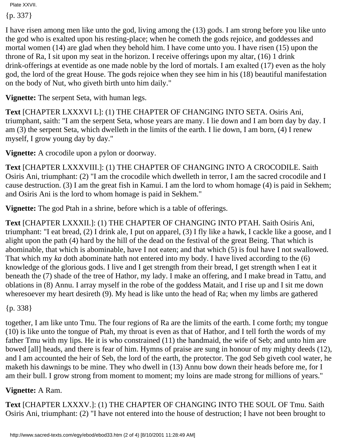Plate XXVII.

{p. 337}

I have risen among men like unto the god, living among the (13) gods. I am strong before you like unto the god who is exalted upon his resting-place; when he cometh the gods rejoice, and goddesses and mortal women (14) are glad when they behold him. I have come unto you. I have risen (15) upon the throne of Ra, I sit upon my seat in the horizon. I receive offerings upon my altar, (16) 1 drink drink-offerings at eventide as one made noble by the lord of mortals. I am exalted (17) even as the holy god, the lord of the great House. The gods rejoice when they see him in his (18) beautiful manifestation on the body of Nut, who giveth birth unto him daily."

**Vignette:** The serpent Seta, with human legs.

**Text** [CHAPTER LXXXVI L]: (1) THE CHAPTER OF CHANGING INTO SETA. Osiris Ani, triumphant, saith: "I am the serpent Seta, whose years are many. I lie down and I am born day by day. I am (3) the serpent Seta, which dwelleth in the limits of the earth. I lie down, I am born, (4) I renew myself, I grow young day by day."

**Vignette:** A crocodile upon a pylon or doorway.

**Text** [CHAPTER LXXXVIII.]: (1) THE CHAPTER OF CHANGING INTO A CROCODILE. Saith Osiris Ani, triumphant: (2) "I am the crocodile which dwelleth in terror, I am the sacred crocodile and I cause destruction. (3) I am the great fish in Kamui. I am the lord to whom homage (4) is paid in Sekhem; and Osiris Ani is the lord to whom homage is paid in Sekhem."

**Vignette:** The god Ptah in a shrine, before which is a table of offerings.

**Text** [CHAPTER LXXXII.]: (1) THE CHAPTER OF CHANGING INTO PTAH. Saith Osiris Ani, triumphant: "I eat bread, (2) I drink ale, I put on apparel, (3) I fly like a hawk, I cackle like a goose, and I alight upon the path (4) hard by the hill of the dead on the festival of the great Being. That which is abominable, that which is abominable, have I not eaten; and that which (5) is foul have I not swallowed. That which my *ka* doth abominate hath not entered into my body. I have lived according to the (6) knowledge of the glorious gods. I live and I get strength from their bread, I get strength when I eat it beneath the (7) shade of the tree of Hathor, my lady. I make an offering, and I make bread in Tattu, and oblations in (8) Annu. I array myself in the robe of the goddess Matait, and I rise up and I sit me down wheresoever my heart desireth (9). My head is like unto the head of Ra; when my limbs are gathered

{p. 338}

together, I am like unto Tmu. The four regions of Ra are the limits of the earth. I come forth; my tongue (10) is like unto the tongue of Ptah, my throat is even as that of Hathor, and I tell forth the words of my father Tmu with my lips. He it is who constrained (11) the handmaid, the wife of Seb; and unto him are bowed [all] heads, and there is fear of him. Hymns of praise are sung in honour of my mighty deeds (12), and I am accounted the heir of Seb, the lord of the earth, the protector. The god Seb giveth cool water, he maketh his dawnings to be mine. They who dwell in (13) Annu bow down their heads before me, for I am their bull. I grow strong from moment to moment; my loins are made strong for millions of years."

#### **Vignette:** A Ram.

**Text** [CHAPTER LXXXV.]: (1) THE CHAPTER OF CHANGING INTO THE SOUL OF Tmu. Saith Osiris Ani, triumphant: (2) "I have not entered into the house of destruction; I have not been brought to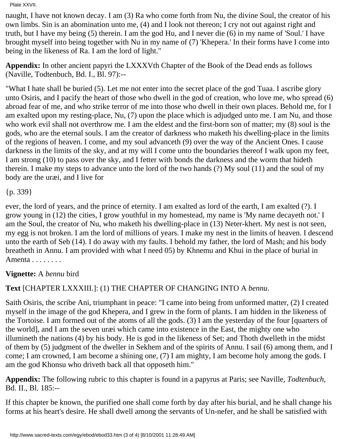Plate XXVII.

naught, I have not known decay. I am (3) Ra who come forth from Nu, the divine Soul, the creator of his own limbs. Sin is an abomination unto me, (4) and I look not thereon; I cry not out against right and truth, but I have my being (5) therein. I am the god Hu, and I never die (6) in my name of 'Soul.' I have brought myself into being together with Nu in my name of (7) 'Khepera.' In their forms have I come into being in the likeness of Ra. I am the lord of light."

**Appendix:** In other ancient papyri the LXXXVth Chapter of the Book of the Dead ends as follows (Naville, Todtenbuch, Bd. I., Bl. 97):--

"What I hate shall be buried (5). Let me not enter into the secret place of the god Tuaa. I ascribe glory unto Osiris, and I pacify the heart of those who dwell in the god of creation, who love me, who spread (6) abroad fear of me, and who strike terror of me into those who dwell in their own places. Behold me, for I am exalted upon my resting-place, Nu, (7) upon the place which is adjudged unto me. I am Nu, and those who work evil shall not overthrow me. I am the eldest and the first-born son of matter; my (8) soul is the gods, who are the eternal souls. I am the creator of darkness who maketh his dwelling-place in the limits of the regions of heaven. I come, and my soul advanceth (9) over the way of the Ancient Ones. I cause darkness in the limits of the sky, and at my will I come unto the boundaries thereof I walk upon my feet, I am strong (10) to pass over the sky, and I fetter with bonds the darkness and the worm that hideth therein. I make my steps to advance unto the lord of the two hands (?) My soul (11) and the soul of my body are the uræi, and I live for

#### {p. 339}

ever, the lord of years, and the prince of eternity. I am exalted as lord of the earth, I am exalted (?). I grow young in (12) the cities, I grow youthful in my homestead, my name is 'My name decayeth not.' I am the Soul, the creator of Nu, who maketh his dwelling-place in (13) Neter-khert. My nest is not seen, my egg is not broken. I am the lord of millions of years. I make my nest in the limits of heaven. I descend unto the earth of Seb (14). I do away with my faults. I behold my father, the lord of Mash; and his body breatheth in Annu. I am provided with what I need 05) by Khnemu and Khui in the place of burial in Amenta . . . . . . . .

#### **Vignette:** A *bennu* bird

### **Text** [CHAPTER LXXXIII.]: (1) THE CHAPTER OF CHANGING INTO A *bennu*.

Saith Osiris, the scribe Ani, triumphant in peace: "I came into being from unformed matter, (2) I created myself in the image of the god Khepera, and I grew in the form of plants. I am hidden in the likeness of the Tortoise. I am formed out of the atoms of all the gods. (3) I am the yesterday of the four [quarters of the world], and I am the seven uræi which came into existence in the East, the mighty one who illumineth the nations (4) by his body. He is god in the likeness of Set; and Thoth dwelleth in the midst of them by (5) judgment of the dweller in Sekhem and of the spirits of Annu. I sail (6) among them, and I come; I am crowned, I am become a shining one, (7) I am mighty, I am become holy among the gods. I am the god Khonsu who driveth back all that opposeth him."

**Appendix:** The following rubric to this chapter is found in a papyrus at Paris; see Naville, *Todtenbuch*, Bd. II., Bl. 185:--

If this chapter be known, the purified one shall come forth by day after his burial, and he shall change his forms at his heart's desire. He shall dwell among the servants of Un-nefer, and he shall be satisfied with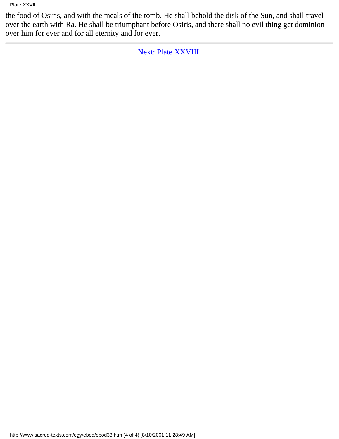Plate XXVII.

the food of Osiris, and with the meals of the tomb. He shall behold the disk of the Sun, and shall travel over the earth with Ra. He shall be triumphant before Osiris, and there shall no evil thing get dominion over him for ever and for all eternity and for ever.

[Next: Plate XXVIII.](#page-216-0)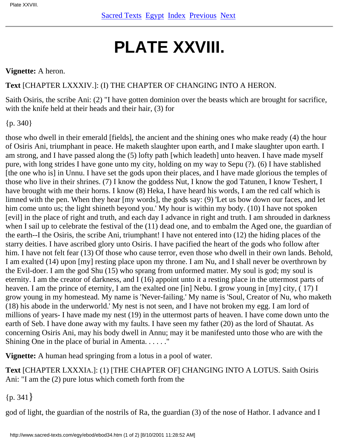# **PLATE XXVIII.**

<span id="page-216-0"></span>**Vignette:** A heron.

### **Text** [CHAPTER LXXXIV.]: (I) THE CHAPTER OF CHANGING INTO A HERON.

Saith Osiris, the scribe Ani: (2) "I have gotten dominion over the beasts which are brought for sacrifice, with the knife held at their heads and their hair, (3) for

{p. 340}

those who dwell in their emerald [fields], the ancient and the shining ones who make ready (4) the hour of Osiris Ani, triumphant in peace. He maketh slaughter upon earth, and I make slaughter upon earth. I am strong, and I have passed along the (5) lofty path [which leadeth] unto heaven. I have made myself pure, with long strides I have gone unto my city, holding on my way to Sepu (?). (6) I have stablished [the one who is] in Unnu. I have set the gods upon their places, and I have made glorious the temples of those who live in their shrines. (7) I know the goddess Nut, I know the god Tatunen, I know Teshert, I have brought with me their horns. I know (8) Heka, I have heard his words, I am the red calf which is limned with the pen. When they hear [my words], the gods say: (9) 'Let us bow down our faces, and let him come unto us; the light shineth beyond you.' My hour is within my body. (10) I have not spoken [evil] in the place of right and truth, and each day I advance in right and truth. I am shrouded in darkness when I sail up to celebrate the festival of the (11) dead one, and to embalm the Aged one, the guardian of the earth--I the Osiris, the scribe Ani, triumphant! I have not entered into (12) the hiding places of the starry deities. I have ascribed glory unto Osiris. I have pacified the heart of the gods who follow after him. I have not felt fear (13) Of those who cause terror, even those who dwell in their own lands. Behold, I am exalted (14) upon [my] resting place upon my throne. I am Nu, and I shall never be overthrown by the Evil-doer. I am the god Shu (15) who sprang from unformed matter. My soul is god; my soul is eternity. I am the creator of darkness, and I (16) appoint unto it a resting place in the uttermost parts of heaven. I am the prince of eternity, I am the exalted one [in] Nebu. I grow young in [my] city, ( 17) I grow young in my homestead. My name is 'Never-failing.' My name is 'Soul, Creator of Nu, who maketh (18) his abode in the underworld.' My nest is not seen, and I have not broken my egg. I am lord of millions of years- I have made my nest (19) in the uttermost parts of heaven. I have come down unto the earth of Seb. I have done away with my faults. I have seen my father (20) as the lord of Shautat. As concerning Osiris Ani, may his body dwell in Annu; may it be manifested unto those who are with the Shining One in the place of burial in Amenta. . . . . . "

**Vignette:** A human head springing from a lotus in a pool of water.

**Text** [CHAPTER LXXXIA.]: (1) [THE CHAPTER OF] CHANGING INTO A LOTUS. Saith Osiris Ani: "I am the (2) pure lotus which cometh forth from the

 ${p. 341}$ 

god of light, the guardian of the nostrils of Ra, the guardian (3) of the nose of Hathor. I advance and I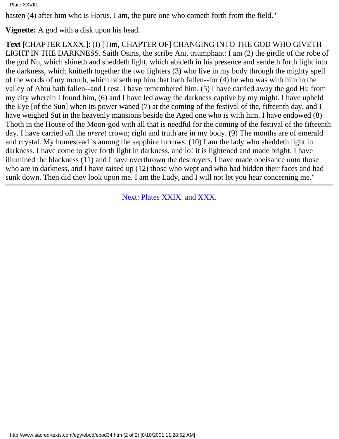Plate XXVIII.

hasten (4) after him who is Horus. I am, the pure one who cometh forth from the field."

**Vignette:** A god with a disk upon his head.

**Text** [CHAPTER LXXX.]: (I) [Tim, CHAPTER OF] CHANGING INTO THE GOD WHO GIVETH LIGHT IN THE DARKNESS. Saith Osiris, the scribe Ani, triumphant: I am (2) the girdle of the robe of the god Nu, which shineth and sheddeth light, which abideth in his presence and sendeth forth light into the darkness, which knitteth together the two fighters (3) who live in my body through the mighty spell of the words of my mouth, which raiseth up him that hath fallen--for (4) he who was with him in the valley of Abtu hath fallen--and I rest. I have remembered him. (5) I have carried away the god Hu from my city wherein I found him, (6) and I have led away the darkness captive by my might. I have upheld the Eye [of the Sun] when its power waned (7) at the coming of the festival of the, fifteenth day, and I have weighed Sut in the heavenly mansions beside the Aged one who is with him. I have endowed (8) Thoth in the House of the Moon-god with all that is needful for the coming of the festival of the fifteenth day. I have carried off the *ureret* crown; right and truth are in my body. (9) The months are of emerald and crystal. My homestead is among the sapphire furrows. (10) I am the lady who sheddeth light in darkness. I have come to give forth light in darkness, and lo! it is lightened and made bright. I have illumined the blackness (11) and I have overthrown the destroyers. I have made obeisance unto those who are in darkness, and I have raised up (12) those who wept and who had bidden their faces and had sunk down. Then did they look upon me. I am the Lady, and I will not let you hear concerning me."

[Next: Plates XXIX. and XXX.](#page-218-0)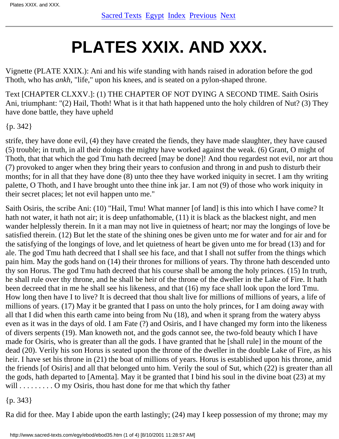### **PLATES XXIX. AND XXX.**

<span id="page-218-0"></span>Vignette (PLATE XXIX.): Ani and his wife standing with hands raised in adoration before the god Thoth, who has *ankh*, "life," upon his knees, and is seated on a pylon-shaped throne.

Text [CHAPTER CLXXV.]: (1) THE CHAPTER OF NOT DYING A SECOND TIME. Saith Osiris Ani, triumphant: "(2) Hail, Thoth! What is it that hath happened unto the holy children of Nut? (3) They have done battle, they have upheld

#### {p. 342}

strife, they have done evil, (4) they have created the fiends, they have made slaughter, they have caused (5) trouble; in truth, in all their doings the mighty have worked against the weak. (6) Grant, O might of Thoth, that that which the god Tmu hath decreed [may be done]! And thou regardest not evil, nor art thou (7) provoked to anger when they bring their years to confusion and throng in and push to disturb their months; for in all that they have done (8) unto thee they have worked iniquity in secret. I am thy writing palette, O Thoth, and I have brought unto thee thine ink jar. I am not (9) of those who work iniquity in their secret places; let not evil happen unto me."

Saith Osiris, the scribe Ani: (10) "Hail, Tmu! What manner [of land] is this into which I have come? It hath not water, it hath not air; it is deep unfathomable, (11) it is black as the blackest night, and men wander helplessly therein. In it a man may not live in quietness of heart; nor may the longings of love be satisfied therein. (12) But let the state of the shining ones be given unto me for water and for air and for the satisfying of the longings of love, and let quietness of heart be given unto me for bread (13) and for ale. The god Tmu hath decreed that I shall see his face, and that I shall not suffer from the things which pain him. May the gods hand on (14) their thrones for millions of years. Thy throne hath descended unto thy son Horus. The god Tmu hath decreed that his course shall be among the holy princes. (15) In truth, he shall rule over thy throne, and he shall be heir of the throne of the dweller in the Lake of Fire. It hath been decreed that in me he shall see his likeness, and that (16) my face shall look upon the lord Tmu. How long then have I to live? It is decreed that thou shalt live for millions of millions of years, a life of millions of years. (17) May it be granted that I pass on unto the holy princes, for I am doing away with all that I did when this earth came into being from Nu (18), and when it sprang from the watery abyss even as it was in the days of old. I am Fate (?) and Osiris, and I have changed my form into the likeness of divers serpents (19). Man knoweth not, and the gods cannot see, the two-fold beauty which I have made for Osiris, who is greater than all the gods. I have granted that he [shall rule] in the mount of the dead (20). Verily his son Horus is seated upon the throne of the dweller in the double Lake of Fire, as his heir. I have set his throne in (21) the boat of millions of years. Horus is established upon his throne, amid the friends [of Osiris] and all that belonged unto him. Verily the soul of Sut, which (22) is greater than all the gods, hath departed to [Amenta]. May it be granted that I bind his soul in the divine boat (23) at my will . . . . . . . . . O my Osiris, thou hast done for me that which thy father

{p. 343}

Ra did for thee. May I abide upon the earth lastingly; (24) may I keep possession of my throne; may my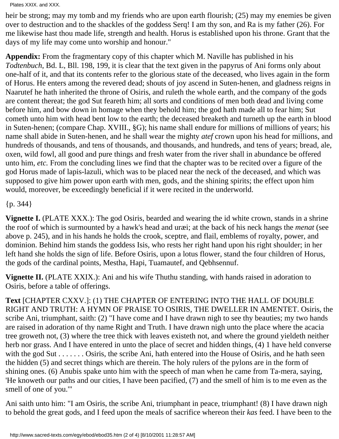Plates XXIX. and XXX.

heir be strong; may my tomb and my friends who are upon earth flourish; (25) may my enemies be given over to destruction and to the shackles of the goddess Serq! I am thy son, and Ra is my father (26). For me likewise hast thou made life, strength and health. Horus is established upon his throne. Grant that the days of my life may come unto worship and honour."

**Appendix:** From the fragmentary copy of this chapter which M. Naville has published in his *Todtenbuch*, Bd. L, Bll. 198, 199, it is clear that the text given in the papyrus of Ani forms only about one-half of it, and that its contents refer to the glorious state of the deceased, who lives again in the form of Horus. He enters among the revered dead; shouts of joy ascend in Suten-henen, and gladness reigns in Naarutef he hath inherited the throne of Osiris, and ruleth the whole earth, and the company of the gods are content thereat; the god Sut feareth him; all sorts and conditions of men both dead and living come before him, and bow down in homage when they behold him; the god hath made all to fear him; Sut cometh unto him with head bent low to the earth; the deceased breaketh and turneth up the earth in blood in Suten-henen; (compare Chap. XVIII., §G); his name shall endure for millions of millions of years; his name shall abide in Suten-henen, and he shall wear the mighty *atef* crown upon his head for millions, and hundreds of thousands, and tens of thousands, and thousands, and hundreds, and tens of years; bread, ale, oxen, wild fowl, all good and pure things and fresh water from the river shall in abundance be offered unto him, *etc.* From the concluding lines we find that the chapter was to be recited over a figure of the god Horus made of lapis-lazuli, which was to be placed near the neck of the deceased, and which was supposed to give him power upon earth with men, gods, and the shining spirits; the effect upon him would, moreover, be exceedingly beneficial if it were recited in the underworld.

{p. 344}

**Vignette I.** (PLATE XXX.): The god Osiris, bearded and wearing the id white crown, stands in a shrine the roof of which is surmounted by a hawk's head and uræi; at the back of his neck hangs the *menat* (see above p. 245), and in his hands he holds the crook, sceptre, and flail, emblems of royalty, power, and dominion. Behind him stands the goddess Isis, who rests her right hand upon his right shoulder; in her left hand she holds the sign of life. Before Osiris, upon a lotus flower, stand the four children of Horus, the gods of the cardinal points, Mestha, Hapi, Tuamautef, and Qebhsennuf.

**Vignette II.** (PLATE XXIX.): Ani and his wife Thuthu standing, with hands raised in adoration to Osiris, before a table of offerings.

**Text** [CHAPTER CXXV.]: (1) THE CHAPTER OF ENTERING INTO THE HALL OF DOUBLE RIGHT AND TRUTH: A HYMN OF PRAISE TO OSIRIS, THE DWELLER IN AMENTET. Osiris, the scribe Ani, triumphant, saith: (2) "I have come and I have drawn nigh to see thy beauties; my two hands are raised in adoration of thy name Right and Truth. I have drawn nigh unto the place where the acacia tree groweth not, (3) where the tree thick with leaves existeth not, and where the ground yieldeth neither herb nor grass. And I have entered in unto the place of secret and hidden things, (4) 1 have held converse with the god Sut . . . . . . . Osiris, the scribe Ani, hath entered into the House of Osiris, and he hath seen the hidden (5) and secret things which are therein. The holy rulers of the pylons are in the form of shining ones. (6) Anubis spake unto him with the speech of man when he came from Ta-mera, saying, 'He knoweth our paths and our cities, I have been pacified, (7) and the smell of him is to me even as the smell of one of you.'"

Ani saith unto him: "I am Osiris, the scribe Ani, triumphant in peace, triumphant! (8) I have drawn nigh to behold the great gods, and I feed upon the meals of sacrifice whereon their *kas* feed. I have been to the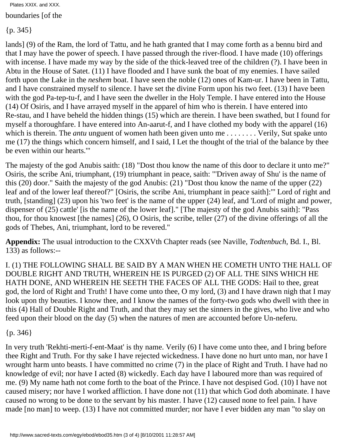```
Plates XXIX. and XXX.
```
boundaries [of the

{p. 345}

lands] (9) of the Ram, the lord of Tattu, and he hath granted that I may come forth as a bennu bird and that I may have the power of speech. I have passed through the river-flood. I have made (10) offerings with incense. I have made my way by the side of the thick-leaved tree of the children (?). I have been in Abtu in the House of Satet. (11) I have flooded and I have sunk the boat of my enemies. I have sailed forth upon the Lake in the *neshem* boat. I have seen the noble (12) ones of Kam-ur. I have been in Tattu, and I have constrained myself to silence. I have set the divine Form upon his two feet. (13) I have been with the god Pa-tep-tu-f, and I have seen the dweller in the Holy Temple. I have entered into the House (14) Of Osiris, and I have arrayed myself in the apparel of him who is therein. I have entered into Re-stau, and I have beheld the hidden things (15) which are therein. I have been swathed, but I found for myself a thoroughfare. I have entered into An-aarut-f, and I have clothed my body with the apparel (16) which is therein. The *antu* unguent of women hath been given unto me . . . . . . . . . Verily, Sut spake unto me (17) the things which concern himself, and I said, I Let the thought of the trial of the balance by thee be even within our hearts.'"

The majesty of the god Anubis saith: (18) "Dost thou know the name of this door to declare it unto me?" Osiris, the scribe Ani, triumphant, (19) triumphant in peace, saith: "'Driven away of Shu' is the name of this (20) door." Saith the majesty of the god Anubis: (21) "Dost thou know the name of the upper (22) leaf and of the lower leaf thereof?" [Osiris, the scribe Ani, triumphant in peace saith]:"' Lord of right and truth, [standing] (23) upon his 'two feet' is the name of the upper (24) leaf, and 'Lord of might and power, dispenser of (25) cattle' [is the name of the lower leaf]." [The majesty of the god Anubis saith]: "Pass thou, for thou knowest [the names] (26), O Osiris, the scribe, teller (27) of the divine offerings of all the gods of Thebes, Ani, triumphant, lord to be revered."

**Appendix:** The usual introduction to the CXXVth Chapter reads (see Naville, *Todtenbuch*, Bd. I., Bl. 133) as follows:--

I. (1) THE FOLLOWING SHALL BE SAID BY A MAN WHEN HE COMETH UNTO THE HALL OF DOUBLE RIGHT AND TRUTH, WHEREIN HE IS PURGED (2) OF ALL THE SINS WHICH HE HATH DONE, AND WHEREIN HE SEETH THE FACES OF ALL THE GODS: Hail to thee, great god, the lord of Right and Truth! I have come unto thee, O my lord, (3) and I have drawn nigh that I may look upon thy beauties. I know thee, and I know the names of the forty-two gods who dwell with thee in this (4) Hall of Double Right and Truth, and that they may set the sinners in the gives, who live and who feed upon their blood on the day (5) when the natures of men are accounted before Un-neferu.

{p. 346}

In very truth 'Rekhti-merti-f-ent-Maat' is thy name. Verily (6) I have come unto thee, and I bring before thee Right and Truth. For thy sake I have rejected wickedness. I have done no hurt unto man, nor have I wrought harm unto beasts. I have committed no crime (7) in the place of Right and Truth. I have had no knowledge of evil; nor have I acted (8) wickedly. Each day have I laboured more than was required of me. (9) My name hath not come forth to the boat of the Prince. I have not despised God. (10) I have not caused misery; nor have I worked affliction. I have done not (11) that which God doth abominate. I have caused no wrong to be done to the servant by his master. I have (12) caused none to feel pain. I have made [no man] to weep. (13) I have not committed murder; nor have I ever bidden any man "to slay on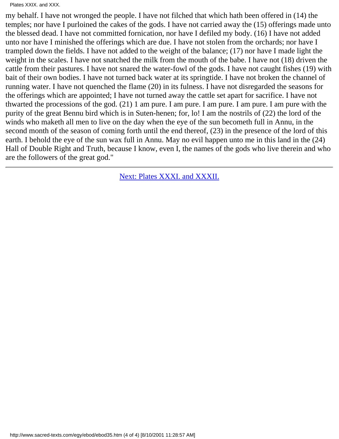Plates XXIX. and XXX.

my behalf. I have not wronged the people. I have not filched that which hath been offered in (14) the temples; nor have I purloined the cakes of the gods. I have not carried away the (15) offerings made unto the blessed dead. I have not committed fornication, nor have I defiled my body. (16) I have not added unto nor have I minished the offerings which are due. I have not stolen from the orchards; nor have I trampled down the fields. I have not added to the weight of the balance; (17) nor have I made light the weight in the scales. I have not snatched the milk from the mouth of the babe. I have not (18) driven the cattle from their pastures. I have not snared the water-fowl of the gods. I have not caught fishes (19) with bait of their own bodies. I have not turned back water at its springtide. I have not broken the channel of running water. I have not quenched the flame (20) in its fulness. I have not disregarded the seasons for the offerings which are appointed; I have not turned away the cattle set apart for sacrifice. I have not thwarted the processions of the god. (21) 1 am pure. I am pure. I am pure. I am pure. I am pure with the purity of the great Bennu bird which is in Suten-henen; for, lo! I am the nostrils of (22) the lord of the winds who maketh all men to live on the day when the eye of the sun becometh full in Annu, in the second month of the season of coming forth until the end thereof, (23) in the presence of the lord of this earth. I behold the eye of the sun wax full in Annu. May no evil happen unto me in this land in the (24) Hall of Double Right and Truth, because I know, even I, the names of the gods who live therein and who are the followers of the great god."

[Next: Plates XXXI. and XXXII.](#page-222-0)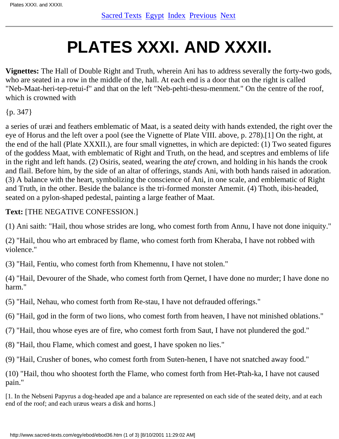# **PLATES XXXI. AND XXXII.**

<span id="page-222-0"></span>**Vignettes:** The Hall of Double Right and Truth, wherein Ani has to address severally the forty-two gods, who are seated in a row in the middle of the, hall. At each end is a door that on the right is called "Neb-Maat-heri-tep-retui-f" and that on the left "Neb-pehti-thesu-menment." On the centre of the roof, which is crowned with

 ${p. 347}$ 

a series of uræi and feathers emblematic of Maat, is a seated deity with hands extended, the right over the eye of Horus and the left over a pool (see the Vignette of Plate VIII. above, p. 278).[1] On the right, at the end of the hall (Plate XXXII.), are four small vignettes, in which are depicted: (1) Two seated figures of the goddess Maat, with emblematic of Right and Truth, on the head, and sceptres and emblems of life in the right and left hands. (2) Osiris, seated, wearing the *atef* crown, and holding in his hands the crook and flail. Before him, by the side of an altar of offerings, stands Ani, with both hands raised in adoration. (3) A balance with the heart, symbolizing the conscience of Ani, in one scale, and emblematic of Right and Truth, in the other. Beside the balance is the tri-formed monster Amemit. (4) Thoth, ibis-headed, seated on a pylon-shaped pedestal, painting a large feather of Maat.

#### **Text:** [THE NEGATIVE CONFESSION.]

(1) Ani saith: "Hail, thou whose strides are long, who comest forth from Annu, I have not done iniquity."

(2) "Hail, thou who art embraced by flame, who comest forth from Kheraba, I have not robbed with violence."

(3) "Hail, Fentiu, who comest forth from Khemennu, I have not stolen."

(4) "Hail, Devourer of the Shade, who comest forth from Qernet, I have done no murder; I have done no harm."

(5) "Hail, Nehau, who comest forth from Re-stau, I have not defrauded offerings."

(6) "Hail, god in the form of two lions, who comest forth from heaven, I have not minished oblations."

(7) "Hail, thou whose eyes are of fire, who comest forth from Saut, I have not plundered the god."

(8) "Hail, thou Flame, which comest and goest, I have spoken no lies."

(9) "Hail, Crusher of bones, who comest forth from Suten-henen, I have not snatched away food."

(10) "Hail, thou who shootest forth the Flame, who comest forth from Het-Ptah-ka, I have not caused pain."

[1. In the Nebseni Papyrus a dog-headed ape and a balance are represented on each side of the seated deity, and at each end of the roof; and each uræus wears a disk and horns.]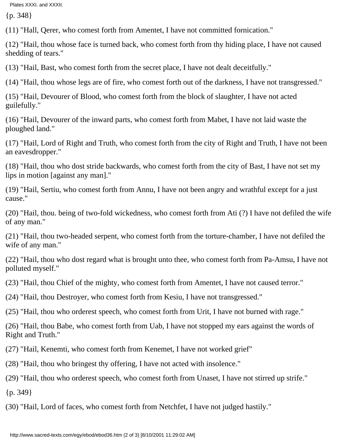Plates XXXI. and XXXII.

{p. 348}

(11) "Hall, Qerer, who comest forth from Amentet, I have not committed fornication."

(12) "Hail, thou whose face is turned back, who comest forth from thy hiding place, I have not caused shedding of tears."

(13) "Hail, Bast, who comest forth from the secret place, I have not dealt deceitfully."

(14) "Hail, thou whose legs are of fire, who comest forth out of the darkness, I have not transgressed."

(15) "Hail, Devourer of Blood, who comest forth from the block of slaughter, I have not acted guilefully."

(16) "Hail, Devourer of the inward parts, who comest forth from Mabet, I have not laid waste the ploughed land."

(17) "Hail, Lord of Right and Truth, who comest forth from the city of Right and Truth, I have not been an eavesdropper."

(18) "Hail, thou who dost stride backwards, who comest forth from the city of Bast, I have not set my lips in motion [against any man]."

(19) "Hail, Sertiu, who comest forth from Annu, I have not been angry and wrathful except for a just cause."

(20) "Hail, thou. being of two-fold wickedness, who comest forth from Ati (?) I have not defiled the wife of any man."

(21) "Hail, thou two-headed serpent, who comest forth from the torture-chamber, I have not defiled the wife of any man."

(22) "Hail, thou who dost regard what is brought unto thee, who comest forth from Pa-Amsu, I have not polluted myself."

(23) "Hail, thou Chief of the mighty, who comest forth from Amentet, I have not caused terror."

(24) "Hail, thou Destroyer, who comest forth from Kesiu, I have not transgressed."

(25) "Hail, thou who orderest speech, who comest forth from Urit, I have not burned with rage."

(26) "Hail, thou Babe, who comest forth from Uab, I have not stopped my ears against the words of Right and Truth."

(27) "Hail, Kenemti, who comest forth from Kenemet, I have not worked grief"

(28) "Hail, thou who bringest thy offering, I have not acted with insolence."

(29) "Hail, thou who orderest speech, who comest forth from Unaset, I have not stirred up strife."

 ${p. 349}$ 

(30) "Hail, Lord of faces, who comest forth from Netchfet, I have not judged hastily."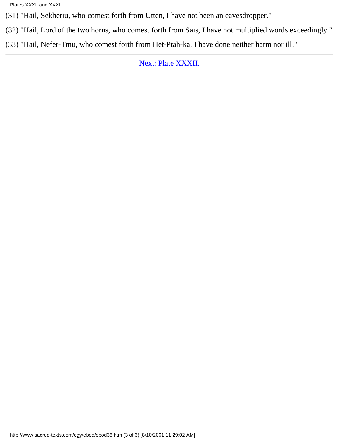Plates XXXI. and XXXII.

- (31) "Hail, Sekheriu, who comest forth from Utten, I have not been an eavesdropper."
- (32) "Hail, Lord of the two horns, who comest forth from Saïs, I have not multiplied words exceedingly."
- (33) "Hail, Nefer-Tmu, who comest forth from Het-Ptah-ka, I have done neither harm nor ill."

[Next: Plate XXXII.](#page-225-0)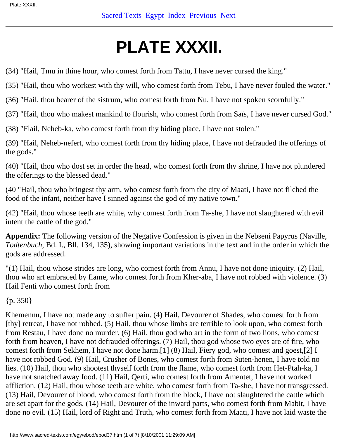### **PLATE XXXII.**

<span id="page-225-0"></span>(34) "Hail, Tmu in thine hour, who comest forth from Tattu, I have never cursed the king."

(35) "Hail, thou who workest with thy will, who comest forth from Tebu, I have never fouled the water."

(36) "Hail, thou bearer of the sistrum, who comest forth from Nu, I have not spoken scornfully."

(37) "Hail, thou who makest mankind to flourish, who comest forth from Saïs, I have never cursed God."

(38) "Flail, Neheb-ka, who comest forth from thy hiding place, I have not stolen."

(39) "Hail, Neheb-nefert, who comest forth from thy hiding place, I have not defrauded the offerings of the gods."

(40) "Hail, thou who dost set in order the head, who comest forth from thy shrine, I have not plundered the offerings to the blessed dead."

(40 "Hail, thou who bringest thy arm, who comest forth from the city of Maati, I have not filched the food of the infant, neither have I sinned against the god of my native town."

(42) "Hail, thou whose teeth are white, why comest forth from Ta-she, I have not slaughtered with evil intent the cattle of the god."

**Appendix:** The following version of the Negative Confession is given in the Nebseni Papyrus (Naville, *Todtenbuch*, Bd. I., Bll. 134, 135), showing important variations in the text and in the order in which the gods are addressed.

"(1) Hail, thou whose strides are long, who comest forth from Annu, I have not done iniquity. (2) Hail, thou who art embraced by flame, who comest forth from Kher-aba, I have not robbed with violence. (3) Hail Fenti who comest forth from

{p. 350}

Khemennu, I have not made any to suffer pain. (4) Hail, Devourer of Shades, who comest forth from [thy] retreat, I have not robbed. (5) Hail, thou whose limbs are terrible to look upon, who comest forth from Restau, I have done no murder. (6) Hail, thou god who art in the form of two lions, who comest forth from heaven, I have not defrauded offerings. (7) Hail, thou god whose two eyes are of fire, who comest forth from Sekhem, I have not done harm.[1] (8) Hail, Fiery god, who comest and goest,[2] I have not robbed God. (9) Hail, Crusher of Bones, who comest forth from Suten-henen, I have told no lies. (10) Hail, thou who shootest thyself forth from the flame, who comest forth from Het-Ptah-ka, I have not snatched away food. (11) Hail, Qerti, who comest forth from Amentet, I have not worked affliction. (12) Hail, thou whose teeth are white, who comest forth from Ta-she, I have not transgressed. (13) Hail, Devourer of blood, who comest forth from the block, I have not slaughtered the cattle which are set apart for the gods. (14) Hail, Devourer of the inward parts, who comest forth from Mabit, I have done no evil. (15) Hail, lord of Right and Truth, who comest forth from Maati, I have not laid waste the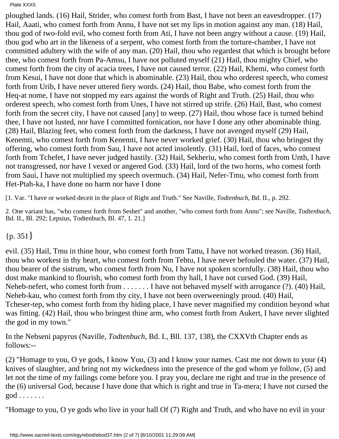ploughed lands. (16) Hail, Strider, who comest forth from Bast, I have not been an eavesdropper. (17) Hail, Aaati, who comest forth from Annu, I have not set my lips in motion against any man. (18) Hail, thou god of two-fold evil, who comest forth from Ati, I have not been angry without a cause. (19) Hail, thou god who art in the likeness of a serpent, who comest forth from the torture-chamber, I have not committed adultery with the wife of any man. (20) Hail, thou who regardest that which is brought before thee, who comest forth from Pa-Amsu, I have not polluted myself (21) Hail, thou mighty Chief, who comest forth from the city of acacia trees, I have not caused terror. (22) Hail, Khemi, who comest forth from Kesui, I have not done that which is abominable. (23) Hail, thou who orderest speech, who comest forth from Urib, I have never uttered fiery words. (24) Hail, thou Babe, who comest forth from the Heq-at nome, I have not stopped my ears against the words of Right and Truth. (25) Hail, thou who orderest speech, who comest forth from Unes, I have not stirred up strife. (26) Hail, Bast, who comest forth from the secret city, I have not caused [any] to weep. (27) Hail, thou whose face is turned behind thee, I have not lusted, nor have I committed fornication, nor have I done any other abominable thing. (28) Hail, Blazing feet, who comest forth from the darkness, I have not avenged myself (29) Hail, Kenemti, who comest forth from Kenemti, I have never worked grief. (30) Hail, thou who bringest thy offering, who comest forth from Sau, I have not acted insolently. (31) Hail, lord of faces, who comest forth from Tchefet, I have never judged hastily. (32) Hail, Sekheriu, who comest forth from Unth, I have not transgressed, nor have I vexed or angered God. (33) Hail, lord of the two horns, who comest forth from Saui, I have not multiplied my speech overmuch. (34) Hail, Nefer-Tmu, who comest forth from Het-Ptah-ka, I have done no harm nor have I done

[1. Var. "I have or worked deceit in the place of Right and Truth." See Naville, *Todtenbuch*, Bd. II., p. 292.

2. One variant has, "who comest forth from Seshet" and another, "who comest forth from Annu"; see Naville, *Todtenbuch*, Bd. II., Bl. 292; Lepsius, Todtenbuch, Bl. 47, 1. 21.]

 ${p. 351}$ 

evil. (35) Hail, Tmu in thine hour, who comest forth from Tattu, I have not worked treason. (36) Hail, thou who workest in thy heart, who comest forth from Tebtu, I have never befouled the water. (37) Hail, thou bearer of the sistrum, who comest forth from Nu, I have not spoken scornfully. (38) Hail, thou who dost make mankind to flourish, who comest forth from thy hall, I have not cursed God. (39) Hail, Neheb-nefert, who comest forth from . . . . . . . I have not behaved myself with arrogance (?). (40) Hail, Neheb-kau, who comest forth from thy city, I have not been overweeningly proud. (40) Hail, Tcheser-tep, who comest forth from thy hiding place, I have never magnified my condition beyond what was fitting. (42) Hail, thou who bringest thine arm, who comest forth from Aukert, I have never slighted the god in my town."

In the Nebseni papyrus (Naville, *Todtenbuch*, Bd. I., Bll. 137, 138), the CXXVth Chapter ends as follows:--

(2) "Homage to you, O ye gods, I know You, (3) and I know your names. Cast me not down to your (4) knives of slaughter, and bring not my wickedness into the presence of the god whom ye follow, (5) and let not the time of my failings come before you. I pray you, declare me right and true in the presence of the (6) universal God, because I have done that which is right and true in Ta-mera; I have not cursed the  $\text{god} \dots \dots$ 

"Homage to you, O ye gods who live in your hall Of (7) Right and Truth, and who have no evil in your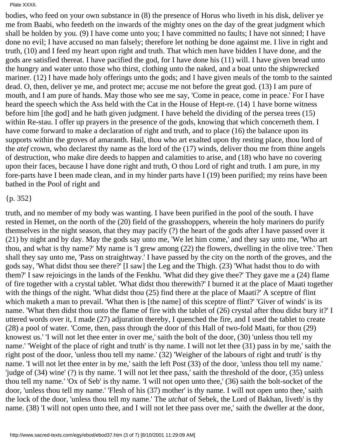bodies, who feed on your own substance in (8) the presence of Horus who liveth in his disk, deliver ye me from Baabi, who feedeth on the inwards of the mighty ones on the day of the great judgment which shall be holden by you. (9) I have come unto you; I have committed no faults; I have not sinned; I have done no evil; I have accused no man falsely; therefore let nothing be done against me. I live in right and truth, (10) and I feed my heart upon right and truth. That which men have bidden I have done, and the gods are satisfied thereat. I have pacified the god, for I have done his (11) will. I have given bread unto the hungry and water unto those who thirst, clothing unto the naked, and a boat unto the shipwrecked mariner. (12) I have made holy offerings unto the gods; and I have given meals of the tomb to the sainted dead. O, then, deliver ye me, and protect me; accuse me not before the great god. (13) I am pure of mouth, and I am pure of hands. May those who see me say, 'Come in peace, come in peace.' For I have heard the speech which the Ass held with the Cat in the House of Hept-re. (14) 1 have borne witness before him [the god] and he hath given judgment. I have beheld the dividing of the persea trees (15) within Re-stau. I offer up prayers in the presence of the gods, knowing that which concerneth them. I have come forward to make a declaration of right and truth, and to place (16) the balance upon its supports within the groves of amaranth. Hail, thou who art exalted upon thy resting place, thou lord of the *atef* crown, who declarest thy name as the lord of the (17) winds, deliver thou me from thine angels of destruction, who make dire deeds to happen and calamities to arise, and (18) who have no covering upon their faces, because I have done right and truth, O thou Lord of right and truth. I am pure, in my fore-parts have I been made clean, and in my hinder parts have I (19) been purified; my reins have been bathed in the Pool of right and

#### {p. 352}

truth, and no member of my body was wanting. I have been purified in the pool of the south. I have rested in Hemet, on the north of the (20) field of the grasshoppers, wherein the holy mariners do purify themselves in the night season, that they may pacify (?) the heart of the gods after I have passed over it (21) by night and by day. May the gods say unto me, 'We let him come,' and they say unto me, 'Who art thou, and what is thy name?' My name is 'I grew among (22) the flowers, dwelling in the olive tree.' Then shall they say unto me, 'Pass on straightway.' I have passed by the city on the north of the groves, and the gods say, 'What didst thou see there?' [I saw] the Leg and the Thigh. (23) 'What hadst thou to do with them?' I saw rejoicings in the lands of the Fenkhu. 'What did they give thee?' They gave me a (24) flame of fire together with a crystal tablet. 'What didst thou therewith?' I burned it at the place of Maati together with the things of the night. 'What didst thou (25) find there at the place of Maati?' A sceptre of flint which maketh a man to prevail. 'What then is [the name] of this sceptre of flint?' 'Giver of winds' is its name. 'What then didst thou unto the flame of fire with the tablet of (26) crystal after thou didst bury it?' I uttered words over it, I made (27) adjuration thereby, I quenched the fire, and I used the tablet to create (28) a pool of water. 'Come, then, pass through the door of this Hall of two-fold Maati, for thou (29) knowest us.' 'I will not let thee enter in over me,' saith the bolt of the door, (30) 'unless thou tell my name.' 'Weight of the place of right and truth' is thy name. I will not let thee (31) pass in by me,' saith the right post of the door, 'unless thou tell my name.' (32) 'Weigher of the labours of right and truth' is thy name. 'I will not let thee enter in by me,' saith the left Post (33) of the door, 'unless thou tell my name.' 'judge of (34) wine' (?) is thy name. 'I will not let thee pass,' saith the threshold of the door, (35) unless thou tell my name.' 'Ox of Seb' is thy name. 'I will not open unto thee,' (36) saith the bolt-socket of the door, 'unless thou tell my name.' 'Flesh of his (37) mother' is thy name. I will not open unto thee,' saith the lock of the door, 'unless thou tell my name.' The *utchat* of Sebek, the Lord of Bakhan, liveth' is thy name. (38) 'I will not open unto thee, and I will not let thee pass over me,' saith the dweller at the door,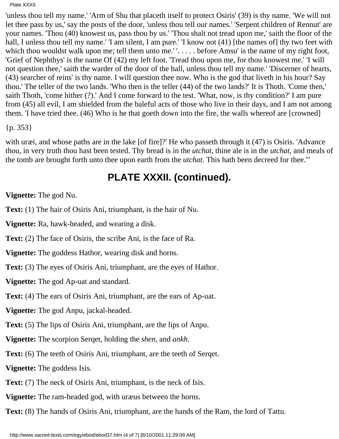'unless thou tell my name.' 'Arm of Shu that placeth itself to protect Osiris' (39) is thy name. 'We will not let thee pass by us,' say the posts of the door, 'unless thou tell our names.' 'Serpent children of Rennut' are your names. 'Thou (40) knowest us, pass thou by us.' 'Thou shalt not tread upon me,' saith the floor of the hall, I unless thou tell my name.' 'I am silent, I am pure.' 'I know not (41) [the names of] thy two feet with which thou wouldst walk upon me; tell them unto me.''..... before Amsu' is the name of my right foot, 'Grief of Nephthys' is the name Of (42) my left foot. 'Tread thou upon me, for thou knowest me.' 'I will not question thee,' saith the warder of the door of the hall, unless thou tell my name.' 'Discerner of hearts, (43) searcher of reins' is thy name. I will question thee now. Who is the god that liveth in his hour? Say thou.' The teller of the two lands. 'Who then is the teller (44) of the two lands?' It is Thoth. 'Come then,' saith Thoth, 'come hither (?).' And I come forward to the test. 'What, now, is thy condition?' I am pure from (45) all evil, I am shielded from the baleful acts of those who live in their days, and I am not among them. 'I have tried thee. (46) Who is he that goeth down into the fire, the walls whereof are [crowned]

#### ${p. 353}$

with uræi, and whose paths are in the lake [of fire]?' He who passeth through it (47) is Osiris. 'Advance thou, in very truth thou hast been tested. Thy bread is in the *utchat*, thine ale is in the *utchat*, and meals of the tomb are brought forth unto thee upon earth from the *utchat*. This hath been decreed for thee.'"

### **PLATE XXXII. (continued).**

**Vignette:** The god Nu.

**Text:** (1) The hair of Osiris Ani, triumphant, is the hair of Nu.

**Vignette:** Ra, hawk-headed, and wearing a disk.

**Text:** (2) The face of Osiris, the scribe Ani, is the face of Ra.

**Vignette:** The goddess Hathor, wearing disk and horns.

**Text:** (3) The eyes of Osiris Ani, triumphant, are the eyes of Hathor.

**Vignette:** The god Ap-uat and standard.

**Text:** (4) The ears of Osiris Ani, triumphant, are the ears of Ap-uat.

**Vignette:** The god Anpu, jackal-headed.

**Text:** (5) The lips of Osiris Ani, triumphant, are the lips of Anpu.

**Vignette:** The scorpion Serqet, holding the *shen*, and *ankh*.

**Text:** (6) The teeth of Osiris Ani, triumphant, are the teeth of Serqet.

**Vignette:** The goddess Isis.

**Text:** (7) The neck of Osiris Ani, triumphant, is the neck of Isis.

**Vignette:** The ram-headed god, with uræus between the horns.

**Text:** (8) The hands of Osiris Ani, triumphant, are the hands of the Ram, the lord of Tattu.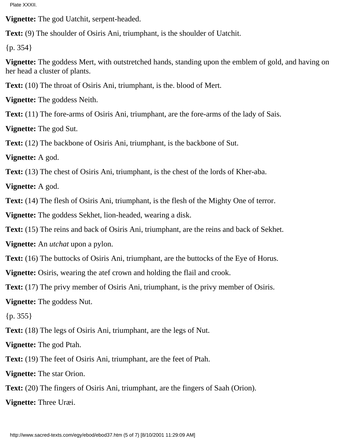**Vignette:** The god Uatchit, serpent-headed.

**Text:** (9) The shoulder of Osiris Ani, triumphant, is the shoulder of Uatchit.

{p. 354}

**Vignette:** The goddess Mert, with outstretched hands, standing upon the emblem of gold, and having on her head a cluster of plants.

**Text:** (10) The throat of Osiris Ani, triumphant, is the. blood of Mert.

**Vignette:** The goddess Neith.

**Text:** (11) The fore-arms of Osiris Ani, triumphant, are the fore-arms of the lady of Sais.

**Vignette:** The god Sut.

**Text:** (12) The backbone of Osiris Ani, triumphant, is the backbone of Sut.

**Vignette:** A god.

**Text:** (13) The chest of Osiris Ani, triumphant, is the chest of the lords of Kher-aba.

**Vignette:** A god.

**Text:** (14) The flesh of Osiris Ani, triumphant, is the flesh of the Mighty One of terror.

**Vignette:** The goddess Sekhet, lion-headed, wearing a disk.

**Text:** (15) The reins and back of Osiris Ani, triumphant, are the reins and back of Sekhet.

**Vignette:** An *utchat* upon a pylon.

**Text:** (16) The buttocks of Osiris Ani, triumphant, are the buttocks of the Eye of Horus.

**Vignette:** Osiris, wearing the atef crown and holding the flail and crook.

**Text:** (17) The privy member of Osiris Ani, triumphant, is the privy member of Osiris.

**Vignette:** The goddess Nut.

 ${p. 355}$ 

**Text:** (18) The legs of Osiris Ani, triumphant, are the legs of Nut.

**Vignette:** The god Ptah.

**Text:** (19) The feet of Osiris Ani, triumphant, are the feet of Ptah.

**Vignette:** The star Orion.

**Text:** (20) The fingers of Osiris Ani, triumphant, are the fingers of Saah (Orion).

**Vignette:** Three Uræi.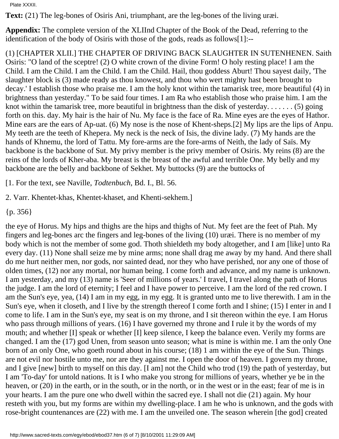**Text:** (21) The leg-bones of Osiris Ani, triumphant, are the leg-bones of the living uræi.

**Appendix:** The complete version of the XLIInd Chapter of the Book of the Dead, referring to the identification of the body of Osiris with those of the gods, reads as follows[1]:--

(1) [CHAPTER XLII.] THE CHAPTER OF DRIVING BACK SLAUGHTER IN SUTENHENEN. Saith Osiris: "O land of the sceptre! (2) O white crown of the divine Form! O holy resting place! I am the Child. I am the Child. I am the Child. I am the Child. Hail, thou goddess Aburt! Thou sayest daily, 'The slaughter block is (3) made ready as thou knowest, and thou who wert mighty hast been brought to decay.' I establish those who praise me. I am the holy knot within the tamarisk tree, more beautiful (4) in brightness than yesterday." To be said four times. I am Ra who establish those who praise him. I am the knot within the tamarisk tree, more beautiful in brightness than the disk of yesterday.  $\dots \dots$  (5) going forth on this. day. My hair is the hair of Nu. My face is the face of Ra. Mine eyes are the eyes of Hathor. Mine ears are the ears of Ap-uat. (6) My nose is the nose of Khent-sheps.[2] My lips are the lips of Anpu. My teeth are the teeth of Khepera. My neck is the neck of Isis, the divine lady. (7) My hands are the hands of Khnemu, the lord of Tattu. My fore-arms are the fore-arms of Neith, the lady of Saïs. My backbone is the backbone of Sut. My privy member is the privy member of Osiris. My reins (8) are the reins of the lords of Kher-aba. My breast is the breast of the awful and terrible One. My belly and my backbone are the belly and backbone of Sekhet. My buttocks (9) are the buttocks of

[1. For the text, see Naville, *Todtenbuch*, Bd. I., Bl. 56.

2. Varr. Khentet-khas, Khentet-khaset, and Khenti-sekhem.]

 ${p. 356}$ 

the eye of Horus. My hips and thighs are the hips and thighs of Nut. My feet are the feet of Ptah. My fingers and leg-bones arc the fingers and leg-bones of the living (10) uræi. There is no member of my body which is not the member of some god. Thoth shieldeth my body altogether, and I am [like] unto Ra every day. (11) None shall seize me by mine arms; none shall drag me away by my hand. And there shall do me hurt neither men, nor gods, nor sainted dead, nor they who have perished, nor any one of those of olden times, (12) nor any mortal, nor human being. I come forth and advance, and my name is unknown. I am yesterday, and my (13) name is 'Seer of millions of years.' I travel, I travel along the path of Horus the judge. I am the lord of eternity; I feel and I have power to perceive. I am the lord of the red crown. I am the Sun's eye, yea, (14) I am in my egg, in my egg. It is granted unto me to live therewith. I am in the Sun's eye, when it closeth, and I live by the strength thereof I come forth and I shine; (15) I enter in and I come to life. I am in the Sun's eye, my seat is on my throne, and I sit thereon within the eye. I am Horus who pass through millions of years. (16) I have governed my throne and I rule it by the words of my mouth; and whether [I] speak or whether [I] keep silence, I keep the balance even. Verily my forms are changed. I am the (17) god Unen, from season unto season; what is mine is within me. I am the only One born of an only One, who goeth round about in his course; (18) 1 am within the eye of the Sun. Things are not evil nor hostile unto me, nor are they against me. I open the door of heaven. I govern my throne, and I give [new] birth to myself on this day. [I am] not the Child who trod (19) the path of yesterday, but I am 'To-day' for untold nations. It is I who make you strong for millions of years, whether ye be in the heaven, or (20) in the earth, or in the south, or in the north, or in the west or in the east; fear of me is in your hearts. I am the pure one who dwell within the sacred eye. I shall not die (21) again. My hour resteth with you, but my forms are within my dwelling-place. I am he who is unknown, and the gods with rose-bright countenances are (22) with me. I am the unveiled one. The season wherein [the god] created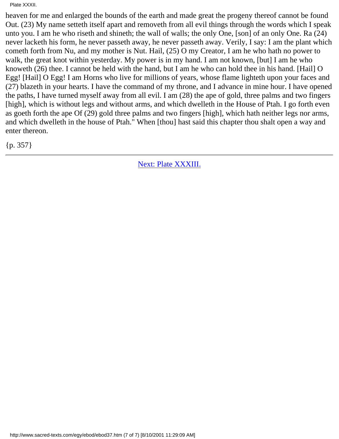heaven for me and enlarged the bounds of the earth and made great the progeny thereof cannot be found Out. (23) My name setteth itself apart and removeth from all evil things through the words which I speak unto you. I am he who riseth and shineth; the wall of walls; the only One, [son] of an only One. Ra (24) never lacketh his form, he never passeth away, he never passeth away. Verily, I say: I am the plant which cometh forth from Nu, and my mother is Nut. Hail, (25) O my Creator, I am he who hath no power to walk, the great knot within yesterday. My power is in my hand. I am not known, [but] I am he who knoweth (26) thee. I cannot be held with the hand, but I am he who can hold thee in his hand. [Hail] O Egg! [Hail] O Egg! I am Horns who live for millions of years, whose flame lighteth upon your faces and (27) blazeth in your hearts. I have the command of my throne, and I advance in mine hour. I have opened the paths, I have turned myself away from all evil. I am (28) the ape of gold, three palms and two fingers [high], which is without legs and without arms, and which dwelleth in the House of Ptah. I go forth even as goeth forth the ape Of (29) gold three palms and two fingers [high], which hath neither legs nor arms, and which dwelleth in the house of Ptah." When [thou] hast said this chapter thou shalt open a way and enter thereon.

 ${p. 357}$ 

[Next: Plate XXXIII.](#page-232-0)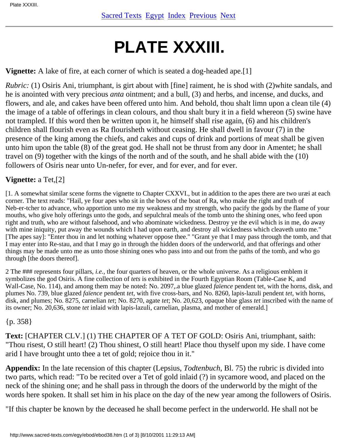### **PLATE XXXIII.**

<span id="page-232-0"></span>**Vignette:** A lake of fire, at each corner of which is seated a dog-headed ape.<sup>[1]</sup>

*Rubric:* (1) Osiris Ani, triumphant, is girt about with [fine] raiment, he is shod with (2)white sandals, and he is anointed with very precious *anta* ointment; and a bull, (3) and herbs, and incense, and ducks, and flowers, and ale, and cakes have been offered unto him. And behold, thou shalt limn upon a clean tile (4) the image of a table of offerings in clean colours, and thou shalt bury it in a field whereon (5) swine have not trampled. If this word then be written upon it, he himself shall rise again, (6) and his children's children shall flourish even as Ra flourisheth without ceasing. He shall dwell in favour (7) in the presence of the king among the chiefs, and cakes and cups of drink and portions of meat shall be given unto him upon the table (8) of the great god. He shall not be thrust from any door in Amentet; he shall travel on (9) together with the kings of the north and of the south, and he shall abide with the (10) followers of Osiris near unto Un-nefer, for ever, and for ever, and for ever.

#### **Vignette:** a Tet,[2]

[1. A somewhat similar scene forms the vignette to Chapter CXXVI., but in addition to the apes there are two uræi at each corner. The text reads: "Hail, ye four apes who sit in the bows of the boat of Ra, who make the right and truth of Neb-er-tcher to advance, who apportion unto me my weakness and my strength, who pacify the gods by the flame of your mouths, who give holy offerings unto the gods, and sepulchral meals of the tomb unto the shining ones, who feed upon right and truth, who are without falsehood, and who abominate wickedness. Destroy ye the evil which is in me, do away with mine iniquity, put away the wounds which I had upon earth, and destroy all wickedness which cleaveth unto me." [The apes say]: "Enter thou in and let nothing whatever oppose thee." "Grant ye that I may pass through the tomb, and that I may enter into Re-stau, and that I may go in through the hidden doors of the underworld, and that offerings and other things may be made unto me as unto those shining ones who pass into and out from the paths of the tomb, and who go through [the doors thereof].

2 The ### represents four pillars, *i.e.*, the four quarters of heaven, or the whole universe. As a religious emblem it symbolizes the god Osiris. A fine collection of *tets* is exhibited in the Fourth Egyptian Room (Table-Case K, and Wall-Case, No. 114), and among them may be noted: No. 2097,.a blue glazed *faïence* pendent tet, with the horns, disk, and plumes No. 739, blue glazed *faïence* pendent *tet*, with five cross-bars, and No. 8260, lapis-lazuli pendent *tet*, with horns, disk, and plumes; No. 8275, carnelian *tet*; No. 8270, agate *tet*; No. 20,623, opaque blue glass *tet* inscribed with the name of its owner; No. 20,636, stone *tet* inlaid with lapis-lazuli, carnelian, plasma, and mother of emerald.]

#### {p. 358}

**Text:** [CHAPTER CLV.] (1) THE CHAPTER OF A TET OF GOLD: Osiris Ani, triumphant, saith: "Thou risest, O still heart! (2) Thou shinest, O still heart! Place thou thyself upon my side. I have come arid I have brought unto thee a tet of gold; rejoice thou in it."

**Appendix:** In the late recension of this chapter (Lepsius, *Todtenbuch*, Bl. 75) the rubric is divided into two parts, which read: "To be recited over a Tet of gold inlaid (?) in sycamore wood, and placed on the neck of the shining one; and he shall pass in through the doors of the underworld by the might of the words here spoken. It shall set him in his place on the day of the new year among the followers of Osiris.

"If this chapter be known by the deceased he shall become perfect in the underworld. He shall not be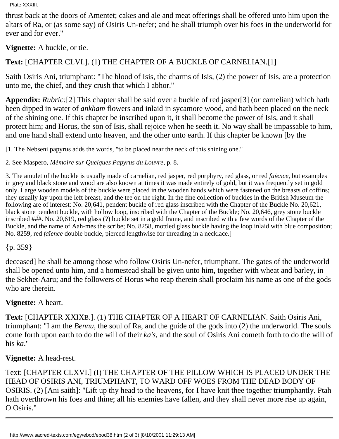thrust back at the doors of Amentet; cakes and ale and meat offerings shall be offered unto him upon the altars of Ra, or (as some say) of Osiris Un-nefer; and he shall triumph over his foes in the underworld for ever and for ever."

**Vignette:** A buckle, or tie.

### **Text:** [CHAPTER CLVI.]. (1) THE CHAPTER OF A BUCKLE OF CARNELIAN.[1]

Saith Osiris Ani, triumphant: "The blood of Isis, the charms of Isis, (2) the power of Isis, are a protection unto me, the chief, and they crush that which I abhor."

**Appendix:** *Rubric:*[2] This chapter shall be said over a buckle of red jasper[3] (*or* carnelian) which hath been dipped in water of *ankham* flowers and inlaid in sycamore wood, and hath been placed on the neck of the shining one. If this chapter be inscribed upon it, it shall become the power of Isis, and it shall protect him; and Horus, the son of Isis, shall rejoice when he seeth it. No way shall be impassable to him, and one hand shall extend unto heaven, and the other unto earth. If this chapter be known [by the

[1. The Nebseni papyrus adds the words, "to be placed near the neck of this shining one."

2. See Maspero, *Mémoire sur Quelques Papyrus du Louvre*, p. 8.

3. The amulet of the buckle is usually made of carnelian, red jasper, red porphyry, red glass, or red *faïence*, but examples in grey and black stone and wood are also known at times it was made entirely of gold, but it was frequently set in gold only. Large wooden models of the buckle were placed in the wooden hands which were fastened on the breasts of coffins; they usually lay upon the left breast, and the tee on the right. In the fine collection of buckles in the British Museum the following are of interest: No. 20,641, pendent buckle of red glass inscribed with the Chapter of the Buckle No. 20,621, black stone pendent buckle, with hollow loop, inscribed with the Chapter of the Buckle; No. 20,646, grey stone buckle inscribed ###. No. 20,619, red glass (?) buckle set in a gold frame, and inscribed with a few words of the Chapter of the Buckle, and the name of Aah-mes the scribe; No. 8258, mottled glass buckle having the loop inlaid with blue composition; No. 8259, red *faïence* double buckle, pierced lengthwise for threading in a necklace.]

{p. 359}

deceased] he shall be among those who follow Osiris Un-nefer, triumphant. The gates of the underworld shall be opened unto him, and a homestead shall be given unto him, together with wheat and barley, in the Sekhet-Aaru; and the followers of Horus who reap therein shall proclaim his name as one of the gods who are therein.

### **Vignette:** A heart.

**Text:** [CHAPTER XXIXB.]. (1) THE CHAPTER OF A HEART OF CARNELIAN. Saith Osiris Ani, triumphant: "I am the *Bennu*, the soul of Ra, and the guide of the gods into (2) the underworld. The souls come forth upon earth to do the will of their *ka's*, and the soul of Osiris Ani cometh forth to do the will of his *ka*."

### **Vignette:** A head-rest.

Text: [CHAPTER CLXVI.] (I) THE CHAPTER OF THE PILLOW WHICH IS PLACED UNDER THE HEAD OF OSIRIS ANI, TRIUMPHANT, TO WARD OFF WOES FROM THE DEAD BODY OF OSIRIS. (2) [Ani saith]: "Lift up thy head to the heavens, for I have knit thee together triumphantly. Ptah hath overthrown his foes and thine; all his enemies have fallen, and they shall never more rise up again, O Osiris."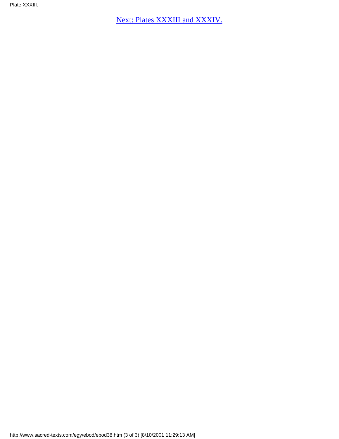[Next: Plates XXXIII and XXXIV.](#page-235-0)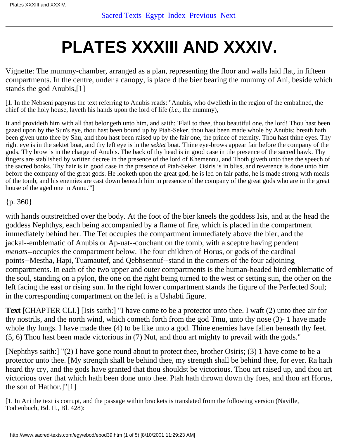## **PLATES XXXIII AND XXXIV.**

<span id="page-235-0"></span>Vignette: The mummy-chamber, arranged as a plan, representing the floor and walls laid flat, in fifteen compartments. In the centre, under a canopy, is place d the bier bearing the mummy of Ani, beside which stands the god Anubis,[1]

[1. In the Nebseni papyrus the text referring to Anubis reads: "Anubis, who dwelleth in the region of the embalmed, the chief of the holy house, layeth his hands upon the lord of life (*i.e.*, the mummy),

It and provideth him with all that belongeth unto him, and saith: 'Flail to thee, thou beautiful one, the lord! Thou hast been gazed upon by the Sun's eye, thou hast been bound up by Ptah-Seker, thou hast been made whole by Anubis; breath hath been given unto thee by Shu, and thou hast been raised up by the fair one, the prince of eternity. Thou hast thine eyes. Thy right eye is in the sektet boat, and thy left eye is in the *sektet* boat. Thine eye-brows appear fair before the company of the gods. Thy brow is in the charge of Anubis. The back of thy head is in good case in tile presence of the sacred hawk. Thy fingers are stablished by written decree in the presence of the lord of Khemennu, and Thoth giveth unto thee the speech of the sacred books. Thy hair is in good case in the presence of Ptah-Seker. Osiris is in bliss, and reverence is done unto him before the company of the great gods. He looketh upon the great god, he is led on fair paths, he is made strong with meals of the tomb, and his enemies are cast down beneath him in presence of the company of the great gods who are in the great house of the aged one in Annu.'"]

#### {p. 360}

with hands outstretched over the body. At the foot of the bier kneels the goddess Isis, and at the head the goddess Nephthys, each being accompanied by a flame of fire, which is placed in the compartment immediately behind her. The Tet occupies the compartment immediately above the bier, and the jackal--emblematic of Anubis or Ap-uat--couchant on the tomb, with a sceptre having pendent *menats*--occupies the compartment below. The four children of Horus, or gods of the cardinal points--Mestha, Hapi, Tuamautef, and Qebhsennuf--stand in the corners of the four adjoining compartments. In each of the two upper and outer compartments is the human-headed bird emblematic of the soul, standing on a pylon, the one on the right being turned to the west or setting sun, the other on the left facing the east or rising sun. In the right lower compartment stands the figure of the Perfected Soul; in the corresponding compartment on the left is a Ushabti figure.

**Text** [CHAPTER CLI.] [Isis saith:] "I have come to be a protector unto thee. I waft (2) unto thee air for thy nostrils, and the north wind, which cometh forth from the god Tmu, unto thy nose (3)- 1 have made whole thy lungs. I have made thee (4) to be like unto a god. Thine enemies have fallen beneath thy feet. (5, 6) Thou hast been made victorious in (7) Nut, and thou art mighty to prevail with the gods."

[Nephthys saith:] "(2) I have gone round about to protect thee, brother Osiris; (3) 1 have come to be a protector unto thee. [My strength shall be behind thee, my strength shall be behind thee, for ever. Ra hath heard thy cry, and the gods have granted that thou shouldst be victorious. Thou art raised up, and thou art victorious over that which hath been done unto thee. Ptah hath thrown down thy foes, and thou art Horus, the son of Hathor.]"[1]

[1. In Ani the text is corrupt, and the passage within brackets is translated from the following version (Naville, Todtenbuch, Bd. II., Bl. 428):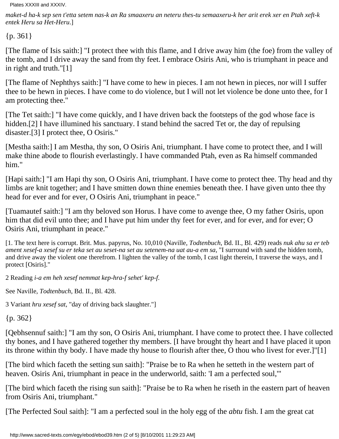*maket-d ha-k sep sen t'etta setem nas-k an Ra smaaxeru an neteru thes-tu semaaxeru-k her arit erek xer en Ptah xeft-k entek Heru sa Het-Heru*.]

{p. 361}

[The flame of Isis saith:] "I protect thee with this flame, and I drive away him (the foe) from the valley of the tomb, and I drive away the sand from thy feet. I embrace Osiris Ani, who is triumphant in peace and in right and truth."[1]

[The flame of Nephthys saith:] "I have come to hew in pieces. I am not hewn in pieces, nor will I suffer thee to be hewn in pieces. I have come to do violence, but I will not let violence be done unto thee, for I am protecting thee."

[The Tet saith:] "I have come quickly, and I have driven back the footsteps of the god whose face is hidden.[2] I have illumined his sanctuary. I stand behind the sacred Tet or, the day of repulsing disaster.[3] I protect thee, O Osiris."

[Mestha saith:] I am Mestha, thy son, O Osiris Ani, triumphant. I have come to protect thee, and I will make thine abode to flourish everlastingly. I have commanded Ptah, even as Ra himself commanded him."

[Hapi saith:] "I am Hapi thy son, O Osiris Ani, triumphant. I have come to protect thee. Thy head and thy limbs are knit together; and I have smitten down thine enemies beneath thee. I have given unto thee thy head for ever and for ever, O Osiris Ani, triumphant in peace."

[Tuamautef saith:] "I am thy beloved son Horus. I have come to avenge thee, O my father Osiris, upon him that did evil unto thee; and I have put him under thy feet for ever, and for ever, and for ever; O Osiris Ani, triumphant in peace."

[1. The text here is corrupt. Brit. Mus. papyrus, No. 10,010 (Naville, *Todtenbuch*, Bd. II., Bl. 429) reads *nuk ahu sa er teb ament xesef-a xesef su er teka set au seset-na set au setenem-na uat au-a em sa*, "I surround with sand the hidden tomb, and drive away the violent one therefrom. I lighten the valley of the tomb, I cast light therein, I traverse the ways, and I protect [Osiris]."

2 Reading *i-a em heh xesef nemmat kep-hra-f sehet' kep-f*.

See Naville, *Todtenbuch*, Bd. II., Bl. 428.

3 Variant *hru xesef sat*, "day of driving back slaughter."]

{p. 362}

[Qebhsennuf saith:] "I am thy son, O Osiris Ani, triumphant. I have come to protect thee. I have collected thy bones, and I have gathered together thy members. [I have brought thy heart and I have placed it upon its throne within thy body. I have made thy house to flourish after thee, O thou who livest for ever.]"[1]

[The bird which faceth the setting sun saith]: "Praise be to Ra when he setteth in the western part of heaven. Osiris Ani, triumphant in peace in the underworld, saith: 'I am a perfected soul,'"

[The bird which faceth the rising sun saith]: "Praise be to Ra when he riseth in the eastern part of heaven from Osiris Ani, triumphant."

[The Perfected Soul saith]: "I am a perfected soul in the holy egg of the *abtu* fish. I am the great cat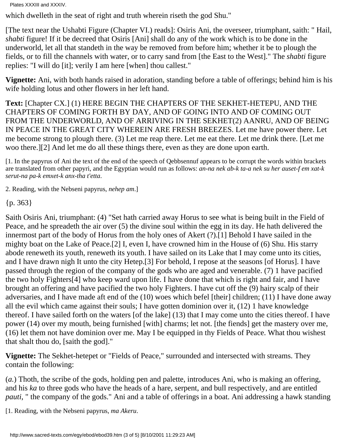which dwelleth in the seat of right and truth wherein riseth the god Shu."

[The text near the Ushabti Figure (Chapter VI.) reads]: Osiris Ani, the overseer, triumphant, saith: " Hail, *shabti* figure! If it be decreed that Osiris [Ani] shall do any of the work which is to be done in the underworld, let all that standeth in the way be removed from before him; whether it be to plough the fields, or to fill the channels with water, or to carry sand from [the East to the West]." The *shabti* figure replies: "I will do [it]; verily I am here [when] thou callest."

**Vignette:** Ani, with both hands raised in adoration, standing before a table of offerings; behind him is his wife holding lotus and other flowers in her left hand.

**Text:** [Chapter CX.] (1) HERE BEGIN THE CHAPTERS OF THE SEKHET-HETEPU, AND THE CHAPTERS OF COMING FORTH BY DAY, AND OF GOING INTO AND OF COMING OUT FROM THE UNDERWORLD, AND OF ARRIVING IN THE SEKHET(2) AANRU, AND OF BEING IN PEACE IN THE GREAT CITY WHEREIN ARE FRESH BREEZES. Let me have power there. Let me become strong to plough there. (3) Let me reap there. Let me eat there. Let me drink there. [Let me woo there.][2] And let me do all these things there, even as they are done upon earth.

[1. In the papyrus of Ani the text of the end of the speech of Qebbsennuf appears to be corrupt the words within brackets are translated from other papyri, and the Egyptian would run as follows: *an-na nek ab-k ta-a nek su her auset-f em xat-k serut-na pa-k emxet-k anx-tha t'etta*.

2. Reading, with the Nebseni papyrus, *nehep am*.]

{p. 363}

Saith Osiris Ani, triumphant: (4) "Set hath carried away Horus to see what is being built in the Field of Peace, and he spreadeth the air over (5) the divine soul within the egg in its day. He hath delivered the innermost part of the body of Horus from the holy ones of Akert (?).[1] Behold I have sailed in the mighty boat on the Lake of Peace.[2] I, even I, have crowned him in the House of (6) Shu. His starry abode reneweth its youth, reneweth its youth. I have sailed on its Lake that I may come unto its cities, and I have drawn nigh It unto the city Hetep.[3] For behold, I repose at the seasons [of Horus]. I have passed through the region of the company of the gods who are aged and venerable. (7) 1 have pacified the two holy Fighters[4] who keep ward upon life. I have done that which is right and fair, and I have brought an offering and have pacified the two holy Fighters. I have cut off the (9) hairy scalp of their adversaries, and I have made aft end of the (10) woes which befel [their] children; (11) I have done away all the evil which came against their souls; I have gotten dominion over it, (12) 1 have knowledge thereof. I have sailed forth on the waters [of the lake] (13) that I may come unto the cities thereof. I have power (14) over my mouth, being furnished [with] charms; let not. [the fiends] get the mastery over me, (16) let them not have dominion over me. May I be equipped in thy Fields of Peace. What thou wishest that shalt thou do, [saith the god]."

**Vignette:** The Sekhet-hetepet or "Fields of Peace," surrounded and intersected with streams. They contain the following:

(*a.*) Thoth, the scribe of the gods, holding pen and palette, introduces Ani, who is making an offering, and his *ka* to three gods who have the heads of a hare, serpent, and bull respectively, and are entitled *pauti*, " the company of the gods." Ani and a table of offerings in a boat. Ani addressing a hawk standing

[1. Reading, with the Nebseni papyrus, *ma Akeru*.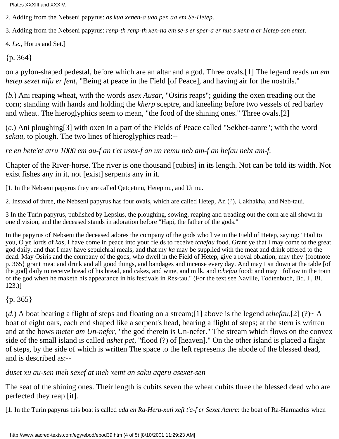2. Adding from the Nebseni papyrus: *as kua xenen-a uaa pen aa em Se-Hetep*.

3. Adding from the Nebseni papyrus: *renp-th renp-th xen-na em se-s er sper-a er nut-s xent-a er Hetep-sen entet*.

4. *I.e.*, Horus and Set.]

 ${p. 364}$ 

on a pylon-shaped pedestal, before which are an altar and a god. Three ovals.[1] The legend reads *un em hetep sexet nifu er fent*, "Being at peace in the Field [of Peace], and having air for the nostrils."

(*b.*) Ani reaping wheat, with the words *asex Ausar*, "Osiris reaps"; guiding the oxen treading out the corn; standing with hands and holding the *kherp* sceptre, and kneeling before two vessels of red barley and wheat. The hieroglyphics seem to mean, "the food of the shining ones." Three ovals.[2]

(*c.*) Ani ploughing[3] with oxen in a part of the Fields of Peace called "Sekhet-aanre"; with the word *sekau*, to plough. The two lines of hieroglyphics read:--

*re en hete'et atru 1000 em au-f an t'et usex-f an un remu neb am-f an hefau nebt am-f.*

Chapter of the River-horse. The river is one thousand [cubits] in its length. Not can be told its width. Not exist fishes any in it, not [exist] serpents any in it.

[1. In the Nebseni papyrus they are called Qetqetmu, Hetepmu, and Urmu.

2. Instead of three, the Nebseni papyrus has four ovals, which are called Hetep, An (?), Uakhakha, and Neb-taui.

3 In the Turin papyrus, published by Lepsius, the ploughing, sowing, reaping and treading out the corn are all shown in one division, and the deceased stands in adoration before "Hapi, the father of the gods."

In the papyrus of Nebseni the deceased adores the company of the gods who live in the Field of Hetep, saying: "Hail to you, O ye lords of *kas*, I have come in peace into your fields to receive *tchefau* food. Grant ye that I may come to the great god daily, and that I may have sepulchral meals, and that my *ka* may be supplied with the meat and drink offered to the dead. May Osiris and the company of the gods, who dwell in the Field of Hetep, give a royal oblation, may they {footnote p. 365} grant meat and drink and all good things, and bandages and incense every day. And may I sit down at the table [of the god] daily to receive bread of his bread, and cakes, and wine, and milk, and *tchefau* food; and may I follow in the train of the god when he maketh his appearance in his festivals in Res-tau." (For the text see Naville, Todtenbuch, Bd. I., Bl. 123.)]

 ${p. 365}$ 

(*d.*) A boat bearing a flight of steps and floating on a stream;[1] above is the legend *tehefau*,[2] (?)~ A boat of eight oars, each end shaped like a serpent's head, bearing a flight of steps; at the stern is written and at the bows *meter am Un-nefer*, "the god therein is Un-nefer." The stream which flows on the convex side of the small island is called *ashet pet*, "flood (?) of [heaven]." On the other island is placed a flight of steps, by the side of which is written The space to the left represents the abode of the blessed dead, and is described as:--

*duset xu au-sen meh sexef at meh xemt an saku aqeru asexet-sen*

The seat of the shining ones. Their length is cubits seven the wheat cubits three the blessed dead who are perfected they reap [it].

[1. In the Turin papyrus this boat is called *uda en Ra-Heru-xuti xeft t'a-f er Sexet Aanre*: the boat of Ra-Harmachis when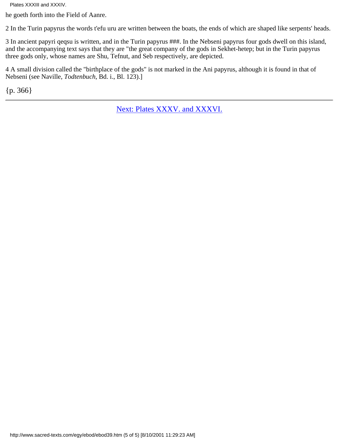he goeth forth into the Field of Aanre.

2 In the Turin papyrus the words t'efu uru are written between the boats, the ends of which are shaped like serpents' heads.

3 In ancient papyri qeqsu is written, and in the Turin papyrus ###. In the Nebseni papyrus four gods dwell on this island, and the accompanying text says that they are "the great company of the gods in Sekhet-hetep; but in the Turin papyrus three gods only, whose names are Shu, Tefnut, and Seb respectively, are depicted.

4 A small division called the "birthplace of the gods" is not marked in the Ani papyrus, although it is found in that of Nebseni (see Naville, *Todtenbuch*, Bd. i., Bl. 123).]

 ${p. 366}$ 

[Next: Plates XXXV. and XXXVI.](#page-240-0)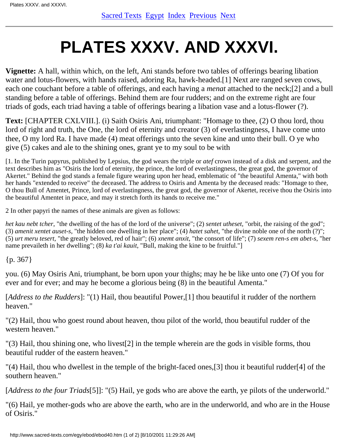## **PLATES XXXV. AND XXXVI.**

<span id="page-240-0"></span>**Vignette:** A hall, within which, on the left, Ani stands before two tables of offerings bearing libation water and lotus-flowers, with hands raised, adoring Ra, hawk-headed.[1] Next are ranged seven cows, each one couchant before a table of offerings, and each having a *menat* attached to the neck;[2] and a bull standing before a table of offerings. Behind them are four rudders; and on the extreme right are four triads of gods, each triad having a table of offerings bearing a libation vase and a lotus-flower (?).

**Text:** [CHAPTER CXLVIII.]. (i) Saith Osiris Ani, triumphant: "Homage to thee, (2) O thou lord, thou lord of right and truth, the One, the lord of eternity and creator (3) of everlastingness, I have come unto thee, O my lord Ra. I have made (4) meat offerings unto the seven kine and unto their bull. O ye who give (5) cakes and ale to the shining ones, grant ye to my soul to be with

[1. In the Turin papyrus, published by Lepsius, the god wears the triple or *atef* crown instead of a disk and serpent, and the text describes him as "Osiris the lord of eternity, the prince, the lord of everlastingness, the great god, the governor of Akertet." Behind the god stands a female figure wearing upon her head, emblematic of "the beautiful Amenta," with both her hands "extended to receive" the deceased. The address to Osiris and Amenta by the deceased reads: "Homage to thee, O thou Bull of Amentet, Prince, lord of everlastingness, the great god, the governor of Akertet, receive thou the Osiris into the beautiful Amentet in peace, and may it stretch forth its hands to receive me."

2 In other papyri the names of these animals are given as follows:

*het kau nebt tcher*, "the dwelling of the has of the lord of the universe"; (2) *sentet utheset*, "orbit, the raising of the god"; (3) *amenit xentet auset-s*, "the hidden one dwelling in her place"; (4) *hatet sahet*, "the divine noble one of the north (?)"; (5) *urt meru tesert*, "the greatly beloved, red of hair"; (6) *xnemt anxit*, "the consort of life"; (7) *sexem ren-s em abet-s*, "her name prevaileth in her dwelling"; (8) *ka t'ai kauit*, "Bull, making the kine to be fruitful."]

 ${p. 367}$ 

you. (6) May Osiris Ani, triumphant, be born upon your thighs; may he be like unto one (7) Of you for ever and for ever; and may he become a glorious being (8) in the beautiful Amenta."

[*Address to the Rudders*]: "(1) Hail, thou beautiful Power,[1] thou beautiful it rudder of the northern heaven."

"(2) Hail, thou who goest round about heaven, thou pilot of the world, thou beautiful rudder of the western heaven."

"(3) Hail, thou shining one, who livest[2] in the temple wherein are the gods in visible forms, thou beautiful rudder of the eastern heaven."

"(4) Hail, thou who dwellest in the temple of the bright-faced ones,[3] thou it beautiful rudder[4] of the southern heaven."

[*Address to the four Triads*[5]]: "(5) Hail, ye gods who are above the earth, ye pilots of the underworld."

"(6) Hail, ye mother-gods who are above the earth, who are in the underworld, and who are in the House of Osiris."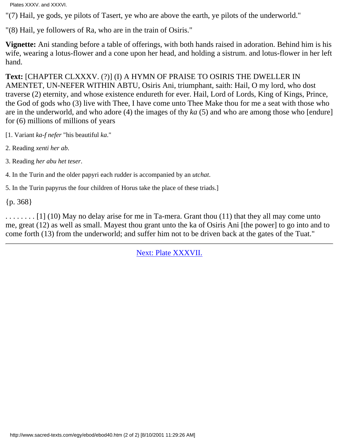Plates XXXV. and XXXVI.

"(7) Hail, ye gods, ye pilots of Tasert, ye who are above the earth, ye pilots of the underworld."

"(8) Hail, ye followers of Ra, who are in the train of Osiris."

**Vignette:** Ani standing before a table of offerings, with both hands raised in adoration. Behind him is his wife, wearing a lotus-flower and a cone upon her head, and holding a sistrum. and lotus-flower in her left hand.

**Text:** [CHAPTER CLXXXV. (?)] (I) A HYMN OF PRAISE TO OSIRIS THE DWELLER IN AMENTET, UN-NEFER WITHIN ABTU, Osiris Ani, triumphant, saith: Hail, O my lord, who dost traverse (2) eternity, and whose existence endureth for ever. Hail, Lord of Lords, King of Kings, Prince, the God of gods who (3) live with Thee, I have come unto Thee Make thou for me a seat with those who are in the underworld, and who adore (4) the images of thy *ka* (5) and who are among those who [endure] for (6) millions of millions of years

[1. Variant *ka-f nefer* "his beautiful *ka*."

2. Reading *xenti her ab*.

3. Reading *her abu het teser*.

4. In the Turin and the older papyri each rudder is accompanied by an *utchat*.

5. In the Turin papyrus the four children of Horus take the place of these triads.]

{p. 368}

 $\ldots \ldots$  . [1] (10) May no delay arise for me in Ta-mera. Grant thou (11) that they all may come unto me, great (12) as well as small. Mayest thou grant unto the ka of Osiris Ani [the power] to go into and to come forth (13) from the underworld; and suffer him not to be driven back at the gates of the Tuat."

[Next: Plate XXXVII.](#page-242-0)